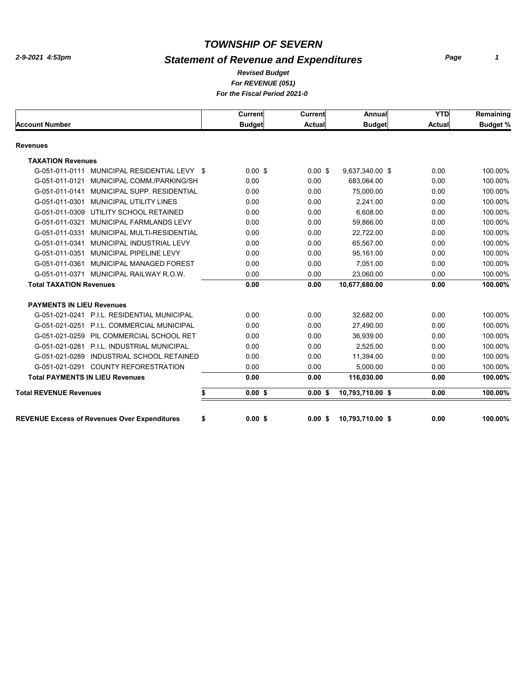# *Statement of Revenue and Expenditures*

*For REVENUE (051) For the Fiscal Period 2021-0 Revised Budget*

|  |  |  | <u>U US I ISLAIT CHUU LUL IV</u> |  |
|--|--|--|----------------------------------|--|
|  |  |  |                                  |  |
|  |  |  |                                  |  |

|                                                           | Current       | Current       | Annual           | <b>YTD</b>    | Remaining       |
|-----------------------------------------------------------|---------------|---------------|------------------|---------------|-----------------|
| <b>Account Number</b>                                     | <b>Budget</b> | <b>Actual</b> | <b>Budget</b>    | <b>Actual</b> | <b>Budget %</b> |
| Revenues                                                  |               |               |                  |               |                 |
| <b>TAXATION Revenues</b>                                  |               |               |                  |               |                 |
| G-051-011-0111<br>MUNICIPAL RESIDENTIAL LEVY \$           | $0.00$ \$     | $0.00$ \$     | 9,637,340.00 \$  | 0.00          | 100.00%         |
| MUNICIPAL COMM./PARKING/SH<br>G-051-011-0121              | 0.00          | 0.00          | 683,064.00       | 0.00          | 100.00%         |
| G-051-011-0141<br>MUNICIPAL SUPP, RESIDENTIAL             | 0.00          | 0.00          | 75,000.00        | 0.00          | 100.00%         |
| MUNICIPAL UTILITY LINES<br>G-051-011-0301                 | 0.00          | 0.00          | 2,241.00         | 0.00          | 100.00%         |
| UTILITY SCHOOL RETAINED<br>G-051-011-0309                 | 0.00          | 0.00          | 6,608.00         | 0.00          | 100.00%         |
| MUNICIPAL FARMLANDS LEVY<br>G-051-011-0321                | 0.00          | 0.00          | 59,866.00        | 0.00          | 100.00%         |
| G-051-011-0331<br>MUNICIPAL MULTI-RESIDENTIAL             | 0.00          | 0.00          | 22,722.00        | 0.00          | 100.00%         |
| MUNICIPAL INDUSTRIAL LEVY<br>G-051-011-0341               | 0.00          | 0.00          | 65,567.00        | 0.00          | 100.00%         |
| MUNICIPAL PIPELINE LEVY<br>G-051-011-0351                 | 0.00          | 0.00          | 95,161.00        | 0.00          | 100.00%         |
| G-051-011-0361 MUNICIPAL MANAGED FOREST                   | 0.00          | 0.00          | 7.051.00         | 0.00          | 100.00%         |
| G-051-011-0371 MUNICIPAL RAILWAY R.O.W.                   | 0.00          | 0.00          | 23,060.00        | 0.00          | 100.00%         |
| <b>Total TAXATION Revenues</b>                            | 0.00          | 0.00          | 10,677,680.00    | 0.00          | 100.00%         |
| <b>PAYMENTS IN LIEU Revenues</b>                          |               |               |                  |               |                 |
| G-051-021-0241 P.I.L. RESIDENTIAL MUNICIPAL               | 0.00          | 0.00          | 32,682.00        | 0.00          | 100.00%         |
| G-051-021-0251 P.I.L. COMMERCIAL MUNICIPAL                | 0.00          | 0.00          | 27,490.00        | 0.00          | 100.00%         |
| G-051-021-0259 PIL COMMERCIAL SCHOOL RET                  | 0.00          | 0.00          | 36,939.00        | 0.00          | 100.00%         |
| G-051-021-0281 P.I.L. INDUSTRIAL MUNICIPAL                | 0.00          | 0.00          | 2.525.00         | 0.00          | 100.00%         |
| G-051-021-0289 INDUSTRIAL SCHOOL RETAINED                 | 0.00          | 0.00          | 11,394.00        | 0.00          | 100.00%         |
| G-051-021-0291 COUNTY REFORESTRATION                      | 0.00          | 0.00          | 5,000.00         | 0.00          | 100.00%         |
| <b>Total PAYMENTS IN LIEU Revenues</b>                    | 0.00          | 0.00          | 116,030.00       | 0.00          | 100.00%         |
| <b>Total REVENUE Revenues</b><br>\$                       | 0.00S         | 0.00S         | 10,793,710.00 \$ | 0.00          | 100.00%         |
|                                                           |               |               |                  |               |                 |
| \$<br><b>REVENUE Excess of Revenues Over Expenditures</b> | 0.00S         | 0.00S         | 10,793,710.00 \$ | 0.00          | 100.00%         |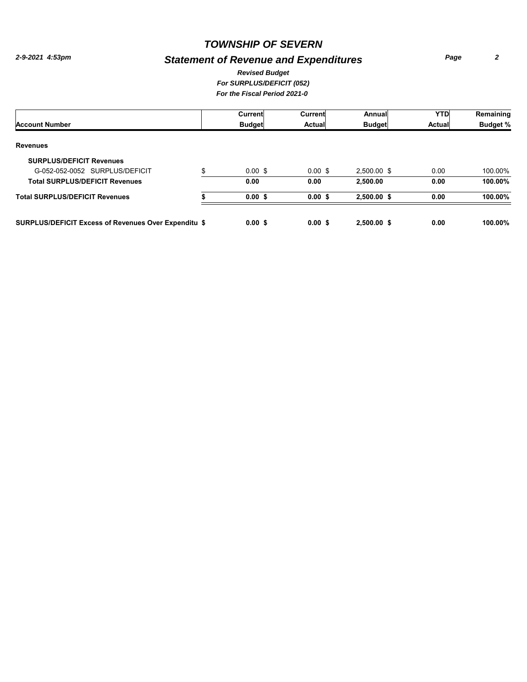# *Statement of Revenue and Expenditures*

*Page 2*

#### *For SURPLUS/DEFICIT (052) For the Fiscal Period 2021-0 Revised Budget*

|                                                             | Current                  | Current            | Annual        | <b>YTD</b>    | Remaining       |
|-------------------------------------------------------------|--------------------------|--------------------|---------------|---------------|-----------------|
| <b>Account Number</b>                                       | <b>Budget</b>            | <b>Actual</b>      | <b>Budget</b> | <b>Actual</b> | <b>Budget %</b> |
| <b>Revenues</b>                                             |                          |                    |               |               |                 |
| <b>SURPLUS/DEFICIT Revenues</b>                             |                          |                    |               |               |                 |
| G-052-052-0052 SURPLUS/DEFICIT                              | \$<br>$0.00 \text{ }$ \$ | $0.00 \text{ }$ \$ | 2,500.00 \$   | 0.00          | 100.00%         |
| <b>Total SURPLUS/DEFICIT Revenues</b>                       | 0.00                     | 0.00               | 2.500.00      | 0.00          | 100.00%         |
| <b>Total SURPLUS/DEFICIT Revenues</b>                       | $0.00$ \$                | 0.00S              | 2,500.00 \$   | 0.00          | 100.00%         |
| <b>SURPLUS/DEFICIT Excess of Revenues Over Expenditu \$</b> | 0.00S                    | 0.00S              | $2.500.00$ \$ | 0.00          | 100.00%         |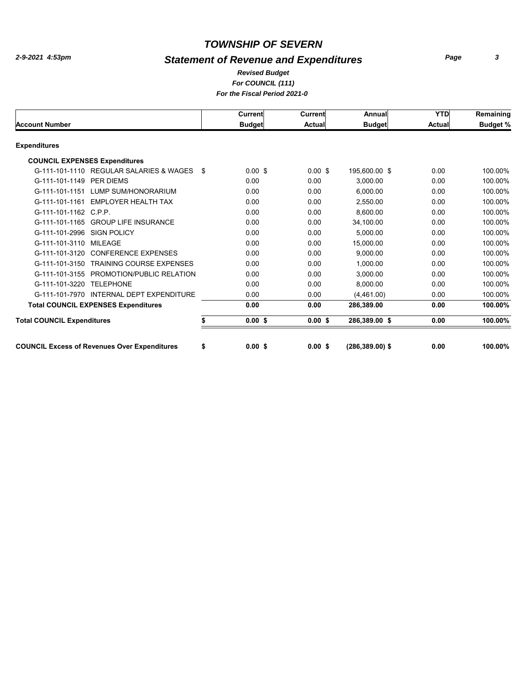# *Statement of Revenue and Expenditures*

#### *For COUNCIL (111) For the Fiscal Period 2021-0 Revised Budget*

|                                      |                                                     |     | <b>Current</b>     | Current       | Annual             | <b>YTD</b>    | Remaining       |
|--------------------------------------|-----------------------------------------------------|-----|--------------------|---------------|--------------------|---------------|-----------------|
| <b>Account Number</b>                |                                                     |     | <b>Budget</b>      | <b>Actual</b> | <b>Budget</b>      | <b>Actual</b> | <b>Budget %</b> |
| <b>Expenditures</b>                  |                                                     |     |                    |               |                    |               |                 |
| <b>COUNCIL EXPENSES Expenditures</b> |                                                     |     |                    |               |                    |               |                 |
|                                      | G-111-101-1110 REGULAR SALARIES & WAGES             | -\$ | $0.00 \text{ }$ \$ | $0.00$ \$     | 195,600.00 \$      | 0.00          | 100.00%         |
| G-111-101-1149                       | PER DIEMS                                           |     | 0.00               | 0.00          | 3.000.00           | 0.00          | 100.00%         |
| G-111-101-1151                       | LUMP SUM/HONORARIUM                                 |     | 0.00               | 0.00          | 6.000.00           | 0.00          | 100.00%         |
|                                      | G-111-101-1161 EMPLOYER HEALTH TAX                  |     | 0.00               | 0.00          | 2.550.00           | 0.00          | 100.00%         |
| G-111-101-1162 C.P.P.                |                                                     |     | 0.00               | 0.00          | 8.600.00           | 0.00          | 100.00%         |
|                                      | G-111-101-1165 GROUP LIFE INSURANCE                 |     | 0.00               | 0.00          | 34.100.00          | 0.00          | 100.00%         |
| G-111-101-2996                       | <b>SIGN POLICY</b>                                  |     | 0.00               | 0.00          | 5.000.00           | 0.00          | 100.00%         |
| G-111-101-3110                       | MILEAGE                                             |     | 0.00               | 0.00          | 15,000.00          | 0.00          | 100.00%         |
| G-111-101-3120                       | <b>CONFERENCE EXPENSES</b>                          |     | 0.00               | 0.00          | 9,000.00           | 0.00          | 100.00%         |
| G-111-101-3150                       | <b>TRAINING COURSE EXPENSES</b>                     |     | 0.00               | 0.00          | 1.000.00           | 0.00          | 100.00%         |
| G-111-101-3155                       | PROMOTION/PUBLIC RELATION                           |     | 0.00               | 0.00          | 3,000.00           | 0.00          | 100.00%         |
| G-111-101-3220                       | <b>TELEPHONE</b>                                    |     | 0.00               | 0.00          | 8.000.00           | 0.00          | 100.00%         |
| G-111-101-7970                       | INTERNAL DEPT EXPENDITURE                           |     | 0.00               | 0.00          | (4,461.00)         | 0.00          | 100.00%         |
|                                      | <b>Total COUNCIL EXPENSES Expenditures</b>          |     | 0.00               | 0.00          | 286.389.00         | 0.00          | 100.00%         |
| <b>Total COUNCIL Expenditures</b>    |                                                     |     | $0.00$ \$          | $0.00$ \$     | 286,389.00 \$      | 0.00          | 100.00%         |
|                                      | <b>COUNCIL Excess of Revenues Over Expenditures</b> | \$  | 0.00S              | 0.00S         | $(286, 389.00)$ \$ | 0.00          | 100.00%         |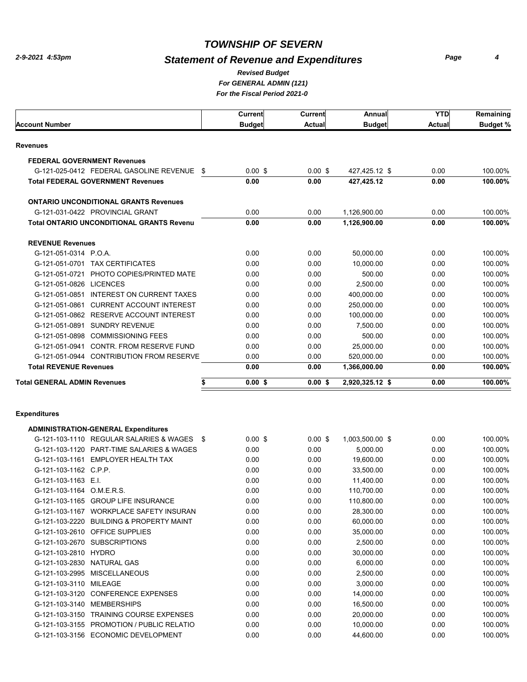# *Statement of Revenue and Expenditures*

*Page 4*

#### *For GENERAL ADMIN (121) For the Fiscal Period 2021-0 Revised Budget*

|                                                    | Current            | <b>Current</b> | Annual          | <b>YTD</b>    | Remaining       |
|----------------------------------------------------|--------------------|----------------|-----------------|---------------|-----------------|
| <b>Account Number</b>                              | <b>Budget</b>      | <b>Actual</b>  | <b>Budget</b>   | <b>Actual</b> | <b>Budget %</b> |
| <b>Revenues</b>                                    |                    |                |                 |               |                 |
| <b>FEDERAL GOVERNMENT Revenues</b>                 |                    |                |                 |               |                 |
| G-121-025-0412 FEDERAL GASOLINE REVENUE<br>-\$     | $0.00 \text{ }$ \$ | $0.00$ \$      | 427,425.12 \$   | 0.00          | 100.00%         |
| <b>Total FEDERAL GOVERNMENT Revenues</b>           | 0.00               | 0.00           | 427,425.12      | 0.00          | 100.00%         |
| <b>ONTARIO UNCONDITIONAL GRANTS Revenues</b>       |                    |                |                 |               |                 |
| G-121-031-0422 PROVINCIAL GRANT                    | 0.00               | 0.00           | 1.126.900.00    | 0.00          | 100.00%         |
| <b>Total ONTARIO UNCONDITIONAL GRANTS Revenu</b>   | 0.00               | 0.00           | 1,126,900.00    | 0.00          | 100.00%         |
| <b>REVENUE Revenues</b>                            |                    |                |                 |               |                 |
| G-121-051-0314 P.O.A.                              | 0.00               | 0.00           | 50.000.00       | 0.00          | 100.00%         |
| G-121-051-0701<br><b>TAX CERTIFICATES</b>          | 0.00               | 0.00           | 10,000.00       | 0.00          | 100.00%         |
| PHOTO COPIES/PRINTED MATE<br>G-121-051-0721        | 0.00               | 0.00           | 500.00          | 0.00          | 100.00%         |
| G-121-051-0826<br><b>LICENCES</b>                  | 0.00               | 0.00           | 2.500.00        | 0.00          | 100.00%         |
| <b>INTEREST ON CURRENT TAXES</b><br>G-121-051-0851 | 0.00               | 0.00           | 400.000.00      | 0.00          | 100.00%         |
| <b>CURRENT ACCOUNT INTEREST</b><br>G-121-051-0861  | 0.00               | 0.00           | 250.000.00      | 0.00          | 100.00%         |
| G-121-051-0862<br><b>RESERVE ACCOUNT INTEREST</b>  | 0.00               | 0.00           | 100.000.00      | 0.00          | 100.00%         |
| G-121-051-0891<br><b>SUNDRY REVENUE</b>            | 0.00               | 0.00           | 7,500.00        | 0.00          | 100.00%         |
| <b>COMMISSIONING FEES</b><br>G-121-051-0898        | 0.00               | 0.00           | 500.00          | 0.00          | 100.00%         |
| <b>CONTR. FROM RESERVE FUND</b><br>G-121-051-0941  | 0.00               | 0.00           | 25.000.00       | 0.00          | 100.00%         |
| G-121-051-0944 CONTRIBUTION FROM RESERVE           | 0.00               | 0.00           | 520,000.00      | 0.00          | 100.00%         |
| <b>Total REVENUE Revenues</b>                      | 0.00               | 0.00           | 1,366,000.00    | 0.00          | 100.00%         |
| <b>Total GENERAL ADMIN Revenues</b>                | $0.00$ \$          | 0.00S          | 2,920,325.12 \$ | 0.00          | 100.00%         |

#### **Expenditures**

|                           | <b>ADMINISTRATION-GENERAL Expenditures</b> |     |           |                    |                 |      |         |
|---------------------------|--------------------------------------------|-----|-----------|--------------------|-----------------|------|---------|
|                           | G-121-103-1110 REGULAR SALARIES & WAGES    | -\$ | $0.00$ \$ | $0.00 \text{ }$ \$ | 1,003,500.00 \$ | 0.00 | 100.00% |
| G-121-103-1120            | <b>PART-TIME SALARIES &amp; WAGES</b>      |     | 0.00      | 0.00               | 5,000.00        | 0.00 | 100.00% |
| G-121-103-1161            | EMPLOYER HEALTH TAX                        |     | 0.00      | 0.00               | 19,600.00       | 0.00 | 100.00% |
| G-121-103-1162 C.P.P.     |                                            |     | 0.00      | 0.00               | 33,500.00       | 0.00 | 100.00% |
| G-121-103-1163 E.I.       |                                            |     | 0.00      | 0.00               | 11.400.00       | 0.00 | 100.00% |
| G-121-103-1164 O.M.E.R.S. |                                            |     | 0.00      | 0.00               | 110,700.00      | 0.00 | 100.00% |
| G-121-103-1165            | <b>GROUP LIFE INSURANCE</b>                |     | 0.00      | 0.00               | 110,800.00      | 0.00 | 100.00% |
| G-121-103-1167            | <b>WORKPLACE SAFETY INSURAN</b>            |     | 0.00      | 0.00               | 28,300.00       | 0.00 | 100.00% |
| G-121-103-2220            | <b>BUILDING &amp; PROPERTY MAINT</b>       |     | 0.00      | 0.00               | 60,000.00       | 0.00 | 100.00% |
|                           | G-121-103-2610 OFFICE SUPPLIES             |     | 0.00      | 0.00               | 35,000.00       | 0.00 | 100.00% |
| G-121-103-2670            | <b>SUBSCRIPTIONS</b>                       |     | 0.00      | 0.00               | 2,500.00        | 0.00 | 100.00% |
| G-121-103-2810 HYDRO      |                                            |     | 0.00      | 0.00               | 30,000.00       | 0.00 | 100.00% |
| G-121-103-2830            | <b>NATURAL GAS</b>                         |     | 0.00      | 0.00               | 6,000.00        | 0.00 | 100.00% |
| G-121-103-2995            | <b>MISCELLANEOUS</b>                       |     | 0.00      | 0.00               | 2,500.00        | 0.00 | 100.00% |
| G-121-103-3110 MILEAGE    |                                            |     | 0.00      | 0.00               | 3,000.00        | 0.00 | 100.00% |
| G-121-103-3120            | <b>CONFERENCE EXPENSES</b>                 |     | 0.00      | 0.00               | 14,000.00       | 0.00 | 100.00% |
| G-121-103-3140            | <b>MEMBERSHIPS</b>                         |     | 0.00      | 0.00               | 16,500.00       | 0.00 | 100.00% |
| G-121-103-3150            | <b>TRAINING COURSE EXPENSES</b>            |     | 0.00      | 0.00               | 20,000.00       | 0.00 | 100.00% |
|                           | G-121-103-3155 PROMOTION / PUBLIC RELATIO  |     | 0.00      | 0.00               | 10,000.00       | 0.00 | 100.00% |
|                           | G-121-103-3156 ECONOMIC DEVELOPMENT        |     | 0.00      | 0.00               | 44,600.00       | 0.00 | 100.00% |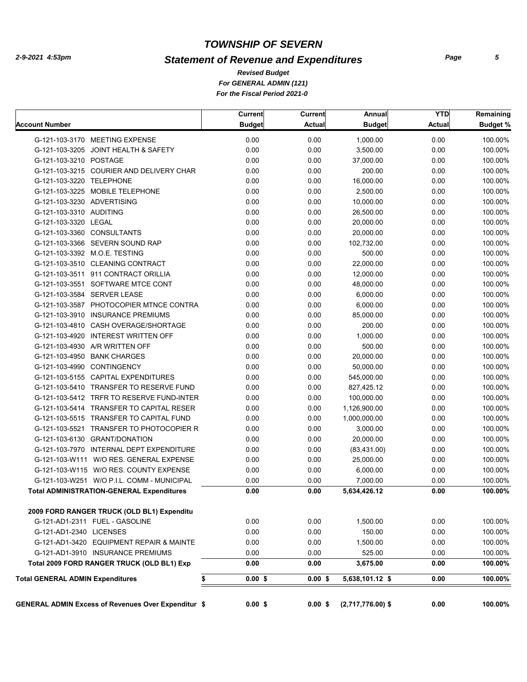# *Statement of Revenue and Expenditures*

*For GENERAL ADMIN (121) For the Fiscal Period 2021-0 Revised Budget*

| <b>Account Number</b>                                      | <b>Current</b><br><b>Budget</b> | Current<br><b>Actual</b> | Annual<br><b>Budget</b> | <b>YTD</b><br><b>Actual</b> | Remaining<br><b>Budget %</b> |
|------------------------------------------------------------|---------------------------------|--------------------------|-------------------------|-----------------------------|------------------------------|
| G-121-103-3170 MEETING EXPENSE                             | 0.00                            | 0.00                     | 1,000.00                | 0.00                        | 100.00%                      |
| G-121-103-3205 JOINT HEALTH & SAFETY                       | 0.00                            | 0.00                     | 3,500.00                | 0.00                        | 100.00%                      |
| G-121-103-3210 POSTAGE                                     | 0.00                            | 0.00                     | 37,000.00               | 0.00                        | 100.00%                      |
| G-121-103-3215 COURIER AND DELIVERY CHAR                   | 0.00                            | 0.00                     | 200.00                  | 0.00                        | 100.00%                      |
| G-121-103-3220 TELEPHONE                                   | 0.00                            | 0.00                     | 16,000.00               | 0.00                        | 100.00%                      |
| G-121-103-3225 MOBILE TELEPHONE                            | 0.00                            | 0.00                     | 2,500.00                | 0.00                        | 100.00%                      |
| G-121-103-3230 ADVERTISING                                 | 0.00                            | 0.00                     | 10,000.00               | 0.00                        | 100.00%                      |
| G-121-103-3310 AUDITING                                    | 0.00                            | 0.00                     | 26,500.00               | 0.00                        | 100.00%                      |
| G-121-103-3320 LEGAL                                       | 0.00                            | 0.00                     | 20,000.00               | 0.00                        | 100.00%                      |
| G-121-103-3360 CONSULTANTS                                 | 0.00                            | 0.00                     | 20,000.00               | 0.00                        | 100.00%                      |
| G-121-103-3366 SEVERN SOUND RAP                            | 0.00                            | 0.00                     | 102,732.00              | 0.00                        | 100.00%                      |
| G-121-103-3392 M.O.E. TESTING                              | 0.00                            | 0.00                     | 500.00                  | 0.00                        | 100.00%                      |
| G-121-103-3510 CLEANING CONTRACT                           | 0.00                            | 0.00                     | 22,000.00               | 0.00                        | 100.00%                      |
| G-121-103-3511 911 CONTRACT ORILLIA                        | 0.00                            | 0.00                     | 12,000.00               | 0.00                        | 100.00%                      |
| G-121-103-3551 SOFTWARE MTCE CONT                          | 0.00                            | 0.00                     | 48,000.00               | 0.00                        | 100.00%                      |
| G-121-103-3584 SERVER LEASE                                | 0.00                            | 0.00                     | 6,000.00                | 0.00                        | 100.00%                      |
| G-121-103-3587 PHOTOCOPIER MTNCE CONTRA                    | 0.00                            | 0.00                     | 6,000.00                | 0.00                        | 100.00%                      |
| G-121-103-3910 INSURANCE PREMIUMS                          | 0.00                            | 0.00                     | 85,000.00               | 0.00                        | 100.00%                      |
| G-121-103-4810 CASH OVERAGE/SHORTAGE                       | 0.00                            | 0.00                     | 200.00                  | 0.00                        | 100.00%                      |
| G-121-103-4920 INTEREST WRITTEN OFF                        | 0.00                            | 0.00                     | 1,000.00                | 0.00                        | 100.00%                      |
| G-121-103-4930 A/R WRITTEN OFF                             | 0.00                            | 0.00                     | 500.00                  | 0.00                        | 100.00%                      |
| G-121-103-4950 BANK CHARGES                                | 0.00                            | 0.00                     | 20,000.00               | 0.00                        | 100.00%                      |
| G-121-103-4990 CONTINGENCY                                 | 0.00                            | 0.00                     | 50,000.00               | 0.00                        | 100.00%                      |
| G-121-103-5155 CAPITAL EXPENDITURES                        | 0.00                            |                          |                         | 0.00                        |                              |
|                                                            |                                 | 0.00                     | 545,000.00              |                             | 100.00%                      |
| G-121-103-5410 TRANSFER TO RESERVE FUND                    | 0.00                            | 0.00                     | 827,425.12              | 0.00                        | 100.00%                      |
| G-121-103-5412 TRFR TO RESERVE FUND-INTER                  | 0.00                            | 0.00                     | 100,000.00              | 0.00                        | 100.00%                      |
| G-121-103-5414 TRANSFER TO CAPITAL RESER                   | 0.00                            | 0.00                     | 1,126,900.00            | 0.00                        | 100.00%                      |
| G-121-103-5515 TRANSFER TO CAPITAL FUND                    | 0.00                            | 0.00                     | 1,000,000.00            | 0.00                        | 100.00%                      |
| G-121-103-5521 TRANSFER TO PHOTOCOPIER R                   | 0.00                            | 0.00                     | 3,000.00                | 0.00                        | 100.00%                      |
| G-121-103-6130 GRANT/DONATION                              | 0.00                            | 0.00                     | 20,000.00               | 0.00                        | 100.00%                      |
| G-121-103-7970 INTERNAL DEPT EXPENDITURE                   | 0.00                            | 0.00                     | (83, 431.00)            | 0.00                        | 100.00%                      |
| G-121-103-W111 W/O RES. GENERAL EXPENSE                    | 0.00                            | 0.00                     | 25,000.00               | 0.00                        | 100.00%                      |
| G-121-103-W115 W/O RES. COUNTY EXPENSE                     | 0.00                            | 0.00                     | 6,000.00                | 0.00                        | 100.00%                      |
| G-121-103-W251 W/O P.I.L. COMM - MUNICIPAL                 | 0.00                            | 0.00                     | 7,000.00                | 0.00                        | 100.00%                      |
| <b>Total ADMINISTRATION-GENERAL Expenditures</b>           | 0.00                            | 0.00                     | 5,634,426.12            | 0.00                        | 100.00%                      |
| 2009 FORD RANGER TRUCK (OLD BL1) Expenditu                 |                                 |                          |                         |                             |                              |
| G-121-AD1-2311 FUEL - GASOLINE                             | 0.00                            | 0.00                     | 1,500.00                | 0.00                        | 100.00%                      |
| G-121-AD1-2340 LICENSES                                    | 0.00                            | 0.00                     | 150.00                  | 0.00                        | 100.00%                      |
| G-121-AD1-3420 EQUIPMENT REPAIR & MAINTE                   | 0.00                            | 0.00                     | 1,500.00                | 0.00                        | 100.00%                      |
| G-121-AD1-3910 INSURANCE PREMIUMS                          | 0.00                            | 0.00                     | 525.00                  | 0.00                        | 100.00%                      |
| Total 2009 FORD RANGER TRUCK (OLD BL1) Exp                 | 0.00                            | 0.00                     | 3,675.00                | 0.00                        | 100.00%                      |
| \$<br><b>Total GENERAL ADMIN Expenditures</b>              | $0.00$ \$                       | $0.00$ \$                | 5,638,101.12 \$         | 0.00                        | 100.00%                      |
|                                                            |                                 |                          |                         |                             |                              |
| <b>GENERAL ADMIN Excess of Revenues Over Expenditur \$</b> | $0.00$ \$                       | $0.00$ \$                | $(2,717,776.00)$ \$     | 0.00                        | 100.00%                      |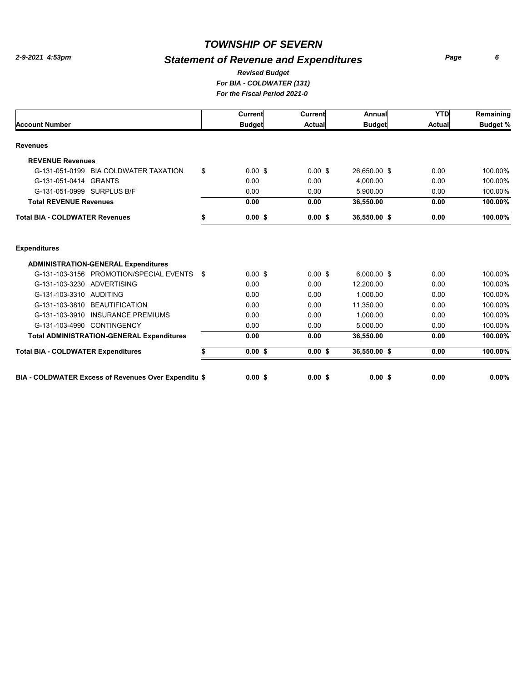# *Statement of Revenue and Expenditures*

*Page 6*

#### *For BIA - COLDWATER (131) For the Fiscal Period 2021-0 Revised Budget*

|                                                      |    | Current            | <b>Current</b> | Annual        | <b>YTD</b> | Remaining       |
|------------------------------------------------------|----|--------------------|----------------|---------------|------------|-----------------|
| <b>Account Number</b>                                |    | <b>Budget</b>      | Actual         | <b>Budget</b> | Actual     | <b>Budget %</b> |
| <b>Revenues</b>                                      |    |                    |                |               |            |                 |
| <b>REVENUE Revenues</b>                              |    |                    |                |               |            |                 |
| G-131-051-0199 BIA COLDWATER TAXATION                | \$ | $0.00 \text{ }$ \$ | $0.00$ \$      | 26,650.00 \$  | 0.00       | 100.00%         |
| G-131-051-0414<br><b>GRANTS</b>                      |    | 0.00               | 0.00           | 4.000.00      | 0.00       | 100.00%         |
| G-131-051-0999 SURPLUS B/F                           |    | 0.00               | 0.00           | 5.900.00      | 0.00       | 100.00%         |
| <b>Total REVENUE Revenues</b>                        |    | 0.00               | 0.00           | 36,550.00     | 0.00       | 100.00%         |
| <b>Total BIA - COLDWATER Revenues</b>                | \$ | $0.00$ \$          | 0.00S          | 36,550.00 \$  | 0.00       | 100.00%         |
| <b>Expenditures</b>                                  |    |                    |                |               |            |                 |
| <b>ADMINISTRATION-GENERAL Expenditures</b>           |    |                    |                |               |            |                 |
| G-131-103-3156 PROMOTION/SPECIAL EVENTS              | S. | $0.00$ \$          | $0.00$ \$      | $6,000.00$ \$ | 0.00       | 100.00%         |
| G-131-103-3230 ADVERTISING                           |    | 0.00               | 0.00           | 12.200.00     | 0.00       | 100.00%         |
| G-131-103-3310 AUDITING                              |    | 0.00               | 0.00           | 1,000.00      | 0.00       | 100.00%         |
| G-131-103-3810<br><b>BEAUTIFICATION</b>              |    | 0.00               | 0.00           | 11,350.00     | 0.00       | 100.00%         |
| G-131-103-3910 INSURANCE PREMIUMS                    |    | 0.00               | 0.00           | 1.000.00      | 0.00       | 100.00%         |
| G-131-103-4990 CONTINGENCY                           |    | 0.00               | 0.00           | 5,000.00      | 0.00       | 100.00%         |
| <b>Total ADMINISTRATION-GENERAL Expenditures</b>     |    | 0.00               | 0.00           | 36,550.00     | 0.00       | 100.00%         |
| <b>Total BIA - COLDWATER Expenditures</b>            | \$ | $0.00$ \$          | $0.00$ \$      | 36,550.00 \$  | 0.00       | 100.00%         |
| BIA - COLDWATER Excess of Revenues Over Expenditu \$ |    | $0.00$ \$          | $0.00$ \$      | $0.00$ \$     | 0.00       | $0.00\%$        |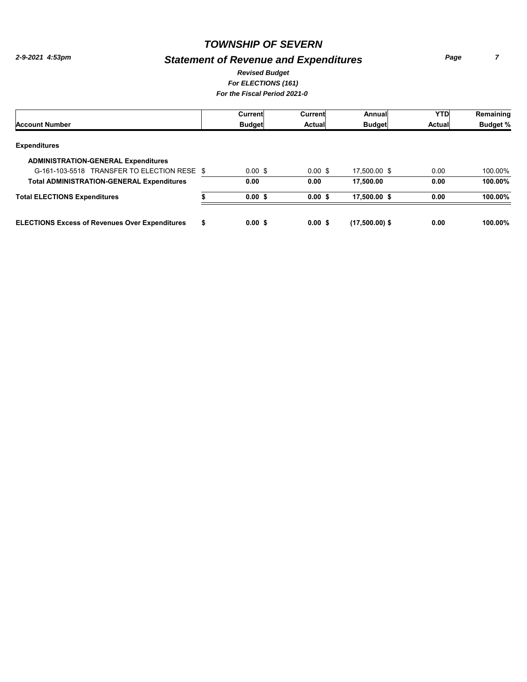# *Statement of Revenue and Expenditures*

*Page 7*

#### *For ELECTIONS (161) For the Fiscal Period 2021-0 Revised Budget*

|                                                       |    | Current            | Current   | Annual           | <b>YTD</b> | Remaining       |
|-------------------------------------------------------|----|--------------------|-----------|------------------|------------|-----------------|
| <b>Account Number</b>                                 |    | <b>Budget</b>      | Actual    | <b>Budget</b>    | Actual     | <b>Budget %</b> |
| <b>Expenditures</b>                                   |    |                    |           |                  |            |                 |
| <b>ADMINISTRATION-GENERAL Expenditures</b>            |    |                    |           |                  |            |                 |
| G-161-103-5518 TRANSFER TO ELECTION RESE \$           |    | $0.00 \text{ }$ \$ | $0.00$ \$ | 17.500.00 \$     | 0.00       | 100.00%         |
| <b>Total ADMINISTRATION-GENERAL Expenditures</b>      |    | 0.00               | 0.00      | 17.500.00        | 0.00       | 100.00%         |
| <b>Total ELECTIONS Expenditures</b>                   |    | 0.00S              | 0.00S     | 17,500.00 \$     | 0.00       | 100.00%         |
| <b>ELECTIONS Excess of Revenues Over Expenditures</b> | \$ | 0.00 S             | 0.00S     | $(17,500.00)$ \$ | 0.00       | 100.00%         |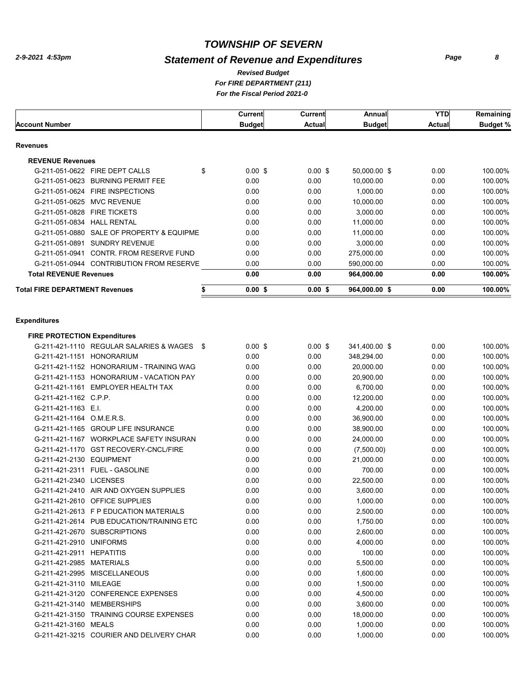# *Statement of Revenue and Expenditures*

#### *For FIRE DEPARTMENT (211) Revised Budget*

*For the Fiscal Period 2021-0* 

|                                       |                                           | Current         | Current   | Annual        | <b>YTD</b>     | Remaining       |
|---------------------------------------|-------------------------------------------|-----------------|-----------|---------------|----------------|-----------------|
| <b>Account Number</b>                 |                                           | <b>Budget</b>   | Actual    | <b>Budget</b> | <b>Actuall</b> | <b>Budget %</b> |
| Revenues                              |                                           |                 |           |               |                |                 |
| <b>REVENUE Revenues</b>               |                                           |                 |           |               |                |                 |
|                                       | G-211-051-0622 FIRE DEPT CALLS            | \$<br>$0.00$ \$ | $0.00$ \$ | 50,000.00 \$  | 0.00           | 100.00%         |
|                                       | G-211-051-0623 BURNING PERMIT FEE         | 0.00            | 0.00      | 10,000.00     | 0.00           | 100.00%         |
|                                       | G-211-051-0624 FIRE INSPECTIONS           | 0.00            | 0.00      | 1,000.00      | 0.00           | 100.00%         |
| G-211-051-0625 MVC REVENUE            |                                           | 0.00            | 0.00      | 10,000.00     | 0.00           | 100.00%         |
| G-211-051-0828                        | <b>FIRE TICKETS</b>                       | 0.00            | 0.00      | 3.000.00      | 0.00           | 100.00%         |
| G-211-051-0834                        | <b>HALL RENTAL</b>                        | 0.00            | 0.00      | 11,000.00     | 0.00           | 100.00%         |
|                                       | G-211-051-0880 SALE OF PROPERTY & EQUIPME | 0.00            | 0.00      | 11,000.00     | 0.00           | 100.00%         |
| G-211-051-0891                        | <b>SUNDRY REVENUE</b>                     | 0.00            | 0.00      | 3,000.00      | 0.00           | 100.00%         |
| G-211-051-0941                        | CONTR. FROM RESERVE FUND                  | 0.00            | 0.00      | 275,000.00    | 0.00           | 100.00%         |
|                                       | G-211-051-0944 CONTRIBUTION FROM RESERVE  | 0.00            | 0.00      | 590,000.00    | 0.00           | 100.00%         |
| <b>Total REVENUE Revenues</b>         |                                           | 0.00            | 0.00      | 964,000.00    | 0.00           | 100.00%         |
| <b>Total FIRE DEPARTMENT Revenues</b> |                                           | 0.00S           | 0.00S     | 964,000.00 \$ | 0.00           | 100.00%         |
|                                       |                                           |                 |           |               |                |                 |

#### **Expenditures**

| <b>FIRE PROTECTION Expenditures</b> |                                           |                 |           |               |      |         |
|-------------------------------------|-------------------------------------------|-----------------|-----------|---------------|------|---------|
|                                     | G-211-421-1110 REGULAR SALARIES & WAGES   | \$<br>$0.00$ \$ | $0.00$ \$ | 341,400.00 \$ | 0.00 | 100.00% |
| G-211-421-1151 HONORARIUM           |                                           | 0.00            | 0.00      | 348,294.00    | 0.00 | 100.00% |
|                                     | G-211-421-1152 HONORARIUM - TRAINING WAG  | 0.00            | 0.00      | 20,000.00     | 0.00 | 100.00% |
|                                     | G-211-421-1153 HONORARIUM - VACATION PAY  | 0.00            | 0.00      | 20,900.00     | 0.00 | 100.00% |
|                                     | G-211-421-1161 EMPLOYER HEALTH TAX        | 0.00            | 0.00      | 6,700.00      | 0.00 | 100.00% |
| G-211-421-1162 C.P.P.               |                                           | 0.00            | 0.00      | 12,200.00     | 0.00 | 100.00% |
| G-211-421-1163 E.I.                 |                                           | 0.00            | 0.00      | 4,200.00      | 0.00 | 100.00% |
| G-211-421-1164 O.M.E.R.S.           |                                           | 0.00            | 0.00      | 36,900.00     | 0.00 | 100.00% |
|                                     | G-211-421-1165 GROUP LIFE INSURANCE       | 0.00            | 0.00      | 38,900.00     | 0.00 | 100.00% |
|                                     | G-211-421-1167 WORKPLACE SAFETY INSURAN   | 0.00            | 0.00      | 24,000.00     | 0.00 | 100.00% |
|                                     | G-211-421-1170 GST RECOVERY-CNCL/FIRE     | 0.00            | 0.00      | (7,500.00)    | 0.00 | 100.00% |
| G-211-421-2130 EQUIPMENT            |                                           | 0.00            | 0.00      | 21,000.00     | 0.00 | 100.00% |
|                                     | G-211-421-2311 FUEL - GASOLINE            | 0.00            | 0.00      | 700.00        | 0.00 | 100.00% |
| G-211-421-2340 LICENSES             |                                           | 0.00            | 0.00      | 22,500.00     | 0.00 | 100.00% |
|                                     | G-211-421-2410 AIR AND OXYGEN SUPPLIES    | 0.00            | 0.00      | 3,600.00      | 0.00 | 100.00% |
|                                     | G-211-421-2610 OFFICE SUPPLIES            | 0.00            | 0.00      | 1,000.00      | 0.00 | 100.00% |
|                                     | G-211-421-2613 F P EDUCATION MATERIALS    | 0.00            | 0.00      | 2,500.00      | 0.00 | 100.00% |
|                                     | G-211-421-2614 PUB EDUCATION/TRAINING ETC | 0.00            | 0.00      | 1,750.00      | 0.00 | 100.00% |
|                                     | G-211-421-2670 SUBSCRIPTIONS              | 0.00            | 0.00      | 2,600.00      | 0.00 | 100.00% |
| G-211-421-2910 UNIFORMS             |                                           | 0.00            | 0.00      | 4,000.00      | 0.00 | 100.00% |
| G-211-421-2911                      | <b>HEPATITIS</b>                          | 0.00            | 0.00      | 100.00        | 0.00 | 100.00% |
| G-211-421-2985                      | <b>MATERIALS</b>                          | 0.00            | 0.00      | 5,500.00      | 0.00 | 100.00% |
|                                     | G-211-421-2995 MISCELLANEOUS              | 0.00            | 0.00      | 1,600.00      | 0.00 | 100.00% |
| G-211-421-3110                      | MILEAGE                                   | 0.00            | 0.00      | 1,500.00      | 0.00 | 100.00% |
|                                     | G-211-421-3120 CONFERENCE EXPENSES        | 0.00            | 0.00      | 4,500.00      | 0.00 | 100.00% |
| G-211-421-3140 MEMBERSHIPS          |                                           | 0.00            | 0.00      | 3,600.00      | 0.00 | 100.00% |
|                                     | G-211-421-3150 TRAINING COURSE EXPENSES   | 0.00            | 0.00      | 18,000.00     | 0.00 | 100.00% |
| G-211-421-3160 MEALS                |                                           | 0.00            | 0.00      | 1,000.00      | 0.00 | 100.00% |
|                                     | G-211-421-3215 COURIER AND DELIVERY CHAR  | 0.00            | 0.00      | 1,000.00      | 0.00 | 100.00% |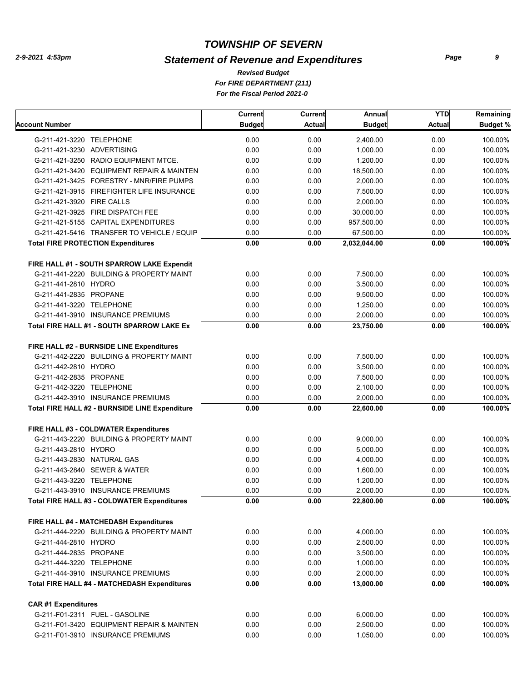# *Statement of Revenue and Expenditures*

*For FIRE DEPARTMENT (211) For the Fiscal Period 2021-0 Revised Budget*

|                                                | Current       | Current       | Annual        | <b>YTD</b> | Remaining       |
|------------------------------------------------|---------------|---------------|---------------|------------|-----------------|
| Account Number                                 | <b>Budget</b> | <b>Actual</b> | <b>Budget</b> | Actual     | <b>Budget %</b> |
| G-211-421-3220 TELEPHONE                       | 0.00          | 0.00          | 2,400.00      | 0.00       | 100.00%         |
| G-211-421-3230 ADVERTISING                     | 0.00          | 0.00          | 1,000.00      | 0.00       | 100.00%         |
| G-211-421-3250 RADIO EQUIPMENT MTCE.           | 0.00          | 0.00          | 1,200.00      | 0.00       | 100.00%         |
| G-211-421-3420 EQUIPMENT REPAIR & MAINTEN      | 0.00          | 0.00          | 18,500.00     | 0.00       | 100.00%         |
| G-211-421-3425 FORESTRY - MNR/FIRE PUMPS       | 0.00          | 0.00          | 2,000.00      | 0.00       | 100.00%         |
| G-211-421-3915 FIREFIGHTER LIFE INSURANCE      | 0.00          | 0.00          | 7,500.00      | 0.00       | 100.00%         |
| G-211-421-3920 FIRE CALLS                      | 0.00          | 0.00          | 2,000.00      | 0.00       | 100.00%         |
| G-211-421-3925 FIRE DISPATCH FEE               | 0.00          | 0.00          | 30,000.00     | 0.00       | 100.00%         |
| G-211-421-5155 CAPITAL EXPENDITURES            | 0.00          | 0.00          | 957,500.00    | 0.00       | 100.00%         |
| G-211-421-5416 TRANSFER TO VEHICLE / EQUIP     | 0.00          | 0.00          | 67,500.00     | 0.00       | 100.00%         |
| <b>Total FIRE PROTECTION Expenditures</b>      | 0.00          | 0.00          | 2,032,044.00  | 0.00       | 100.00%         |
| FIRE HALL #1 - SOUTH SPARROW LAKE Expendit     |               |               |               |            |                 |
| G-211-441-2220 BUILDING & PROPERTY MAINT       | 0.00          | 0.00          | 7,500.00      | 0.00       | 100.00%         |
| G-211-441-2810 HYDRO                           | 0.00          | 0.00          | 3,500.00      | 0.00       | 100.00%         |
| G-211-441-2835 PROPANE                         | 0.00          | 0.00          | 9,500.00      | 0.00       | 100.00%         |
| G-211-441-3220 TELEPHONE                       | 0.00          | 0.00          | 1,250.00      | 0.00       | 100.00%         |
| G-211-441-3910 INSURANCE PREMIUMS              | 0.00          | 0.00          | 2,000.00      | 0.00       | 100.00%         |
| Total FIRE HALL #1 - SOUTH SPARROW LAKE Ex     | 0.00          | 0.00          | 23,750.00     | 0.00       | 100.00%         |
| FIRE HALL #2 - BURNSIDE LINE Expenditures      |               |               |               |            |                 |
| G-211-442-2220 BUILDING & PROPERTY MAINT       | 0.00          | 0.00          | 7,500.00      | 0.00       | 100.00%         |
| G-211-442-2810 HYDRO                           | 0.00          | 0.00          | 3,500.00      | 0.00       | 100.00%         |
| G-211-442-2835 PROPANE                         | 0.00          | 0.00          | 7,500.00      | 0.00       | 100.00%         |
| G-211-442-3220 TELEPHONE                       | 0.00          | 0.00          | 2,100.00      | 0.00       | 100.00%         |
| G-211-442-3910 INSURANCE PREMIUMS              | 0.00          | 0.00          | 2,000.00      | 0.00       | 100.00%         |
| Total FIRE HALL #2 - BURNSIDE LINE Expenditure | 0.00          | 0.00          | 22,600.00     | 0.00       | 100.00%         |
| FIRE HALL #3 - COLDWATER Expenditures          |               |               |               |            |                 |
| G-211-443-2220 BUILDING & PROPERTY MAINT       | 0.00          | 0.00          | 9,000.00      | 0.00       | 100.00%         |
| G-211-443-2810 HYDRO                           | 0.00          | 0.00          | 5.000.00      | 0.00       | 100.00%         |
| G-211-443-2830 NATURAL GAS                     | 0.00          | 0.00          | 4,000.00      | 0.00       | 100.00%         |
| G-211-443-2840 SEWER & WATER                   | 0.00          | 0.00          | 1,600.00      | 0.00       | 100.00%         |
| G-211-443-3220 TELEPHONE                       | 0.00          | 0.00          | 1,200.00      | 0.00       | 100.00%         |
| G-211-443-3910 INSURANCE PREMIUMS              | 0.00          | 0.00          | 2,000.00      | 0.00       | 100.00%         |
| Total FIRE HALL #3 - COLDWATER Expenditures    | 0.00          | 0.00          | 22,800.00     | 0.00       | 100.00%         |
| FIRE HALL #4 - MATCHEDASH Expenditures         |               |               |               |            |                 |
| G-211-444-2220 BUILDING & PROPERTY MAINT       | 0.00          | 0.00          | 4,000.00      | 0.00       | 100.00%         |
| G-211-444-2810 HYDRO                           | 0.00          | 0.00          | 2,500.00      | 0.00       | 100.00%         |
| G-211-444-2835 PROPANE                         | 0.00          | 0.00          | 3,500.00      | 0.00       | 100.00%         |
| G-211-444-3220 TELEPHONE                       | 0.00          | 0.00          | 1,000.00      | 0.00       | 100.00%         |
| G-211-444-3910 INSURANCE PREMIUMS              | 0.00          | 0.00          | 2,000.00      | 0.00       | 100.00%         |
| Total FIRE HALL #4 - MATCHEDASH Expenditures   | 0.00          | 0.00          | 13,000.00     | 0.00       | 100.00%         |
| <b>CAR#1 Expenditures</b>                      |               |               |               |            |                 |
| G-211-F01-2311 FUEL - GASOLINE                 | 0.00          | 0.00          | 6,000.00      | 0.00       | 100.00%         |
| G-211-F01-3420 EQUIPMENT REPAIR & MAINTEN      | 0.00          | 0.00          | 2,500.00      | 0.00       | 100.00%         |
| G-211-F01-3910 INSURANCE PREMIUMS              | 0.00          | 0.00          | 1,050.00      | 0.00       | 100.00%         |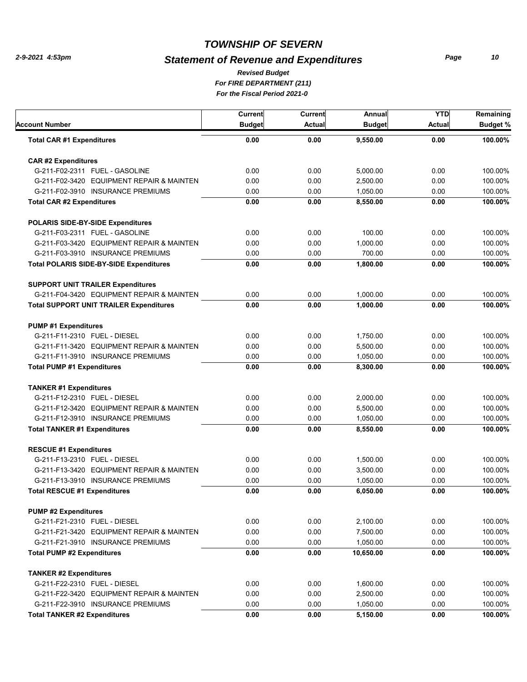# *Statement of Revenue and Expenditures*

*For FIRE DEPARTMENT (211) For the Fiscal Period 2021-0 Revised Budget*

| <b>Account Number</b>                          | Current<br><b>Budget</b> | Current<br>Actual | Annual<br><b>Budget</b> | <b>YTD</b><br><b>Actual</b> | Remaining<br><b>Budget %</b> |
|------------------------------------------------|--------------------------|-------------------|-------------------------|-----------------------------|------------------------------|
| <b>Total CAR #1 Expenditures</b>               | 0.00                     | 0.00              | 9,550.00                | 0.00                        | 100.00%                      |
| <b>CAR#2 Expenditures</b>                      |                          |                   |                         |                             |                              |
| G-211-F02-2311 FUEL - GASOLINE                 | 0.00                     | 0.00              | 5,000.00                | 0.00                        | 100.00%                      |
| G-211-F02-3420 EQUIPMENT REPAIR & MAINTEN      | 0.00                     | 0.00              | 2,500.00                | 0.00                        | 100.00%                      |
| G-211-F02-3910 INSURANCE PREMIUMS              | 0.00                     | 0.00              | 1,050.00                | 0.00                        | 100.00%                      |
| <b>Total CAR #2 Expenditures</b>               | 0.00                     | 0.00              | 8,550.00                | 0.00                        | 100.00%                      |
| POLARIS SIDE-BY-SIDE Expenditures              |                          |                   |                         |                             |                              |
| G-211-F03-2311 FUEL - GASOLINE                 | 0.00                     | 0.00              | 100.00                  | 0.00                        | 100.00%                      |
| G-211-F03-3420 EQUIPMENT REPAIR & MAINTEN      | 0.00                     | 0.00              | 1,000.00                | 0.00                        | 100.00%                      |
| G-211-F03-3910 INSURANCE PREMIUMS              | 0.00                     | 0.00              | 700.00                  | 0.00                        | 100.00%                      |
| <b>Total POLARIS SIDE-BY-SIDE Expenditures</b> | 0.00                     | 0.00              | 1,800.00                | 0.00                        | 100.00%                      |
| <b>SUPPORT UNIT TRAILER Expenditures</b>       |                          |                   |                         |                             |                              |
| G-211-F04-3420 EQUIPMENT REPAIR & MAINTEN      | 0.00                     | 0.00              | 1,000.00                | 0.00                        | 100.00%                      |
| <b>Total SUPPORT UNIT TRAILER Expenditures</b> | 0.00                     | 0.00              | 1,000.00                | 0.00                        | 100.00%                      |
| <b>PUMP #1 Expenditures</b>                    |                          |                   |                         |                             |                              |
| G-211-F11-2310 FUEL - DIESEL                   | 0.00                     | 0.00              | 1,750.00                | 0.00                        | 100.00%                      |
| G-211-F11-3420 EQUIPMENT REPAIR & MAINTEN      | 0.00                     | 0.00              | 5,500.00                | 0.00                        | 100.00%                      |
| G-211-F11-3910 INSURANCE PREMIUMS              | 0.00                     | 0.00              | 1,050.00                | 0.00                        | 100.00%                      |
| <b>Total PUMP #1 Expenditures</b>              | 0.00                     | 0.00              | 8,300.00                | 0.00                        | 100.00%                      |
| <b>TANKER #1 Expenditures</b>                  |                          |                   |                         |                             |                              |
| G-211-F12-2310 FUEL - DIESEL                   | 0.00                     | 0.00              | 2,000.00                | 0.00                        | 100.00%                      |
| G-211-F12-3420 EQUIPMENT REPAIR & MAINTEN      | 0.00                     | 0.00              | 5,500.00                | 0.00                        | 100.00%                      |
| G-211-F12-3910 INSURANCE PREMIUMS              | 0.00                     | 0.00              | 1,050.00                | 0.00                        | 100.00%                      |
| <b>Total TANKER #1 Expenditures</b>            | 0.00                     | 0.00              | 8,550.00                | 0.00                        | 100.00%                      |
| <b>RESCUE #1 Expenditures</b>                  |                          |                   |                         |                             |                              |
| G-211-F13-2310 FUEL - DIESEL                   | 0.00                     | 0.00              | 1,500.00                | 0.00                        | 100.00%                      |
| G-211-F13-3420 EQUIPMENT REPAIR & MAINTEN      | 0.00                     | 0.00              | 3,500.00                | 0.00                        | 100.00%                      |
| G-211-F13-3910 INSURANCE PREMIUMS              | 0.00                     | 0.00              | 1,050.00                | 0.00                        | 100.00%                      |
| <b>Total RESCUE #1 Expenditures</b>            | 0.00                     | 0.00              | 6,050.00                | 0.00                        | 100.00%                      |
| <b>PUMP #2 Expenditures</b>                    |                          |                   |                         |                             |                              |
| G-211-F21-2310 FUEL - DIESEL                   | 0.00                     | 0.00              | 2,100.00                | 0.00                        | 100.00%                      |
| G-211-F21-3420 EQUIPMENT REPAIR & MAINTEN      | 0.00                     | 0.00              | 7,500.00                | 0.00                        | 100.00%                      |
| G-211-F21-3910 INSURANCE PREMIUMS              | 0.00                     | 0.00              | 1,050.00                | 0.00                        | 100.00%                      |
| <b>Total PUMP #2 Expenditures</b>              | 0.00                     | 0.00              | 10,650.00               | 0.00                        | 100.00%                      |
| <b>TANKER #2 Expenditures</b>                  |                          |                   |                         |                             |                              |
| G-211-F22-2310 FUEL - DIESEL                   | 0.00                     | 0.00              | 1,600.00                | 0.00                        | 100.00%                      |
| G-211-F22-3420 EQUIPMENT REPAIR & MAINTEN      | 0.00                     | 0.00              | 2,500.00                | 0.00                        | 100.00%                      |
| G-211-F22-3910 INSURANCE PREMIUMS              | 0.00                     | 0.00              | 1,050.00                | 0.00                        | 100.00%                      |
| <b>Total TANKER #2 Expenditures</b>            | 0.00                     | 0.00              | 5,150.00                | 0.00                        | 100.00%                      |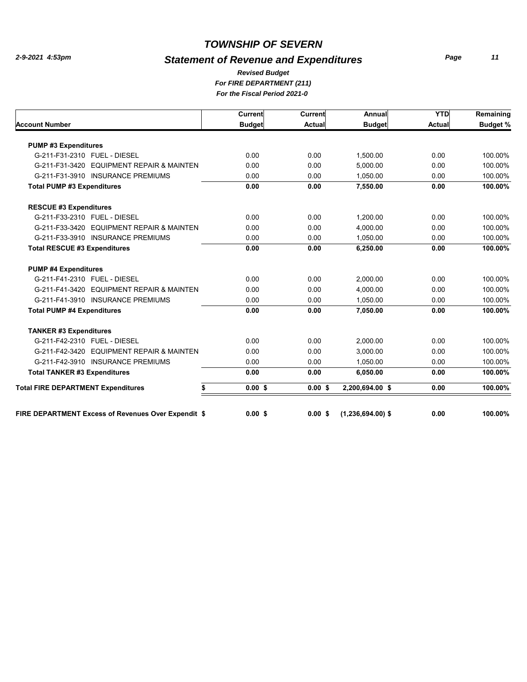# *Statement of Revenue and Expenditures*

*Page 11*

#### *For FIRE DEPARTMENT (211) For the Fiscal Period 2021-0 Revised Budget*

| <b>Current</b>  | <b>Current</b> | Annual          | <b>YTD</b>                                                                                          | Remaining       |
|-----------------|----------------|-----------------|-----------------------------------------------------------------------------------------------------|-----------------|
| <b>Budget</b>   | <b>Actual</b>  | <b>Budget</b>   | <b>Actual</b>                                                                                       | <b>Budget %</b> |
|                 |                |                 |                                                                                                     |                 |
| 0.00            | 0.00           | 1.500.00        | 0.00                                                                                                | 100.00%         |
| 0.00            | 0.00           | 5.000.00        | 0.00                                                                                                | 100.00%         |
| 0.00            | 0.00           | 1.050.00        | 0.00                                                                                                | 100.00%         |
| 0.00            | 0.00           | 7,550.00        | 0.00                                                                                                | 100.00%         |
|                 |                |                 |                                                                                                     |                 |
| 0.00            | 0.00           | 1,200.00        | 0.00                                                                                                | 100.00%         |
| 0.00            | 0.00           | 4.000.00        | 0.00                                                                                                | 100.00%         |
| 0.00            | 0.00           | 1,050.00        | 0.00                                                                                                | 100.00%         |
| 0.00            | 0.00           | 6.250.00        | 0.00                                                                                                | 100.00%         |
|                 |                |                 |                                                                                                     |                 |
| 0.00            | 0.00           | 2,000.00        | 0.00                                                                                                | 100.00%         |
| 0.00            | 0.00           | 4,000.00        | 0.00                                                                                                | 100.00%         |
| 0.00            | 0.00           | 1,050.00        | 0.00                                                                                                | 100.00%         |
| 0.00            | 0.00           | 7.050.00        | 0.00                                                                                                | 100.00%         |
|                 |                |                 |                                                                                                     |                 |
| 0.00            | 0.00           | 2.000.00        | 0.00                                                                                                | 100.00%         |
| 0.00            | 0.00           | 3.000.00        | 0.00                                                                                                | 100.00%         |
| 0.00            | 0.00           | 1.050.00        | 0.00                                                                                                | 100.00%         |
| 0.00            | 0.00           | 6,050.00        | 0.00                                                                                                | 100.00%         |
| $0.00$ \$<br>\$ | $0.00$ \$      | 2,200,694.00 \$ | 0.00                                                                                                | 100.00%         |
|                 |                |                 |                                                                                                     | 100.00%         |
|                 |                |                 | <b>FIRE DEPARTMENT Excess of Revenues Over Expendit \$</b><br>0.00S<br>0.00S<br>$(1,236,694.00)$ \$ | 0.00            |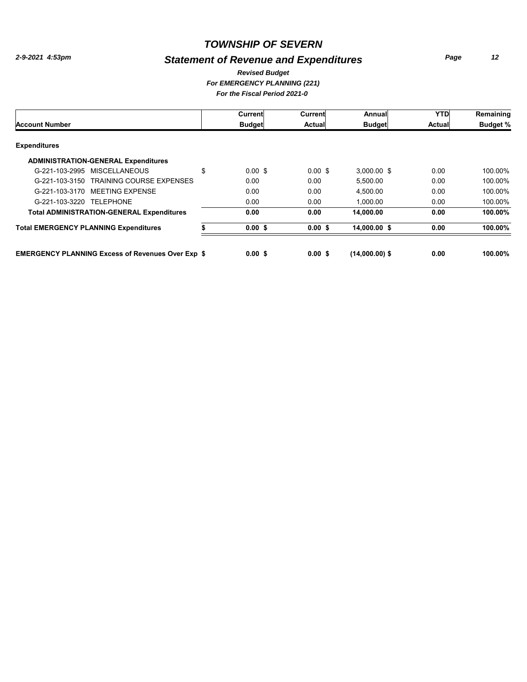# *Statement of Revenue and Expenditures*

*Page 12*

#### *For EMERGENCY PLANNING (221) For the Fiscal Period 2021-0 Revised Budget*

|                                                          | Current                  | Current            | Annual           | <b>YTD</b> | Remaining       |
|----------------------------------------------------------|--------------------------|--------------------|------------------|------------|-----------------|
| <b>Account Number</b>                                    | <b>Budget</b>            | Actual             | <b>Budget</b>    | Actual     | <b>Budget %</b> |
| <b>Expenditures</b>                                      |                          |                    |                  |            |                 |
| <b>ADMINISTRATION-GENERAL Expenditures</b>               |                          |                    |                  |            |                 |
| G-221-103-2995 MISCELLANEOUS                             | \$<br>$0.00 \text{ }$ \$ | $0.00 \text{ }$ \$ | $3,000.00$ \$    | 0.00       | 100.00%         |
| <b>TRAINING COURSE EXPENSES</b><br>G-221-103-3150        | 0.00                     | 0.00               | 5.500.00         | 0.00       | 100.00%         |
| G-221-103-3170 MEETING EXPENSE                           | 0.00                     | 0.00               | 4.500.00         | 0.00       | 100.00%         |
| G-221-103-3220 TELEPHONE                                 | 0.00                     | 0.00               | 1.000.00         | 0.00       | 100.00%         |
| <b>Total ADMINISTRATION-GENERAL Expenditures</b>         | 0.00                     | 0.00               | 14.000.00        | 0.00       | 100.00%         |
| <b>Total EMERGENCY PLANNING Expenditures</b>             | $0.00$ \$                | 0.00S              | 14.000.00 \$     | 0.00       | 100.00%         |
| <b>EMERGENCY PLANNING Excess of Revenues Over Exp \$</b> | 0.00S                    | 0.00S              | $(14,000.00)$ \$ | 0.00       | 100.00%         |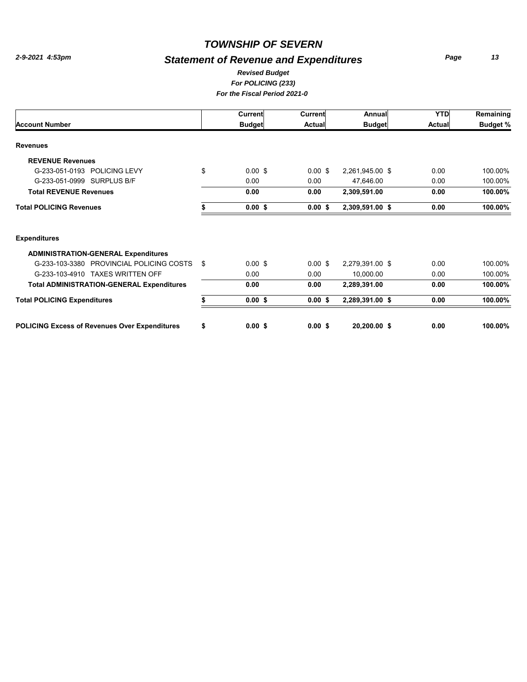# *Statement of Revenue and Expenditures*

*Page 13*

#### *For POLICING (233) For the Fiscal Period 2021-0 Revised Budget*

|                                                      |               | Current            | Current            | Annual          | <b>YTD</b>    | Remaining       |
|------------------------------------------------------|---------------|--------------------|--------------------|-----------------|---------------|-----------------|
| <b>Account Number</b>                                | <b>Budget</b> |                    | <b>Actual</b>      | <b>Budget</b>   | <b>Actual</b> | <b>Budget %</b> |
| <b>Revenues</b>                                      |               |                    |                    |                 |               |                 |
| <b>REVENUE Revenues</b>                              |               |                    |                    |                 |               |                 |
| G-233-051-0193 POLICING LEVY                         | \$            | $0.00$ \$          | $0.00$ \$          | 2,261,945.00 \$ | 0.00          | 100.00%         |
| G-233-051-0999 SURPLUS B/F                           |               | 0.00               | 0.00               | 47,646.00       | 0.00          | 100.00%         |
| <b>Total REVENUE Revenues</b>                        |               | 0.00               | 0.00               | 2,309,591.00    | 0.00          | 100.00%         |
| <b>Total POLICING Revenues</b>                       |               | $0.00$ \$          | $0.00$ \$          | 2,309,591.00 \$ | 0.00          | 100.00%         |
| <b>Expenditures</b>                                  |               |                    |                    |                 |               |                 |
| <b>ADMINISTRATION-GENERAL Expenditures</b>           |               |                    |                    |                 |               |                 |
| G-233-103-3380 PROVINCIAL POLICING COSTS             | \$            | $0.00 \text{ }$ \$ | $0.00 \text{ }$ \$ | 2,279,391.00 \$ | 0.00          | 100.00%         |
| G-233-103-4910 TAXES WRITTEN OFF                     |               | 0.00               | 0.00               | 10,000.00       | 0.00          | 100.00%         |
| <b>Total ADMINISTRATION-GENERAL Expenditures</b>     |               | 0.00               | 0.00               | 2,289,391.00    | 0.00          | 100.00%         |
| <b>Total POLICING Expenditures</b>                   |               | $0.00$ \$          | $0.00$ \$          | 2,289,391.00 \$ | 0.00          | 100.00%         |
| <b>POLICING Excess of Revenues Over Expenditures</b> | \$            | $0.00$ \$          | $0.00$ \$          | 20,200.00 \$    | 0.00          | 100.00%         |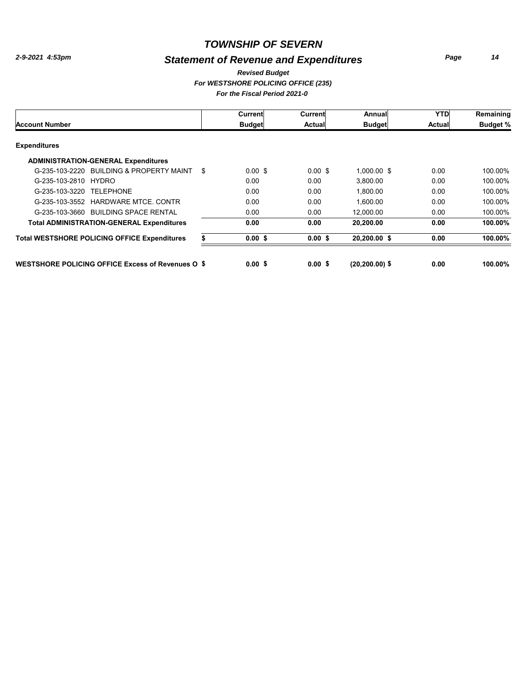# *Statement of Revenue and Expenditures*

*Page 14*

#### *For WESTSHORE POLICING OFFICE (235) For the Fiscal Period 2021-0 Revised Budget*

|                                                          | Current                  | Current            | Annuall           | <b>YTD</b>    | Remaining       |
|----------------------------------------------------------|--------------------------|--------------------|-------------------|---------------|-----------------|
| <b>Account Number</b>                                    | <b>Budget</b>            | <b>Actual</b>      | <b>Budget</b>     | <b>Actual</b> | <b>Budget %</b> |
| <b>Expenditures</b>                                      |                          |                    |                   |               |                 |
| <b>ADMINISTRATION-GENERAL Expenditures</b>               |                          |                    |                   |               |                 |
| G-235-103-2220 BUILDING & PROPERTY MAINT                 | \$<br>$0.00 \text{ }$ \$ | $0.00 \text{ }$ \$ | 1,000.00 \$       | 0.00          | 100.00%         |
| G-235-103-2810 HYDRO                                     | 0.00                     | 0.00               | 3.800.00          | 0.00          | 100.00%         |
| G-235-103-3220 TELEPHONE                                 | 0.00                     | 0.00               | 1,800.00          | 0.00          | 100.00%         |
| <b>HARDWARE MTCE, CONTR</b><br>G-235-103-3552            | 0.00                     | 0.00               | 1.600.00          | 0.00          | 100.00%         |
| G-235-103-3660 BUILDING SPACE RENTAL                     | 0.00                     | 0.00               | 12.000.00         | 0.00          | 100.00%         |
| <b>Total ADMINISTRATION-GENERAL Expenditures</b>         | 0.00                     | 0.00               | 20,200.00         | 0.00          | 100.00%         |
| <b>Total WESTSHORE POLICING OFFICE Expenditures</b>      | 0.00S                    | 0.00S              | 20.200.00 \$      | 0.00          | 100.00%         |
| <b>WESTSHORE POLICING OFFICE Excess of Revenues O \$</b> | 0.00S                    | 0.00 S             | $(20, 200.00)$ \$ | 0.00          | 100.00%         |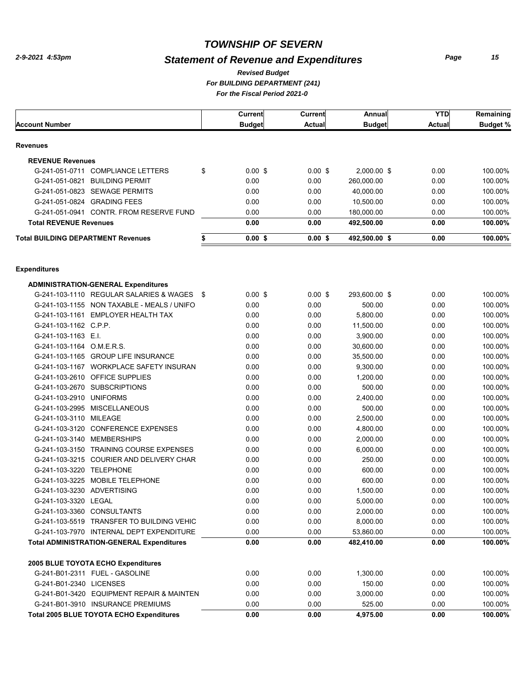# *Statement of Revenue and Expenditures*

*For BUILDING DEPARTMENT (241) For the Fiscal Period 2021-0 Revised Budget*

|                                                  |      | Current       | Current       | Annual        | <b>YTD</b>    | Remaining       |
|--------------------------------------------------|------|---------------|---------------|---------------|---------------|-----------------|
| <b>Account Number</b>                            |      | <b>Budget</b> | <b>Actual</b> | <b>Budget</b> | <b>Actual</b> | <b>Budget %</b> |
|                                                  |      |               |               |               |               |                 |
| <b>Revenues</b>                                  |      |               |               |               |               |                 |
| <b>REVENUE Revenues</b>                          |      |               |               |               |               |                 |
| G-241-051-0711 COMPLIANCE LETTERS                | \$   | $0.00$ \$     | $0.00$ \$     | 2,000.00 \$   | 0.00          | 100.00%         |
| G-241-051-0821 BUILDING PERMIT                   |      | 0.00          | 0.00          | 260,000.00    | 0.00          | 100.00%         |
| G-241-051-0823 SEWAGE PERMITS                    |      | 0.00          | 0.00          | 40,000.00     | 0.00          | 100.00%         |
| G-241-051-0824 GRADING FEES                      |      | 0.00          | 0.00          | 10,500.00     | 0.00          | 100.00%         |
| G-241-051-0941 CONTR, FROM RESERVE FUND          |      | 0.00          | 0.00          | 180,000.00    | 0.00          | 100.00%         |
| <b>Total REVENUE Revenues</b>                    |      | 0.00          | 0.00          | 492,500.00    | 0.00          | 100.00%         |
| <b>Total BUILDING DEPARTMENT Revenues</b>        | \$   | $0.00$ \$     | $0.00$ \$     | 492,500.00 \$ | 0.00          | 100.00%         |
|                                                  |      |               |               |               |               |                 |
| <b>Expenditures</b>                              |      |               |               |               |               |                 |
| <b>ADMINISTRATION-GENERAL Expenditures</b>       |      |               |               |               |               |                 |
| G-241-103-1110 REGULAR SALARIES & WAGES          | - \$ | $0.00$ \$     | $0.00$ \$     | 293,600.00 \$ | 0.00          | 100.00%         |
| G-241-103-1155 NON TAXABLE - MEALS / UNIFO       |      | 0.00          | 0.00          | 500.00        | 0.00          | 100.00%         |
| G-241-103-1161 EMPLOYER HEALTH TAX               |      | 0.00          | 0.00          | 5,800.00      | 0.00          | 100.00%         |
| G-241-103-1162 C.P.P.                            |      | 0.00          | 0.00          | 11,500.00     | 0.00          | 100.00%         |
| G-241-103-1163 E.I.                              |      | 0.00          | 0.00          | 3,900.00      | 0.00          | 100.00%         |
| G-241-103-1164 O.M.E.R.S.                        |      | 0.00          | 0.00          | 30,600.00     | 0.00          | 100.00%         |
| G-241-103-1165 GROUP LIFE INSURANCE              |      | 0.00          | 0.00          | 35,500.00     | 0.00          | 100.00%         |
| G-241-103-1167 WORKPLACE SAFETY INSURAN          |      | 0.00          | 0.00          | 9,300.00      | 0.00          | 100.00%         |
| G-241-103-2610 OFFICE SUPPLIES                   |      | 0.00          | 0.00          | 1,200.00      | 0.00          | 100.00%         |
| G-241-103-2670 SUBSCRIPTIONS                     |      | 0.00          | 0.00          | 500.00        | 0.00          | 100.00%         |
| G-241-103-2910 UNIFORMS                          |      | 0.00          | 0.00          | 2,400.00      | 0.00          | 100.00%         |
| G-241-103-2995 MISCELLANEOUS                     |      | 0.00          | 0.00          | 500.00        | 0.00          | 100.00%         |
| G-241-103-3110 MILEAGE                           |      | 0.00          | 0.00          | 2,500.00      | 0.00          | 100.00%         |
| G-241-103-3120 CONFERENCE EXPENSES               |      | 0.00          | 0.00          | 4,800.00      | 0.00          | 100.00%         |
| G-241-103-3140 MEMBERSHIPS                       |      | 0.00          | 0.00          | 2,000.00      | 0.00          | 100.00%         |
| G-241-103-3150 TRAINING COURSE EXPENSES          |      | 0.00          | 0.00          | 6,000.00      | 0.00          | 100.00%         |
| G-241-103-3215 COURIER AND DELIVERY CHAR         |      | 0.00          | 0.00          | 250.00        | 0.00          | 100.00%         |
| G-241-103-3220 TELEPHONE                         |      | 0.00          | 0.00          | 600.00        | 0.00          | 100.00%         |
| MOBILE TELEPHONE<br>G-241-103-3225               |      | 0.00          | 0.00          | 600.00        | 0.00          | 100.00%         |
| G-241-103-3230 ADVERTISING                       |      | 0.00          | 0.00          | 1,500.00      | 0.00          | 100.00%         |
| G-241-103-3320 LEGAL                             |      | 0.00          | 0.00          | 5,000.00      | 0.00          | 100.00%         |
| G-241-103-3360 CONSULTANTS                       |      | 0.00          | 0.00          | 2,000.00      | 0.00          | 100.00%         |
| G-241-103-5519 TRANSFER TO BUILDING VEHIC        |      | 0.00          | 0.00          | 8,000.00      | 0.00          | 100.00%         |
| G-241-103-7970 INTERNAL DEPT EXPENDITURE         |      | 0.00          | 0.00          | 53,860.00     | 0.00          | 100.00%         |
| <b>Total ADMINISTRATION-GENERAL Expenditures</b> |      | 0.00          | 0.00          | 482,410.00    | 0.00          | 100.00%         |
| 2005 BLUE TOYOTA ECHO Expenditures               |      |               |               |               |               |                 |
| G-241-B01-2311 FUEL - GASOLINE                   |      | 0.00          | 0.00          | 1,300.00      | 0.00          | 100.00%         |
| G-241-B01-2340 LICENSES                          |      | 0.00          | 0.00          | 150.00        | 0.00          | 100.00%         |
| G-241-B01-3420 EQUIPMENT REPAIR & MAINTEN        |      | 0.00          | 0.00          | 3,000.00      | 0.00          | 100.00%         |
| G-241-B01-3910 INSURANCE PREMIUMS                |      | 0.00          | 0.00          | 525.00        | 0.00          | 100.00%         |
| <b>Total 2005 BLUE TOYOTA ECHO Expenditures</b>  |      | 0.00          | 0.00          | 4,975.00      | 0.00          | 100.00%         |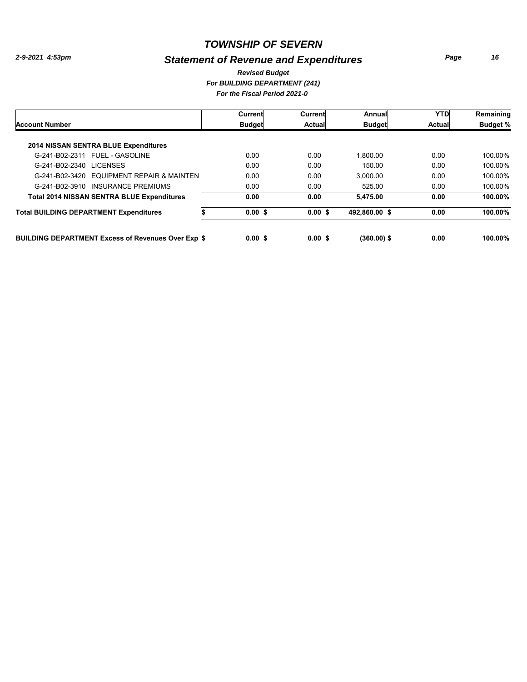# *Statement of Revenue and Expenditures*

*Page 16*

*For BUILDING DEPARTMENT (241) For the Fiscal Period 2021-0 Revised Budget*

|                                                           |               | Current | Current       | Annual        | <b>YTD</b>      | Remaining |
|-----------------------------------------------------------|---------------|---------|---------------|---------------|-----------------|-----------|
| <b>Account Number</b>                                     | <b>Budget</b> | Actual  | <b>Budget</b> | Actual        | <b>Budget %</b> |           |
| 2014 NISSAN SENTRA BLUE Expenditures                      |               |         |               |               |                 |           |
| G-241-B02-2311 FUEL - GASOLINE                            |               | 0.00    | 0.00          | 1.800.00      | 0.00            | 100.00%   |
| G-241-B02-2340 LICENSES                                   |               | 0.00    | 0.00          | 150.00        | 0.00            | 100.00%   |
| G-241-B02-3420 EQUIPMENT REPAIR & MAINTEN                 |               | 0.00    | 0.00          | 3.000.00      | 0.00            | 100.00%   |
| G-241-B02-3910 INSURANCE PREMIUMS                         |               | 0.00    | 0.00          | 525.00        | 0.00            | 100.00%   |
| <b>Total 2014 NISSAN SENTRA BLUE Expenditures</b>         |               | 0.00    | 0.00          | 5,475.00      | 0.00            | 100.00%   |
| <b>Total BUILDING DEPARTMENT Expenditures</b>             |               | 0.00 S  | 0.00 S        | 492.860.00 \$ | 0.00            | 100.00%   |
| <b>BUILDING DEPARTMENT Excess of Revenues Over Exp \$</b> |               | 0.00S   | 0.00S         | $(360.00)$ \$ | 0.00            | 100.00%   |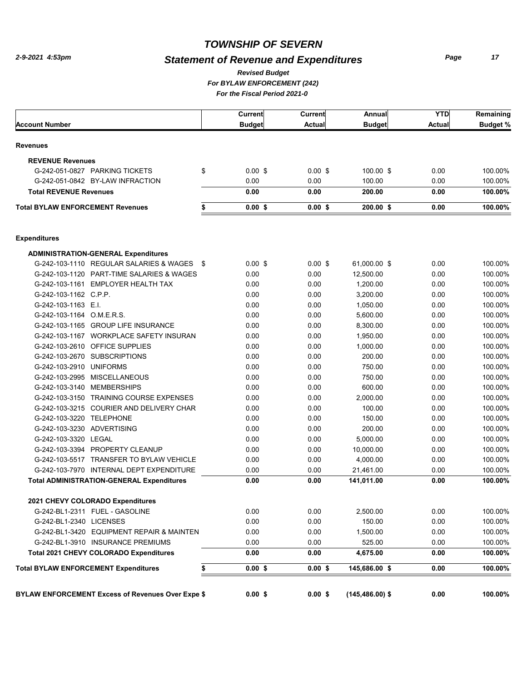# *Statement of Revenue and Expenditures*

*Page 17*

#### *For BYLAW ENFORCEMENT (242) For the Fiscal Period 2021-0 Revised Budget*

|                                                          | Current         | Current       | Annual             | <b>YTD</b>    | Remaining       |
|----------------------------------------------------------|-----------------|---------------|--------------------|---------------|-----------------|
| <b>Account Number</b>                                    | <b>Budget</b>   | <b>Actual</b> | <b>Budget</b>      | <b>Actual</b> | <b>Budget %</b> |
| <b>Revenues</b>                                          |                 |               |                    |               |                 |
| <b>REVENUE Revenues</b>                                  |                 |               |                    |               |                 |
| G-242-051-0827 PARKING TICKETS                           | \$<br>$0.00$ \$ | $0.00$ \$     | 100.00 \$          | 0.00          | 100.00%         |
| G-242-051-0842 BY-LAW INFRACTION                         | 0.00            | 0.00          | 100.00             | 0.00          | 100.00%         |
| <b>Total REVENUE Revenues</b>                            | 0.00            | 0.00          | 200.00             | 0.00          | 100.00%         |
| <b>Total BYLAW ENFORCEMENT Revenues</b>                  | \$<br>$0.00$ \$ | $0.00$ \$     | $200.00$ \$        | 0.00          | 100.00%         |
|                                                          |                 |               |                    |               |                 |
| <b>Expenditures</b>                                      |                 |               |                    |               |                 |
| <b>ADMINISTRATION-GENERAL Expenditures</b>               |                 |               |                    |               |                 |
| G-242-103-1110 REGULAR SALARIES & WAGES \$               | 0.00S           | $0.00$ \$     | 61,000.00 \$       | 0.00          | 100.00%         |
| G-242-103-1120 PART-TIME SALARIES & WAGES                | 0.00            | 0.00          | 12,500.00          | 0.00          | 100.00%         |
| G-242-103-1161 EMPLOYER HEALTH TAX                       | 0.00            | 0.00          | 1,200.00           | 0.00          | 100.00%         |
| G-242-103-1162 C.P.P.                                    | 0.00            | 0.00          | 3,200.00           | 0.00          | 100.00%         |
| G-242-103-1163 E.I.                                      | 0.00            | 0.00          | 1,050.00           | 0.00          | 100.00%         |
| G-242-103-1164 O.M.E.R.S.                                | 0.00            | 0.00          | 5,600.00           | 0.00          | 100.00%         |
| G-242-103-1165 GROUP LIFE INSURANCE                      | 0.00            | 0.00          | 8,300.00           | 0.00          | 100.00%         |
| G-242-103-1167 WORKPLACE SAFETY INSURAN                  | 0.00            | 0.00          | 1.950.00           | 0.00          | 100.00%         |
| G-242-103-2610 OFFICE SUPPLIES                           | 0.00            | 0.00          | 1,000.00           | 0.00          | 100.00%         |
| G-242-103-2670 SUBSCRIPTIONS                             | 0.00            | 0.00          | 200.00             | 0.00          | 100.00%         |
| G-242-103-2910 UNIFORMS                                  | 0.00            | 0.00          | 750.00             | 0.00          | 100.00%         |
| G-242-103-2995 MISCELLANEOUS                             | 0.00            | 0.00          | 750.00             | 0.00          | 100.00%         |
| G-242-103-3140 MEMBERSHIPS                               | 0.00            | 0.00          | 600.00             | 0.00          | 100.00%         |
| G-242-103-3150 TRAINING COURSE EXPENSES                  | 0.00            | 0.00          | 2,000.00           | 0.00          | 100.00%         |
| G-242-103-3215 COURIER AND DELIVERY CHAR                 | 0.00            | 0.00          | 100.00             | 0.00          | 100.00%         |
| G-242-103-3220 TELEPHONE                                 | 0.00            | 0.00          | 150.00             | 0.00          | 100.00%         |
| G-242-103-3230 ADVERTISING                               | 0.00            | 0.00          | 200.00             | 0.00          | 100.00%         |
| G-242-103-3320 LEGAL                                     | 0.00            | 0.00          | 5,000.00           | 0.00          | 100.00%         |
| G-242-103-3394 PROPERTY CLEANUP                          | 0.00            | 0.00          | 10,000.00          | 0.00          | 100.00%         |
| G-242-103-5517 TRANSFER TO BYLAW VEHICLE                 | 0.00            | 0.00          | 4,000.00           | 0.00          | 100.00%         |
| G-242-103-7970 INTERNAL DEPT EXPENDITURE                 | 0.00            | 0.00          | 21,461.00          | 0.00          | 100.00%         |
| <b>Total ADMINISTRATION-GENERAL Expenditures</b>         | 0.00            | 0.00          | 141,011.00         | 0.00          | 100.00%         |
| 2021 CHEVY COLORADO Expenditures                         |                 |               |                    |               |                 |
| G-242-BL1-2311 FUEL - GASOLINE                           | 0.00            | 0.00          | 2,500.00           | 0.00          | 100.00%         |
| G-242-BL1-2340 LICENSES                                  | 0.00            | 0.00          | 150.00             | 0.00          | 100.00%         |
| G-242-BL1-3420 EQUIPMENT REPAIR & MAINTEN                | 0.00            | 0.00          | 1,500.00           | 0.00          | 100.00%         |
| G-242-BL1-3910 INSURANCE PREMIUMS                        | 0.00            | 0.00          | 525.00             | 0.00          | 100.00%         |
|                                                          |                 |               |                    |               | 100.00%         |
| Total 2021 CHEVY COLORADO Expenditures                   | 0.00            | 0.00          | 4,675.00           | 0.00          |                 |
| <b>Total BYLAW ENFORCEMENT Expenditures</b>              | \$<br>$0.00$ \$ | $0.00$ \$     | 145,686.00 \$      | 0.00          | 100.00%         |
| <b>BYLAW ENFORCEMENT Excess of Revenues Over Expe \$</b> | $0.00$ \$       | $0.00$ \$     | $(145, 486.00)$ \$ | 0.00          | 100.00%         |
|                                                          |                 |               |                    |               |                 |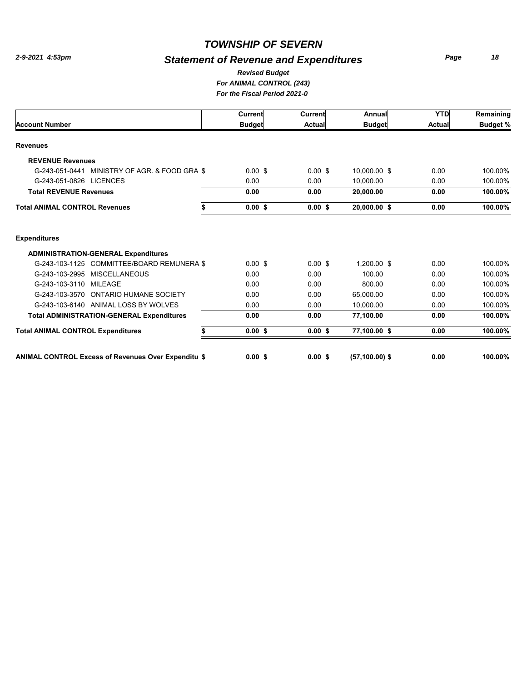# *Statement of Revenue and Expenditures*

*Page 18*

#### *For ANIMAL CONTROL (243) For the Fiscal Period 2021-0 Revised Budget*

|                                                            | <b>Current</b>     | <b>Current</b> | Annual            | <b>YTD</b>    | Remaining       |
|------------------------------------------------------------|--------------------|----------------|-------------------|---------------|-----------------|
| <b>Account Number</b>                                      | <b>Budget</b>      | <b>Actual</b>  | <b>Budget</b>     | <b>Actual</b> | <b>Budget %</b> |
| <b>Revenues</b>                                            |                    |                |                   |               |                 |
| <b>REVENUE Revenues</b>                                    |                    |                |                   |               |                 |
| MINISTRY OF AGR. & FOOD GRA \$<br>G-243-051-0441           | $0.00 \text{ }$ \$ | $0.00$ \$      | 10,000.00 \$      | 0.00          | 100.00%         |
| G-243-051-0826 LICENCES                                    | 0.00               | 0.00           | 10.000.00         | 0.00          | 100.00%         |
| <b>Total REVENUE Revenues</b>                              | 0.00               | 0.00           | 20,000.00         | 0.00          | 100.00%         |
| <b>Total ANIMAL CONTROL Revenues</b><br>\$                 | 0.00S              | 0.00S          | 20,000.00 \$      | 0.00          | 100.00%         |
| <b>Expenditures</b>                                        |                    |                |                   |               |                 |
| <b>ADMINISTRATION-GENERAL Expenditures</b>                 |                    |                |                   |               |                 |
| G-243-103-1125 COMMITTEE/BOARD REMUNERA \$                 | $0.00$ \$          | $0.00$ \$      | 1.200.00 \$       | 0.00          | 100.00%         |
| G-243-103-2995 MISCELLANEOUS                               | 0.00               | 0.00           | 100.00            | 0.00          | 100.00%         |
| G-243-103-3110<br><b>MILEAGE</b>                           | 0.00               | 0.00           | 800.00            | 0.00          | 100.00%         |
| G-243-103-3570 ONTARIO HUMANE SOCIETY                      | 0.00               | 0.00           | 65,000.00         | 0.00          | 100.00%         |
| G-243-103-6140 ANIMAL LOSS BY WOLVES                       | 0.00               | 0.00           | 10,000.00         | 0.00          | 100.00%         |
| <b>Total ADMINISTRATION-GENERAL Expenditures</b>           | 0.00               | 0.00           | 77,100.00         | 0.00          | 100.00%         |
| <b>Total ANIMAL CONTROL Expenditures</b><br>\$             | 0.00S              | 0.00S          | 77,100.00 \$      | 0.00          | 100.00%         |
| <b>ANIMAL CONTROL Excess of Revenues Over Expenditu \$</b> | $0.00$ \$          | $0.00$ \$      | $(57, 100.00)$ \$ | 0.00          | 100.00%         |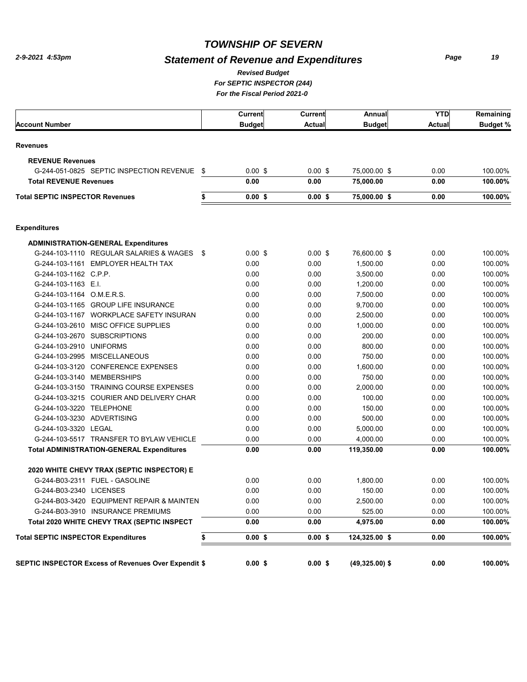# *Statement of Revenue and Expenditures*

*Page 19*

*For SEPTIC INSPECTOR (244) For the Fiscal Period 2021-0 Revised Budget*

|                                                             | Current         | Current   | Annual            | <b>YTD</b> | Remaining       |
|-------------------------------------------------------------|-----------------|-----------|-------------------|------------|-----------------|
| <b>Account Number</b>                                       | <b>Budget</b>   | Actual    | <b>Budget</b>     | Actual     | <b>Budget %</b> |
| <b>Revenues</b>                                             |                 |           |                   |            |                 |
| <b>REVENUE Revenues</b>                                     |                 |           |                   |            |                 |
| G-244-051-0825 SEPTIC INSPECTION REVENUE \$                 | $0.00$ \$       | $0.00$ \$ | 75,000.00 \$      | 0.00       | 100.00%         |
| <b>Total REVENUE Revenues</b>                               | 0.00            | 0.00      | 75,000.00         | 0.00       | 100.00%         |
| <b>Total SEPTIC INSPECTOR Revenues</b>                      | \$<br>0.00S     | $0.00$ \$ | 75,000.00 \$      | 0.00       | 100.00%         |
| <b>Expenditures</b>                                         |                 |           |                   |            |                 |
| <b>ADMINISTRATION-GENERAL Expenditures</b>                  |                 |           |                   |            |                 |
| G-244-103-1110 REGULAR SALARIES & WAGES \$                  | 0.00S           | $0.00$ \$ | 76,600.00 \$      | 0.00       | 100.00%         |
| G-244-103-1161 EMPLOYER HEALTH TAX                          | 0.00            | 0.00      | 1,500.00          | 0.00       | 100.00%         |
| G-244-103-1162 C.P.P.                                       | 0.00            | 0.00      | 3,500.00          | 0.00       | 100.00%         |
| G-244-103-1163 E.I.                                         | 0.00            | 0.00      | 1,200.00          | 0.00       | 100.00%         |
| G-244-103-1164 O.M.E.R.S.                                   | 0.00            | 0.00      | 7,500.00          | 0.00       | 100.00%         |
| G-244-103-1165 GROUP LIFE INSURANCE                         | 0.00            | 0.00      | 9,700.00          | 0.00       | 100.00%         |
| G-244-103-1167 WORKPLACE SAFETY INSURAN                     | 0.00            | 0.00      | 2,500.00          | 0.00       | 100.00%         |
| G-244-103-2610 MISC OFFICE SUPPLIES                         | 0.00            | 0.00      | 1,000.00          | 0.00       | 100.00%         |
| G-244-103-2670 SUBSCRIPTIONS                                | 0.00            | 0.00      | 200.00            | 0.00       | 100.00%         |
| G-244-103-2910 UNIFORMS                                     | 0.00            | 0.00      | 800.00            | 0.00       | 100.00%         |
| G-244-103-2995 MISCELLANEOUS                                | 0.00            | 0.00      | 750.00            | 0.00       | 100.00%         |
| G-244-103-3120 CONFERENCE EXPENSES                          | 0.00            | 0.00      | 1,600.00          | 0.00       | 100.00%         |
| G-244-103-3140 MEMBERSHIPS                                  | 0.00            | 0.00      | 750.00            | 0.00       | 100.00%         |
| G-244-103-3150 TRAINING COURSE EXPENSES                     | 0.00            | 0.00      | 2,000.00          | 0.00       | 100.00%         |
| G-244-103-3215 COURIER AND DELIVERY CHAR                    | 0.00            | 0.00      | 100.00            | 0.00       | 100.00%         |
| G-244-103-3220 TELEPHONE                                    | 0.00            | 0.00      | 150.00            | 0.00       | 100.00%         |
| G-244-103-3230 ADVERTISING                                  | 0.00            | 0.00      | 500.00            | 0.00       | 100.00%         |
| G-244-103-3320 LEGAL                                        | 0.00            | 0.00      | 5,000.00          | 0.00       | 100.00%         |
| G-244-103-5517 TRANSFER TO BYLAW VEHICLE                    | 0.00            | 0.00      | 4,000.00          | 0.00       | 100.00%         |
| <b>Total ADMINISTRATION-GENERAL Expenditures</b>            | 0.00            | 0.00      | 119,350.00        | 0.00       | 100.00%         |
| 2020 WHITE CHEVY TRAX (SEPTIC INSPECTOR) E                  |                 |           |                   |            |                 |
| G-244-B03-2311 FUEL - GASOLINE                              | 0.00            | 0.00      | 1,800.00          | 0.00       | 100.00%         |
| G-244-B03-2340 LICENSES                                     | 0.00            | 0.00      | 150.00            | 0.00       | 100.00%         |
| G-244-B03-3420 EQUIPMENT REPAIR & MAINTEN                   | 0.00            | 0.00      | 2,500.00          | 0.00       | 100.00%         |
| G-244-B03-3910 INSURANCE PREMIUMS                           | 0.00            | 0.00      | 525.00            | 0.00       | 100.00%         |
| Total 2020 WHITE CHEVY TRAX (SEPTIC INSPECT                 | 0.00            | 0.00      | 4,975.00          | 0.00       | 100.00%         |
| <b>Total SEPTIC INSPECTOR Expenditures</b>                  | \$<br>$0.00$ \$ | $0.00$ \$ | 124,325.00 \$     | 0.00       | 100.00%         |
| <b>SEPTIC INSPECTOR Excess of Revenues Over Expendit \$</b> | $0.00$ \$       | $0.00$ \$ | $(49, 325.00)$ \$ | 0.00       | 100.00%         |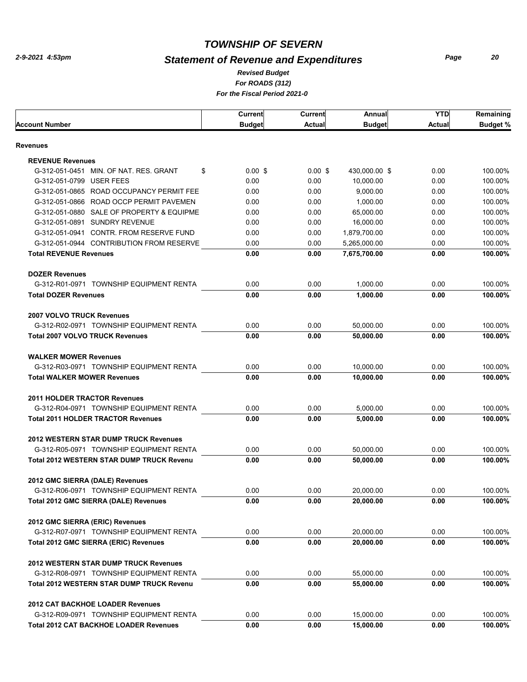# *Statement of Revenue and Expenditures*

*Page 20*

#### *For ROADS (312) For the Fiscal Period 2021-0 Revised Budget*

|                                                                         | Current       | Current       | Annual        | <b>YTD</b>    | Remaining       |
|-------------------------------------------------------------------------|---------------|---------------|---------------|---------------|-----------------|
| Account Number                                                          | <b>Budget</b> | <b>Actual</b> | <b>Budget</b> | <b>Actual</b> | <b>Budget %</b> |
| Revenues                                                                |               |               |               |               |                 |
|                                                                         |               |               |               |               |                 |
| <b>REVENUE Revenues</b><br>G-312-051-0451 MIN. OF NAT. RES. GRANT<br>\$ | $0.00$ \$     | $0.00$ \$     | 430,000.00 \$ | 0.00          | 100.00%         |
| G-312-051-0799 USER FEES                                                | 0.00          | 0.00          | 10,000.00     | 0.00          | 100.00%         |
| G-312-051-0865 ROAD OCCUPANCY PERMIT FEE                                | 0.00          | 0.00          | 9,000.00      | 0.00          | 100.00%         |
| G-312-051-0866 ROAD OCCP PERMIT PAVEMEN                                 | 0.00          | 0.00          | 1,000.00      | 0.00          | 100.00%         |
| G-312-051-0880 SALE OF PROPERTY & EQUIPME                               | 0.00          | 0.00          | 65,000.00     | 0.00          |                 |
|                                                                         |               |               |               |               | 100.00%         |
| G-312-051-0891 SUNDRY REVENUE                                           | 0.00          | 0.00          | 16,000.00     | 0.00          | 100.00%         |
| G-312-051-0941 CONTR. FROM RESERVE FUND                                 | 0.00          | 0.00          | 1,879,700.00  | 0.00          | 100.00%         |
| G-312-051-0944 CONTRIBUTION FROM RESERVE                                | 0.00          | 0.00          | 5,265,000.00  | 0.00          | 100.00%         |
| <b>Total REVENUE Revenues</b>                                           | 0.00          | 0.00          | 7,675,700.00  | 0.00          | 100.00%         |
| <b>DOZER Revenues</b>                                                   |               |               |               |               |                 |
| G-312-R01-0971 TOWNSHIP EQUIPMENT RENTA                                 | 0.00          | 0.00          | 1,000.00      | 0.00          | 100.00%         |
| <b>Total DOZER Revenues</b>                                             | 0.00          | 0.00          | 1,000.00      | 0.00          | 100.00%         |
| <b>2007 VOLVO TRUCK Revenues</b>                                        |               |               |               |               |                 |
| G-312-R02-0971 TOWNSHIP EQUIPMENT RENTA                                 | 0.00          | 0.00          | 50,000.00     | 0.00          | 100.00%         |
| <b>Total 2007 VOLVO TRUCK Revenues</b>                                  | 0.00          | 0.00          | 50,000.00     | 0.00          | 100.00%         |
|                                                                         |               |               |               |               |                 |
| <b>WALKER MOWER Revenues</b>                                            |               |               |               |               |                 |
| G-312-R03-0971 TOWNSHIP EQUIPMENT RENTA                                 | 0.00          | 0.00          | 10,000.00     | 0.00          | 100.00%         |
| <b>Total WALKER MOWER Revenues</b>                                      | 0.00          | 0.00          | 10,000.00     | 0.00          | 100.00%         |
| <b>2011 HOLDER TRACTOR Revenues</b>                                     |               |               |               |               |                 |
| G-312-R04-0971 TOWNSHIP EQUIPMENT RENTA                                 | 0.00          | 0.00          | 5,000.00      | 0.00          | 100.00%         |
| <b>Total 2011 HOLDER TRACTOR Revenues</b>                               | 0.00          | 0.00          | 5,000.00      | 0.00          | 100.00%         |
| <b>2012 WESTERN STAR DUMP TRUCK Revenues</b>                            |               |               |               |               |                 |
| G-312-R05-0971 TOWNSHIP EQUIPMENT RENTA                                 | 0.00          | 0.00          | 50,000.00     | 0.00          | 100.00%         |
| <b>Total 2012 WESTERN STAR DUMP TRUCK Revenu</b>                        | 0.00          | 0.00          | 50.000.00     | 0.00          | 100.00%         |
|                                                                         |               |               |               |               |                 |
| 2012 GMC SIERRA (DALE) Revenues                                         |               |               |               |               |                 |
| G-312-R06-0971 TOWNSHIP EQUIPMENT RENTA                                 | 0.00          | 0.00          | 20,000.00     | 0.00          | 100.00%         |
| Total 2012 GMC SIERRA (DALE) Revenues                                   | 0.00          | 0.00          | 20,000.00     | 0.00          | 100.00%         |
| 2012 GMC SIERRA (ERIC) Revenues                                         |               |               |               |               |                 |
| G-312-R07-0971 TOWNSHIP EQUIPMENT RENTA                                 | 0.00          | 0.00          | 20,000.00     | 0.00          | 100.00%         |
| <b>Total 2012 GMC SIERRA (ERIC) Revenues</b>                            | 0.00          | 0.00          | 20,000.00     | 0.00          | 100.00%         |
| <b>2012 WESTERN STAR DUMP TRUCK Revenues</b>                            |               |               |               |               |                 |
| G-312-R08-0971 TOWNSHIP EQUIPMENT RENTA                                 | 0.00          | 0.00          | 55,000.00     | 0.00          | 100.00%         |
| <b>Total 2012 WESTERN STAR DUMP TRUCK Revenu</b>                        | 0.00          | 0.00          | 55,000.00     | 0.00          | 100.00%         |
|                                                                         |               |               |               |               |                 |
| <b>2012 CAT BACKHOE LOADER Revenues</b>                                 |               |               |               |               |                 |
| G-312-R09-0971 TOWNSHIP EQUIPMENT RENTA                                 | 0.00          | 0.00          | 15,000.00     | 0.00          | 100.00%         |
| <b>Total 2012 CAT BACKHOE LOADER Revenues</b>                           | 0.00          | 0.00          | 15,000.00     | 0.00          | 100.00%         |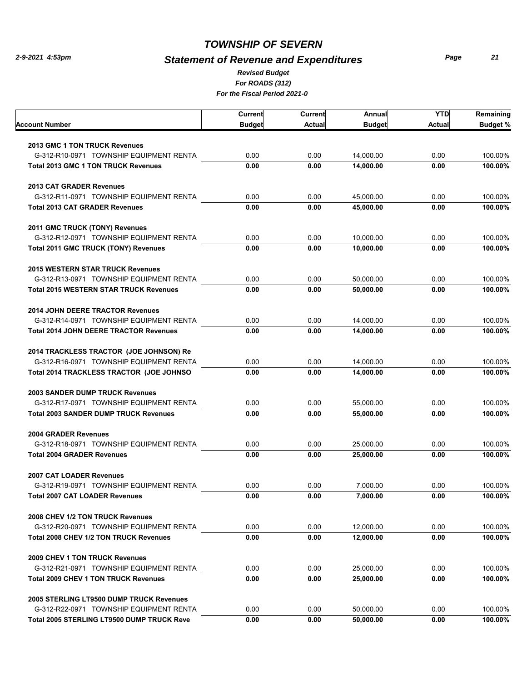# *Statement of Revenue and Expenditures*

*Page 21*

*For ROADS (312) For the Fiscal Period 2021-0 Revised Budget*

| Account Number                                    | Current<br><b>Budget</b> | Current<br>Actual | Annual<br><b>Budget</b> | <b>YTD</b><br><b>Actual</b> | Remaining<br><b>Budget %</b> |
|---------------------------------------------------|--------------------------|-------------------|-------------------------|-----------------------------|------------------------------|
|                                                   |                          |                   |                         |                             |                              |
| 2013 GMC 1 TON TRUCK Revenues                     |                          |                   |                         |                             |                              |
| G-312-R10-0971 TOWNSHIP EQUIPMENT RENTA           | 0.00                     | 0.00              | 14,000.00               | 0.00                        | 100.00%                      |
| <b>Total 2013 GMC 1 TON TRUCK Revenues</b>        | 0.00                     | 0.00              | 14.000.00               | 0.00                        | 100.00%                      |
| <b>2013 CAT GRADER Revenues</b>                   |                          |                   |                         |                             |                              |
| G-312-R11-0971 TOWNSHIP EQUIPMENT RENTA           | 0.00                     | 0.00              | 45,000.00               | 0.00                        | 100.00%                      |
| <b>Total 2013 CAT GRADER Revenues</b>             | 0.00                     | 0.00              | 45,000.00               | 0.00                        | 100.00%                      |
| 2011 GMC TRUCK (TONY) Revenues                    |                          |                   |                         |                             |                              |
| G-312-R12-0971 TOWNSHIP EQUIPMENT RENTA           | 0.00                     | 0.00              | 10,000.00               | 0.00                        | 100.00%                      |
| <b>Total 2011 GMC TRUCK (TONY) Revenues</b>       | 0.00                     | 0.00              | 10,000.00               | 0.00                        | 100.00%                      |
| <b>2015 WESTERN STAR TRUCK Revenues</b>           |                          |                   |                         |                             |                              |
| G-312-R13-0971 TOWNSHIP EQUIPMENT RENTA           | 0.00                     | 0.00              | 50,000.00               | 0.00                        | 100.00%                      |
| <b>Total 2015 WESTERN STAR TRUCK Revenues</b>     | 0.00                     | 0.00              | 50,000.00               | 0.00                        | 100.00%                      |
| <b>2014 JOHN DEERE TRACTOR Revenues</b>           |                          |                   |                         |                             |                              |
| G-312-R14-0971 TOWNSHIP EQUIPMENT RENTA           | 0.00                     | 0.00              | 14,000.00               | 0.00                        | 100.00%                      |
| <b>Total 2014 JOHN DEERE TRACTOR Revenues</b>     | 0.00                     | 0.00              | 14.000.00               | 0.00                        | 100.00%                      |
| 2014 TRACKLESS TRACTOR (JOE JOHNSON) Re           |                          |                   |                         |                             |                              |
| G-312-R16-0971 TOWNSHIP EQUIPMENT RENTA           | 0.00                     | 0.00              | 14,000.00               | 0.00                        | 100.00%                      |
| Total 2014 TRACKLESS TRACTOR (JOE JOHNSO          | 0.00                     | 0.00              | 14,000.00               | 0.00                        | 100.00%                      |
| <b>2003 SANDER DUMP TRUCK Revenues</b>            |                          |                   |                         |                             |                              |
| G-312-R17-0971 TOWNSHIP EQUIPMENT RENTA           | 0.00                     | 0.00              | 55,000.00               | 0.00                        | 100.00%                      |
| <b>Total 2003 SANDER DUMP TRUCK Revenues</b>      | 0.00                     | 0.00              | 55,000.00               | 0.00                        | 100.00%                      |
| <b>2004 GRADER Revenues</b>                       |                          |                   |                         |                             |                              |
| G-312-R18-0971 TOWNSHIP EQUIPMENT RENTA           | 0.00                     | 0.00              | 25,000.00               | 0.00                        | 100.00%                      |
| <b>Total 2004 GRADER Revenues</b>                 | 0.00                     | 0.00              | 25,000.00               | 0.00                        | 100.00%                      |
| <b>2007 CAT LOADER Revenues</b>                   |                          |                   |                         |                             |                              |
| G-312-R19-0971 TOWNSHIP EQUIPMENT RENTA           | 0.00                     | 0.00              | 7.000.00                | 0.00                        | 100.00%                      |
| <b>Total 2007 CAT LOADER Revenues</b>             | 0.00                     | 0.00              | 7,000.00                | 0.00                        | 100.00%                      |
| 2008 CHEV 1/2 TON TRUCK Revenues                  |                          |                   |                         |                             |                              |
| G-312-R20-0971 TOWNSHIP EQUIPMENT RENTA           | 0.00                     | 0.00              | 12,000.00               | 0.00                        | 100.00%                      |
| Total 2008 CHEV 1/2 TON TRUCK Revenues            | 0.00                     | 0.00              | 12,000.00               | 0.00                        | 100.00%                      |
| <b>2009 CHEV 1 TON TRUCK Revenues</b>             |                          |                   |                         |                             |                              |
| G-312-R21-0971 TOWNSHIP EQUIPMENT RENTA           | 0.00                     | 0.00              | 25,000.00               | 0.00                        | 100.00%                      |
| <b>Total 2009 CHEV 1 TON TRUCK Revenues</b>       | 0.00                     | 0.00              | 25,000.00               | 0.00                        | 100.00%                      |
| 2005 STERLING LT9500 DUMP TRUCK Revenues          |                          |                   |                         |                             |                              |
| G-312-R22-0971 TOWNSHIP EQUIPMENT RENTA           | 0.00                     | 0.00              | 50,000.00               | 0.00                        | 100.00%                      |
| <b>Total 2005 STERLING LT9500 DUMP TRUCK Reve</b> | 0.00                     | 0.00              | 50,000.00               | 0.00                        | 100.00%                      |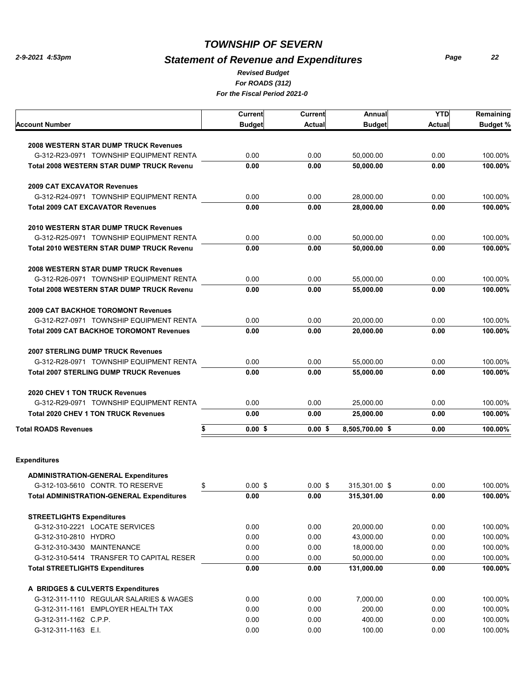# *Statement of Revenue and Expenditures*

*For ROADS (312) For the Fiscal Period 2021-0 Revised Budget*

|                                                                                         | Current         | Current       | Annual                 | <b>YTD</b> | Remaining       |
|-----------------------------------------------------------------------------------------|-----------------|---------------|------------------------|------------|-----------------|
| Account Number                                                                          | <b>Budget</b>   | <b>Actual</b> | <b>Budget</b>          | Actual     | <b>Budget %</b> |
|                                                                                         |                 |               |                        |            |                 |
| <b>2008 WESTERN STAR DUMP TRUCK Revenues</b><br>G-312-R23-0971 TOWNSHIP EQUIPMENT RENTA | 0.00            | 0.00          |                        | 0.00       | 100.00%         |
| <b>Total 2008 WESTERN STAR DUMP TRUCK Revenu</b>                                        | 0.00            | 0.00          | 50,000.00<br>50,000.00 | 0.00       | 100.00%         |
|                                                                                         |                 |               |                        |            |                 |
| <b>2009 CAT EXCAVATOR Revenues</b>                                                      |                 |               |                        |            |                 |
| G-312-R24-0971 TOWNSHIP EQUIPMENT RENTA                                                 | 0.00            | 0.00          | 28,000.00              | 0.00       | 100.00%         |
| <b>Total 2009 CAT EXCAVATOR Revenues</b>                                                | 0.00            | 0.00          | 28,000.00              | 0.00       | 100.00%         |
| <b>2010 WESTERN STAR DUMP TRUCK Revenues</b>                                            |                 |               |                        |            |                 |
| G-312-R25-0971 TOWNSHIP EQUIPMENT RENTA                                                 | 0.00            | 0.00          | 50,000.00              | 0.00       | 100.00%         |
| <b>Total 2010 WESTERN STAR DUMP TRUCK Revenu</b>                                        | 0.00            | 0.00          | 50,000.00              | 0.00       | 100.00%         |
| <b>2008 WESTERN STAR DUMP TRUCK Revenues</b>                                            |                 |               |                        |            |                 |
| G-312-R26-0971 TOWNSHIP EQUIPMENT RENTA                                                 | 0.00            | 0.00          | 55,000.00              | 0.00       | 100.00%         |
| <b>Total 2008 WESTERN STAR DUMP TRUCK Revenu</b>                                        | 0.00            | 0.00          | 55,000.00              | 0.00       | 100.00%         |
|                                                                                         |                 |               |                        |            |                 |
| <b>2009 CAT BACKHOE TOROMONT Revenues</b>                                               |                 |               |                        |            |                 |
| G-312-R27-0971 TOWNSHIP EQUIPMENT RENTA                                                 | 0.00            | 0.00          | 20,000.00              | 0.00       | 100.00%         |
| <b>Total 2009 CAT BACKHOE TOROMONT Revenues</b>                                         | 0.00            | 0.00          | 20,000.00              | 0.00       | 100.00%         |
| <b>2007 STERLING DUMP TRUCK Revenues</b>                                                |                 |               |                        |            |                 |
| G-312-R28-0971 TOWNSHIP EQUIPMENT RENTA                                                 | 0.00            | 0.00          | 55,000.00              | 0.00       | 100.00%         |
| <b>Total 2007 STERLING DUMP TRUCK Revenues</b>                                          | 0.00            | 0.00          | 55,000.00              | 0.00       | 100.00%         |
| <b>2020 CHEV 1 TON TRUCK Revenues</b>                                                   |                 |               |                        |            |                 |
| G-312-R29-0971 TOWNSHIP EQUIPMENT RENTA                                                 | 0.00            | 0.00          | 25,000.00              | 0.00       | 100.00%         |
| <b>Total 2020 CHEV 1 TON TRUCK Revenues</b>                                             | 0.00            | 0.00          | 25,000.00              | 0.00       | 100.00%         |
| <b>Total ROADS Revenues</b>                                                             | \$<br>$0.00$ \$ | $0.00$ \$     | 8,505,700.00 \$        | 0.00       | 100.00%         |
|                                                                                         |                 |               |                        |            |                 |
| <b>Expenditures</b>                                                                     |                 |               |                        |            |                 |
| <b>ADMINISTRATION-GENERAL Expenditures</b>                                              |                 |               |                        |            |                 |
| G-312-103-5610 CONTR. TO RESERVE                                                        | \$<br>$0.00$ \$ | $0.00$ \$     | 315,301.00 \$          | 0.00       | 100.00%         |
| <b>Total ADMINISTRATION-GENERAL Expenditures</b>                                        | 0.00            | 0.00          | 315,301.00             | 0.00       | 100.00%         |
| <b>STREETLIGHTS Expenditures</b>                                                        |                 |               |                        |            |                 |
| G-312-310-2221 LOCATE SERVICES                                                          | 0.00            | 0.00          | 20,000.00              | 0.00       | 100.00%         |
| G-312-310-2810 HYDRO                                                                    | 0.00            | 0.00          | 43,000.00              | 0.00       | 100.00%         |
| G-312-310-3430 MAINTENANCE                                                              | 0.00            | 0.00          | 18,000.00              | 0.00       | 100.00%         |
| G-312-310-5414 TRANSFER TO CAPITAL RESER                                                | 0.00            | 0.00          | 50,000.00              | 0.00       | 100.00%         |
| <b>Total STREETLIGHTS Expenditures</b>                                                  | 0.00            | 0.00          | 131,000.00             | 0.00       | 100.00%         |
| A BRIDGES & CULVERTS Expenditures                                                       |                 |               |                        |            |                 |
| G-312-311-1110 REGULAR SALARIES & WAGES                                                 | 0.00            | 0.00          | 7,000.00               | 0.00       | 100.00%         |
| G-312-311-1161 EMPLOYER HEALTH TAX                                                      | 0.00            | 0.00          | 200.00                 | 0.00       | 100.00%         |
| G-312-311-1162 C.P.P.                                                                   | 0.00            | 0.00          | 400.00                 | 0.00       | 100.00%         |
| G-312-311-1163 E.I.                                                                     | 0.00            | 0.00          | 100.00                 | 0.00       | 100.00%         |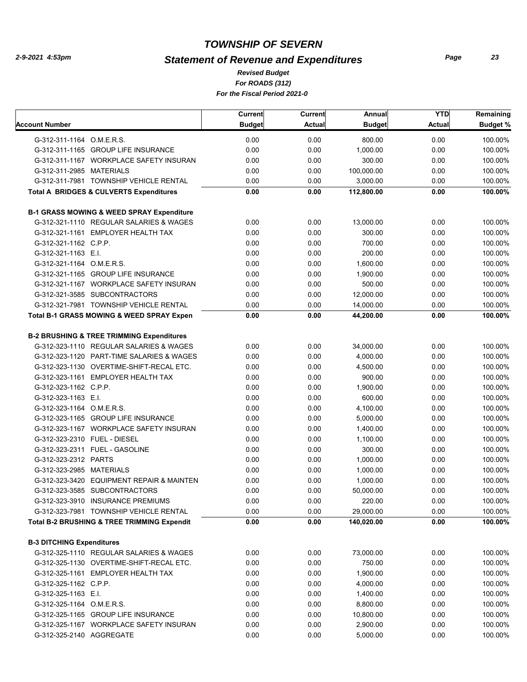# *Statement of Revenue and Expenditures*

*For ROADS (312) For the Fiscal Period 2021-0 Revised Budget*

|                                  |                                                        | Current       | <b>Current</b> | Annual        | <b>YTD</b>    | Remaining       |
|----------------------------------|--------------------------------------------------------|---------------|----------------|---------------|---------------|-----------------|
| Account Number                   |                                                        | <b>Budget</b> | <b>Actual</b>  | <b>Budget</b> | <b>Actual</b> | <b>Budget %</b> |
| G-312-311-1164 O.M.E.R.S.        |                                                        | 0.00          | 0.00           | 800.00        | 0.00          | 100.00%         |
|                                  | G-312-311-1165 GROUP LIFE INSURANCE                    | 0.00          | 0.00           | 1,000.00      | 0.00          | 100.00%         |
|                                  | G-312-311-1167 WORKPLACE SAFETY INSURAN                | 0.00          | 0.00           | 300.00        | 0.00          | 100.00%         |
| G-312-311-2985 MATERIALS         |                                                        | 0.00          | 0.00           | 100,000.00    | 0.00          | 100.00%         |
|                                  | G-312-311-7981 TOWNSHIP VEHICLE RENTAL                 | 0.00          | 0.00           | 3,000.00      | 0.00          | 100.00%         |
|                                  | <b>Total A BRIDGES &amp; CULVERTS Expenditures</b>     | 0.00          | 0.00           | 112,800.00    | 0.00          | 100.00%         |
|                                  | <b>B-1 GRASS MOWING &amp; WEED SPRAY Expenditure</b>   |               |                |               |               |                 |
|                                  | G-312-321-1110 REGULAR SALARIES & WAGES                | 0.00          | 0.00           | 13,000.00     | 0.00          | 100.00%         |
|                                  | G-312-321-1161 EMPLOYER HEALTH TAX                     | 0.00          | 0.00           | 300.00        | 0.00          | 100.00%         |
| G-312-321-1162 C.P.P.            |                                                        | 0.00          | 0.00           | 700.00        | 0.00          | 100.00%         |
| G-312-321-1163 E.I.              |                                                        | 0.00          | 0.00           | 200.00        | 0.00          | 100.00%         |
| G-312-321-1164 O.M.E.R.S.        |                                                        | 0.00          | 0.00           | 1,600.00      | 0.00          | 100.00%         |
|                                  | G-312-321-1165 GROUP LIFE INSURANCE                    | 0.00          | 0.00           | 1,900.00      | 0.00          | 100.00%         |
|                                  | G-312-321-1167 WORKPLACE SAFETY INSURAN                | 0.00          | 0.00           | 500.00        | 0.00          | 100.00%         |
|                                  | G-312-321-3585 SUBCONTRACTORS                          | 0.00          | 0.00           | 12,000.00     | 0.00          | 100.00%         |
|                                  | G-312-321-7981 TOWNSHIP VEHICLE RENTAL                 | 0.00          | 0.00           | 14,000.00     | 0.00          | 100.00%         |
|                                  | <b>Total B-1 GRASS MOWING &amp; WEED SPRAY Expen</b>   | 0.00          | 0.00           | 44,200.00     | 0.00          | 100.00%         |
|                                  | <b>B-2 BRUSHING &amp; TREE TRIMMING Expenditures</b>   |               |                |               |               |                 |
|                                  | G-312-323-1110 REGULAR SALARIES & WAGES                | 0.00          | 0.00           | 34,000.00     | 0.00          | 100.00%         |
|                                  | G-312-323-1120 PART-TIME SALARIES & WAGES              | 0.00          | 0.00           | 4,000.00      | 0.00          | 100.00%         |
|                                  | G-312-323-1130 OVERTIME-SHIFT-RECAL ETC.               | 0.00          | 0.00           | 4,500.00      | 0.00          | 100.00%         |
|                                  | G-312-323-1161 EMPLOYER HEALTH TAX                     | 0.00          | 0.00           | 900.00        | 0.00          | 100.00%         |
| G-312-323-1162 C.P.P.            |                                                        | 0.00          | 0.00           | 1,900.00      | 0.00          | 100.00%         |
| G-312-323-1163 E.I.              |                                                        | 0.00          | 0.00           | 600.00        | 0.00          | 100.00%         |
| G-312-323-1164 O.M.E.R.S.        |                                                        | 0.00          | 0.00           | 4,100.00      | 0.00          | 100.00%         |
|                                  | G-312-323-1165 GROUP LIFE INSURANCE                    | 0.00          | 0.00           | 5,000.00      | 0.00          | 100.00%         |
|                                  | G-312-323-1167 WORKPLACE SAFETY INSURAN                | 0.00          | 0.00           | 1,400.00      | 0.00          | 100.00%         |
| G-312-323-2310 FUEL - DIESEL     |                                                        | 0.00          | 0.00           | 1,100.00      | 0.00          | 100.00%         |
|                                  | G-312-323-2311 FUEL - GASOLINE                         | 0.00          | 0.00           | 300.00        | 0.00          | 100.00%         |
| G-312-323-2312 PARTS             |                                                        | 0.00          | 0.00           | 1,000.00      | 0.00          | 100.00%         |
| G-312-323-2985 MATERIALS         |                                                        | 0.00          | 0.00           | 1,000.00      | 0.00          | 100.00%         |
|                                  | G-312-323-3420 EQUIPMENT REPAIR & MAINTEN              | 0.00          | 0.00           | 1.000.00      | 0.00          | 100.00%         |
|                                  | G-312-323-3585 SUBCONTRACTORS                          | 0.00          | 0.00           | 50,000.00     | 0.00          | 100.00%         |
|                                  | G-312-323-3910 INSURANCE PREMIUMS                      | 0.00          | 0.00           | 220.00        | 0.00          | 100.00%         |
|                                  | G-312-323-7981 TOWNSHIP VEHICLE RENTAL                 | 0.00          | 0.00           | 29,000.00     | 0.00          | 100.00%         |
|                                  | <b>Total B-2 BRUSHING &amp; TREE TRIMMING Expendit</b> | 0.00          | 0.00           | 140,020.00    | 0.00          | 100.00%         |
| <b>B-3 DITCHING Expenditures</b> |                                                        |               |                |               |               |                 |
|                                  | G-312-325-1110 REGULAR SALARIES & WAGES                | 0.00          | 0.00           | 73,000.00     | 0.00          | 100.00%         |
|                                  | G-312-325-1130 OVERTIME-SHIFT-RECAL ETC.               | 0.00          | 0.00           | 750.00        | 0.00          | 100.00%         |
|                                  | G-312-325-1161 EMPLOYER HEALTH TAX                     | 0.00          | 0.00           | 1,900.00      | 0.00          | 100.00%         |
| G-312-325-1162 C.P.P.            |                                                        | 0.00          | 0.00           | 4,000.00      | 0.00          | 100.00%         |
| G-312-325-1163 E.I.              |                                                        | 0.00          | 0.00           | 1,400.00      | 0.00          | 100.00%         |
| G-312-325-1164 O.M.E.R.S.        |                                                        | 0.00          | 0.00           | 8,800.00      | 0.00          | 100.00%         |
|                                  | G-312-325-1165 GROUP LIFE INSURANCE                    | 0.00          | 0.00           | 10,800.00     | 0.00          | 100.00%         |
|                                  | G-312-325-1167 WORKPLACE SAFETY INSURAN                | 0.00          | 0.00           | 2,900.00      | 0.00          | 100.00%         |
| G-312-325-2140 AGGREGATE         |                                                        | 0.00          | 0.00           | 5,000.00      | 0.00          | 100.00%         |
|                                  |                                                        |               |                |               |               |                 |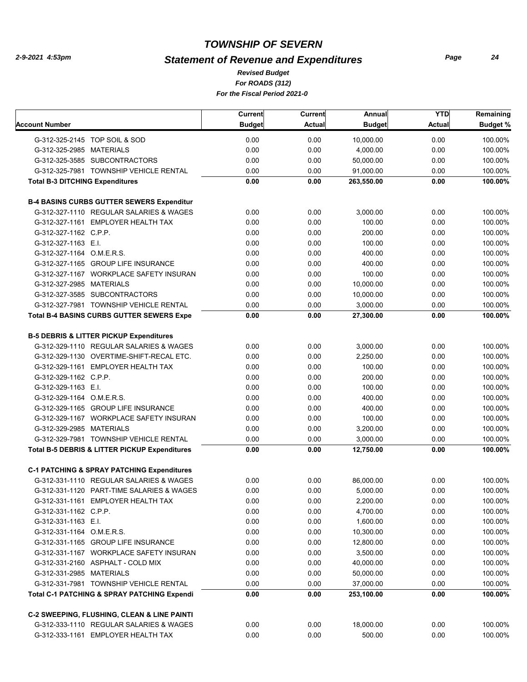# *Statement of Revenue and Expenditures*

*For ROADS (312) For the Fiscal Period 2021-0 Revised Budget*

|                                        |                                                                                                  | Current       | Current       | Annual                  | <b>YTD</b>    | Remaining          |
|----------------------------------------|--------------------------------------------------------------------------------------------------|---------------|---------------|-------------------------|---------------|--------------------|
| Account Number                         |                                                                                                  | <b>Budget</b> | <b>Actual</b> | <b>Budget</b>           | <b>Actual</b> | <b>Budget %</b>    |
|                                        | G-312-325-2145 TOP SOIL & SOD                                                                    | 0.00          | 0.00          | 10,000.00               | 0.00          | 100.00%            |
| G-312-325-2985 MATERIALS               |                                                                                                  | 0.00          | 0.00          | 4,000.00                | 0.00          | 100.00%            |
|                                        | G-312-325-3585 SUBCONTRACTORS                                                                    | 0.00          | 0.00          | 50,000.00               | 0.00          | 100.00%            |
|                                        | G-312-325-7981 TOWNSHIP VEHICLE RENTAL                                                           | 0.00          | 0.00          | 91,000.00               | 0.00          | 100.00%            |
| <b>Total B-3 DITCHING Expenditures</b> |                                                                                                  | 0.00          | 0.00          | 263,550.00              | 0.00          | 100.00%            |
|                                        | <b>B-4 BASINS CURBS GUTTER SEWERS Expenditur</b>                                                 |               |               |                         |               |                    |
|                                        | G-312-327-1110 REGULAR SALARIES & WAGES                                                          | 0.00          | 0.00          | 3,000.00                | 0.00          | 100.00%            |
|                                        | G-312-327-1161 EMPLOYER HEALTH TAX                                                               | 0.00          | 0.00          | 100.00                  | 0.00          | 100.00%            |
| G-312-327-1162 C.P.P.                  |                                                                                                  | 0.00          | 0.00          | 200.00                  | 0.00          | 100.00%            |
| G-312-327-1163 E.I.                    |                                                                                                  | 0.00          | 0.00          | 100.00                  | 0.00          | 100.00%            |
| G-312-327-1164 O.M.E.R.S.              |                                                                                                  | 0.00          | 0.00          | 400.00                  | 0.00          | 100.00%            |
|                                        | G-312-327-1165 GROUP LIFE INSURANCE                                                              | 0.00          | 0.00          | 400.00                  | 0.00          | 100.00%            |
|                                        | G-312-327-1167 WORKPLACE SAFETY INSURAN                                                          | 0.00          | 0.00          | 100.00                  | 0.00          | 100.00%            |
| G-312-327-2985 MATERIALS               |                                                                                                  | 0.00          | 0.00          | 10,000.00               | 0.00          | 100.00%            |
|                                        | G-312-327-3585 SUBCONTRACTORS                                                                    | 0.00          | 0.00          | 10,000.00               | 0.00          | 100.00%            |
|                                        | G-312-327-7981 TOWNSHIP VEHICLE RENTAL                                                           | 0.00          | 0.00          | 3,000.00                | 0.00          | 100.00%            |
|                                        | <b>Total B-4 BASINS CURBS GUTTER SEWERS Expe</b>                                                 | 0.00          | 0.00          | 27,300.00               | 0.00          | 100.00%            |
|                                        | <b>B-5 DEBRIS &amp; LITTER PICKUP Expenditures</b>                                               |               |               |                         |               |                    |
|                                        | G-312-329-1110 REGULAR SALARIES & WAGES                                                          | 0.00          | 0.00          | 3,000.00                | 0.00          | 100.00%            |
|                                        | G-312-329-1130 OVERTIME-SHIFT-RECAL ETC.                                                         | 0.00          | 0.00          | 2,250.00                | 0.00          | 100.00%            |
|                                        | G-312-329-1161 EMPLOYER HEALTH TAX                                                               | 0.00          | 0.00          | 100.00                  | 0.00          | 100.00%            |
| G-312-329-1162 C.P.P.                  |                                                                                                  | 0.00          | 0.00          | 200.00                  | 0.00          | 100.00%            |
| G-312-329-1163 E.I.                    |                                                                                                  | 0.00          | 0.00          | 100.00                  | 0.00          | 100.00%            |
| G-312-329-1164 O.M.E.R.S.              |                                                                                                  | 0.00          | 0.00          | 400.00                  | 0.00          | 100.00%            |
|                                        | G-312-329-1165 GROUP LIFE INSURANCE                                                              | 0.00          | 0.00          | 400.00                  | 0.00          | 100.00%            |
|                                        | G-312-329-1167 WORKPLACE SAFETY INSURAN                                                          | 0.00          | 0.00          | 100.00                  | 0.00          | 100.00%            |
| G-312-329-2985 MATERIALS               |                                                                                                  | 0.00          | 0.00          | 3,200.00                | 0.00          | 100.00%            |
|                                        | G-312-329-7981 TOWNSHIP VEHICLE RENTAL                                                           | 0.00          | 0.00          | 3,000.00                | 0.00          | 100.00%            |
|                                        | Total B-5 DEBRIS & LITTER PICKUP Expenditures                                                    | 0.00          | 0.00          | 12,750.00               | 0.00          | 100.00%            |
|                                        |                                                                                                  |               |               |                         |               |                    |
|                                        | <b>C-1 PATCHING &amp; SPRAY PATCHING Expenditures</b>                                            |               |               |                         |               |                    |
|                                        | G-312-331-1110 REGULAR SALARIES & WAGES                                                          | 0.00<br>0.00  | 0.00<br>0.00  | 86,000.00               | 0.00<br>0.00  | 100.00%            |
|                                        | G-312-331-1120 PART-TIME SALARIES & WAGES                                                        |               |               | 5,000.00                |               | 100.00%            |
|                                        | G-312-331-1161 EMPLOYER HEALTH TAX                                                               | 0.00          | 0.00          | 2,200.00                | 0.00          | 100.00%            |
| G-312-331-1162 C.P.P.                  |                                                                                                  | 0.00          | 0.00          | 4,700.00                | 0.00          | 100.00%            |
| G-312-331-1163 E.I.                    |                                                                                                  | 0.00          | 0.00          | 1,600.00                | 0.00          | 100.00%            |
| G-312-331-1164 O.M.E.R.S.              |                                                                                                  | 0.00          | 0.00          | 10,300.00               | 0.00          | 100.00%            |
|                                        | G-312-331-1165 GROUP LIFE INSURANCE                                                              | 0.00          | 0.00          | 12,800.00               | 0.00          | 100.00%            |
|                                        | G-312-331-1167 WORKPLACE SAFETY INSURAN                                                          | 0.00          | 0.00          | 3,500.00                | 0.00          | 100.00%            |
|                                        | G-312-331-2160 ASPHALT - COLD MIX                                                                | 0.00          | 0.00          | 40,000.00               | 0.00          | 100.00%            |
| G-312-331-2985 MATERIALS               |                                                                                                  | 0.00          | 0.00          | 50,000.00               | 0.00          | 100.00%            |
|                                        | G-312-331-7981 TOWNSHIP VEHICLE RENTAL<br><b>Total C-1 PATCHING &amp; SPRAY PATCHING Expendi</b> | 0.00<br>0.00  | 0.00<br>0.00  | 37,000.00<br>253,100.00 | 0.00<br>0.00  | 100.00%<br>100.00% |
|                                        |                                                                                                  |               |               |                         |               |                    |
|                                        | <b>C-2 SWEEPING, FLUSHING, CLEAN &amp; LINE PAINTI</b>                                           |               |               |                         |               |                    |
|                                        | G-312-333-1110 REGULAR SALARIES & WAGES                                                          | 0.00          | 0.00          | 18,000.00               | 0.00          | 100.00%            |
|                                        | G-312-333-1161 EMPLOYER HEALTH TAX                                                               | 0.00          | 0.00          | 500.00                  | 0.00          | 100.00%            |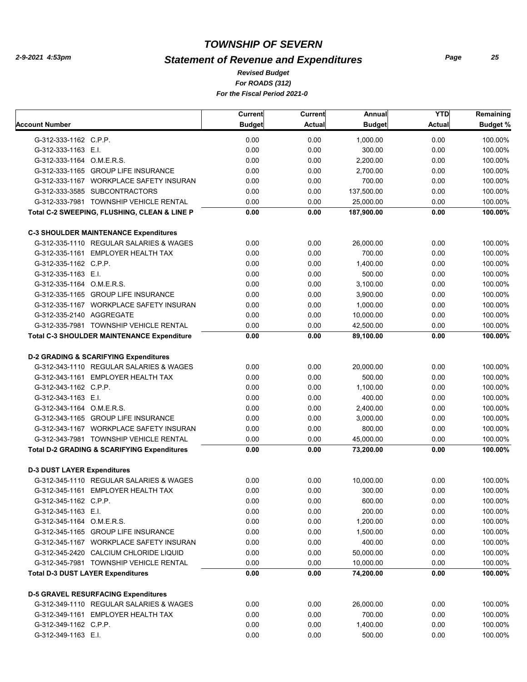# *Statement of Revenue and Expenditures*

*For ROADS (312) For the Fiscal Period 2021-0 Revised Budget*

|                                    |                                                        | <b>Current</b> | <b>Current</b> | Annual        | <b>YTD</b>    | Remaining       |
|------------------------------------|--------------------------------------------------------|----------------|----------------|---------------|---------------|-----------------|
| Account Number                     |                                                        | <b>Budget</b>  | <b>Actual</b>  | <b>Budget</b> | <b>Actual</b> | <b>Budget %</b> |
| G-312-333-1162 C.P.P.              |                                                        | 0.00           | 0.00           | 1,000.00      | 0.00          | 100.00%         |
| G-312-333-1163 E.I.                |                                                        | 0.00           | 0.00           | 300.00        | 0.00          | 100.00%         |
| G-312-333-1164 O.M.E.R.S.          |                                                        | 0.00           | 0.00           | 2,200.00      | 0.00          | 100.00%         |
|                                    | G-312-333-1165 GROUP LIFE INSURANCE                    | 0.00           | 0.00           | 2,700.00      | 0.00          | 100.00%         |
|                                    | G-312-333-1167 WORKPLACE SAFETY INSURAN                | 0.00           | 0.00           | 700.00        | 0.00          | 100.00%         |
|                                    | G-312-333-3585 SUBCONTRACTORS                          | 0.00           | 0.00           | 137,500.00    | 0.00          | 100.00%         |
|                                    | G-312-333-7981 TOWNSHIP VEHICLE RENTAL                 | 0.00           | 0.00           | 25,000.00     | 0.00          | 100.00%         |
|                                    | Total C-2 SWEEPING, FLUSHING, CLEAN & LINE P           | 0.00           | 0.00           | 187,900.00    | 0.00          | 100.00%         |
|                                    | <b>C-3 SHOULDER MAINTENANCE Expenditures</b>           |                |                |               |               |                 |
|                                    | G-312-335-1110 REGULAR SALARIES & WAGES                | 0.00           | 0.00           | 26,000.00     | 0.00          | 100.00%         |
|                                    | G-312-335-1161 EMPLOYER HEALTH TAX                     | 0.00           | 0.00           | 700.00        | 0.00          | 100.00%         |
| G-312-335-1162 C.P.P.              |                                                        | 0.00           | 0.00           | 1,400.00      | 0.00          | 100.00%         |
| G-312-335-1163 E.I.                |                                                        | 0.00           | 0.00           | 500.00        | 0.00          | 100.00%         |
| G-312-335-1164 O.M.E.R.S.          |                                                        | 0.00           | 0.00           | 3,100.00      | 0.00          | 100.00%         |
|                                    | G-312-335-1165 GROUP LIFE INSURANCE                    | 0.00           | 0.00           | 3,900.00      | 0.00          | 100.00%         |
|                                    | G-312-335-1167 WORKPLACE SAFETY INSURAN                | 0.00           | 0.00           | 1.000.00      | 0.00          | 100.00%         |
| G-312-335-2140 AGGREGATE           |                                                        | 0.00           | 0.00           | 10.000.00     | 0.00          | 100.00%         |
|                                    | G-312-335-7981 TOWNSHIP VEHICLE RENTAL                 | 0.00           | 0.00           | 42,500.00     | 0.00          | 100.00%         |
|                                    | <b>Total C-3 SHOULDER MAINTENANCE Expenditure</b>      | 0.00           | 0.00           | 89,100.00     | 0.00          | 100.00%         |
|                                    |                                                        |                |                |               |               |                 |
|                                    | <b>D-2 GRADING &amp; SCARIFYING Expenditures</b>       |                |                |               |               |                 |
|                                    | G-312-343-1110 REGULAR SALARIES & WAGES                | 0.00           | 0.00           | 20,000.00     | 0.00          | 100.00%         |
|                                    | G-312-343-1161 EMPLOYER HEALTH TAX                     | 0.00           | 0.00           | 500.00        | 0.00          | 100.00%         |
| G-312-343-1162 C.P.P.              |                                                        | 0.00           | 0.00           | 1,100.00      | 0.00          | 100.00%         |
| G-312-343-1163 E.I.                |                                                        | 0.00           | 0.00           | 400.00        | 0.00          | 100.00%         |
| G-312-343-1164 O.M.E.R.S.          |                                                        | 0.00           | 0.00           | 2,400.00      | 0.00          | 100.00%         |
|                                    | G-312-343-1165 GROUP LIFE INSURANCE                    | 0.00           | 0.00           | 3,000.00      | 0.00          | 100.00%         |
|                                    | G-312-343-1167 WORKPLACE SAFETY INSURAN                | 0.00           | 0.00           | 800.00        | 0.00          | 100.00%         |
|                                    | G-312-343-7981 TOWNSHIP VEHICLE RENTAL                 | 0.00           | 0.00           | 45,000.00     | 0.00          | 100.00%         |
|                                    | <b>Total D-2 GRADING &amp; SCARIFYING Expenditures</b> | 0.00           | 0.00           | 73,200.00     | 0.00          | 100.00%         |
| <b>D-3 DUST LAYER Expenditures</b> |                                                        |                |                |               |               |                 |
|                                    | G-312-345-1110 REGULAR SALARIES & WAGES                | 0.00           | 0.00           | 10,000.00     | 0.00          | 100.00%         |
|                                    | G-312-345-1161 EMPLOYER HEALTH TAX                     | 0.00           | 0.00           | 300.00        | 0.00          | 100.00%         |
| G-312-345-1162 C.P.P.              |                                                        | 0.00           | 0.00           | 600.00        | 0.00          | 100.00%         |
| G-312-345-1163 E.I.                |                                                        | 0.00           | 0.00           | 200.00        | 0.00          | 100.00%         |
| G-312-345-1164 O.M.E.R.S.          |                                                        | 0.00           | 0.00           | 1,200.00      | 0.00          | 100.00%         |
|                                    | G-312-345-1165 GROUP LIFE INSURANCE                    | 0.00           | 0.00           | 1,500.00      | 0.00          | 100.00%         |
|                                    | G-312-345-1167 WORKPLACE SAFETY INSURAN                | 0.00           | 0.00           | 400.00        | 0.00          | 100.00%         |
|                                    | G-312-345-2420 CALCIUM CHLORIDE LIQUID                 | 0.00           | 0.00           | 50,000.00     | 0.00          | 100.00%         |
|                                    | G-312-345-7981 TOWNSHIP VEHICLE RENTAL                 | 0.00           | 0.00           | 10,000.00     | 0.00          | 100.00%         |
|                                    | <b>Total D-3 DUST LAYER Expenditures</b>               | 0.00           | 0.00           | 74,200.00     | 0.00          | 100.00%         |
|                                    |                                                        |                |                |               |               |                 |
|                                    | <b>D-5 GRAVEL RESURFACING Expenditures</b>             |                |                | 26,000.00     |               |                 |
|                                    | G-312-349-1110 REGULAR SALARIES & WAGES                | 0.00           | 0.00           |               | 0.00          | 100.00%         |
|                                    | G-312-349-1161 EMPLOYER HEALTH TAX                     | 0.00           | 0.00           | 700.00        | 0.00          | 100.00%         |
| G-312-349-1162 C.P.P.              |                                                        | 0.00           | 0.00           | 1,400.00      | 0.00          | 100.00%         |
| G-312-349-1163 E.I.                |                                                        | 0.00           | 0.00           | 500.00        | 0.00          | 100.00%         |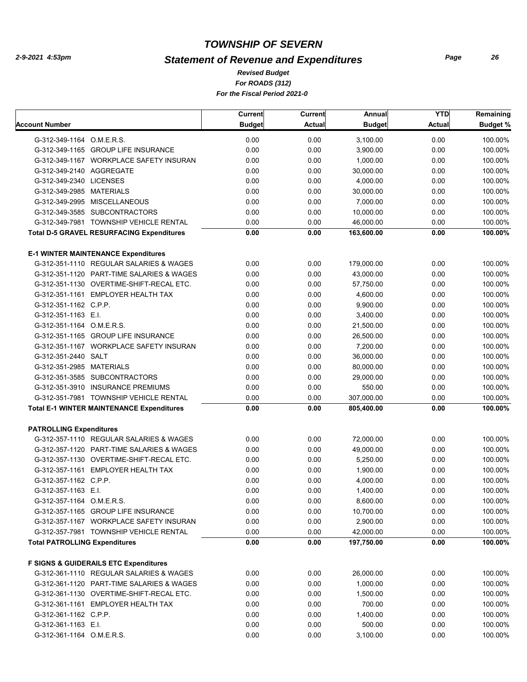# *Statement of Revenue and Expenditures*

*For ROADS (312) For the Fiscal Period 2021-0 Revised Budget*

|                                                  | Current       | Current       | Annual        | <b>YTD</b>    | Remaining       |
|--------------------------------------------------|---------------|---------------|---------------|---------------|-----------------|
| Account Number                                   | <b>Budget</b> | <b>Actual</b> | <b>Budget</b> | <b>Actual</b> | <b>Budget %</b> |
| G-312-349-1164 O.M.E.R.S.                        | 0.00          | 0.00          | 3,100.00      | 0.00          | 100.00%         |
| G-312-349-1165 GROUP LIFE INSURANCE              | 0.00          | 0.00          | 3,900.00      | 0.00          | 100.00%         |
| G-312-349-1167 WORKPLACE SAFETY INSURAN          | 0.00          | 0.00          | 1,000.00      | 0.00          | 100.00%         |
| G-312-349-2140 AGGREGATE                         | 0.00          | 0.00          | 30,000.00     | 0.00          | 100.00%         |
| G-312-349-2340 LICENSES                          | 0.00          | 0.00          | 4,000.00      | 0.00          | 100.00%         |
| G-312-349-2985 MATERIALS                         | 0.00          | 0.00          | 30,000.00     | 0.00          | 100.00%         |
| G-312-349-2995 MISCELLANEOUS                     | 0.00          | 0.00          | 7,000.00      | 0.00          | 100.00%         |
| G-312-349-3585 SUBCONTRACTORS                    | 0.00          | 0.00          | 10,000.00     | 0.00          | 100.00%         |
| G-312-349-7981 TOWNSHIP VEHICLE RENTAL           | 0.00          | 0.00          | 46,000.00     | 0.00          | 100.00%         |
| <b>Total D-5 GRAVEL RESURFACING Expenditures</b> | 0.00          | 0.00          | 163,600.00    | 0.00          | 100.00%         |
|                                                  |               |               |               |               |                 |
| <b>E-1 WINTER MAINTENANCE Expenditures</b>       |               |               |               |               |                 |
| G-312-351-1110 REGULAR SALARIES & WAGES          | 0.00          | 0.00          | 179,000.00    | 0.00          | 100.00%         |
| G-312-351-1120 PART-TIME SALARIES & WAGES        | 0.00          | 0.00          | 43,000.00     | 0.00          | 100.00%         |
| G-312-351-1130 OVERTIME-SHIFT-RECAL ETC.         | 0.00          | 0.00          | 57,750.00     | 0.00          | 100.00%         |
| G-312-351-1161 EMPLOYER HEALTH TAX               | 0.00          | 0.00          | 4,600.00      | 0.00          | 100.00%         |
| G-312-351-1162 C.P.P.                            | 0.00          | 0.00          | 9,900.00      | 0.00          | 100.00%         |
| G-312-351-1163 E.I.                              | 0.00          | 0.00          | 3.400.00      | 0.00          | 100.00%         |
| G-312-351-1164 O.M.E.R.S.                        | 0.00          | 0.00          | 21,500.00     | 0.00          | 100.00%         |
| G-312-351-1165 GROUP LIFE INSURANCE              | 0.00          | 0.00          | 26,500.00     | 0.00          | 100.00%         |
| G-312-351-1167 WORKPLACE SAFETY INSURAN          | 0.00          | 0.00          | 7,200.00      | 0.00          | 100.00%         |
| G-312-351-2440 SALT                              | 0.00          | 0.00          | 36,000.00     | 0.00          | 100.00%         |
| G-312-351-2985 MATERIALS                         | 0.00          | 0.00          | 80,000.00     | 0.00          | 100.00%         |
| G-312-351-3585 SUBCONTRACTORS                    | 0.00          | 0.00          | 29,000.00     | 0.00          | 100.00%         |
| G-312-351-3910 INSURANCE PREMIUMS                | 0.00          | 0.00          | 550.00        | 0.00          | 100.00%         |
| G-312-351-7981 TOWNSHIP VEHICLE RENTAL           | 0.00          | 0.00          | 307,000.00    | 0.00          | 100.00%         |
| <b>Total E-1 WINTER MAINTENANCE Expenditures</b> | 0.00          | 0.00          | 805,400.00    | 0.00          | 100.00%         |
|                                                  |               |               |               |               |                 |
| <b>PATROLLING Expenditures</b>                   |               |               |               |               |                 |
| G-312-357-1110 REGULAR SALARIES & WAGES          | 0.00          | 0.00          | 72,000.00     | 0.00          | 100.00%         |
| G-312-357-1120 PART-TIME SALARIES & WAGES        | 0.00          | 0.00          | 49.000.00     | 0.00          | 100.00%         |
| G-312-357-1130 OVERTIME-SHIFT-RECAL ETC.         | 0.00          | 0.00          | 5,250.00      | 0.00          | 100.00%         |
| G-312-357-1161 EMPLOYER HEALTH TAX               | 0.00          | 0.00          | 1,900.00      | 0.00          | 100.00%         |
| G-312-357-1162 C.P.P.                            | 0.00          | 0.00          | 4.000.00      | 0.00          | 100.00%         |
| G-312-357-1163 E.I.                              | 0.00          | 0.00          | 1,400.00      | 0.00          | 100.00%         |
| G-312-357-1164 O.M.E.R.S.                        | 0.00          | 0.00          | 8,600.00      | 0.00          | 100.00%         |
| G-312-357-1165 GROUP LIFE INSURANCE              | 0.00          | 0.00          | 10,700.00     | 0.00          | 100.00%         |
| G-312-357-1167 WORKPLACE SAFETY INSURAN          | 0.00          | 0.00          | 2,900.00      | 0.00          | 100.00%         |
| G-312-357-7981 TOWNSHIP VEHICLE RENTAL           | 0.00          | 0.00          | 42,000.00     | 0.00          | 100.00%         |
| <b>Total PATROLLING Expenditures</b>             | 0.00          | 0.00          | 197,750.00    | 0.00          | 100.00%         |
| <b>F SIGNS &amp; GUIDERAILS ETC Expenditures</b> |               |               |               |               |                 |
| G-312-361-1110 REGULAR SALARIES & WAGES          | 0.00          | 0.00          | 26,000.00     | 0.00          | 100.00%         |
| G-312-361-1120 PART-TIME SALARIES & WAGES        | 0.00          | 0.00          | 1,000.00      | 0.00          | 100.00%         |
| G-312-361-1130 OVERTIME-SHIFT-RECAL ETC.         | 0.00          | 0.00          | 1,500.00      | 0.00          | 100.00%         |
| G-312-361-1161 EMPLOYER HEALTH TAX               | 0.00          | 0.00          | 700.00        | 0.00          | 100.00%         |
| G-312-361-1162 C.P.P.                            | 0.00          | 0.00          | 1,400.00      | 0.00          | 100.00%         |
| G-312-361-1163 E.I.                              | 0.00          | 0.00          | 500.00        | 0.00          | 100.00%         |
| G-312-361-1164 O.M.E.R.S.                        | 0.00          | 0.00          | 3,100.00      | 0.00          | 100.00%         |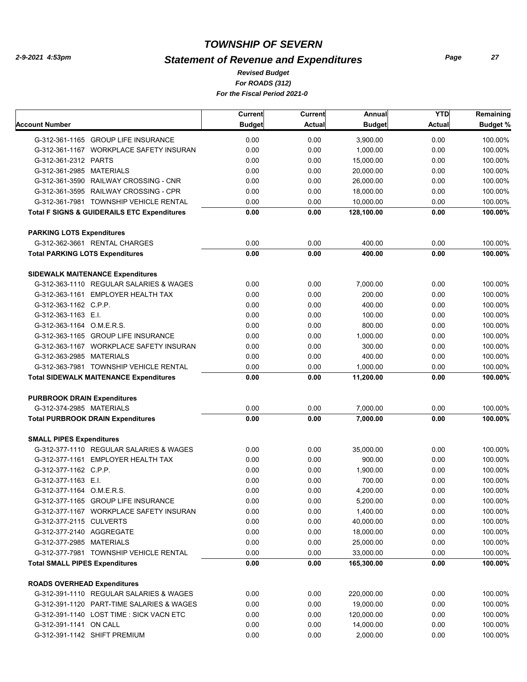# *Statement of Revenue and Expenditures*

*For ROADS (312) For the Fiscal Period 2021-0 Revised Budget*

|                                                        | <b>Current</b> | Current | Annual        | <b>YTD</b> | Remaining       |
|--------------------------------------------------------|----------------|---------|---------------|------------|-----------------|
| Account Number                                         | <b>Budget</b>  | Actual  | <b>Budget</b> | Actual     | <b>Budget %</b> |
| G-312-361-1165 GROUP LIFE INSURANCE                    | 0.00           | 0.00    | 3,900.00      | 0.00       | 100.00%         |
| G-312-361-1167 WORKPLACE SAFETY INSURAN                | 0.00           | 0.00    | 1,000.00      | 0.00       | 100.00%         |
| G-312-361-2312 PARTS                                   | 0.00           | 0.00    | 15,000.00     | 0.00       | 100.00%         |
| G-312-361-2985 MATERIALS                               | 0.00           | 0.00    | 20,000.00     | 0.00       | 100.00%         |
| G-312-361-3590 RAILWAY CROSSING - CNR                  | 0.00           | 0.00    | 26,000.00     | 0.00       | 100.00%         |
| G-312-361-3595 RAILWAY CROSSING - CPR                  | 0.00           | 0.00    | 18,000.00     | 0.00       | 100.00%         |
| G-312-361-7981 TOWNSHIP VEHICLE RENTAL                 | 0.00           | 0.00    | 10,000.00     | 0.00       | 100.00%         |
| <b>Total F SIGNS &amp; GUIDERAILS ETC Expenditures</b> | 0.00           | 0.00    | 128,100.00    | 0.00       | 100.00%         |
| <b>PARKING LOTS Expenditures</b>                       |                |         |               |            |                 |
| G-312-362-3661 RENTAL CHARGES                          | 0.00           | 0.00    | 400.00        | 0.00       | 100.00%         |
| <b>Total PARKING LOTS Expenditures</b>                 | 0.00           | 0.00    | 400.00        | 0.00       | 100.00%         |
| <b>SIDEWALK MAITENANCE Expenditures</b>                |                |         |               |            |                 |
| G-312-363-1110 REGULAR SALARIES & WAGES                | 0.00           | 0.00    | 7,000.00      | 0.00       | 100.00%         |
| G-312-363-1161 EMPLOYER HEALTH TAX                     | 0.00           | 0.00    | 200.00        | 0.00       | 100.00%         |
| G-312-363-1162 C.P.P.                                  | 0.00           | 0.00    | 400.00        | 0.00       | 100.00%         |
| G-312-363-1163 E.I.                                    | 0.00           | 0.00    | 100.00        | 0.00       | 100.00%         |
| G-312-363-1164 O.M.E.R.S.                              | 0.00           | 0.00    | 800.00        | 0.00       | 100.00%         |
| G-312-363-1165 GROUP LIFE INSURANCE                    | 0.00           | 0.00    | 1,000.00      | 0.00       | 100.00%         |
| G-312-363-1167 WORKPLACE SAFETY INSURAN                | 0.00           | 0.00    | 300.00        | 0.00       | 100.00%         |
| G-312-363-2985 MATERIALS                               | 0.00           | 0.00    | 400.00        | 0.00       | 100.00%         |
| G-312-363-7981 TOWNSHIP VEHICLE RENTAL                 | 0.00           | 0.00    | 1,000.00      | 0.00       | 100.00%         |
| <b>Total SIDEWALK MAITENANCE Expenditures</b>          | 0.00           | 0.00    | 11,200.00     | 0.00       | 100.00%         |
| <b>PURBROOK DRAIN Expenditures</b>                     |                |         |               |            |                 |
| G-312-374-2985 MATERIALS                               | 0.00           | 0.00    | 7,000.00      | 0.00       | 100.00%         |
| <b>Total PURBROOK DRAIN Expenditures</b>               | 0.00           | 0.00    | 7,000.00      | 0.00       | 100.00%         |
| <b>SMALL PIPES Expenditures</b>                        |                |         |               |            |                 |
| G-312-377-1110 REGULAR SALARIES & WAGES                | 0.00           | 0.00    | 35,000.00     | 0.00       | 100.00%         |
| G-312-377-1161 EMPLOYER HEALTH TAX                     | 0.00           | 0.00    | 900.00        | 0.00       | 100.00%         |
| G-312-377-1162 C.P.P.                                  | 0.00           | 0.00    | 1,900.00      | 0.00       | 100.00%         |
| G-312-377-1163 E.I.                                    | 0.00           | 0.00    | 700.00        | 0.00       | 100.00%         |
| G-312-377-1164 O.M.E.R.S.                              | 0.00           | 0.00    | 4,200.00      | 0.00       | 100.00%         |
| G-312-377-1165 GROUP LIFE INSURANCE                    | 0.00           | 0.00    | 5,200.00      | 0.00       | 100.00%         |
| G-312-377-1167 WORKPLACE SAFETY INSURAN                | 0.00           | 0.00    | 1,400.00      | 0.00       | 100.00%         |
| G-312-377-2115 CULVERTS                                |                |         |               |            |                 |
| G-312-377-2140 AGGREGATE                               | 0.00           | 0.00    | 40,000.00     | 0.00       | 100.00%         |
|                                                        | 0.00           | 0.00    | 18,000.00     | 0.00       | 100.00%         |
| G-312-377-2985 MATERIALS                               | 0.00           | 0.00    | 25,000.00     | 0.00       | 100.00%         |
| G-312-377-7981 TOWNSHIP VEHICLE RENTAL                 | 0.00           | 0.00    | 33,000.00     | 0.00       | 100.00%         |
| <b>Total SMALL PIPES Expenditures</b>                  | 0.00           | 0.00    | 165,300.00    | 0.00       | 100.00%         |
| <b>ROADS OVERHEAD Expenditures</b>                     |                |         |               |            |                 |
| G-312-391-1110 REGULAR SALARIES & WAGES                | 0.00           | 0.00    | 220,000.00    | 0.00       | 100.00%         |
| G-312-391-1120 PART-TIME SALARIES & WAGES              | 0.00           | 0.00    | 19,000.00     | 0.00       | 100.00%         |
| G-312-391-1140 LOST TIME: SICK VACN ETC                | 0.00           | 0.00    | 120,000.00    | 0.00       | 100.00%         |
| G-312-391-1141 ON CALL                                 | 0.00           | 0.00    | 14,000.00     | 0.00       | 100.00%         |
| G-312-391-1142 SHIFT PREMIUM                           | 0.00           | 0.00    | 2,000.00      | 0.00       | 100.00%         |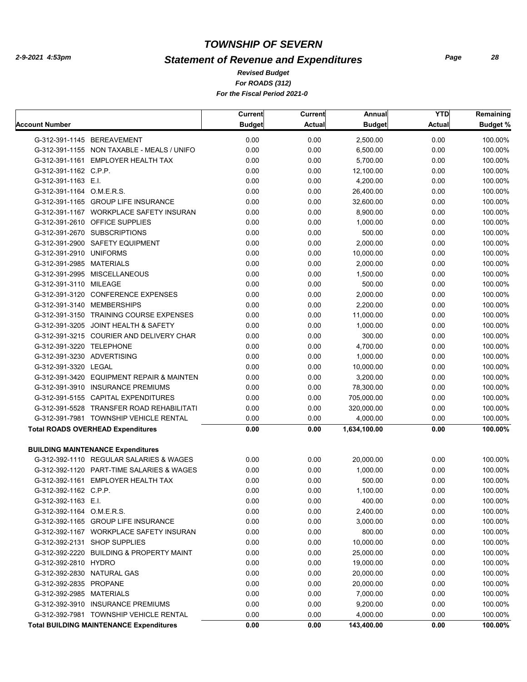# *Statement of Revenue and Expenditures*

*For ROADS (312) For the Fiscal Period 2021-0 Revised Budget*

|                            |                                                | <b>Current</b> | Current       | Annual        | <b>YTD</b>    | Remaining       |
|----------------------------|------------------------------------------------|----------------|---------------|---------------|---------------|-----------------|
| <b>Account Number</b>      |                                                | <b>Budget</b>  | <b>Actual</b> | <b>Budget</b> | <b>Actual</b> | <b>Budget %</b> |
|                            | G-312-391-1145 BEREAVEMENT                     | 0.00           | 0.00          | 2,500.00      | 0.00          | 100.00%         |
|                            | G-312-391-1155 NON TAXABLE - MEALS / UNIFO     | 0.00           | 0.00          | 6,500.00      | 0.00          | 100.00%         |
|                            | G-312-391-1161 EMPLOYER HEALTH TAX             | 0.00           | 0.00          | 5,700.00      | 0.00          | 100.00%         |
| G-312-391-1162 C.P.P.      |                                                | 0.00           | 0.00          | 12,100.00     | 0.00          | 100.00%         |
| G-312-391-1163 E.I.        |                                                | 0.00           | 0.00          | 4,200.00      | 0.00          | 100.00%         |
| G-312-391-1164 O.M.E.R.S.  |                                                | 0.00           | 0.00          | 26,400.00     | 0.00          | 100.00%         |
|                            | G-312-391-1165 GROUP LIFE INSURANCE            | 0.00           | 0.00          | 32,600.00     | 0.00          | 100.00%         |
|                            | G-312-391-1167 WORKPLACE SAFETY INSURAN        | 0.00           | 0.00          | 8,900.00      | 0.00          | 100.00%         |
|                            | G-312-391-2610 OFFICE SUPPLIES                 | 0.00           | 0.00          | 1,000.00      | 0.00          | 100.00%         |
|                            | G-312-391-2670 SUBSCRIPTIONS                   | 0.00           | 0.00          | 500.00        | 0.00          | 100.00%         |
|                            | G-312-391-2900 SAFETY EQUIPMENT                | 0.00           | 0.00          | 2,000.00      | 0.00          | 100.00%         |
| G-312-391-2910 UNIFORMS    |                                                | 0.00           | 0.00          | 10,000.00     | 0.00          | 100.00%         |
| G-312-391-2985 MATERIALS   |                                                | 0.00           | 0.00          | 2,000.00      | 0.00          | 100.00%         |
|                            | G-312-391-2995 MISCELLANEOUS                   | 0.00           | 0.00          | 1,500.00      | 0.00          | 100.00%         |
| G-312-391-3110 MILEAGE     |                                                | 0.00           | 0.00          | 500.00        | 0.00          | 100.00%         |
|                            | G-312-391-3120 CONFERENCE EXPENSES             | 0.00           | 0.00          | 2,000.00      | 0.00          | 100.00%         |
|                            | G-312-391-3140 MEMBERSHIPS                     | 0.00           | 0.00          | 2,200.00      | 0.00          | 100.00%         |
|                            | G-312-391-3150 TRAINING COURSE EXPENSES        | 0.00           | 0.00          | 11,000.00     | 0.00          | 100.00%         |
|                            | G-312-391-3205 JOINT HEALTH & SAFETY           | 0.00           | 0.00          | 1,000.00      | 0.00          | 100.00%         |
|                            | G-312-391-3215 COURIER AND DELIVERY CHAR       | 0.00           | 0.00          | 300.00        | 0.00          | 100.00%         |
| G-312-391-3220 TELEPHONE   |                                                | 0.00           | 0.00          | 4,700.00      | 0.00          | 100.00%         |
| G-312-391-3230 ADVERTISING |                                                | 0.00           | 0.00          | 1,000.00      | 0.00          | 100.00%         |
| G-312-391-3320 LEGAL       |                                                | 0.00           | 0.00          | 10,000.00     | 0.00          | 100.00%         |
|                            | G-312-391-3420 EQUIPMENT REPAIR & MAINTEN      | 0.00           | 0.00          | 3,200.00      | 0.00          | 100.00%         |
|                            | G-312-391-3910 INSURANCE PREMIUMS              | 0.00           | 0.00          | 78,300.00     | 0.00          | 100.00%         |
|                            | G-312-391-5155 CAPITAL EXPENDITURES            | 0.00           | 0.00          | 705,000.00    | 0.00          | 100.00%         |
|                            | G-312-391-5528 TRANSFER ROAD REHABILITATI      | 0.00           | 0.00          | 320,000.00    | 0.00          | 100.00%         |
|                            | G-312-391-7981 TOWNSHIP VEHICLE RENTAL         | 0.00           | 0.00          | 4,000.00      | 0.00          | 100.00%         |
|                            | <b>Total ROADS OVERHEAD Expenditures</b>       | 0.00           | 0.00          | 1,634,100.00  | 0.00          | 100.00%         |
|                            |                                                |                |               |               |               |                 |
|                            | <b>BUILDING MAINTENANCE Expenditures</b>       |                |               |               |               |                 |
|                            | G-312-392-1110 REGULAR SALARIES & WAGES        | 0.00           | 0.00          | 20,000.00     | 0.00          | 100.00%         |
|                            | G-312-392-1120 PART-TIME SALARIES & WAGES      | 0.00           | 0.00          | 1,000.00      | 0.00          | 100.00%         |
|                            | G-312-392-1161 EMPLOYER HEALTH TAX             | 0.00           | 0.00          | 500.00        | 0.00          | 100.00%         |
| G-312-392-1162 C.P.P.      |                                                | 0.00           | 0.00          | 1,100.00      | 0.00          | 100.00%         |
| G-312-392-1163 E.I.        |                                                | 0.00           | 0.00          | 400.00        | 0.00          | 100.00%         |
| G-312-392-1164 O.M.E.R.S.  |                                                | 0.00           | 0.00          | 2,400.00      | 0.00          | 100.00%         |
|                            | G-312-392-1165 GROUP LIFE INSURANCE            | 0.00           | 0.00          | 3,000.00      | 0.00          | 100.00%         |
|                            | G-312-392-1167 WORKPLACE SAFETY INSURAN        | 0.00           | 0.00          | 800.00        | 0.00          | 100.00%         |
|                            | G-312-392-2131 SHOP SUPPLIES                   | 0.00           | 0.00          | 10,000.00     | 0.00          | 100.00%         |
|                            | G-312-392-2220 BUILDING & PROPERTY MAINT       | 0.00           | 0.00          | 25,000.00     | 0.00          | 100.00%         |
| G-312-392-2810 HYDRO       |                                                | 0.00           | 0.00          | 19,000.00     | 0.00          | 100.00%         |
| G-312-392-2830 NATURAL GAS |                                                | 0.00           | 0.00          | 20,000.00     | 0.00          | 100.00%         |
| G-312-392-2835 PROPANE     |                                                | 0.00           | 0.00          | 20,000.00     | 0.00          | 100.00%         |
| G-312-392-2985 MATERIALS   |                                                | 0.00           | 0.00          | 7,000.00      | 0.00          | 100.00%         |
|                            | G-312-392-3910 INSURANCE PREMIUMS              | 0.00           | 0.00          | 9,200.00      | 0.00          | 100.00%         |
|                            | G-312-392-7981 TOWNSHIP VEHICLE RENTAL         | 0.00           | 0.00          | 4,000.00      | 0.00          | 100.00%         |
|                            | <b>Total BUILDING MAINTENANCE Expenditures</b> | 0.00           | 0.00          | 143,400.00    | 0.00          | 100.00%         |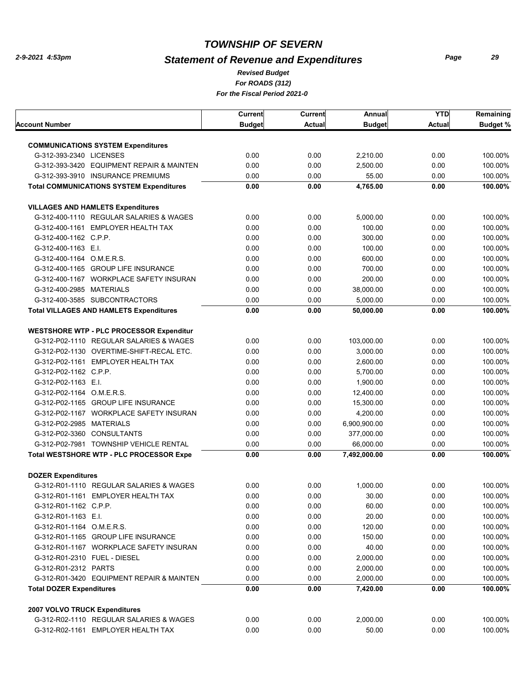# *Statement of Revenue and Expenditures*

*For ROADS (312) For the Fiscal Period 2021-0 Revised Budget*

|                                 |                                                 | Current       | <b>Current</b> | Annual               | <b>YTD</b>    | Remaining          |
|---------------------------------|-------------------------------------------------|---------------|----------------|----------------------|---------------|--------------------|
| Account Number                  |                                                 | <b>Budget</b> | <b>Actual</b>  | <b>Budget</b>        | <b>Actual</b> | <b>Budget %</b>    |
|                                 | <b>COMMUNICATIONS SYSTEM Expenditures</b>       |               |                |                      |               |                    |
| G-312-393-2340 LICENSES         |                                                 | 0.00          | 0.00           | 2,210.00             | 0.00          | 100.00%            |
|                                 | G-312-393-3420 EQUIPMENT REPAIR & MAINTEN       | 0.00          | 0.00           | 2,500.00             | 0.00          | 100.00%            |
|                                 | G-312-393-3910 INSURANCE PREMIUMS               | 0.00          | 0.00           | 55.00                | 0.00          | 100.00%            |
|                                 | <b>Total COMMUNICATIONS SYSTEM Expenditures</b> | 0.00          | 0.00           | 4,765.00             | 0.00          | 100.00%            |
|                                 |                                                 |               |                |                      |               |                    |
|                                 | <b>VILLAGES AND HAMLETS Expenditures</b>        |               |                |                      |               |                    |
|                                 | G-312-400-1110 REGULAR SALARIES & WAGES         | 0.00          | 0.00           | 5,000.00             | 0.00          | 100.00%            |
|                                 | G-312-400-1161 EMPLOYER HEALTH TAX              | 0.00          | 0.00           | 100.00               | 0.00          | 100.00%            |
| G-312-400-1162 C.P.P.           |                                                 | 0.00          | 0.00           | 300.00               | 0.00          | 100.00%            |
| G-312-400-1163 E.I.             |                                                 | 0.00          | 0.00           | 100.00               | 0.00          | 100.00%            |
| G-312-400-1164 O.M.E.R.S.       |                                                 | 0.00          | 0.00           | 600.00               | 0.00          | 100.00%            |
|                                 | G-312-400-1165 GROUP LIFE INSURANCE             | 0.00          | 0.00           | 700.00               | 0.00          | 100.00%            |
|                                 | G-312-400-1167 WORKPLACE SAFETY INSURAN         | 0.00          | 0.00           | 200.00               | 0.00          | 100.00%            |
| G-312-400-2985 MATERIALS        |                                                 | 0.00          | 0.00           | 38,000.00            | 0.00          | 100.00%            |
|                                 | G-312-400-3585 SUBCONTRACTORS                   | 0.00          | 0.00           | 5,000.00             | 0.00          | 100.00%            |
|                                 | <b>Total VILLAGES AND HAMLETS Expenditures</b>  | 0.00          | 0.00           | 50,000.00            | 0.00          | 100.00%            |
|                                 | <b>WESTSHORE WTP - PLC PROCESSOR Expenditur</b> |               |                |                      |               |                    |
|                                 | G-312-P02-1110 REGULAR SALARIES & WAGES         | 0.00          | 0.00           | 103,000.00           | 0.00          | 100.00%            |
|                                 | G-312-P02-1130 OVERTIME-SHIFT-RECAL ETC.        | 0.00          | 0.00           | 3,000.00             | 0.00          | 100.00%            |
|                                 | G-312-P02-1161 EMPLOYER HEALTH TAX              | 0.00          | 0.00           | 2,600.00             | 0.00          | 100.00%            |
| G-312-P02-1162 C.P.P.           |                                                 | 0.00          | 0.00           | 5,700.00             | 0.00          | 100.00%            |
| G-312-P02-1163 E.I.             |                                                 | 0.00          | 0.00           | 1,900.00             | 0.00          | 100.00%            |
| G-312-P02-1164 O.M.E.R.S.       |                                                 | 0.00          | 0.00           | 12,400.00            | 0.00          | 100.00%            |
|                                 | G-312-P02-1165 GROUP LIFE INSURANCE             | 0.00          | 0.00           | 15,300.00            | 0.00          | 100.00%            |
|                                 | G-312-P02-1167 WORKPLACE SAFETY INSURAN         | 0.00          | 0.00           | 4,200.00             | 0.00          | 100.00%            |
| G-312-P02-2985 MATERIALS        |                                                 | 0.00          | 0.00           | 6,900,900.00         | 0.00          | 100.00%            |
|                                 | G-312-P02-3360 CONSULTANTS                      | 0.00          | 0.00           | 377,000.00           | 0.00          | 100.00%            |
|                                 | G-312-P02-7981 TOWNSHIP VEHICLE RENTAL          | 0.00          | 0.00           | 66.000.00            | 0.00          | 100.00%            |
|                                 | <b>Total WESTSHORE WTP - PLC PROCESSOR Expe</b> | 0.00          | 0.00           | 7,492,000.00         | 0.00          | 100.00%            |
|                                 |                                                 |               |                |                      |               |                    |
| <b>DOZER Expenditures</b>       | G-312-R01-1110 REGULAR SALARIES & WAGES         | 0.00          | 0.00           | 1,000.00             | 0.00          | 100.00%            |
|                                 | G-312-R01-1161 EMPLOYER HEALTH TAX              | 0.00          | 0.00           | 30.00                | 0.00          | 100.00%            |
|                                 |                                                 | 0.00          |                | 60.00                | 0.00          | 100.00%            |
| G-312-R01-1162 C.P.P.           |                                                 |               | 0.00           |                      |               |                    |
| G-312-R01-1163 E.I.             |                                                 | 0.00          | 0.00           | 20.00                | 0.00          | 100.00%            |
| G-312-R01-1164 O.M.E.R.S.       |                                                 | 0.00          | 0.00           | 120.00               | 0.00          | 100.00%            |
|                                 | G-312-R01-1165 GROUP LIFE INSURANCE             | 0.00          | 0.00           | 150.00               | 0.00          | 100.00%            |
|                                 | G-312-R01-1167 WORKPLACE SAFETY INSURAN         | 0.00          | 0.00           | 40.00                | 0.00          | 100.00%            |
|                                 | G-312-R01-2310 FUEL - DIESEL                    | 0.00          | 0.00           | 2,000.00             | 0.00          | 100.00%            |
| G-312-R01-2312 PARTS            |                                                 | 0.00          | 0.00           | 2,000.00             | 0.00          | 100.00%            |
| <b>Total DOZER Expenditures</b> | G-312-R01-3420 EQUIPMENT REPAIR & MAINTEN       | 0.00<br>0.00  | 0.00<br>0.00   | 2,000.00<br>7,420.00 | 0.00<br>0.00  | 100.00%<br>100.00% |
|                                 |                                                 |               |                |                      |               |                    |
| 2007 VOLVO TRUCK Expenditures   |                                                 |               |                |                      |               |                    |
|                                 | G-312-R02-1110 REGULAR SALARIES & WAGES         | 0.00          | 0.00           | 2,000.00             | 0.00          | 100.00%            |
|                                 | G-312-R02-1161 EMPLOYER HEALTH TAX              | 0.00          | 0.00           | 50.00                | 0.00          | 100.00%            |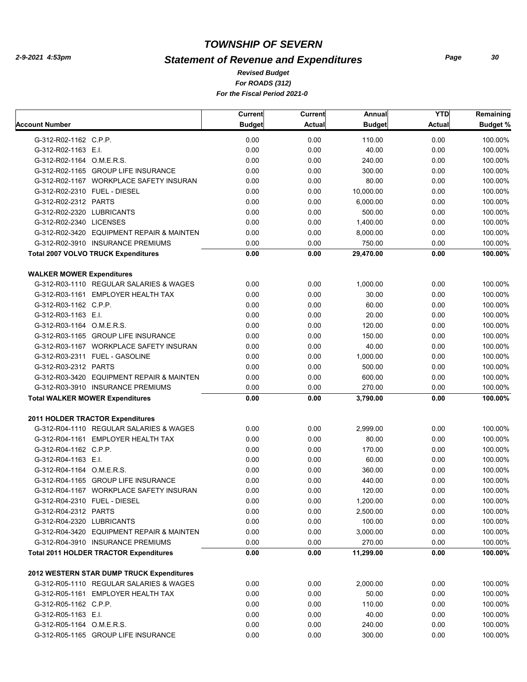# *Statement of Revenue and Expenditures*

*For ROADS (312) For the Fiscal Period 2021-0 Revised Budget*

|                                               | Current       | <b>Current</b> | Annual        | <b>YTD</b>    | Remaining       |
|-----------------------------------------------|---------------|----------------|---------------|---------------|-----------------|
| <b>Account Number</b>                         | <b>Budget</b> | <b>Actual</b>  | <b>Budget</b> | <b>Actual</b> | <b>Budget %</b> |
| G-312-R02-1162 C.P.P.                         | 0.00          | 0.00           | 110.00        | 0.00          | 100.00%         |
| G-312-R02-1163 E.I.                           | 0.00          | 0.00           | 40.00         | 0.00          | 100.00%         |
| G-312-R02-1164 O.M.E.R.S.                     | 0.00          | 0.00           | 240.00        | 0.00          | 100.00%         |
| G-312-R02-1165 GROUP LIFE INSURANCE           | 0.00          | 0.00           | 300.00        | 0.00          | 100.00%         |
| G-312-R02-1167 WORKPLACE SAFETY INSURAN       | 0.00          | 0.00           | 80.00         | 0.00          | 100.00%         |
| G-312-R02-2310 FUEL - DIESEL                  | 0.00          | 0.00           | 10,000.00     | 0.00          | 100.00%         |
| G-312-R02-2312 PARTS                          | 0.00          | 0.00           | 6,000.00      | 0.00          | 100.00%         |
| G-312-R02-2320 LUBRICANTS                     | 0.00          | 0.00           | 500.00        | 0.00          | 100.00%         |
| G-312-R02-2340 LICENSES                       | 0.00          | 0.00           | 1,400.00      | 0.00          | 100.00%         |
| G-312-R02-3420 EQUIPMENT REPAIR & MAINTEN     | 0.00          | 0.00           | 8,000.00      | 0.00          | 100.00%         |
| G-312-R02-3910 INSURANCE PREMIUMS             | 0.00          | 0.00           | 750.00        | 0.00          | 100.00%         |
| <b>Total 2007 VOLVO TRUCK Expenditures</b>    | 0.00          | 0.00           | 29,470.00     | 0.00          | 100.00%         |
| <b>WALKER MOWER Expenditures</b>              |               |                |               |               |                 |
| G-312-R03-1110 REGULAR SALARIES & WAGES       | 0.00          | 0.00           | 1,000.00      | 0.00          | 100.00%         |
| G-312-R03-1161 EMPLOYER HEALTH TAX            | 0.00          | 0.00           | 30.00         | 0.00          | 100.00%         |
| G-312-R03-1162 C.P.P.                         | 0.00          | 0.00           | 60.00         | 0.00          | 100.00%         |
| G-312-R03-1163 E.I.                           | 0.00          | 0.00           | 20.00         | 0.00          | 100.00%         |
| G-312-R03-1164 O.M.E.R.S.                     | 0.00          | 0.00           | 120.00        | 0.00          | 100.00%         |
| G-312-R03-1165 GROUP LIFE INSURANCE           | 0.00          | 0.00           | 150.00        | 0.00          | 100.00%         |
| G-312-R03-1167 WORKPLACE SAFETY INSURAN       | 0.00          | 0.00           | 40.00         | 0.00          | 100.00%         |
| G-312-R03-2311 FUEL - GASOLINE                | 0.00          | 0.00           | 1,000.00      | 0.00          | 100.00%         |
| G-312-R03-2312 PARTS                          | 0.00          | 0.00           | 500.00        | 0.00          | 100.00%         |
| G-312-R03-3420 EQUIPMENT REPAIR & MAINTEN     | 0.00          | 0.00           | 600.00        | 0.00          | 100.00%         |
| G-312-R03-3910 INSURANCE PREMIUMS             | 0.00          | 0.00           | 270.00        | 0.00          | 100.00%         |
| <b>Total WALKER MOWER Expenditures</b>        | 0.00          | 0.00           | 3,790.00      | 0.00          | 100.00%         |
| 2011 HOLDER TRACTOR Expenditures              |               |                |               |               |                 |
| G-312-R04-1110 REGULAR SALARIES & WAGES       | 0.00          | 0.00           | 2,999.00      | 0.00          | 100.00%         |
| G-312-R04-1161 EMPLOYER HEALTH TAX            | 0.00          | 0.00           | 80.00         | 0.00          | 100.00%         |
| G-312-R04-1162 C.P.P.                         | 0.00          | 0.00           | 170.00        | 0.00          | 100.00%         |
| G-312-R04-1163 E.I.                           | 0.00          | 0.00           | 60.00         | 0.00          | 100.00%         |
| G-312-R04-1164 O.M.E.R.S.                     | 0.00          | 0.00           | 360.00        | 0.00          | 100.00%         |
| G-312-R04-1165 GROUP LIFE INSURANCE           | 0.00          | 0.00           | 440.00        | 0.00          | 100.00%         |
| G-312-R04-1167 WORKPLACE SAFETY INSURAN       | 0.00          | 0.00           | 120.00        | 0.00          | 100.00%         |
| G-312-R04-2310 FUEL - DIESEL                  | 0.00          | 0.00           | 1,200.00      | 0.00          | 100.00%         |
| G-312-R04-2312 PARTS                          | 0.00          | 0.00           | 2,500.00      | 0.00          | 100.00%         |
| G-312-R04-2320 LUBRICANTS                     | 0.00          | 0.00           | 100.00        | 0.00          | 100.00%         |
| G-312-R04-3420 EQUIPMENT REPAIR & MAINTEN     | 0.00          | 0.00           | 3,000.00      | 0.00          | 100.00%         |
| G-312-R04-3910 INSURANCE PREMIUMS             | 0.00          | 0.00           | 270.00        | 0.00          | 100.00%         |
| <b>Total 2011 HOLDER TRACTOR Expenditures</b> | 0.00          | 0.00           | 11,299.00     | 0.00          | 100.00%         |
| 2012 WESTERN STAR DUMP TRUCK Expenditures     |               |                |               |               |                 |
| G-312-R05-1110 REGULAR SALARIES & WAGES       | 0.00          | 0.00           | 2,000.00      | 0.00          | 100.00%         |
| G-312-R05-1161 EMPLOYER HEALTH TAX            | 0.00          | 0.00           | 50.00         | 0.00          | 100.00%         |
| G-312-R05-1162 C.P.P.                         | 0.00          | 0.00           | 110.00        | 0.00          | 100.00%         |
| G-312-R05-1163 E.I.                           | 0.00          | 0.00           | 40.00         | 0.00          | 100.00%         |
| G-312-R05-1164 O.M.E.R.S.                     | 0.00          | 0.00           | 240.00        | 0.00          | 100.00%         |
| G-312-R05-1165 GROUP LIFE INSURANCE           | 0.00          | 0.00           | 300.00        | 0.00          | 100.00%         |
|                                               |               |                |               |               |                 |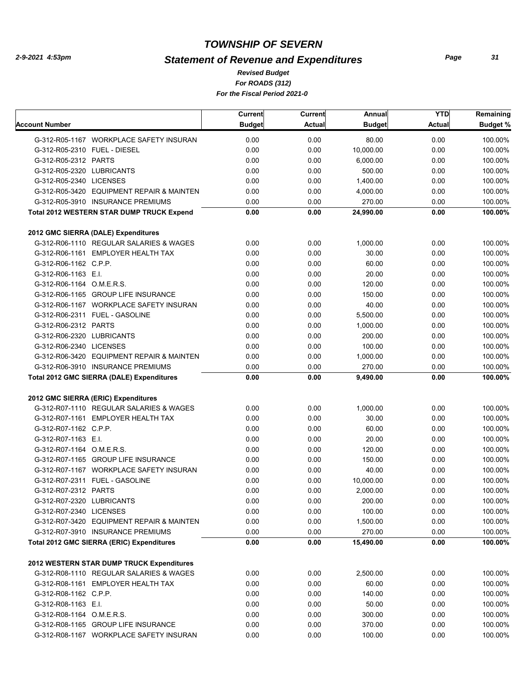# *Statement of Revenue and Expenditures*

*For ROADS (312) For the Fiscal Period 2021-0 Revised Budget*

|                              |                                                  | Current       | Current       | Annual        | <b>YTD</b>    | Remaining       |
|------------------------------|--------------------------------------------------|---------------|---------------|---------------|---------------|-----------------|
| Account Number               |                                                  | <b>Budget</b> | <b>Actual</b> | <b>Budget</b> | <b>Actual</b> | <b>Budget %</b> |
|                              | G-312-R05-1167 WORKPLACE SAFETY INSURAN          | 0.00          | 0.00          | 80.00         | 0.00          | 100.00%         |
| G-312-R05-2310 FUEL - DIESEL |                                                  | 0.00          | 0.00          | 10,000.00     | 0.00          | 100.00%         |
| G-312-R05-2312 PARTS         |                                                  | 0.00          | 0.00          | 6,000.00      | 0.00          | 100.00%         |
| G-312-R05-2320 LUBRICANTS    |                                                  | 0.00          | 0.00          | 500.00        | 0.00          | 100.00%         |
| G-312-R05-2340 LICENSES      |                                                  | 0.00          | 0.00          | 1,400.00      | 0.00          | 100.00%         |
|                              | G-312-R05-3420 EQUIPMENT REPAIR & MAINTEN        | 0.00          | 0.00          | 4,000.00      | 0.00          | 100.00%         |
|                              | G-312-R05-3910 INSURANCE PREMIUMS                | 0.00          | 0.00          | 270.00        | 0.00          | 100.00%         |
|                              | <b>Total 2012 WESTERN STAR DUMP TRUCK Expend</b> | 0.00          | 0.00          | 24,990.00     | 0.00          | 100.00%         |
|                              |                                                  |               |               |               |               |                 |
|                              | 2012 GMC SIERRA (DALE) Expenditures              |               |               |               |               |                 |
|                              | G-312-R06-1110 REGULAR SALARIES & WAGES          | 0.00          | 0.00          | 1,000.00      | 0.00          | 100.00%         |
|                              | G-312-R06-1161 EMPLOYER HEALTH TAX               | 0.00          | 0.00          | 30.00         | 0.00          | 100.00%         |
| G-312-R06-1162 C.P.P.        |                                                  | 0.00          | 0.00          | 60.00         | 0.00          | 100.00%         |
| G-312-R06-1163 E.I.          |                                                  | 0.00          | 0.00          | 20.00         | 0.00          | 100.00%         |
| G-312-R06-1164 O.M.E.R.S.    |                                                  | 0.00          | 0.00          | 120.00        | 0.00          | 100.00%         |
|                              | G-312-R06-1165 GROUP LIFE INSURANCE              | 0.00          | 0.00          | 150.00        | 0.00          | 100.00%         |
|                              | G-312-R06-1167 WORKPLACE SAFETY INSURAN          | 0.00          | 0.00          | 40.00         | 0.00          | 100.00%         |
|                              | G-312-R06-2311 FUEL - GASOLINE                   | 0.00          | 0.00          | 5,500.00      | 0.00          | 100.00%         |
| G-312-R06-2312 PARTS         |                                                  | 0.00          | 0.00          | 1,000.00      | 0.00          | 100.00%         |
| G-312-R06-2320 LUBRICANTS    |                                                  | 0.00          | 0.00          | 200.00        | 0.00          | 100.00%         |
| G-312-R06-2340 LICENSES      |                                                  | 0.00          | 0.00          | 100.00        | 0.00          | 100.00%         |
|                              | G-312-R06-3420 EQUIPMENT REPAIR & MAINTEN        | 0.00          | 0.00          | 1,000.00      | 0.00          | 100.00%         |
|                              | G-312-R06-3910 INSURANCE PREMIUMS                | 0.00          | 0.00          | 270.00        | 0.00          | 100.00%         |
|                              | <b>Total 2012 GMC SIERRA (DALE) Expenditures</b> | 0.00          | 0.00          | 9,490.00      | 0.00          | 100.00%         |
|                              |                                                  |               |               |               |               |                 |
|                              | 2012 GMC SIERRA (ERIC) Expenditures              |               |               |               |               |                 |
|                              | G-312-R07-1110 REGULAR SALARIES & WAGES          | 0.00          | 0.00          | 1,000.00      | 0.00          | 100.00%         |
|                              | G-312-R07-1161 EMPLOYER HEALTH TAX               | 0.00          | 0.00          | 30.00         | 0.00          | 100.00%         |
| G-312-R07-1162 C.P.P.        |                                                  | 0.00          | 0.00          | 60.00         | 0.00          | 100.00%         |
| G-312-R07-1163 E.I.          |                                                  | 0.00          | 0.00          | 20.00         | 0.00          | 100.00%         |
| G-312-R07-1164 O.M.E.R.S.    |                                                  | 0.00          | 0.00          | 120.00        | 0.00          | 100.00%         |
|                              | G-312-R07-1165 GROUP LIFE INSURANCE              | 0.00          | 0.00          | 150.00        | 0.00          | 100.00%         |
|                              | G-312-R07-1167 WORKPLACE SAFETY INSURAN          | 0.00          | 0.00          | 40.00         | 0.00          | 100.00%         |
|                              | G-312-R07-2311 FUEL - GASOLINE                   | 0.00          | 0.00          | 10,000.00     | 0.00          | 100.00%         |
| G-312-R07-2312 PARTS         |                                                  | 0.00          | 0.00          | 2,000.00      | 0.00          | 100.00%         |
| G-312-R07-2320 LUBRICANTS    |                                                  | 0.00          | 0.00          | 200.00        | 0.00          | 100.00%         |
| G-312-R07-2340 LICENSES      |                                                  | 0.00          | 0.00          | 100.00        | 0.00          | 100.00%         |
|                              | G-312-R07-3420 EQUIPMENT REPAIR & MAINTEN        | 0.00          | 0.00          | 1,500.00      | 0.00          | 100.00%         |
|                              | G-312-R07-3910 INSURANCE PREMIUMS                | 0.00          | 0.00          | 270.00        | 0.00          | 100.00%         |
|                              | Total 2012 GMC SIERRA (ERIC) Expenditures        | 0.00          | 0.00          | 15,490.00     | 0.00          | 100.00%         |
|                              |                                                  |               |               |               |               |                 |
|                              | 2012 WESTERN STAR DUMP TRUCK Expenditures        |               |               |               |               |                 |
|                              | G-312-R08-1110 REGULAR SALARIES & WAGES          | 0.00          | 0.00          | 2,500.00      | 0.00          | 100.00%         |
|                              | G-312-R08-1161 EMPLOYER HEALTH TAX               | 0.00          | 0.00          | 60.00         | 0.00          | 100.00%         |
| G-312-R08-1162 C.P.P.        |                                                  | 0.00          | 0.00          | 140.00        | 0.00          | 100.00%         |
| G-312-R08-1163 E.I.          |                                                  | 0.00          | 0.00          | 50.00         | 0.00          | 100.00%         |
| G-312-R08-1164 O.M.E.R.S.    |                                                  | 0.00          | 0.00          | 300.00        | 0.00          | 100.00%         |
|                              | G-312-R08-1165 GROUP LIFE INSURANCE              | 0.00          | 0.00          | 370.00        | 0.00          | 100.00%         |
|                              | G-312-R08-1167 WORKPLACE SAFETY INSURAN          | 0.00          | 0.00          | 100.00        | 0.00          | 100.00%         |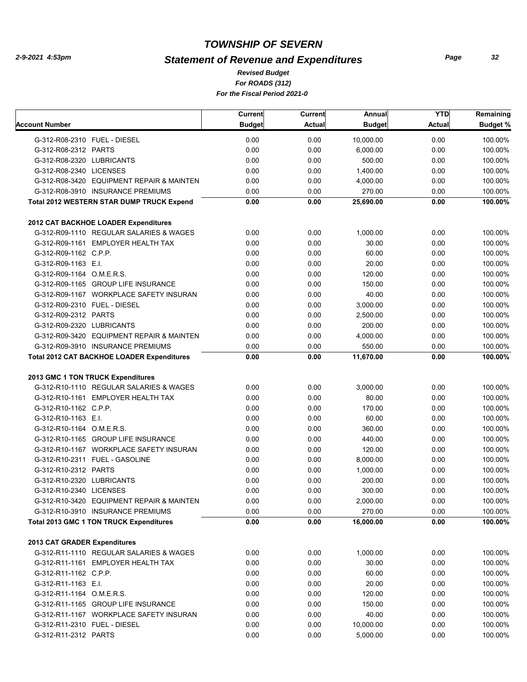# *Statement of Revenue and Expenditures*

*For ROADS (312) For the Fiscal Period 2021-0 Revised Budget*

|                                                   | Current       | Current       | Annual        | <b>YTD</b>    | Remaining       |
|---------------------------------------------------|---------------|---------------|---------------|---------------|-----------------|
| Account Number                                    | <b>Budget</b> | <b>Actual</b> | <b>Budget</b> | <b>Actual</b> | <b>Budget %</b> |
| G-312-R08-2310 FUEL - DIESEL                      | 0.00          | 0.00          | 10,000.00     | 0.00          | 100.00%         |
| G-312-R08-2312 PARTS                              | 0.00          | 0.00          | 6,000.00      | 0.00          | 100.00%         |
| G-312-R08-2320 LUBRICANTS                         | 0.00          | 0.00          | 500.00        | 0.00          | 100.00%         |
| G-312-R08-2340 LICENSES                           | 0.00          | 0.00          | 1,400.00      | 0.00          | 100.00%         |
| G-312-R08-3420 EQUIPMENT REPAIR & MAINTEN         | 0.00          | 0.00          | 4,000.00      | 0.00          | 100.00%         |
| G-312-R08-3910 INSURANCE PREMIUMS                 | 0.00          | 0.00          | 270.00        | 0.00          | 100.00%         |
| <b>Total 2012 WESTERN STAR DUMP TRUCK Expend</b>  | 0.00          | 0.00          | 25,690.00     | 0.00          | 100.00%         |
| 2012 CAT BACKHOE LOADER Expenditures              |               |               |               |               |                 |
| G-312-R09-1110 REGULAR SALARIES & WAGES           | 0.00          | 0.00          | 1,000.00      | 0.00          | 100.00%         |
| G-312-R09-1161 EMPLOYER HEALTH TAX                | 0.00          | 0.00          | 30.00         | 0.00          | 100.00%         |
| G-312-R09-1162 C.P.P.                             | 0.00          | 0.00          | 60.00         | 0.00          | 100.00%         |
| G-312-R09-1163 E.I.                               | 0.00          | 0.00          | 20.00         | 0.00          | 100.00%         |
| G-312-R09-1164 O.M.E.R.S.                         | 0.00          | 0.00          | 120.00        | 0.00          | 100.00%         |
| G-312-R09-1165 GROUP LIFE INSURANCE               | 0.00          | 0.00          | 150.00        | 0.00          | 100.00%         |
| G-312-R09-1167 WORKPLACE SAFETY INSURAN           | 0.00          | 0.00          | 40.00         | 0.00          | 100.00%         |
| G-312-R09-2310 FUEL - DIESEL                      | 0.00          | 0.00          | 3,000.00      | 0.00          | 100.00%         |
| G-312-R09-2312 PARTS                              | 0.00          | 0.00          | 2,500.00      | 0.00          | 100.00%         |
| G-312-R09-2320 LUBRICANTS                         | 0.00          | 0.00          | 200.00        | 0.00          | 100.00%         |
| G-312-R09-3420 EQUIPMENT REPAIR & MAINTEN         | 0.00          | 0.00          | 4,000.00      | 0.00          | 100.00%         |
| G-312-R09-3910 INSURANCE PREMIUMS                 | 0.00          | 0.00          | 550.00        | 0.00          | 100.00%         |
| <b>Total 2012 CAT BACKHOE LOADER Expenditures</b> | 0.00          | 0.00          | 11,670.00     | 0.00          | 100.00%         |
| 2013 GMC 1 TON TRUCK Expenditures                 |               |               |               |               |                 |
| G-312-R10-1110 REGULAR SALARIES & WAGES           | 0.00          | 0.00          | 3,000.00      | 0.00          | 100.00%         |
| G-312-R10-1161 EMPLOYER HEALTH TAX                | 0.00          | 0.00          | 80.00         | 0.00          | 100.00%         |
| G-312-R10-1162 C.P.P.                             | 0.00          | 0.00          | 170.00        | 0.00          | 100.00%         |
| G-312-R10-1163 E.I.                               | 0.00          | 0.00          | 60.00         | 0.00          | 100.00%         |
| G-312-R10-1164 O.M.E.R.S.                         | 0.00          | 0.00          | 360.00        | 0.00          | 100.00%         |
| G-312-R10-1165 GROUP LIFE INSURANCE               | 0.00          | 0.00          | 440.00        | 0.00          | 100.00%         |
| G-312-R10-1167 WORKPLACE SAFETY INSURAN           | 0.00          | 0.00          | 120.00        | 0.00          | 100.00%         |
| G-312-R10-2311 FUEL - GASOLINE                    | 0.00          | 0.00          | 8,000.00      | 0.00          | 100.00%         |
| G-312-R10-2312 PARTS                              | 0.00          | 0.00          | 1,000.00      | 0.00          | 100.00%         |
| G-312-R10-2320 LUBRICANTS                         | 0.00          | 0.00          | 200.00        | 0.00          | 100.00%         |
| G-312-R10-2340 LICENSES                           | 0.00          | 0.00          | 300.00        | 0.00          | 100.00%         |
| G-312-R10-3420 EQUIPMENT REPAIR & MAINTEN         | 0.00          | 0.00          | 2,000.00      | 0.00          | 100.00%         |
| G-312-R10-3910 INSURANCE PREMIUMS                 | 0.00          | 0.00          | 270.00        | 0.00          | 100.00%         |
| <b>Total 2013 GMC 1 TON TRUCK Expenditures</b>    | 0.00          | 0.00          | 16,000.00     | 0.00          | 100.00%         |
| 2013 CAT GRADER Expenditures                      |               |               |               |               |                 |
| G-312-R11-1110 REGULAR SALARIES & WAGES           | 0.00          | 0.00          | 1,000.00      | 0.00          | 100.00%         |
| G-312-R11-1161 EMPLOYER HEALTH TAX                | 0.00          | 0.00          | 30.00         | 0.00          | 100.00%         |
| G-312-R11-1162 C.P.P.                             | 0.00          | 0.00          | 60.00         | 0.00          | 100.00%         |
| G-312-R11-1163 E.I.                               | 0.00          | 0.00          | 20.00         | 0.00          | 100.00%         |
| G-312-R11-1164 O.M.E.R.S.                         | 0.00          | 0.00          | 120.00        | 0.00          | 100.00%         |
| G-312-R11-1165 GROUP LIFE INSURANCE               | 0.00          | 0.00          | 150.00        | 0.00          | 100.00%         |
| G-312-R11-1167 WORKPLACE SAFETY INSURAN           | 0.00          | 0.00          | 40.00         | 0.00          | 100.00%         |
| G-312-R11-2310 FUEL - DIESEL                      | 0.00          | 0.00          | 10,000.00     | 0.00          | 100.00%         |
| G-312-R11-2312 PARTS                              | 0.00          | 0.00          | 5,000.00      | 0.00          | 100.00%         |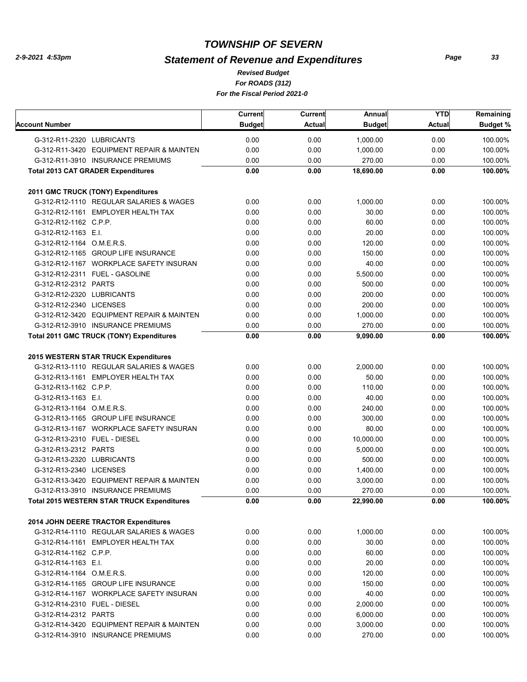# *Statement of Revenue and Expenditures*

*For ROADS (312) For the Fiscal Period 2021-0 Revised Budget*

|                              |                                                   | Current       | <b>Current</b> | Annual        | <b>YTD</b>    | Remaining       |
|------------------------------|---------------------------------------------------|---------------|----------------|---------------|---------------|-----------------|
| Account Number               |                                                   | <b>Budget</b> | <b>Actual</b>  | <b>Budget</b> | <b>Actual</b> | <b>Budget %</b> |
| G-312-R11-2320 LUBRICANTS    |                                                   | 0.00          | 0.00           | 1,000.00      | 0.00          | 100.00%         |
|                              | G-312-R11-3420 EQUIPMENT REPAIR & MAINTEN         | 0.00          | 0.00           | 1,000.00      | 0.00          | 100.00%         |
|                              | G-312-R11-3910 INSURANCE PREMIUMS                 | 0.00          | 0.00           | 270.00        | 0.00          | 100.00%         |
|                              | <b>Total 2013 CAT GRADER Expenditures</b>         | 0.00          | 0.00           | 18,690.00     | 0.00          | 100.00%         |
|                              |                                                   |               |                |               |               |                 |
|                              | 2011 GMC TRUCK (TONY) Expenditures                |               |                |               |               |                 |
|                              | G-312-R12-1110 REGULAR SALARIES & WAGES           | 0.00          | 0.00           | 1,000.00      | 0.00          | 100.00%         |
|                              | G-312-R12-1161 EMPLOYER HEALTH TAX                | 0.00          | 0.00           | 30.00         | 0.00          | 100.00%         |
| G-312-R12-1162 C.P.P.        |                                                   | 0.00          | 0.00           | 60.00         | 0.00          | 100.00%         |
| G-312-R12-1163 E.I.          |                                                   | 0.00          | 0.00           | 20.00         | 0.00          | 100.00%         |
| G-312-R12-1164 O.M.E.R.S.    |                                                   | 0.00          | 0.00           | 120.00        | 0.00          | 100.00%         |
|                              | G-312-R12-1165 GROUP LIFE INSURANCE               | 0.00          | 0.00           | 150.00        | 0.00          | 100.00%         |
|                              | G-312-R12-1167 WORKPLACE SAFETY INSURAN           | 0.00          | 0.00           | 40.00         | 0.00          | 100.00%         |
|                              | G-312-R12-2311 FUEL - GASOLINE                    | 0.00          | 0.00           | 5,500.00      | 0.00          | 100.00%         |
| G-312-R12-2312 PARTS         |                                                   | 0.00          | 0.00           | 500.00        | 0.00          | 100.00%         |
| G-312-R12-2320 LUBRICANTS    |                                                   | 0.00          | 0.00           | 200.00        | 0.00          | 100.00%         |
| G-312-R12-2340 LICENSES      |                                                   | 0.00          | 0.00           | 200.00        | 0.00          | 100.00%         |
|                              | G-312-R12-3420 EQUIPMENT REPAIR & MAINTEN         | 0.00          | 0.00           | 1,000.00      | 0.00          | 100.00%         |
|                              | G-312-R12-3910 INSURANCE PREMIUMS                 | 0.00          | 0.00           | 270.00        | 0.00          | 100.00%         |
|                              | Total 2011 GMC TRUCK (TONY) Expenditures          | 0.00          | 0.00           | 9,090.00      | 0.00          | 100.00%         |
|                              |                                                   |               |                |               |               |                 |
|                              | 2015 WESTERN STAR TRUCK Expenditures              |               |                |               |               |                 |
|                              | G-312-R13-1110 REGULAR SALARIES & WAGES           | 0.00          | 0.00           | 2,000.00      | 0.00          | 100.00%         |
|                              | G-312-R13-1161 EMPLOYER HEALTH TAX                | 0.00          | 0.00           | 50.00         | 0.00          | 100.00%         |
| G-312-R13-1162 C.P.P.        |                                                   | 0.00          | 0.00           | 110.00        | 0.00          | 100.00%         |
| G-312-R13-1163 E.I.          |                                                   | 0.00          | 0.00           | 40.00         | 0.00          | 100.00%         |
| G-312-R13-1164 O.M.E.R.S.    |                                                   | 0.00          | 0.00           | 240.00        | 0.00          | 100.00%         |
|                              | G-312-R13-1165 GROUP LIFE INSURANCE               | 0.00          | 0.00           | 300.00        | 0.00          | 100.00%         |
|                              | G-312-R13-1167 WORKPLACE SAFETY INSURAN           | 0.00          | 0.00           | 80.00         | 0.00          | 100.00%         |
| G-312-R13-2310 FUEL - DIESEL |                                                   | 0.00          | 0.00           | 10,000.00     | 0.00          | 100.00%         |
| G-312-R13-2312 PARTS         |                                                   | 0.00          | 0.00           | 5,000.00      | 0.00          | 100.00%         |
| G-312-R13-2320 LUBRICANTS    |                                                   | 0.00          | 0.00           | 500.00        | 0.00          | 100.00%         |
| G-312-R13-2340 LICENSES      |                                                   | 0.00          | 0.00           | 1,400.00      | 0.00          | 100.00%         |
|                              | G-312-R13-3420 EQUIPMENT REPAIR & MAINTEN         | 0.00          | 0.00           | 3,000.00      | 0.00          | 100.00%         |
|                              | G-312-R13-3910 INSURANCE PREMIUMS                 | 0.00          | 0.00           | 270.00        | 0.00          | 100.00%         |
|                              | <b>Total 2015 WESTERN STAR TRUCK Expenditures</b> | 0.00          | 0.00           | 22,990.00     | 0.00          | 100.00%         |
|                              | 2014 JOHN DEERE TRACTOR Expenditures              |               |                |               |               |                 |
|                              | G-312-R14-1110 REGULAR SALARIES & WAGES           | 0.00          | 0.00           | 1,000.00      | 0.00          | 100.00%         |
|                              | G-312-R14-1161 EMPLOYER HEALTH TAX                | 0.00          | 0.00           | 30.00         | 0.00          | 100.00%         |
| G-312-R14-1162 C.P.P.        |                                                   | 0.00          | 0.00           | 60.00         | 0.00          | 100.00%         |
| G-312-R14-1163 E.I.          |                                                   | 0.00          | 0.00           | 20.00         | 0.00          | 100.00%         |
| G-312-R14-1164 O.M.E.R.S.    |                                                   | 0.00          | 0.00           | 120.00        | 0.00          | 100.00%         |
|                              | G-312-R14-1165 GROUP LIFE INSURANCE               | 0.00          | 0.00           | 150.00        | 0.00          | 100.00%         |
|                              | G-312-R14-1167 WORKPLACE SAFETY INSURAN           | 0.00          | 0.00           | 40.00         | 0.00          | 100.00%         |
| G-312-R14-2310 FUEL - DIESEL |                                                   | 0.00          | 0.00           | 2,000.00      | 0.00          | 100.00%         |
| G-312-R14-2312 PARTS         |                                                   | 0.00          | 0.00           | 6,000.00      | 0.00          | 100.00%         |
|                              | G-312-R14-3420 EQUIPMENT REPAIR & MAINTEN         | 0.00          | 0.00           | 3,000.00      | 0.00          | 100.00%         |
|                              | G-312-R14-3910 INSURANCE PREMIUMS                 | 0.00          | 0.00           | 270.00        | 0.00          | 100.00%         |
|                              |                                                   |               |                |               |               |                 |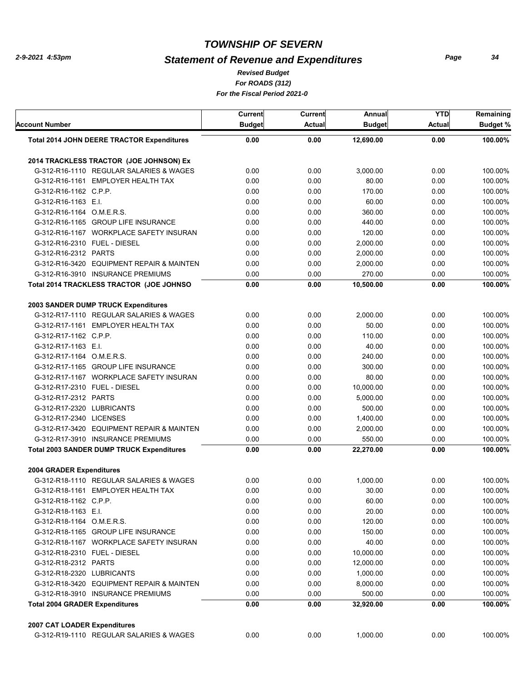# *Statement of Revenue and Expenditures*

*For ROADS (312) For the Fiscal Period 2021-0 Revised Budget*

| Account Number                                    | Current<br><b>Budget</b> | Current<br><b>Actual</b> | Annual<br><b>Budget</b> | <b>YTD</b><br><b>Actual</b> | Remaining<br><b>Budget %</b> |
|---------------------------------------------------|--------------------------|--------------------------|-------------------------|-----------------------------|------------------------------|
| <b>Total 2014 JOHN DEERE TRACTOR Expenditures</b> | 0.00                     | 0.00                     | 12,690.00<br>0.00       |                             | 100.00%                      |
|                                                   |                          |                          |                         |                             |                              |
| 2014 TRACKLESS TRACTOR (JOE JOHNSON) Ex           |                          |                          |                         |                             |                              |
| G-312-R16-1110 REGULAR SALARIES & WAGES           | 0.00                     | 0.00                     | 3,000.00                | 0.00                        | 100.00%                      |
| G-312-R16-1161 EMPLOYER HEALTH TAX                | 0.00                     | 0.00                     | 80.00                   | 0.00                        | 100.00%                      |
| G-312-R16-1162 C.P.P.                             | 0.00                     | 0.00                     | 170.00                  | 0.00                        | 100.00%                      |
| G-312-R16-1163 E.I.                               | 0.00                     | 0.00                     | 60.00                   | 0.00                        | 100.00%                      |
| G-312-R16-1164 O.M.E.R.S.                         | 0.00                     | 0.00                     | 360.00                  | 0.00                        | 100.00%                      |
| G-312-R16-1165 GROUP LIFE INSURANCE               | 0.00                     | 0.00                     | 440.00                  | 0.00                        | 100.00%                      |
| G-312-R16-1167 WORKPLACE SAFETY INSURAN           | 0.00                     | 0.00                     | 120.00                  | 0.00                        | 100.00%                      |
| G-312-R16-2310 FUEL - DIESEL                      | 0.00                     | 0.00                     | 2,000.00                | 0.00                        | 100.00%                      |
| G-312-R16-2312 PARTS                              | 0.00                     | 0.00                     | 2,000.00                | 0.00                        | 100.00%                      |
| G-312-R16-3420 EQUIPMENT REPAIR & MAINTEN         | 0.00                     | 0.00                     | 2,000.00                | 0.00                        | 100.00%                      |
| G-312-R16-3910 INSURANCE PREMIUMS                 | 0.00                     | 0.00                     | 270.00                  | 0.00                        | 100.00%                      |
| Total 2014 TRACKLESS TRACTOR (JOE JOHNSO          | 0.00                     | 0.00                     | 10,500.00               | 0.00                        | 100.00%                      |
| 2003 SANDER DUMP TRUCK Expenditures               |                          |                          |                         |                             |                              |
| G-312-R17-1110 REGULAR SALARIES & WAGES           | 0.00                     | 0.00                     | 2,000.00                | 0.00                        | 100.00%                      |
| G-312-R17-1161 EMPLOYER HEALTH TAX                | 0.00                     | 0.00                     | 50.00                   | 0.00                        | 100.00%                      |
| G-312-R17-1162 C.P.P.                             | 0.00                     | 0.00                     | 110.00                  | 0.00                        | 100.00%                      |
| G-312-R17-1163 E.I.                               | 0.00                     | 0.00                     | 40.00                   | 0.00                        | 100.00%                      |
| G-312-R17-1164 O.M.E.R.S.                         | 0.00                     | 0.00                     | 240.00                  | 0.00                        | 100.00%                      |
| G-312-R17-1165 GROUP LIFE INSURANCE               | 0.00                     | 0.00                     | 300.00                  | 0.00                        | 100.00%                      |
| G-312-R17-1167 WORKPLACE SAFETY INSURAN           | 0.00                     | 0.00                     | 80.00                   | 0.00                        | 100.00%                      |
| G-312-R17-2310 FUEL - DIESEL                      | 0.00                     | 0.00                     | 10,000.00               | 0.00                        | 100.00%                      |
| G-312-R17-2312 PARTS                              | 0.00                     | 0.00                     | 5,000.00                | 0.00                        | 100.00%                      |
| G-312-R17-2320 LUBRICANTS                         | 0.00                     | 0.00                     | 500.00                  | 0.00                        | 100.00%                      |
| G-312-R17-2340 LICENSES                           | 0.00                     | 0.00                     | 1,400.00                | 0.00                        | 100.00%                      |
| G-312-R17-3420 EQUIPMENT REPAIR & MAINTEN         | 0.00                     | 0.00                     | 2,000.00                | 0.00                        | 100.00%                      |
| G-312-R17-3910 INSURANCE PREMIUMS                 | 0.00                     | 0.00                     | 550.00                  | 0.00                        | 100.00%                      |
| <b>Total 2003 SANDER DUMP TRUCK Expenditures</b>  | 0.00                     | 0.00                     | 22,270.00               | 0.00                        | 100.00%                      |
| <b>2004 GRADER Expenditures</b>                   |                          |                          |                         |                             |                              |
| G-312-R18-1110 REGULAR SALARIES & WAGES           | 0.00                     |                          | 1,000.00                | 0.00                        | 100.00%                      |
| G-312-R18-1161 EMPLOYER HEALTH TAX                | 0.00                     | 0.00<br>0.00             | 30.00                   | 0.00                        | 100.00%                      |
|                                                   |                          |                          |                         |                             |                              |
| G-312-R18-1162 C.P.P.                             | 0.00                     | 0.00                     | 60.00                   | 0.00<br>0.00                | 100.00%                      |
| G-312-R18-1163 E.I.                               | 0.00                     | 0.00                     | 20.00                   | 0.00                        | 100.00%                      |
| G-312-R18-1164 O.M.E.R.S.                         | 0.00                     | 0.00                     | 120.00                  |                             | 100.00%                      |
| G-312-R18-1165 GROUP LIFE INSURANCE               | 0.00                     | 0.00                     | 150.00                  | 0.00                        | 100.00%                      |
| G-312-R18-1167 WORKPLACE SAFETY INSURAN           | 0.00                     | 0.00                     | 40.00                   | 0.00                        | 100.00%                      |
| G-312-R18-2310 FUEL - DIESEL                      | 0.00                     | 0.00                     | 10,000.00               | 0.00                        | 100.00%                      |
| G-312-R18-2312 PARTS                              | 0.00                     | 0.00                     | 12,000.00               | 0.00                        | 100.00%                      |
| G-312-R18-2320 LUBRICANTS                         | 0.00                     | 0.00                     | 1,000.00                | 0.00                        | 100.00%                      |
| G-312-R18-3420 EQUIPMENT REPAIR & MAINTEN         | 0.00                     | 0.00                     | 8,000.00                | 0.00                        | 100.00%                      |
| G-312-R18-3910 INSURANCE PREMIUMS                 | 0.00                     | 0.00                     | 500.00                  | 0.00                        | 100.00%                      |
| <b>Total 2004 GRADER Expenditures</b>             | 0.00                     | 0.00                     | 32,920.00               | 0.00                        | 100.00%                      |
| 2007 CAT LOADER Expenditures                      |                          |                          |                         |                             |                              |
| G-312-R19-1110 REGULAR SALARIES & WAGES           | 0.00                     | 0.00                     | 1,000.00                | 0.00                        | 100.00%                      |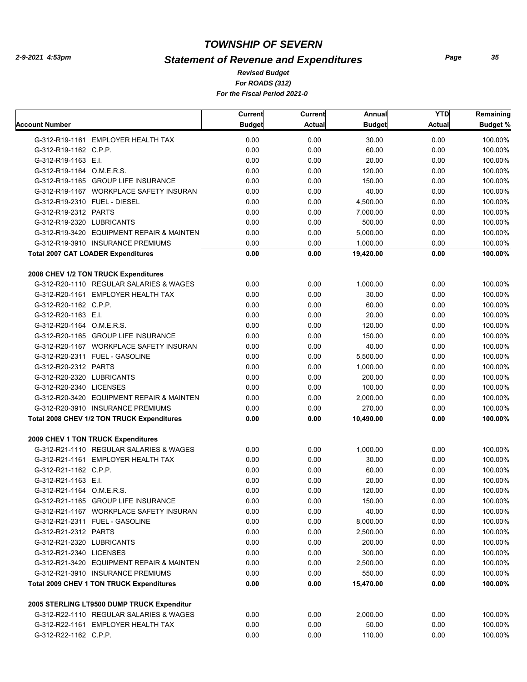# *Statement of Revenue and Expenditures*

*For ROADS (312) For the Fiscal Period 2021-0 Revised Budget*

|                                                 | Current       | Current       | Annual        | <b>YTD</b> | Remaining |
|-------------------------------------------------|---------------|---------------|---------------|------------|-----------|
| Account Number                                  | <b>Budget</b> | <b>Actual</b> | <b>Budget</b> | Actual     | Budget %  |
| G-312-R19-1161 EMPLOYER HEALTH TAX              | 0.00          | 0.00          | 30.00         | 0.00       | 100.00%   |
| G-312-R19-1162 C.P.P.                           | 0.00          | 0.00          | 60.00         | 0.00       | 100.00%   |
| G-312-R19-1163 E.I.                             | 0.00          | 0.00          | 20.00         | 0.00       | 100.00%   |
| G-312-R19-1164 O.M.E.R.S.                       | 0.00          | 0.00          | 120.00        | 0.00       | 100.00%   |
| G-312-R19-1165 GROUP LIFE INSURANCE             | 0.00          | 0.00          | 150.00        | 0.00       | 100.00%   |
| G-312-R19-1167 WORKPLACE SAFETY INSURAN         | 0.00          | 0.00          | 40.00         | 0.00       | 100.00%   |
| G-312-R19-2310 FUEL - DIESEL                    | 0.00          | 0.00          | 4,500.00      | 0.00       | 100.00%   |
| G-312-R19-2312 PARTS                            | 0.00          | 0.00          | 7,000.00      | 0.00       | 100.00%   |
| G-312-R19-2320 LUBRICANTS                       | 0.00          | 0.00          | 500.00        | 0.00       | 100.00%   |
| G-312-R19-3420 EQUIPMENT REPAIR & MAINTEN       | 0.00          | 0.00          | 5,000.00      | 0.00       | 100.00%   |
| G-312-R19-3910 INSURANCE PREMIUMS               | 0.00          | 0.00          | 1,000.00      | 0.00       | 100.00%   |
| <b>Total 2007 CAT LOADER Expenditures</b>       | 0.00          | 0.00          | 19,420.00     | 0.00       | 100.00%   |
| 2008 CHEV 1/2 TON TRUCK Expenditures            |               |               |               |            |           |
| G-312-R20-1110 REGULAR SALARIES & WAGES         | 0.00          | 0.00          | 1,000.00      | 0.00       | 100.00%   |
| G-312-R20-1161 EMPLOYER HEALTH TAX              | 0.00          | 0.00          | 30.00         | 0.00       | 100.00%   |
| G-312-R20-1162 C.P.P.                           | 0.00          | 0.00          | 60.00         | 0.00       | 100.00%   |
| G-312-R20-1163 E.I.                             | 0.00          | 0.00          | 20.00         | 0.00       | 100.00%   |
| G-312-R20-1164 O.M.E.R.S.                       | 0.00          | 0.00          | 120.00        | 0.00       | 100.00%   |
| G-312-R20-1165 GROUP LIFE INSURANCE             | 0.00          | 0.00          | 150.00        | 0.00       | 100.00%   |
| G-312-R20-1167 WORKPLACE SAFETY INSURAN         | 0.00          | 0.00          | 40.00         | 0.00       | 100.00%   |
| G-312-R20-2311 FUEL - GASOLINE                  | 0.00          | 0.00          | 5,500.00      | 0.00       | 100.00%   |
| G-312-R20-2312 PARTS                            | 0.00          | 0.00          | 1,000.00      | 0.00       | 100.00%   |
| G-312-R20-2320 LUBRICANTS                       | 0.00          | 0.00          | 200.00        | 0.00       | 100.00%   |
| G-312-R20-2340 LICENSES                         | 0.00          | 0.00          | 100.00        | 0.00       | 100.00%   |
| G-312-R20-3420 EQUIPMENT REPAIR & MAINTEN       | 0.00          | 0.00          | 2,000.00      | 0.00       | 100.00%   |
| G-312-R20-3910 INSURANCE PREMIUMS               | 0.00          | 0.00          | 270.00        | 0.00       | 100.00%   |
| Total 2008 CHEV 1/2 TON TRUCK Expenditures      | 0.00          | 0.00          | 10,490.00     | 0.00       | 100.00%   |
| 2009 CHEV 1 TON TRUCK Expenditures              |               |               |               |            |           |
| G-312-R21-1110 REGULAR SALARIES & WAGES         | 0.00          | 0.00          | 1,000.00      | 0.00       | 100.00%   |
| G-312-R21-1161 EMPLOYER HEALTH TAX              | 0.00          | 0.00          | 30.00         | 0.00       | 100.00%   |
| G-312-R21-1162 C.P.P.                           | 0.00          | 0.00          | 60.00         | 0.00       | 100.00%   |
| G-312-R21-1163 E.I.                             | 0.00          | 0.00          | 20.00         | 0.00       | 100.00%   |
| G-312-R21-1164 O.M.E.R.S.                       | 0.00          | 0.00          | 120.00        | 0.00       | 100.00%   |
| G-312-R21-1165 GROUP LIFE INSURANCE             | 0.00          | 0.00          | 150.00        | 0.00       | 100.00%   |
| G-312-R21-1167 WORKPLACE SAFETY INSURAN         | 0.00          | 0.00          | 40.00         | 0.00       | 100.00%   |
| G-312-R21-2311 FUEL - GASOLINE                  | 0.00          | 0.00          | 8,000.00      | 0.00       | 100.00%   |
| G-312-R21-2312 PARTS                            | 0.00          | 0.00          | 2,500.00      | 0.00       | 100.00%   |
| G-312-R21-2320 LUBRICANTS                       | 0.00          | 0.00          | 200.00        | 0.00       | 100.00%   |
| G-312-R21-2340 LICENSES                         | 0.00          | 0.00          | 300.00        | 0.00       | 100.00%   |
| G-312-R21-3420 EQUIPMENT REPAIR & MAINTEN       | 0.00          | 0.00          | 2,500.00      | 0.00       | 100.00%   |
| G-312-R21-3910 INSURANCE PREMIUMS               | 0.00          | 0.00          | 550.00        | 0.00       | 100.00%   |
| <b>Total 2009 CHEV 1 TON TRUCK Expenditures</b> | 0.00          | 0.00          | 15,470.00     | 0.00       | 100.00%   |
| 2005 STERLING LT9500 DUMP TRUCK Expenditur      |               |               |               |            |           |
| G-312-R22-1110 REGULAR SALARIES & WAGES         | 0.00          | 0.00          | 2,000.00      | 0.00       | 100.00%   |
| G-312-R22-1161 EMPLOYER HEALTH TAX              | 0.00          | 0.00          | 50.00         | 0.00       | 100.00%   |
| G-312-R22-1162 C.P.P.                           | 0.00          | 0.00          | 110.00        | 0.00       | 100.00%   |
|                                                 |               |               |               |            |           |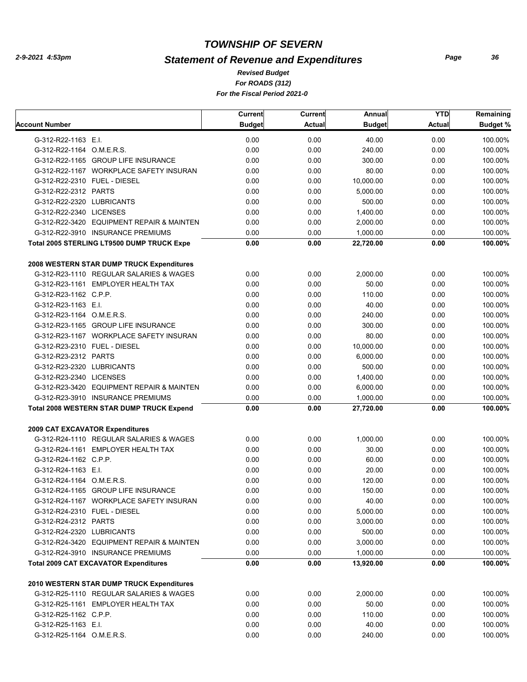# *Statement of Revenue and Expenditures*

*For ROADS (312) For the Fiscal Period 2021-0 Revised Budget*

|                                                  | Current       | <b>Current</b> | Annual        | <b>YTD</b> | Remaining |
|--------------------------------------------------|---------------|----------------|---------------|------------|-----------|
| Account Number                                   | <b>Budget</b> | <b>Actual</b>  | <b>Budget</b> | Actual     | Budget %  |
| G-312-R22-1163 E.I.                              | 0.00          | 0.00           | 40.00         | 0.00       | 100.00%   |
| G-312-R22-1164 O.M.E.R.S.                        | 0.00          | 0.00           | 240.00        | 0.00       | 100.00%   |
| G-312-R22-1165 GROUP LIFE INSURANCE              | 0.00          | 0.00           | 300.00        | 0.00       | 100.00%   |
| G-312-R22-1167 WORKPLACE SAFETY INSURAN          | 0.00          | 0.00           | 80.00         | 0.00       | 100.00%   |
| G-312-R22-2310 FUEL - DIESEL                     | 0.00          | 0.00           | 10,000.00     | 0.00       | 100.00%   |
| G-312-R22-2312 PARTS                             | 0.00          | 0.00           | 5,000.00      | 0.00       | 100.00%   |
| G-312-R22-2320 LUBRICANTS                        | 0.00          | 0.00           | 500.00        | 0.00       | 100.00%   |
| G-312-R22-2340 LICENSES                          | 0.00          | 0.00           | 1,400.00      | 0.00       | 100.00%   |
| G-312-R22-3420 EQUIPMENT REPAIR & MAINTEN        | 0.00          | 0.00           | 2,000.00      | 0.00       | 100.00%   |
| G-312-R22-3910 INSURANCE PREMIUMS                | 0.00          | 0.00           | 1,000.00      | 0.00       | 100.00%   |
| Total 2005 STERLING LT9500 DUMP TRUCK Expe       | 0.00          | 0.00           | 22,720.00     | 0.00       | 100.00%   |
| 2008 WESTERN STAR DUMP TRUCK Expenditures        |               |                |               |            |           |
| G-312-R23-1110 REGULAR SALARIES & WAGES          | 0.00          | 0.00           | 2,000.00      | 0.00       | 100.00%   |
| G-312-R23-1161 EMPLOYER HEALTH TAX               | 0.00          | 0.00           | 50.00         | 0.00       | 100.00%   |
| G-312-R23-1162 C.P.P.                            | 0.00          | 0.00           | 110.00        | 0.00       | 100.00%   |
| G-312-R23-1163 E.I.                              | 0.00          | 0.00           | 40.00         | 0.00       | 100.00%   |
| G-312-R23-1164 O.M.E.R.S.                        | 0.00          | 0.00           | 240.00        | 0.00       | 100.00%   |
| G-312-R23-1165 GROUP LIFE INSURANCE              | 0.00          | 0.00           | 300.00        | 0.00       | 100.00%   |
| G-312-R23-1167 WORKPLACE SAFETY INSURAN          | 0.00          | 0.00           | 80.00         | 0.00       | 100.00%   |
| G-312-R23-2310 FUEL - DIESEL                     | 0.00          | 0.00           | 10,000.00     | 0.00       | 100.00%   |
| G-312-R23-2312 PARTS                             | 0.00          | 0.00           | 6,000.00      | 0.00       | 100.00%   |
| G-312-R23-2320 LUBRICANTS                        | 0.00          | 0.00           | 500.00        | 0.00       | 100.00%   |
| G-312-R23-2340 LICENSES                          | 0.00          | 0.00           | 1,400.00      | 0.00       | 100.00%   |
| G-312-R23-3420 EQUIPMENT REPAIR & MAINTEN        | 0.00          | 0.00           | 6,000.00      | 0.00       | 100.00%   |
| G-312-R23-3910 INSURANCE PREMIUMS                | 0.00          | 0.00           | 1,000.00      | 0.00       | 100.00%   |
| <b>Total 2008 WESTERN STAR DUMP TRUCK Expend</b> | 0.00          | 0.00           | 27,720.00     | 0.00       | 100.00%   |
| 2009 CAT EXCAVATOR Expenditures                  |               |                |               |            |           |
| G-312-R24-1110 REGULAR SALARIES & WAGES          | 0.00          | 0.00           | 1,000.00      | 0.00       | 100.00%   |
| G-312-R24-1161 EMPLOYER HEALTH TAX               | 0.00          | 0.00           | 30.00         | 0.00       | 100.00%   |
| G-312-R24-1162 C.P.P.                            | 0.00          | 0.00           | 60.00         | 0.00       | 100.00%   |
| G-312-R24-1163 E.I.                              | 0.00          | 0.00           | 20.00         | 0.00       | 100.00%   |
| G-312-R24-1164 O.M.E.R.S.                        | 0.00          | 0.00           | 120.00        | 0.00       | 100.00%   |
| G-312-R24-1165 GROUP LIFE INSURANCE              | 0.00          | 0.00           | 150.00        | 0.00       | 100.00%   |
| G-312-R24-1167 WORKPLACE SAFETY INSURAN          | 0.00          | 0.00           | 40.00         | 0.00       | 100.00%   |
| G-312-R24-2310 FUEL - DIESEL                     | 0.00          | 0.00           | 5,000.00      | 0.00       | 100.00%   |
| G-312-R24-2312 PARTS                             | 0.00          | 0.00           | 3,000.00      | 0.00       | 100.00%   |
| G-312-R24-2320 LUBRICANTS                        | 0.00          | 0.00           | 500.00        | 0.00       | 100.00%   |
| G-312-R24-3420 EQUIPMENT REPAIR & MAINTEN        | 0.00          | 0.00           | 3,000.00      | 0.00       | 100.00%   |
| G-312-R24-3910 INSURANCE PREMIUMS                | 0.00          | 0.00           | 1,000.00      | 0.00       | 100.00%   |
| <b>Total 2009 CAT EXCAVATOR Expenditures</b>     | 0.00          | 0.00           | 13,920.00     | 0.00       | 100.00%   |
| 2010 WESTERN STAR DUMP TRUCK Expenditures        |               |                |               |            |           |
| G-312-R25-1110 REGULAR SALARIES & WAGES          | 0.00          | 0.00           | 2,000.00      | 0.00       | 100.00%   |
| G-312-R25-1161 EMPLOYER HEALTH TAX               | 0.00          | 0.00           | 50.00         | 0.00       | 100.00%   |
| G-312-R25-1162 C.P.P.                            | 0.00          | 0.00           | 110.00        | 0.00       | 100.00%   |
| G-312-R25-1163 E.I.                              | 0.00          | 0.00           | 40.00         | 0.00       | 100.00%   |
| G-312-R25-1164 O.M.E.R.S.                        | 0.00          | 0.00           | 240.00        | 0.00       | 100.00%   |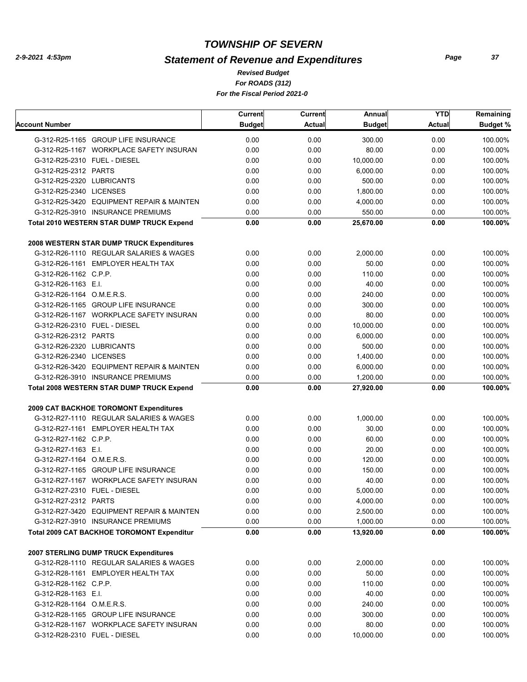## *Statement of Revenue and Expenditures*

*For ROADS (312) For the Fiscal Period 2021-0 Revised Budget*

|                                                   | Current       | <b>Current</b> | Annual        | <b>YTD</b>    | Remaining          |
|---------------------------------------------------|---------------|----------------|---------------|---------------|--------------------|
| Account Number                                    | <b>Budget</b> | <b>Actual</b>  | <b>Budget</b> | <b>Actual</b> | Budget %           |
| G-312-R25-1165 GROUP LIFE INSURANCE               | 0.00          | 0.00           | 300.00        | 0.00          | 100.00%            |
| G-312-R25-1167 WORKPLACE SAFETY INSURAN           | 0.00          | 0.00           | 80.00         | 0.00          | 100.00%            |
| G-312-R25-2310 FUEL - DIESEL                      | 0.00          | 0.00           | 10,000.00     | 0.00          | 100.00%            |
| G-312-R25-2312 PARTS                              | 0.00          | 0.00           | 6,000.00      | 0.00          | 100.00%            |
| G-312-R25-2320 LUBRICANTS                         | 0.00          | 0.00           | 500.00        | 0.00          | 100.00%            |
| G-312-R25-2340 LICENSES                           | 0.00          | 0.00           | 1,800.00      | 0.00          | 100.00%            |
| G-312-R25-3420 EQUIPMENT REPAIR & MAINTEN         | 0.00          | 0.00           | 4,000.00      | 0.00          | 100.00%            |
| G-312-R25-3910 INSURANCE PREMIUMS                 | 0.00          | 0.00           | 550.00        | 0.00          | 100.00%            |
| Total 2010 WESTERN STAR DUMP TRUCK Expend         | 0.00          | 0.00           | 25,670.00     | 0.00          | 100.00%            |
| 2008 WESTERN STAR DUMP TRUCK Expenditures         |               |                |               |               |                    |
| G-312-R26-1110 REGULAR SALARIES & WAGES           | 0.00          | 0.00           | 2,000.00      | 0.00          | 100.00%            |
| G-312-R26-1161 EMPLOYER HEALTH TAX                | 0.00          | 0.00           | 50.00         | 0.00          | 100.00%            |
| G-312-R26-1162 C.P.P.                             | 0.00          | 0.00           | 110.00        | 0.00          |                    |
| G-312-R26-1163 E.I.                               | 0.00          | 0.00           | 40.00         | 0.00          | 100.00%            |
|                                                   | 0.00          | 0.00           | 240.00        | 0.00          | 100.00%<br>100.00% |
| G-312-R26-1164 O.M.E.R.S.                         |               |                |               |               |                    |
| G-312-R26-1165 GROUP LIFE INSURANCE               | 0.00          | 0.00           | 300.00        | 0.00          | 100.00%            |
| G-312-R26-1167 WORKPLACE SAFETY INSURAN           | 0.00          | 0.00           | 80.00         | 0.00          | 100.00%            |
| G-312-R26-2310 FUEL - DIESEL                      | 0.00          | 0.00           | 10,000.00     | 0.00          | 100.00%            |
| G-312-R26-2312 PARTS                              | 0.00          | 0.00           | 6,000.00      | 0.00          | 100.00%            |
| G-312-R26-2320 LUBRICANTS                         | 0.00          | 0.00           | 500.00        | 0.00          | 100.00%            |
| G-312-R26-2340 LICENSES                           | 0.00          | 0.00           | 1,400.00      | 0.00          | 100.00%            |
| G-312-R26-3420 EQUIPMENT REPAIR & MAINTEN         | 0.00          | 0.00           | 6,000.00      | 0.00          | 100.00%            |
| G-312-R26-3910 INSURANCE PREMIUMS                 | 0.00          | 0.00           | 1,200.00      | 0.00          | 100.00%            |
| <b>Total 2008 WESTERN STAR DUMP TRUCK Expend</b>  | 0.00          | 0.00           | 27,920.00     | 0.00          | 100.00%            |
| 2009 CAT BACKHOE TOROMONT Expenditures            |               |                |               |               |                    |
| G-312-R27-1110 REGULAR SALARIES & WAGES           | 0.00          | 0.00           | 1,000.00      | 0.00          | 100.00%            |
| G-312-R27-1161 EMPLOYER HEALTH TAX                | 0.00          | 0.00           | 30.00         | 0.00          | 100.00%            |
| G-312-R27-1162 C.P.P.                             | 0.00          | 0.00           | 60.00         | 0.00          | 100.00%            |
| G-312-R27-1163 E.I.                               | 0.00          | 0.00           | 20.00         | 0.00          | 100.00%            |
| G-312-R27-1164 O.M.E.R.S.                         | 0.00          | 0.00           | 120.00        | 0.00          | 100.00%            |
| G-312-R27-1165 GROUP LIFE INSURANCE               | 0.00          | 0.00           | 150.00        | 0.00          | 100.00%            |
| G-312-R27-1167 WORKPLACE SAFETY INSURAN           | 0.00          | 0.00           | 40.00         | 0.00          | 100.00%            |
| G-312-R27-2310 FUEL - DIESEL                      | 0.00          | 0.00           | 5,000.00      | 0.00          | 100.00%            |
| G-312-R27-2312 PARTS                              | 0.00          | 0.00           | 4,000.00      | 0.00          | 100.00%            |
| G-312-R27-3420 EQUIPMENT REPAIR & MAINTEN         | 0.00          | 0.00           | 2,500.00      | 0.00          | 100.00%            |
| G-312-R27-3910 INSURANCE PREMIUMS                 | 0.00          | 0.00           | 1,000.00      | 0.00          | 100.00%            |
| <b>Total 2009 CAT BACKHOE TOROMONT Expenditur</b> | 0.00          | 0.00           | 13,920.00     | 0.00          | 100.00%            |
|                                                   |               |                |               |               |                    |
| <b>2007 STERLING DUMP TRUCK Expenditures</b>      |               |                |               |               |                    |
| G-312-R28-1110 REGULAR SALARIES & WAGES           | 0.00          | 0.00           | 2,000.00      | 0.00          | 100.00%            |
| G-312-R28-1161 EMPLOYER HEALTH TAX                | 0.00          | 0.00           | 50.00         | 0.00          | 100.00%            |
| G-312-R28-1162 C.P.P.                             | 0.00          | 0.00           | 110.00        | 0.00          | 100.00%            |
| G-312-R28-1163 E.I.                               | 0.00          | 0.00           | 40.00         | 0.00          | 100.00%            |
| G-312-R28-1164 O.M.E.R.S.                         | 0.00          | 0.00           | 240.00        | 0.00          | 100.00%            |
| G-312-R28-1165 GROUP LIFE INSURANCE               | 0.00          | 0.00           | 300.00        | 0.00          | 100.00%            |
| G-312-R28-1167 WORKPLACE SAFETY INSURAN           | 0.00          | 0.00           | 80.00         | 0.00          | 100.00%            |
| G-312-R28-2310 FUEL - DIESEL                      | 0.00          | 0.00           | 10,000.00     | 0.00          | 100.00%            |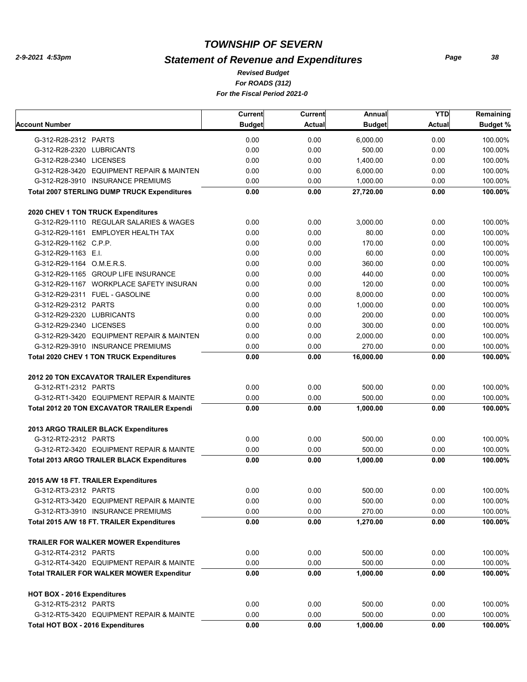## *Statement of Revenue and Expenditures*

*For ROADS (312) For the Fiscal Period 2021-0 Revised Budget*

|                                                    | Current       | Current       | Annual        | <b>YTD</b>    | Remaining       |
|----------------------------------------------------|---------------|---------------|---------------|---------------|-----------------|
| <b>Account Number</b>                              | <b>Budget</b> | <b>Actual</b> | <b>Budget</b> | <b>Actual</b> | <b>Budget %</b> |
| G-312-R28-2312 PARTS                               | 0.00          | 0.00          | 6,000.00      | 0.00          | 100.00%         |
| G-312-R28-2320 LUBRICANTS                          | 0.00          | 0.00          | 500.00        | 0.00          | 100.00%         |
| G-312-R28-2340 LICENSES                            | 0.00          | 0.00          | 1,400.00      | 0.00          | 100.00%         |
| G-312-R28-3420 EQUIPMENT REPAIR & MAINTEN          | 0.00          | 0.00          | 6.000.00      | 0.00          | 100.00%         |
| G-312-R28-3910 INSURANCE PREMIUMS                  | 0.00          | 0.00          | 1,000.00      | 0.00          | 100.00%         |
| <b>Total 2007 STERLING DUMP TRUCK Expenditures</b> | 0.00          | 0.00          | 27,720.00     | 0.00          | 100.00%         |
| 2020 CHEV 1 TON TRUCK Expenditures                 |               |               |               |               |                 |
| G-312-R29-1110 REGULAR SALARIES & WAGES            | 0.00          | 0.00          | 3,000.00      | 0.00          | 100.00%         |
| G-312-R29-1161 EMPLOYER HEALTH TAX                 | 0.00          | 0.00          | 80.00         | 0.00          | 100.00%         |
| G-312-R29-1162 C.P.P.                              | 0.00          | 0.00          | 170.00        | 0.00          | 100.00%         |
| G-312-R29-1163 E.I.                                | 0.00          | 0.00          | 60.00         | 0.00          | 100.00%         |
| G-312-R29-1164 O.M.E.R.S.                          | 0.00          | 0.00          | 360.00        | 0.00          | 100.00%         |
| G-312-R29-1165 GROUP LIFE INSURANCE                | 0.00          | 0.00          | 440.00        | 0.00          | 100.00%         |
| G-312-R29-1167 WORKPLACE SAFETY INSURAN            | 0.00          | 0.00          | 120.00        | 0.00          | 100.00%         |
| G-312-R29-2311 FUEL - GASOLINE                     | 0.00          | 0.00          | 8,000.00      | 0.00          | 100.00%         |
| G-312-R29-2312 PARTS                               | 0.00          | 0.00          | 1,000.00      | 0.00          | 100.00%         |
| G-312-R29-2320 LUBRICANTS                          | 0.00          | 0.00          | 200.00        | 0.00          | 100.00%         |
| G-312-R29-2340 LICENSES                            | 0.00          | 0.00          | 300.00        | 0.00          | 100.00%         |
| G-312-R29-3420 EQUIPMENT REPAIR & MAINTEN          | 0.00          | 0.00          | 2.000.00      | 0.00          | 100.00%         |
| G-312-R29-3910 INSURANCE PREMIUMS                  | 0.00          | 0.00          | 270.00        | 0.00          | 100.00%         |
| <b>Total 2020 CHEV 1 TON TRUCK Expenditures</b>    | 0.00          | 0.00          | 16,000.00     | 0.00          | 100.00%         |
| 2012 20 TON EXCAVATOR TRAILER Expenditures         |               |               |               |               |                 |
| G-312-RT1-2312 PARTS                               | 0.00          | 0.00          | 500.00        | 0.00          | 100.00%         |
| G-312-RT1-3420 EQUIPMENT REPAIR & MAINTE           | 0.00          | 0.00          | 500.00        | 0.00          | 100.00%         |
| <b>Total 2012 20 TON EXCAVATOR TRAILER Expendi</b> | 0.00          | 0.00          | 1,000.00      | 0.00          | 100.00%         |
| 2013 ARGO TRAILER BLACK Expenditures               |               |               |               |               |                 |
| G-312-RT2-2312 PARTS                               | 0.00          | 0.00          | 500.00        | 0.00          | 100.00%         |
| G-312-RT2-3420 EQUIPMENT REPAIR & MAINTE           | 0.00          | 0.00          | 500.00        | 0.00          | 100.00%         |
| <b>Total 2013 ARGO TRAILER BLACK Expenditures</b>  | 0.00          | 0.00          | 1,000.00      | 0.00          | 100.00%         |
| 2015 A/W 18 FT. TRAILER Expenditures               |               |               |               |               |                 |
| G-312-RT3-2312 PARTS                               | 0.00          | 0.00          | 500.00        | 0.00          | 100.00%         |
| G-312-RT3-3420 EQUIPMENT REPAIR & MAINTE           | 0.00          | 0.00          | 500.00        | 0.00          | 100.00%         |
| G-312-RT3-3910 INSURANCE PREMIUMS                  | 0.00          | 0.00          | 270.00        | 0.00          | 100.00%         |
| Total 2015 A/W 18 FT. TRAILER Expenditures         | 0.00          | 0.00          | 1,270.00      | 0.00          | 100.00%         |
| <b>TRAILER FOR WALKER MOWER Expenditures</b>       |               |               |               |               |                 |
| G-312-RT4-2312 PARTS                               | 0.00          | 0.00          | 500.00        | 0.00          | 100.00%         |
| G-312-RT4-3420 EQUIPMENT REPAIR & MAINTE           | 0.00          | 0.00          | 500.00        | 0.00          | 100.00%         |
| <b>Total TRAILER FOR WALKER MOWER Expenditur</b>   | 0.00          | 0.00          | 1,000.00      | 0.00          | 100.00%         |
| HOT BOX - 2016 Expenditures                        |               |               |               |               |                 |
| G-312-RT5-2312 PARTS                               | 0.00          | 0.00          | 500.00        | 0.00          | 100.00%         |
| G-312-RT5-3420 EQUIPMENT REPAIR & MAINTE           | 0.00          | 0.00          | 500.00        | 0.00          | 100.00%         |
| Total HOT BOX - 2016 Expenditures                  | $0.00\,$      | 0.00          | 1,000.00      | 0.00          | 100.00%         |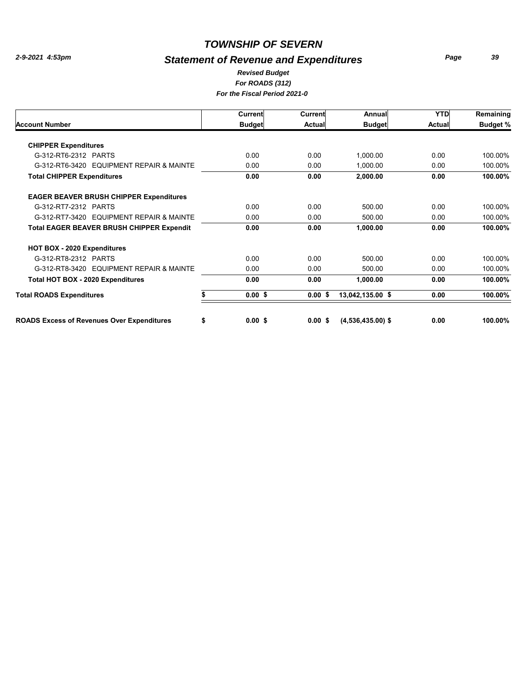## *Statement of Revenue and Expenditures*

*Page 39*

#### *For ROADS (312) For the Fiscal Period 2021-0 Revised Budget*

|                                                   | Current       | Current       | Annual              | <b>YTD</b> | Remaining       |
|---------------------------------------------------|---------------|---------------|---------------------|------------|-----------------|
| <b>Account Number</b>                             | <b>Budget</b> | <b>Actual</b> | <b>Budget</b>       | Actual     | <b>Budget %</b> |
| <b>CHIPPER Expenditures</b>                       |               |               |                     |            |                 |
| G-312-RT6-2312 PARTS                              | 0.00          | 0.00          | 1,000.00            | 0.00       | 100.00%         |
| G-312-RT6-3420 EQUIPMENT REPAIR & MAINTE          | 0.00          | 0.00          | 1,000.00            | 0.00       | 100.00%         |
| <b>Total CHIPPER Expenditures</b>                 | 0.00          | 0.00          | 2,000.00            | 0.00       | 100.00%         |
| <b>EAGER BEAVER BRUSH CHIPPER Expenditures</b>    |               |               |                     |            |                 |
| G-312-RT7-2312 PARTS                              | 0.00          | 0.00          | 500.00              | 0.00       | 100.00%         |
| G-312-RT7-3420 EQUIPMENT REPAIR & MAINTE          | 0.00          | 0.00          | 500.00              | 0.00       | 100.00%         |
| <b>Total EAGER BEAVER BRUSH CHIPPER Expendit</b>  | 0.00          | 0.00          | 1,000.00            | 0.00       | 100.00%         |
| HOT BOX - 2020 Expenditures                       |               |               |                     |            |                 |
| G-312-RT8-2312 PARTS                              | 0.00          | 0.00          | 500.00              | 0.00       | 100.00%         |
| G-312-RT8-3420 EQUIPMENT REPAIR & MAINTE          | 0.00          | 0.00          | 500.00              | 0.00       | 100.00%         |
| Total HOT BOX - 2020 Expenditures                 | 0.00          | 0.00          | 1,000.00            | 0.00       | 100.00%         |
| <b>Total ROADS Expenditures</b>                   | $0.00$ \$     | $0.00$ \$     | 13,042,135.00 \$    | 0.00       | 100.00%         |
| <b>ROADS Excess of Revenues Over Expenditures</b> | \$<br>0.00 S  | 0.00 S        | $(4,536,435.00)$ \$ | 0.00       | 100.00%         |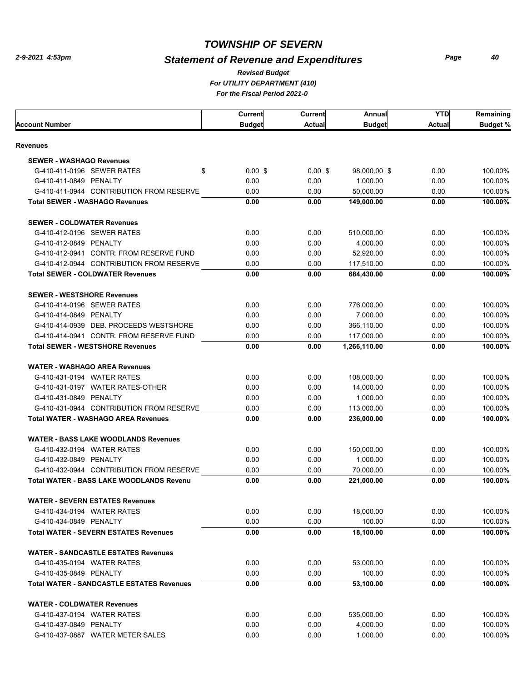## *Statement of Revenue and Expenditures*

*For UTILITY DEPARTMENT (410) For the Fiscal Period 2021-0 Revised Budget*

|                                                                 | Current       | <b>Current</b> | Annual        | YTD          | Remaining          |
|-----------------------------------------------------------------|---------------|----------------|---------------|--------------|--------------------|
| <b>Account Number</b>                                           | <b>Budget</b> | <b>Actual</b>  | <b>Budget</b> | Actual       | <b>Budget %</b>    |
| Revenues                                                        |               |                |               |              |                    |
| <b>SEWER - WASHAGO Revenues</b>                                 |               |                |               |              |                    |
| G-410-411-0196 SEWER RATES<br>\$                                | $0.00$ \$     | $0.00$ \$      | 98,000.00 \$  | 0.00         | 100.00%            |
| G-410-411-0849 PENALTY                                          | 0.00          | 0.00           | 1,000.00      | 0.00         | 100.00%            |
| G-410-411-0944 CONTRIBUTION FROM RESERVE                        | 0.00          |                | 50,000.00     |              |                    |
| <b>Total SEWER - WASHAGO Revenues</b>                           | 0.00          | 0.00<br>0.00   | 149,000.00    | 0.00<br>0.00 | 100.00%<br>100.00% |
|                                                                 |               |                |               |              |                    |
| <b>SEWER - COLDWATER Revenues</b>                               |               |                |               |              |                    |
| G-410-412-0196 SEWER RATES                                      | 0.00          | 0.00           | 510.000.00    | 0.00         | 100.00%            |
| G-410-412-0849 PENALTY                                          | 0.00          | 0.00           | 4,000.00      | 0.00         | 100.00%            |
| G-410-412-0941 CONTR. FROM RESERVE FUND                         | 0.00          | 0.00           | 52,920.00     | 0.00         | 100.00%            |
| G-410-412-0944 CONTRIBUTION FROM RESERVE                        | 0.00          | 0.00           | 117,510.00    | 0.00         | 100.00%            |
| <b>Total SEWER - COLDWATER Revenues</b>                         | 0.00          | 0.00           | 684,430.00    | 0.00         | 100.00%            |
|                                                                 |               |                |               |              |                    |
| <b>SEWER - WESTSHORE Revenues</b><br>G-410-414-0196 SEWER RATES | 0.00          | 0.00           | 776,000.00    | 0.00         | 100.00%            |
| G-410-414-0849 PENALTY                                          | 0.00          | 0.00           | 7,000.00      | 0.00         | 100.00%            |
| G-410-414-0939 DEB. PROCEEDS WESTSHORE                          | 0.00          |                | 366,110.00    | 0.00         | 100.00%            |
| G-410-414-0941 CONTR, FROM RESERVE FUND                         |               | 0.00           |               |              |                    |
|                                                                 | 0.00          | 0.00           | 117,000.00    | 0.00         | 100.00%            |
| <b>Total SEWER - WESTSHORE Revenues</b>                         | 0.00          | 0.00           | 1,266,110.00  | 0.00         | 100.00%            |
| <b>WATER - WASHAGO AREA Revenues</b>                            |               |                |               |              |                    |
| G-410-431-0194 WATER RATES                                      | 0.00          | 0.00           | 108,000.00    | 0.00         | 100.00%            |
| G-410-431-0197 WATER RATES-OTHER                                | 0.00          | 0.00           | 14,000.00     | 0.00         | 100.00%            |
| G-410-431-0849 PENALTY                                          | 0.00          | 0.00           | 1,000.00      | 0.00         | 100.00%            |
| G-410-431-0944 CONTRIBUTION FROM RESERVE                        | 0.00          | 0.00           | 113,000.00    | 0.00         | 100.00%            |
| <b>Total WATER - WASHAGO AREA Revenues</b>                      | 0.00          | 0.00           | 236,000.00    | 0.00         | 100.00%            |
|                                                                 |               |                |               |              |                    |
| <b>WATER - BASS LAKE WOODLANDS Revenues</b>                     |               |                |               |              |                    |
| G-410-432-0194 WATER RATES                                      | 0.00          | 0.00           | 150,000.00    | 0.00         | 100.00%            |
| G-410-432-0849 PENALTY                                          | 0.00          | 0.00           | 1,000.00      | 0.00         | 100.00%            |
| G-410-432-0944 CONTRIBUTION FROM RESERVE                        | 0.00          | 0.00           | 70,000.00     | 0.00         | 100.00%            |
| <b>Total WATER - BASS LAKE WOODLANDS Revenu</b>                 | 0.00          | 0.00           | 221,000.00    | 0.00         | 100.00%            |
| <b>WATER - SEVERN ESTATES Revenues</b>                          |               |                |               |              |                    |
| G-410-434-0194 WATER RATES                                      | 0.00          | 0.00           | 18,000.00     | 0.00         | 100.00%            |
| G-410-434-0849 PENALTY                                          | 0.00          | 0.00           | 100.00        | 0.00         | 100.00%            |
| <b>Total WATER - SEVERN ESTATES Revenues</b>                    | 0.00          | 0.00           | 18,100.00     | 0.00         | 100.00%            |
|                                                                 |               |                |               |              |                    |
| <b>WATER - SANDCASTLE ESTATES Revenues</b>                      |               |                |               |              |                    |
| G-410-435-0194 WATER RATES                                      | 0.00          | 0.00           | 53,000.00     | 0.00         | 100.00%            |
| G-410-435-0849 PENALTY                                          | 0.00          | 0.00           | 100.00        | 0.00         | 100.00%            |
| <b>Total WATER - SANDCASTLE ESTATES Revenues</b>                | 0.00          | 0.00           | 53,100.00     | 0.00         | 100.00%            |
| <b>WATER - COLDWATER Revenues</b>                               |               |                |               |              |                    |
| G-410-437-0194 WATER RATES                                      | 0.00          | 0.00           | 535,000.00    | 0.00         | 100.00%            |
| G-410-437-0849 PENALTY                                          | 0.00          | 0.00           | 4,000.00      | 0.00         | 100.00%            |
| G-410-437-0887 WATER METER SALES                                | 0.00          | 0.00           | 1,000.00      | 0.00         | 100.00%            |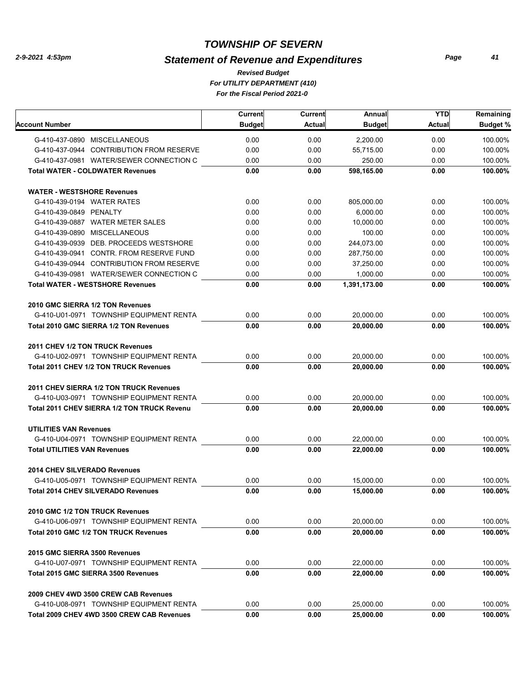## *Statement of Revenue and Expenditures*

*For UTILITY DEPARTMENT (410) For the Fiscal Period 2021-0 Revised Budget*

|                                               | <b>Current</b> | Current | Annual        | <b>YTD</b>    | Remaining       |
|-----------------------------------------------|----------------|---------|---------------|---------------|-----------------|
| Account Number                                | <b>Budget</b>  | Actual  | <b>Budget</b> | <b>Actual</b> | <b>Budget %</b> |
| G-410-437-0890 MISCELLANEOUS                  | 0.00           | 0.00    | 2.200.00      | 0.00          | 100.00%         |
| G-410-437-0944 CONTRIBUTION FROM RESERVE      | 0.00           | 0.00    | 55,715.00     | 0.00          | 100.00%         |
| G-410-437-0981 WATER/SEWER CONNECTION C       | 0.00           | 0.00    | 250.00        | 0.00          | 100.00%         |
| <b>Total WATER - COLDWATER Revenues</b>       | 0.00           | 0.00    | 598,165.00    | 0.00          | 100.00%         |
| <b>WATER - WESTSHORE Revenues</b>             |                |         |               |               |                 |
| G-410-439-0194 WATER RATES                    | 0.00           | 0.00    | 805,000.00    | 0.00          | 100.00%         |
| G-410-439-0849 PENALTY                        | 0.00           | 0.00    | 6,000.00      | 0.00          | 100.00%         |
| G-410-439-0887 WATER METER SALES              | 0.00           | 0.00    | 10.000.00     | 0.00          | 100.00%         |
| G-410-439-0890 MISCELLANEOUS                  | 0.00           | 0.00    | 100.00        | 0.00          | 100.00%         |
| G-410-439-0939 DEB. PROCEEDS WESTSHORE        | 0.00           | 0.00    | 244,073.00    | 0.00          | 100.00%         |
| G-410-439-0941 CONTR. FROM RESERVE FUND       | 0.00           | 0.00    | 287,750.00    | 0.00          | 100.00%         |
| G-410-439-0944 CONTRIBUTION FROM RESERVE      | 0.00           | 0.00    | 37,250.00     | 0.00          | 100.00%         |
| G-410-439-0981 WATER/SEWER CONNECTION C       | 0.00           | 0.00    | 1,000.00      | 0.00          | 100.00%         |
| <b>Total WATER - WESTSHORE Revenues</b>       | 0.00           | 0.00    | 1,391,173.00  | 0.00          | 100.00%         |
| 2010 GMC SIERRA 1/2 TON Revenues              |                |         |               |               |                 |
| G-410-U01-0971 TOWNSHIP EQUIPMENT RENTA       | 0.00           | 0.00    | 20.000.00     | 0.00          | 100.00%         |
| <b>Total 2010 GMC SIERRA 1/2 TON Revenues</b> | 0.00           | 0.00    | 20,000.00     | 0.00          | 100.00%         |
| 2011 CHEV 1/2 TON TRUCK Revenues              |                |         |               |               |                 |
| G-410-U02-0971 TOWNSHIP EQUIPMENT RENTA       | 0.00           | 0.00    | 20,000.00     | 0.00          | 100.00%         |
| <b>Total 2011 CHEV 1/2 TON TRUCK Revenues</b> | 0.00           | 0.00    | 20,000.00     | 0.00          | 100.00%         |
|                                               |                |         |               |               |                 |
| 2011 CHEV SIERRA 1/2 TON TRUCK Revenues       |                |         |               |               |                 |
| G-410-U03-0971 TOWNSHIP EQUIPMENT RENTA       | 0.00           | 0.00    | 20,000.00     | 0.00          | 100.00%         |
| Total 2011 CHEV SIERRA 1/2 TON TRUCK Revenu   | 0.00           | 0.00    | 20,000.00     | 0.00          | 100.00%         |
| <b>UTILITIES VAN Revenues</b>                 |                |         |               |               |                 |
| G-410-U04-0971 TOWNSHIP EQUIPMENT RENTA       | 0.00           | 0.00    | 22,000.00     | 0.00          | 100.00%         |
| <b>Total UTILITIES VAN Revenues</b>           | 0.00           | 0.00    | 22,000.00     | 0.00          | 100.00%         |
| <b>2014 CHEV SILVERADO Revenues</b>           |                |         |               |               |                 |
| G-410-U05-0971 TOWNSHIP EQUIPMENT RENTA       | 0.00           | 0.00    | 15.000.00     | 0.00          | 100.00%         |
| <b>Total 2014 CHEV SILVERADO Revenues</b>     | 0.00           | 0.00    | 15,000.00     | 0.00          | 100.00%         |
| 2010 GMC 1/2 TON TRUCK Revenues               |                |         |               |               |                 |
| G-410-U06-0971 TOWNSHIP EQUIPMENT RENTA       | 0.00           | 0.00    | 20,000.00     | 0.00          | 100.00%         |
| Total 2010 GMC 1/2 TON TRUCK Revenues         | 0.00           | 0.00    | 20,000.00     | 0.00          | 100.00%         |
| 2015 GMC SIERRA 3500 Revenues                 |                |         |               |               |                 |
| G-410-U07-0971 TOWNSHIP EQUIPMENT RENTA       | 0.00           | 0.00    | 22,000.00     | 0.00          | 100.00%         |
| Total 2015 GMC SIERRA 3500 Revenues           | 0.00           | 0.00    | 22,000.00     | 0.00          | 100.00%         |
| 2009 CHEV 4WD 3500 CREW CAB Revenues          |                |         |               |               |                 |
| G-410-U08-0971 TOWNSHIP EQUIPMENT RENTA       | 0.00           | 0.00    | 25,000.00     | 0.00          | 100.00%         |
| Total 2009 CHEV 4WD 3500 CREW CAB Revenues    | 0.00           | 0.00    | 25,000.00     | 0.00          | 100.00%         |
|                                               |                |         |               |               |                 |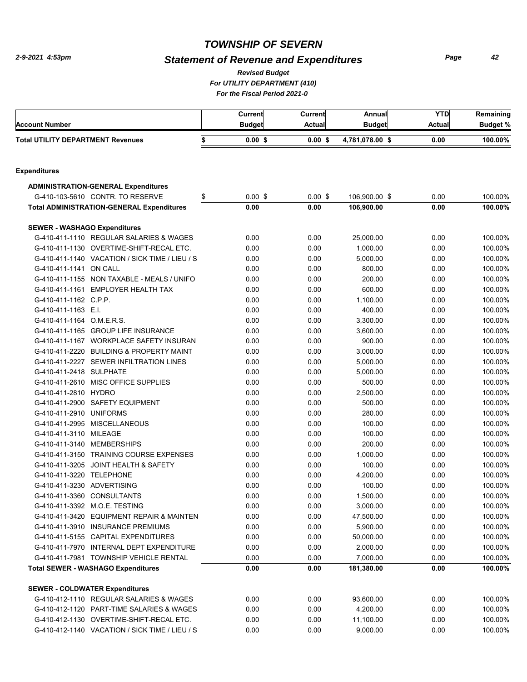## *Statement of Revenue and Expenditures*

*Revised Budget*

*For UTILITY DEPARTMENT (410)*

*For the Fiscal Period 2021-0* 

| <b>Account Number</b>                    |                                                                                  | Current<br><b>Budget</b> | Current<br><b>Actual</b> | Annual<br><b>Budget</b> | <b>YTD</b><br><b>Actual</b> | Remaining<br><b>Budget %</b> |
|------------------------------------------|----------------------------------------------------------------------------------|--------------------------|--------------------------|-------------------------|-----------------------------|------------------------------|
| <b>Total UTILITY DEPARTMENT Revenues</b> |                                                                                  | \$<br>$0.00$ \$          | $0.00$ \$                | 4,781,078.00 \$         | 0.00                        | 100.00%                      |
| <b>Expenditures</b>                      |                                                                                  |                          |                          |                         |                             |                              |
|                                          |                                                                                  |                          |                          |                         |                             |                              |
|                                          | <b>ADMINISTRATION-GENERAL Expenditures</b>                                       |                          |                          |                         |                             |                              |
|                                          | G-410-103-5610 CONTR. TO RESERVE                                                 | \$<br>$0.00$ \$          | $0.00$ \$                | 106,900.00 \$           | 0.00                        | 100.00%                      |
|                                          | <b>Total ADMINISTRATION-GENERAL Expenditures</b>                                 | 0.00                     | 0.00                     | 106,900.00              | 0.00                        | 100.00%                      |
| <b>SEWER - WASHAGO Expenditures</b>      |                                                                                  |                          |                          |                         |                             |                              |
|                                          | G-410-411-1110 REGULAR SALARIES & WAGES                                          | 0.00                     | 0.00                     | 25,000.00               | 0.00                        | 100.00%                      |
|                                          | G-410-411-1130 OVERTIME-SHIFT-RECAL ETC.                                         | 0.00                     | 0.00                     | 1,000.00                | 0.00                        | 100.00%                      |
|                                          | G-410-411-1140 VACATION / SICK TIME / LIEU / S                                   | 0.00                     | 0.00                     | 5,000.00                | 0.00                        | 100.00%                      |
| G-410-411-1141 ON CALL                   |                                                                                  | 0.00                     | 0.00                     | 800.00                  | 0.00                        | 100.00%                      |
|                                          | G-410-411-1155 NON TAXABLE - MEALS / UNIFO                                       | 0.00                     | 0.00                     | 200.00                  | 0.00                        | 100.00%                      |
|                                          | G-410-411-1161 EMPLOYER HEALTH TAX                                               | 0.00                     | 0.00                     | 600.00                  | 0.00                        | 100.00%                      |
| G-410-411-1162 C.P.P.                    |                                                                                  | 0.00                     | 0.00                     | 1,100.00                | 0.00                        | 100.00%                      |
| G-410-411-1163 E.I.                      |                                                                                  | 0.00                     | 0.00                     | 400.00                  | 0.00                        | 100.00%                      |
| G-410-411-1164 O.M.E.R.S.                |                                                                                  | 0.00                     | 0.00                     | 3,300.00                | 0.00                        | 100.00%                      |
|                                          | G-410-411-1165 GROUP LIFE INSURANCE                                              | 0.00                     | 0.00                     | 3,600.00                | 0.00                        | 100.00%                      |
|                                          | G-410-411-1167 WORKPLACE SAFETY INSURAN                                          | 0.00                     | 0.00                     | 900.00                  | 0.00                        | 100.00%                      |
|                                          | G-410-411-2220 BUILDING & PROPERTY MAINT                                         | 0.00                     | 0.00                     | 3,000.00                | 0.00                        | 100.00%                      |
|                                          | G-410-411-2227 SEWER INFILTRATION LINES                                          | 0.00                     | 0.00                     | 5,000.00                | 0.00                        | 100.00%                      |
| G-410-411-2418 SULPHATE                  |                                                                                  | 0.00                     | 0.00                     | 5,000.00                | 0.00                        | 100.00%                      |
|                                          | G-410-411-2610 MISC OFFICE SUPPLIES                                              | 0.00                     | 0.00                     | 500.00                  | 0.00                        | 100.00%                      |
| G-410-411-2810 HYDRO                     |                                                                                  | 0.00                     | 0.00                     | 2,500.00                | 0.00                        | 100.00%                      |
|                                          | G-410-411-2900 SAFETY EQUIPMENT                                                  | 0.00                     | 0.00                     | 500.00                  | 0.00                        | 100.00%                      |
| G-410-411-2910 UNIFORMS                  |                                                                                  | 0.00                     | 0.00                     | 280.00                  | 0.00                        | 100.00%                      |
|                                          | G-410-411-2995 MISCELLANEOUS                                                     | 0.00                     | 0.00                     | 100.00                  | 0.00                        | 100.00%                      |
| G-410-411-3110 MILEAGE                   |                                                                                  | 0.00                     | 0.00                     | 100.00                  | 0.00                        | 100.00%                      |
|                                          | G-410-411-3140 MEMBERSHIPS                                                       | 0.00                     | 0.00                     | 200.00                  | 0.00                        | 100.00%                      |
|                                          | G-410-411-3150 TRAINING COURSE EXPENSES                                          | 0.00                     | 0.00                     | 1,000.00                | 0.00                        | 100.00%                      |
|                                          | G-410-411-3205 JOINT HEALTH & SAFETY                                             | 0.00                     | 0.00                     | 100.00                  | 0.00                        | 100.00%                      |
| G-410-411-3220 TELEPHONE                 |                                                                                  | 0.00                     | 0.00                     | 4,200.00                | 0.00                        | 100.00%                      |
| G-410-411-3230 ADVERTISING               |                                                                                  | 0.00                     | 0.00                     | 100.00                  | 0.00                        | 100.00%                      |
|                                          | G-410-411-3360 CONSULTANTS                                                       | 0.00                     | 0.00                     | 1,500.00                | 0.00                        | 100.00%                      |
|                                          | G-410-411-3392 M.O.E. TESTING                                                    | 0.00                     | 0.00                     | 3,000.00                | 0.00                        | 100.00%                      |
|                                          | G-410-411-3420 EQUIPMENT REPAIR & MAINTEN                                        | 0.00                     | 0.00                     | 47,500.00               | 0.00                        | 100.00%                      |
|                                          | G-410-411-3910 INSURANCE PREMIUMS                                                | 0.00                     | 0.00                     | 5,900.00                | 0.00                        | 100.00%                      |
|                                          | G-410-411-5155 CAPITAL EXPENDITURES                                              | 0.00                     | 0.00                     | 50,000.00               | 0.00                        | 100.00%                      |
|                                          | G-410-411-7970 INTERNAL DEPT EXPENDITURE                                         | 0.00                     | 0.00                     | 2,000.00                | 0.00                        | 100.00%                      |
|                                          | G-410-411-7981 TOWNSHIP VEHICLE RENTAL                                           | 0.00                     | 0.00                     | 7,000.00                | 0.00                        | 100.00%                      |
|                                          | <b>Total SEWER - WASHAGO Expenditures</b>                                        | 0.00                     | 0.00                     | 181,380.00              | 0.00                        | 100.00%                      |
|                                          |                                                                                  |                          |                          |                         |                             |                              |
|                                          | <b>SEWER - COLDWATER Expenditures</b><br>G-410-412-1110 REGULAR SALARIES & WAGES | 0.00                     | 0.00                     | 93,600.00               | 0.00                        | 100.00%                      |
|                                          | G-410-412-1120 PART-TIME SALARIES & WAGES                                        | 0.00                     | 0.00                     | 4,200.00                | 0.00                        | 100.00%                      |
|                                          |                                                                                  |                          |                          |                         |                             |                              |
|                                          | G-410-412-1130 OVERTIME-SHIFT-RECAL ETC.                                         | 0.00                     | 0.00                     | 11,100.00               | 0.00                        | 100.00%<br>100.00%           |
|                                          | G-410-412-1140 VACATION / SICK TIME / LIEU / S                                   | 0.00                     | 0.00                     | 9,000.00                | 0.00                        |                              |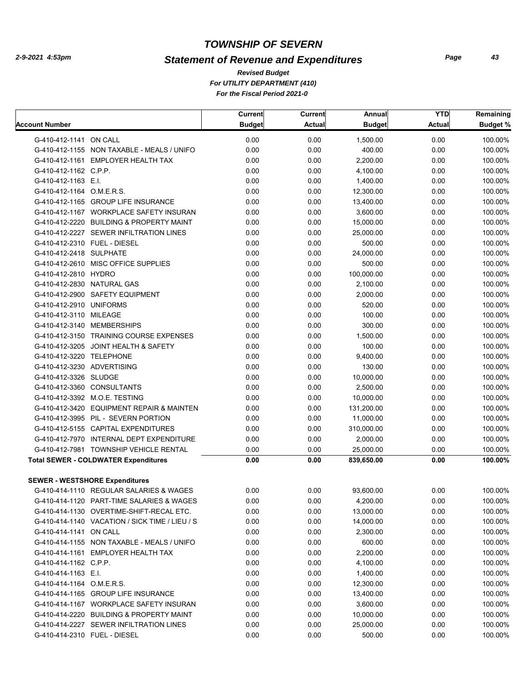## *Statement of Revenue and Expenditures*

*For UTILITY DEPARTMENT (410) For the Fiscal Period 2021-0 Revised Budget*

|                              |                                                | Current       | Current       | Annual        | <b>YTD</b>    | Remaining       |
|------------------------------|------------------------------------------------|---------------|---------------|---------------|---------------|-----------------|
| <b>Account Number</b>        |                                                | <b>Budget</b> | <b>Actual</b> | <b>Budget</b> | <b>Actual</b> | <b>Budget %</b> |
| G-410-412-1141 ON CALL       |                                                | 0.00          | 0.00          | 1,500.00      | 0.00          | 100.00%         |
|                              | G-410-412-1155 NON TAXABLE - MEALS / UNIFO     | 0.00          | 0.00          | 400.00        | 0.00          | 100.00%         |
|                              | G-410-412-1161 EMPLOYER HEALTH TAX             | 0.00          | 0.00          | 2.200.00      | 0.00          | 100.00%         |
| G-410-412-1162 C.P.P.        |                                                | 0.00          | 0.00          | 4,100.00      | 0.00          | 100.00%         |
| G-410-412-1163 E.I.          |                                                | 0.00          | 0.00          | 1,400.00      | 0.00          | 100.00%         |
| G-410-412-1164 O.M.E.R.S.    |                                                | 0.00          | 0.00          | 12,300.00     | 0.00          | 100.00%         |
|                              | G-410-412-1165 GROUP LIFE INSURANCE            | 0.00          | 0.00          | 13,400.00     | 0.00          | 100.00%         |
|                              | G-410-412-1167 WORKPLACE SAFETY INSURAN        | 0.00          | 0.00          | 3,600.00      | 0.00          | 100.00%         |
|                              | G-410-412-2220 BUILDING & PROPERTY MAINT       | 0.00          | 0.00          | 15,000.00     | 0.00          | 100.00%         |
|                              | G-410-412-2227 SEWER INFILTRATION LINES        | 0.00          | 0.00          | 25,000.00     | 0.00          | 100.00%         |
| G-410-412-2310 FUEL - DIESEL |                                                | 0.00          | 0.00          | 500.00        | 0.00          | 100.00%         |
| G-410-412-2418 SULPHATE      |                                                | 0.00          | 0.00          | 24,000.00     | 0.00          | 100.00%         |
|                              | G-410-412-2610 MISC OFFICE SUPPLIES            | 0.00          | 0.00          | 500.00        | 0.00          | 100.00%         |
| G-410-412-2810 HYDRO         |                                                | 0.00          | 0.00          | 100,000.00    | 0.00          | 100.00%         |
| G-410-412-2830 NATURAL GAS   |                                                | 0.00          | 0.00          | 2,100.00      | 0.00          | 100.00%         |
|                              | G-410-412-2900 SAFETY EQUIPMENT                | 0.00          | 0.00          | 2,000.00      | 0.00          | 100.00%         |
| G-410-412-2910 UNIFORMS      |                                                | 0.00          | 0.00          | 520.00        | 0.00          | 100.00%         |
| G-410-412-3110 MILEAGE       |                                                | 0.00          | 0.00          | 100.00        | 0.00          | 100.00%         |
|                              | G-410-412-3140 MEMBERSHIPS                     | 0.00          | 0.00          | 300.00        | 0.00          | 100.00%         |
|                              | G-410-412-3150 TRAINING COURSE EXPENSES        | 0.00          | 0.00          | 1,500.00      | 0.00          | 100.00%         |
|                              | G-410-412-3205 JOINT HEALTH & SAFETY           | 0.00          | 0.00          | 100.00        | 0.00          | 100.00%         |
| G-410-412-3220 TELEPHONE     |                                                | 0.00          | 0.00          | 9,400.00      | 0.00          | 100.00%         |
| G-410-412-3230 ADVERTISING   |                                                | 0.00          | 0.00          | 130.00        | 0.00          | 100.00%         |
| G-410-412-3326 SLUDGE        |                                                | 0.00          | 0.00          | 10,000.00     | 0.00          | 100.00%         |
|                              | G-410-412-3360 CONSULTANTS                     | 0.00          | 0.00          | 2,500.00      | 0.00          | 100.00%         |
|                              | G-410-412-3392 M.O.E. TESTING                  | 0.00          | 0.00          | 10,000.00     | 0.00          | 100.00%         |
|                              | G-410-412-3420 EQUIPMENT REPAIR & MAINTEN      | 0.00          | 0.00          | 131,200.00    | 0.00          | 100.00%         |
|                              | G-410-412-3995 PIL - SEVERN PORTION            | 0.00          | 0.00          | 11,000.00     | 0.00          | 100.00%         |
|                              | G-410-412-5155 CAPITAL EXPENDITURES            | 0.00          | 0.00          | 310,000.00    | 0.00          | 100.00%         |
|                              | G-410-412-7970 INTERNAL DEPT EXPENDITURE       | 0.00          | 0.00          | 2,000.00      | 0.00          | 100.00%         |
|                              | G-410-412-7981 TOWNSHIP VEHICLE RENTAL         | 0.00          | 0.00          | 25,000.00     | 0.00          | 100.00%         |
|                              | <b>Total SEWER - COLDWATER Expenditures</b>    | 0.00          | 0.00          | 839,650.00    | 0.00          | 100.00%         |
|                              |                                                |               |               |               |               |                 |
|                              | <b>SEWER - WESTSHORE Expenditures</b>          |               |               |               |               |                 |
|                              | G-410-414-1110 REGULAR SALARIES & WAGES        | 0.00          | 0.00          | 93,600.00     | 0.00          | 100.00%         |
|                              | G-410-414-1120 PART-TIME SALARIES & WAGES      | 0.00          | 0.00          | 4,200.00      | 0.00          | 100.00%         |
|                              | G-410-414-1130 OVERTIME-SHIFT-RECAL ETC.       | 0.00          | 0.00          | 13,000.00     | 0.00          | 100.00%         |
|                              | G-410-414-1140 VACATION / SICK TIME / LIEU / S | 0.00          | 0.00          | 14,000.00     | 0.00          | 100.00%         |
| G-410-414-1141 ON CALL       |                                                | 0.00          | 0.00          | 2,300.00      | 0.00          | 100.00%         |
|                              | G-410-414-1155 NON TAXABLE - MEALS / UNIFO     | 0.00          | 0.00          | 600.00        | 0.00          | 100.00%         |
|                              | G-410-414-1161 EMPLOYER HEALTH TAX             | 0.00          | 0.00          | 2,200.00      | 0.00          | 100.00%         |
| G-410-414-1162 C.P.P.        |                                                | 0.00          | 0.00          | 4,100.00      | 0.00          | 100.00%         |
| G-410-414-1163 E.I.          |                                                | 0.00          | 0.00          | 1,400.00      | 0.00          | 100.00%         |
| G-410-414-1164 O.M.E.R.S.    |                                                | 0.00          | 0.00          | 12,300.00     | 0.00          | 100.00%         |
|                              | G-410-414-1165 GROUP LIFE INSURANCE            | 0.00          | 0.00          | 13,400.00     | 0.00          | 100.00%         |
|                              | G-410-414-1167 WORKPLACE SAFETY INSURAN        | 0.00          | 0.00          | 3,600.00      | 0.00          | 100.00%         |
|                              | G-410-414-2220 BUILDING & PROPERTY MAINT       | 0.00          | 0.00          | 10,000.00     | 0.00          | 100.00%         |
|                              | G-410-414-2227 SEWER INFILTRATION LINES        | 0.00          | 0.00          | 25,000.00     | 0.00          | 100.00%         |
|                              | G-410-414-2310 FUEL - DIESEL                   | 0.00          | 0.00          | 500.00        | 0.00          | 100.00%         |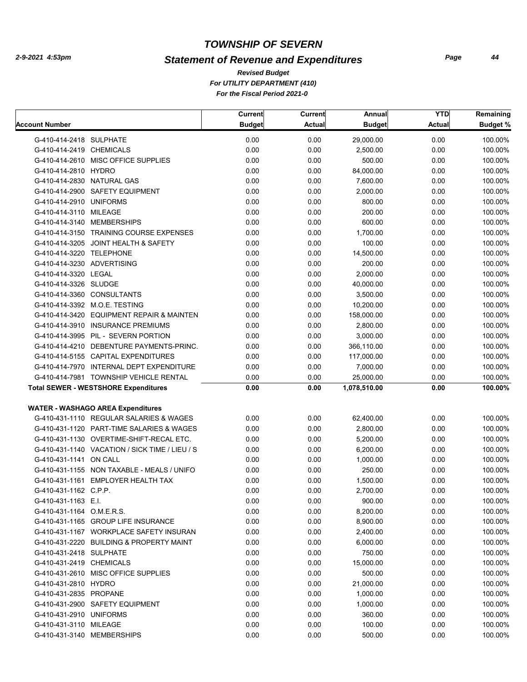## *Statement of Revenue and Expenditures*

*For UTILITY DEPARTMENT (410) For the Fiscal Period 2021-0 Revised Budget*

|                                                | Current       | Current       | Annual        | <b>YTD</b>    | Remaining       |
|------------------------------------------------|---------------|---------------|---------------|---------------|-----------------|
| Account Number                                 | <b>Budget</b> | <b>Actual</b> | <b>Budget</b> | <b>Actual</b> | <b>Budget %</b> |
| G-410-414-2418 SULPHATE                        | 0.00          | 0.00          | 29,000.00     | 0.00          | 100.00%         |
| G-410-414-2419 CHEMICALS                       | 0.00          | 0.00          | 2,500.00      | 0.00          | 100.00%         |
| G-410-414-2610 MISC OFFICE SUPPLIES            | 0.00          | 0.00          | 500.00        | 0.00          | 100.00%         |
| G-410-414-2810 HYDRO                           | 0.00          | 0.00          | 84,000.00     | 0.00          | 100.00%         |
| G-410-414-2830 NATURAL GAS                     | 0.00          | 0.00          | 7,600.00      | 0.00          | 100.00%         |
| G-410-414-2900 SAFETY EQUIPMENT                | 0.00          | 0.00          | 2,000.00      | 0.00          | 100.00%         |
| G-410-414-2910 UNIFORMS                        | 0.00          | 0.00          | 800.00        | 0.00          | 100.00%         |
| G-410-414-3110 MILEAGE                         | 0.00          | 0.00          | 200.00        | 0.00          | 100.00%         |
| G-410-414-3140 MEMBERSHIPS                     | 0.00          | 0.00          | 600.00        | 0.00          | 100.00%         |
| G-410-414-3150 TRAINING COURSE EXPENSES        | 0.00          | 0.00          | 1,700.00      | 0.00          | 100.00%         |
| G-410-414-3205 JOINT HEALTH & SAFETY           | 0.00          | 0.00          | 100.00        | 0.00          | 100.00%         |
| G-410-414-3220 TELEPHONE                       | 0.00          | 0.00          | 14,500.00     | 0.00          | 100.00%         |
| G-410-414-3230 ADVERTISING                     | 0.00          | 0.00          | 200.00        | 0.00          | 100.00%         |
| G-410-414-3320 LEGAL                           | 0.00          | 0.00          | 2,000.00      | 0.00          | 100.00%         |
| G-410-414-3326 SLUDGE                          | 0.00          | 0.00          | 40,000.00     | 0.00          | 100.00%         |
| G-410-414-3360 CONSULTANTS                     | 0.00          | 0.00          | 3,500.00      | 0.00          | 100.00%         |
| G-410-414-3392 M.O.E. TESTING                  | 0.00          | 0.00          | 10,200.00     | 0.00          | 100.00%         |
| G-410-414-3420 EQUIPMENT REPAIR & MAINTEN      | 0.00          | 0.00          | 158,000.00    | 0.00          | 100.00%         |
| G-410-414-3910 INSURANCE PREMIUMS              | 0.00          | 0.00          | 2,800.00      | 0.00          | 100.00%         |
| G-410-414-3995 PIL - SEVERN PORTION            | 0.00          | 0.00          | 3,000.00      | 0.00          | 100.00%         |
| G-410-414-4210 DEBENTURE PAYMENTS-PRINC.       | 0.00          | 0.00          | 366,110.00    | 0.00          | 100.00%         |
| G-410-414-5155 CAPITAL EXPENDITURES            | 0.00          | 0.00          | 117,000.00    | 0.00          | 100.00%         |
| G-410-414-7970 INTERNAL DEPT EXPENDITURE       | 0.00          | 0.00          | 7,000.00      | 0.00          | 100.00%         |
| G-410-414-7981 TOWNSHIP VEHICLE RENTAL         | 0.00          | 0.00          | 25,000.00     | 0.00          | 100.00%         |
| <b>Total SEWER - WESTSHORE Expenditures</b>    | 0.00          | 0.00          | 1,078,510.00  | 0.00          | 100.00%         |
|                                                |               |               |               |               |                 |
| <b>WATER - WASHAGO AREA Expenditures</b>       |               |               |               |               |                 |
| G-410-431-1110 REGULAR SALARIES & WAGES        | 0.00          | 0.00          | 62,400.00     | 0.00          | 100.00%         |
| G-410-431-1120 PART-TIME SALARIES & WAGES      | 0.00          | 0.00          | 2,800.00      | 0.00          | 100.00%         |
| G-410-431-1130 OVERTIME-SHIFT-RECAL ETC.       | 0.00          | 0.00          | 5,200.00      | 0.00          | 100.00%         |
| G-410-431-1140 VACATION / SICK TIME / LIEU / S | 0.00          | 0.00          | 6,200.00      | 0.00          | 100.00%         |
| G-410-431-1141 ON CALL                         | 0.00          | 0.00          | 1,000.00      | 0.00          | 100.00%         |
| G-410-431-1155 NON TAXABLE - MEALS / UNIFO     | 0.00          | 0.00          | 250.00        | 0.00          | 100.00%         |
| G-410-431-1161 EMPLOYER HEALTH TAX             | 0.00          | 0.00          | 1,500.00      | 0.00          | 100.00%         |
| G-410-431-1162 C.P.P.                          | 0.00          | 0.00          | 2,700.00      | 0.00          | 100.00%         |
| G-410-431-1163 E.I.                            | 0.00          | 0.00          | 900.00        | 0.00          | 100.00%         |
| G-410-431-1164 O.M.E.R.S.                      | 0.00          | 0.00          | 8,200.00      | 0.00          | 100.00%         |
| G-410-431-1165 GROUP LIFE INSURANCE            | 0.00          | 0.00          | 8,900.00      | 0.00          | 100.00%         |
| G-410-431-1167 WORKPLACE SAFETY INSURAN        | 0.00          | 0.00          | 2,400.00      | 0.00          | 100.00%         |
| G-410-431-2220 BUILDING & PROPERTY MAINT       | 0.00          | 0.00          | 6,000.00      | 0.00          | 100.00%         |
| G-410-431-2418 SULPHATE                        | 0.00          | 0.00          | 750.00        | 0.00          | 100.00%         |
| G-410-431-2419 CHEMICALS                       | 0.00          | 0.00          | 15,000.00     | 0.00          | 100.00%         |
| G-410-431-2610 MISC OFFICE SUPPLIES            | 0.00          | 0.00          | 500.00        | 0.00          | 100.00%         |
| G-410-431-2810 HYDRO                           | 0.00          | 0.00          | 21,000.00     | 0.00          | 100.00%         |
| G-410-431-2835 PROPANE                         | 0.00          | 0.00          | 1,000.00      | 0.00          | 100.00%         |
| G-410-431-2900 SAFETY EQUIPMENT                | 0.00          | 0.00          | 1,000.00      | 0.00          | 100.00%         |
| G-410-431-2910 UNIFORMS                        | 0.00          | 0.00          | 360.00        | 0.00          | 100.00%         |
| G-410-431-3110 MILEAGE                         | 0.00          | 0.00          | 100.00        | 0.00          | 100.00%         |
| G-410-431-3140 MEMBERSHIPS                     | 0.00          | 0.00          | 500.00        | 0.00          | 100.00%         |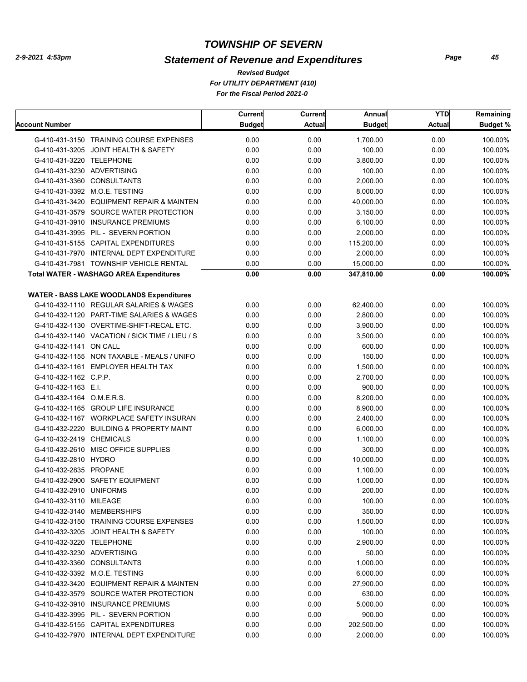## *Statement of Revenue and Expenditures*

*For UTILITY DEPARTMENT (410) For the Fiscal Period 2021-0 Revised Budget*

|                            |                                                 | Current       | <b>Current</b> | Annual        | <b>YTD</b>    | Remaining       |
|----------------------------|-------------------------------------------------|---------------|----------------|---------------|---------------|-----------------|
| Account Number             |                                                 | <b>Budget</b> | <b>Actual</b>  | <b>Budget</b> | <b>Actual</b> | <b>Budget %</b> |
|                            | G-410-431-3150 TRAINING COURSE EXPENSES         | 0.00          | 0.00           | 1,700.00      | 0.00          | 100.00%         |
|                            | G-410-431-3205 JOINT HEALTH & SAFETY            | 0.00          | 0.00           | 100.00        | 0.00          | 100.00%         |
| G-410-431-3220 TELEPHONE   |                                                 | 0.00          | 0.00           | 3,800.00      | 0.00          | 100.00%         |
| G-410-431-3230 ADVERTISING |                                                 | 0.00          | 0.00           | 100.00        | 0.00          | 100.00%         |
|                            | G-410-431-3360 CONSULTANTS                      | 0.00          | 0.00           | 2,000.00      | 0.00          | 100.00%         |
|                            | G-410-431-3392 M.O.E. TESTING                   | 0.00          | 0.00           | 8,000.00      | 0.00          | 100.00%         |
|                            | G-410-431-3420 EQUIPMENT REPAIR & MAINTEN       | 0.00          | 0.00           | 40,000.00     | 0.00          | 100.00%         |
|                            | G-410-431-3579 SOURCE WATER PROTECTION          | 0.00          | 0.00           | 3,150.00      | 0.00          | 100.00%         |
|                            | G-410-431-3910 INSURANCE PREMIUMS               | 0.00          | 0.00           | 6,100.00      | 0.00          | 100.00%         |
|                            | G-410-431-3995 PIL - SEVERN PORTION             | 0.00          | 0.00           | 2,000.00      | 0.00          | 100.00%         |
|                            | G-410-431-5155 CAPITAL EXPENDITURES             | 0.00          | 0.00           | 115,200.00    | 0.00          | 100.00%         |
|                            | G-410-431-7970 INTERNAL DEPT EXPENDITURE        | 0.00          | 0.00           | 2,000.00      | 0.00          | 100.00%         |
|                            | G-410-431-7981 TOWNSHIP VEHICLE RENTAL          | 0.00          | 0.00           | 15,000.00     | 0.00          | 100.00%         |
|                            | <b>Total WATER - WASHAGO AREA Expenditures</b>  | 0.00          | 0.00           | 347,810.00    | 0.00          | 100.00%         |
|                            | <b>WATER - BASS LAKE WOODLANDS Expenditures</b> |               |                |               |               |                 |
|                            | G-410-432-1110 REGULAR SALARIES & WAGES         | 0.00          | 0.00           | 62,400.00     | 0.00          | 100.00%         |
|                            | G-410-432-1120 PART-TIME SALARIES & WAGES       | 0.00          | 0.00           | 2,800.00      | 0.00          | 100.00%         |
|                            | G-410-432-1130 OVERTIME-SHIFT-RECAL ETC.        | 0.00          | 0.00           | 3,900.00      | 0.00          | 100.00%         |
|                            | G-410-432-1140 VACATION / SICK TIME / LIEU / S  | 0.00          | 0.00           | 3,500.00      | 0.00          | 100.00%         |
| G-410-432-1141 ON CALL     |                                                 | 0.00          | 0.00           | 600.00        | 0.00          | 100.00%         |
|                            | G-410-432-1155 NON TAXABLE - MEALS / UNIFO      | 0.00          | 0.00           | 150.00        | 0.00          | 100.00%         |
|                            | G-410-432-1161 EMPLOYER HEALTH TAX              | 0.00          | 0.00           | 1,500.00      | 0.00          | 100.00%         |
| G-410-432-1162 C.P.P.      |                                                 | 0.00          | 0.00           | 2,700.00      | 0.00          | 100.00%         |
| G-410-432-1163 E.I.        |                                                 | 0.00          | 0.00           | 900.00        | 0.00          | 100.00%         |
| G-410-432-1164 O.M.E.R.S.  |                                                 | 0.00          | 0.00           | 8,200.00      | 0.00          | 100.00%         |
|                            | G-410-432-1165 GROUP LIFE INSURANCE             | 0.00          | 0.00           | 8,900.00      | 0.00          | 100.00%         |
|                            | G-410-432-1167 WORKPLACE SAFETY INSURAN         | 0.00          | 0.00           | 2,400.00      | 0.00          | 100.00%         |
|                            | G-410-432-2220 BUILDING & PROPERTY MAINT        | 0.00          | 0.00           | 6,000.00      | 0.00          | 100.00%         |
| G-410-432-2419 CHEMICALS   |                                                 | 0.00          | 0.00           | 1,100.00      | 0.00          | 100.00%         |
|                            | G-410-432-2610 MISC OFFICE SUPPLIES             | 0.00          | 0.00           | 300.00        | 0.00          | 100.00%         |
| G-410-432-2810 HYDRO       |                                                 | 0.00          | 0.00           | 10,000.00     | 0.00          | 100.00%         |
| G-410-432-2835 PROPANE     |                                                 | 0.00          | 0.00           | 1,100.00      | 0.00          | 100.00%         |
|                            | G-410-432-2900 SAFETY EQUIPMENT                 | 0.00          | 0.00           | 1,000.00      | 0.00          | 100.00%         |
| G-410-432-2910 UNIFORMS    |                                                 | 0.00          | 0.00           | 200.00        | 0.00          | 100.00%         |
| G-410-432-3110 MILEAGE     |                                                 | 0.00          | 0.00           | 100.00        | 0.00          | 100.00%         |
|                            | G-410-432-3140 MEMBERSHIPS                      | 0.00          | 0.00           | 350.00        | 0.00          | 100.00%         |
|                            | G-410-432-3150 TRAINING COURSE EXPENSES         | 0.00          | 0.00           | 1,500.00      | 0.00          | 100.00%         |
|                            | G-410-432-3205 JOINT HEALTH & SAFETY            | 0.00          | 0.00           | 100.00        | 0.00          | 100.00%         |
| G-410-432-3220 TELEPHONE   |                                                 | 0.00          | 0.00           | 2,900.00      | 0.00          | 100.00%         |
| G-410-432-3230 ADVERTISING |                                                 | 0.00          | 0.00           | 50.00         | 0.00          | 100.00%         |
|                            | G-410-432-3360 CONSULTANTS                      | 0.00          | 0.00           | 1,000.00      | 0.00          | 100.00%         |
|                            | G-410-432-3392 M.O.E. TESTING                   | 0.00          | 0.00           | 6,000.00      | 0.00          | 100.00%         |
|                            | G-410-432-3420 EQUIPMENT REPAIR & MAINTEN       | 0.00          | 0.00           | 27,900.00     | 0.00          | 100.00%         |
|                            | G-410-432-3579 SOURCE WATER PROTECTION          | 0.00          | 0.00           | 630.00        | 0.00          | 100.00%         |
|                            | G-410-432-3910 INSURANCE PREMIUMS               | 0.00          | 0.00           | 5,000.00      | 0.00          | 100.00%         |
|                            | G-410-432-3995 PIL - SEVERN PORTION             | 0.00          | 0.00           | 900.00        | 0.00          | 100.00%         |
|                            | G-410-432-5155 CAPITAL EXPENDITURES             | 0.00          | 0.00           | 202,500.00    | 0.00          | 100.00%         |
|                            | G-410-432-7970 INTERNAL DEPT EXPENDITURE        | 0.00          | 0.00           | 2,000.00      | 0.00          | 100.00%         |
|                            |                                                 |               |                |               |               |                 |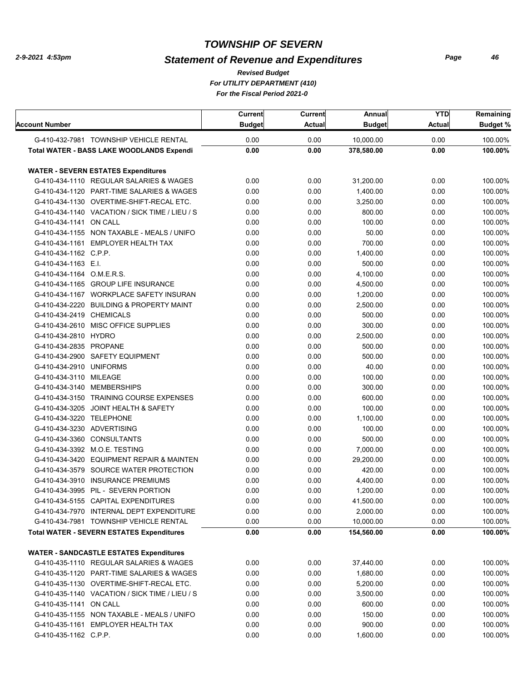## *Statement of Revenue and Expenditures*

*For UTILITY DEPARTMENT (410) For the Fiscal Period 2021-0 Revised Budget*

| <b>Account Number</b>      |                                                                            | <b>Current</b><br><b>Budget</b> | Current<br><b>Actual</b> | Annual<br><b>Budget</b> | <b>YTD</b><br><b>Actual</b> | Remaining<br><b>Budget %</b> |
|----------------------------|----------------------------------------------------------------------------|---------------------------------|--------------------------|-------------------------|-----------------------------|------------------------------|
|                            | G-410-432-7981 TOWNSHIP VEHICLE RENTAL                                     | 0.00                            | 0.00                     | 10,000.00               | 0.00                        | 100.00%                      |
|                            | <b>Total WATER - BASS LAKE WOODLANDS Expendi</b>                           | 0.00                            | 0.00                     | 378,580.00              | 0.00                        | 100.00%                      |
|                            |                                                                            |                                 |                          |                         |                             |                              |
|                            | <b>WATER - SEVERN ESTATES Expenditures</b>                                 |                                 |                          |                         |                             |                              |
|                            | G-410-434-1110 REGULAR SALARIES & WAGES                                    | 0.00                            | 0.00                     | 31,200.00               | 0.00                        | 100.00%                      |
|                            | G-410-434-1120 PART-TIME SALARIES & WAGES                                  | 0.00                            | 0.00                     | 1,400.00                | 0.00                        | 100.00%                      |
|                            | G-410-434-1130 OVERTIME-SHIFT-RECAL ETC.                                   | 0.00                            | 0.00                     | 3.250.00                | 0.00                        | 100.00%                      |
|                            | G-410-434-1140 VACATION / SICK TIME / LIEU / S                             | 0.00                            | 0.00                     | 800.00                  | 0.00                        | 100.00%                      |
| G-410-434-1141 ON CALL     |                                                                            | 0.00                            | 0.00                     | 100.00                  | 0.00                        | 100.00%                      |
|                            | G-410-434-1155 NON TAXABLE - MEALS / UNIFO                                 | 0.00                            | 0.00                     | 50.00                   | 0.00                        | 100.00%                      |
|                            | G-410-434-1161 EMPLOYER HEALTH TAX                                         | 0.00                            | 0.00                     | 700.00                  | 0.00                        | 100.00%                      |
| G-410-434-1162 C.P.P.      |                                                                            | 0.00                            | 0.00                     | 1,400.00                | 0.00                        | 100.00%                      |
| G-410-434-1163 E.I.        |                                                                            | 0.00                            | 0.00                     | 500.00                  | 0.00                        | 100.00%                      |
| G-410-434-1164 O.M.E.R.S.  |                                                                            | 0.00                            | 0.00                     | 4,100.00                | 0.00                        | 100.00%                      |
|                            | G-410-434-1165 GROUP LIFE INSURANCE                                        | 0.00                            | 0.00                     | 4,500.00                | 0.00                        | 100.00%                      |
|                            | G-410-434-1167 WORKPLACE SAFETY INSURAN                                    | 0.00                            | 0.00                     | 1,200.00                | 0.00                        | 100.00%                      |
|                            | G-410-434-2220 BUILDING & PROPERTY MAINT                                   | 0.00                            | 0.00                     | 2.500.00                | 0.00                        | 100.00%                      |
| G-410-434-2419 CHEMICALS   |                                                                            | 0.00                            | 0.00                     | 500.00                  | 0.00                        | 100.00%                      |
|                            | G-410-434-2610 MISC OFFICE SUPPLIES                                        | 0.00                            | 0.00                     | 300.00                  | 0.00                        | 100.00%                      |
| G-410-434-2810 HYDRO       |                                                                            | 0.00                            | 0.00                     | 2,500.00                | 0.00                        | 100.00%                      |
| G-410-434-2835 PROPANE     |                                                                            | 0.00                            | 0.00                     | 500.00                  | 0.00                        | 100.00%                      |
|                            | G-410-434-2900 SAFETY EQUIPMENT                                            | 0.00                            | 0.00                     | 500.00                  | 0.00                        | 100.00%                      |
| G-410-434-2910 UNIFORMS    |                                                                            | 0.00                            | 0.00                     | 40.00                   | 0.00                        | 100.00%                      |
| G-410-434-3110 MILEAGE     |                                                                            | 0.00                            | 0.00                     | 100.00                  | 0.00                        | 100.00%                      |
|                            | G-410-434-3140 MEMBERSHIPS                                                 | 0.00                            | 0.00                     | 300.00                  | 0.00                        | 100.00%                      |
|                            | G-410-434-3150 TRAINING COURSE EXPENSES                                    | 0.00                            | 0.00                     | 600.00                  | 0.00                        | 100.00%                      |
|                            | G-410-434-3205 JOINT HEALTH & SAFETY                                       | 0.00                            | 0.00                     | 100.00                  | 0.00                        | 100.00%                      |
| G-410-434-3220 TELEPHONE   |                                                                            | 0.00                            | 0.00                     | 1,100.00                | 0.00                        | 100.00%                      |
| G-410-434-3230 ADVERTISING |                                                                            | 0.00                            | 0.00                     | 100.00                  | 0.00                        | 100.00%                      |
|                            | G-410-434-3360 CONSULTANTS                                                 | 0.00                            | 0.00                     | 500.00                  | 0.00                        | 100.00%                      |
|                            | G-410-434-3392 M.O.E. TESTING                                              | 0.00                            | 0.00                     | 7,000.00                | 0.00                        | 100.00%                      |
|                            | G-410-434-3420 EQUIPMENT REPAIR & MAINTEN                                  | 0.00                            | 0.00                     | 29,200.00               | 0.00                        | 100.00%                      |
|                            | G-410-434-3579 SOURCE WATER PROTECTION                                     | 0.00                            | 0.00                     | 420.00                  | 0.00                        | 100.00%                      |
|                            | G-410-434-3910 INSURANCE PREMIUMS                                          | 0.00                            | 0.00                     | 4,400.00                | 0.00                        | 100.00%                      |
|                            | G-410-434-3995 PIL - SEVERN PORTION<br>G-410-434-5155 CAPITAL EXPENDITURES | 0.00                            | 0.00                     | 1,200.00                | 0.00<br>0.00                | 100.00%<br>100.00%           |
|                            |                                                                            | 0.00                            | 0.00                     | 41,500.00               |                             |                              |
|                            | G-410-434-7970 INTERNAL DEPT EXPENDITURE                                   | 0.00                            | 0.00                     | 2,000.00                | 0.00                        | 100.00%                      |
|                            | G-410-434-7981 TOWNSHIP VEHICLE RENTAL                                     | 0.00                            | 0.00                     | 10,000.00               | 0.00                        | 100.00%                      |
|                            | <b>Total WATER - SEVERN ESTATES Expenditures</b>                           | 0.00                            | 0.00                     | 154,560.00              | 0.00                        | 100.00%                      |
|                            | <b>WATER - SANDCASTLE ESTATES Expenditures</b>                             |                                 |                          |                         |                             |                              |
|                            | G-410-435-1110 REGULAR SALARIES & WAGES                                    | 0.00                            | 0.00                     | 37,440.00               | 0.00                        | 100.00%                      |
|                            | G-410-435-1120 PART-TIME SALARIES & WAGES                                  | 0.00                            | 0.00                     | 1,680.00                | 0.00                        | 100.00%                      |
|                            | G-410-435-1130 OVERTIME-SHIFT-RECAL ETC.                                   | 0.00                            | 0.00                     | 5,200.00                | 0.00                        | 100.00%                      |
|                            | G-410-435-1140 VACATION / SICK TIME / LIEU / S                             | 0.00                            | 0.00                     | 3,500.00                | 0.00                        | 100.00%                      |
| G-410-435-1141 ON CALL     |                                                                            | 0.00                            | 0.00                     | 600.00                  | 0.00                        | 100.00%                      |
|                            | G-410-435-1155 NON TAXABLE - MEALS / UNIFO                                 | 0.00                            | 0.00                     | 150.00                  | 0.00                        | 100.00%                      |
|                            | G-410-435-1161 EMPLOYER HEALTH TAX                                         | 0.00                            | 0.00                     | 900.00                  | 0.00                        | 100.00%                      |
| G-410-435-1162 C.P.P.      |                                                                            | 0.00                            | 0.00                     | 1,600.00                | 0.00                        | 100.00%                      |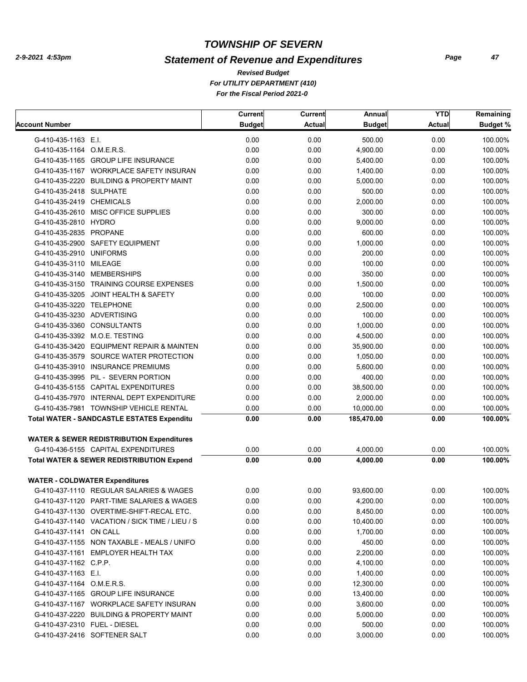## *Statement of Revenue and Expenditures*

*For UTILITY DEPARTMENT (410) For the Fiscal Period 2021-0 Revised Budget*

|                                                      | <b>Current</b> | <b>Current</b> | Annual        | <b>YTD</b>    | Remaining       |
|------------------------------------------------------|----------------|----------------|---------------|---------------|-----------------|
| <b>Account Number</b>                                | <b>Budget</b>  | <b>Actual</b>  | <b>Budget</b> | <b>Actual</b> | <b>Budget %</b> |
| G-410-435-1163 E.I.                                  | 0.00           | 0.00           | 500.00        | 0.00          | 100.00%         |
| G-410-435-1164 O.M.E.R.S.                            | 0.00           | 0.00           | 4,900.00      | 0.00          | 100.00%         |
| G-410-435-1165 GROUP LIFE INSURANCE                  | 0.00           | 0.00           | 5,400.00      | 0.00          | 100.00%         |
| G-410-435-1167 WORKPLACE SAFETY INSURAN              | 0.00           | 0.00           | 1,400.00      | 0.00          | 100.00%         |
| G-410-435-2220 BUILDING & PROPERTY MAINT             | 0.00           | 0.00           | 5,000.00      | 0.00          | 100.00%         |
| G-410-435-2418 SULPHATE                              | 0.00           | 0.00           | 500.00        | 0.00          | 100.00%         |
| G-410-435-2419 CHEMICALS                             | 0.00           | 0.00           | 2,000.00      | 0.00          | 100.00%         |
| G-410-435-2610 MISC OFFICE SUPPLIES                  | 0.00           | 0.00           | 300.00        | 0.00          | 100.00%         |
| G-410-435-2810 HYDRO                                 | 0.00           | 0.00           | 9,000.00      | 0.00          | 100.00%         |
| G-410-435-2835 PROPANE                               | 0.00           | 0.00           | 600.00        | 0.00          | 100.00%         |
| G-410-435-2900 SAFETY EQUIPMENT                      | 0.00           | 0.00           | 1,000.00      | 0.00          | 100.00%         |
| G-410-435-2910 UNIFORMS                              | 0.00           | 0.00           | 200.00        | 0.00          | 100.00%         |
| G-410-435-3110 MILEAGE                               | 0.00           | 0.00           | 100.00        | 0.00          | 100.00%         |
| G-410-435-3140 MEMBERSHIPS                           | 0.00           | 0.00           | 350.00        | 0.00          | 100.00%         |
| G-410-435-3150 TRAINING COURSE EXPENSES              | 0.00           | 0.00           | 1,500.00      | 0.00          | 100.00%         |
| G-410-435-3205 JOINT HEALTH & SAFETY                 | 0.00           | 0.00           | 100.00        | 0.00          | 100.00%         |
| G-410-435-3220 TELEPHONE                             | 0.00           | 0.00           | 2,500.00      | 0.00          | 100.00%         |
| G-410-435-3230 ADVERTISING                           | 0.00           | 0.00           | 100.00        | 0.00          | 100.00%         |
| G-410-435-3360 CONSULTANTS                           | 0.00           | 0.00           | 1,000.00      | 0.00          | 100.00%         |
| G-410-435-3392 M.O.E. TESTING                        | 0.00           | 0.00           | 4,500.00      | 0.00          | 100.00%         |
| G-410-435-3420 EQUIPMENT REPAIR & MAINTEN            | 0.00           | 0.00           | 35,900.00     | 0.00          | 100.00%         |
| G-410-435-3579 SOURCE WATER PROTECTION               | 0.00           | 0.00           | 1,050.00      | 0.00          | 100.00%         |
| G-410-435-3910 INSURANCE PREMIUMS                    | 0.00           | 0.00           | 5,600.00      | 0.00          | 100.00%         |
| G-410-435-3995 PIL - SEVERN PORTION                  | 0.00           | 0.00           | 400.00        | 0.00          | 100.00%         |
| G-410-435-5155 CAPITAL EXPENDITURES                  | 0.00           | 0.00           | 38,500.00     | 0.00          | 100.00%         |
| G-410-435-7970 INTERNAL DEPT EXPENDITURE             | 0.00           | 0.00           | 2,000.00      | 0.00          | 100.00%         |
| G-410-435-7981 TOWNSHIP VEHICLE RENTAL               | 0.00           | 0.00           | 10,000.00     | 0.00          | 100.00%         |
| <b>Total WATER - SANDCASTLE ESTATES Expenditu</b>    | 0.00           | 0.00           | 185,470.00    | 0.00          | 100.00%         |
| <b>WATER &amp; SEWER REDISTRIBUTION Expenditures</b> |                |                |               |               |                 |
| G-410-436-5155 CAPITAL EXPENDITURES                  | 0.00           | 0.00           | 4,000.00      | 0.00          | 100.00%         |
| <b>Total WATER &amp; SEWER REDISTRIBUTION Expend</b> | 0.00           | 0.00           | 4,000.00      | 0.00          | 100.00%         |
|                                                      |                |                |               |               |                 |
| <b>WATER - COLDWATER Expenditures</b>                |                |                |               |               |                 |
| G-410-437-1110 REGULAR SALARIES & WAGES              | 0.00           | 0.00           | 93,600.00     | 0.00          | 100.00%         |
| G-410-437-1120 PART-TIME SALARIES & WAGES            | 0.00           | 0.00           | 4,200.00      | 0.00          | 100.00%         |
| G-410-437-1130 OVERTIME-SHIFT-RECAL ETC.             | 0.00           | 0.00           | 8,450.00      | 0.00          | 100.00%         |
| G-410-437-1140 VACATION / SICK TIME / LIEU / S       | 0.00           | 0.00           | 10,400.00     | 0.00          | 100.00%         |
| G-410-437-1141 ON CALL                               | 0.00           | 0.00           | 1,700.00      | 0.00          | 100.00%         |
| G-410-437-1155 NON TAXABLE - MEALS / UNIFO           | 0.00           | 0.00           | 450.00        | 0.00          | 100.00%         |
| G-410-437-1161 EMPLOYER HEALTH TAX                   | 0.00           | 0.00           | 2,200.00      | 0.00          | 100.00%         |
| G-410-437-1162 C.P.P.                                | 0.00           | 0.00           | 4,100.00      | 0.00          | 100.00%         |
| G-410-437-1163 E.I.                                  | 0.00           | 0.00           | 1,400.00      | 0.00          | 100.00%         |
| G-410-437-1164 O.M.E.R.S.                            | 0.00           | 0.00           | 12,300.00     | 0.00          | 100.00%         |
| G-410-437-1165 GROUP LIFE INSURANCE                  | 0.00           | 0.00           | 13,400.00     | 0.00          | 100.00%         |
| G-410-437-1167 WORKPLACE SAFETY INSURAN              | 0.00           | 0.00           | 3,600.00      | 0.00          | 100.00%         |
| G-410-437-2220 BUILDING & PROPERTY MAINT             | 0.00           | 0.00           | 5,000.00      | 0.00          | 100.00%         |
| G-410-437-2310 FUEL - DIESEL                         | 0.00           | 0.00           | 500.00        | 0.00          | 100.00%         |
| G-410-437-2416 SOFTENER SALT                         | 0.00           | 0.00           | 3,000.00      | 0.00          | 100.00%         |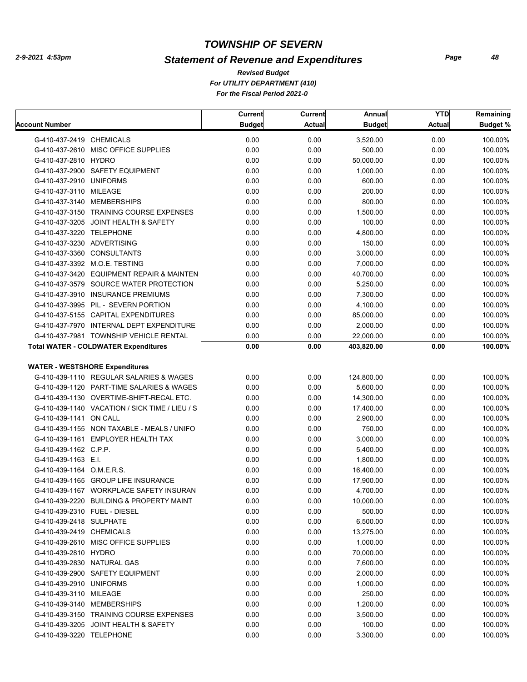## *Statement of Revenue and Expenditures*

*For UTILITY DEPARTMENT (410) For the Fiscal Period 2021-0 Revised Budget*

|                                             |                                                | Current       | Current       | Annual        | <b>YTD</b>    | Remaining       |
|---------------------------------------------|------------------------------------------------|---------------|---------------|---------------|---------------|-----------------|
| Account Number                              |                                                | <b>Budget</b> | <b>Actual</b> | <b>Budget</b> | <b>Actual</b> | <b>Budget %</b> |
| G-410-437-2419 CHEMICALS                    |                                                | 0.00          | 0.00          | 3,520.00      | 0.00          | 100.00%         |
| G-410-437-2610 MISC OFFICE SUPPLIES         |                                                | 0.00          | 0.00          | 500.00        | 0.00          | 100.00%         |
| G-410-437-2810 HYDRO                        |                                                | 0.00          | 0.00          | 50,000.00     | 0.00          | 100.00%         |
| G-410-437-2900 SAFETY EQUIPMENT             |                                                | 0.00          | 0.00          | 1,000.00      | 0.00          | 100.00%         |
| G-410-437-2910 UNIFORMS                     |                                                | 0.00          | 0.00          | 600.00        | 0.00          | 100.00%         |
| G-410-437-3110 MILEAGE                      |                                                | 0.00          | 0.00          | 200.00        | 0.00          | 100.00%         |
| G-410-437-3140 MEMBERSHIPS                  |                                                | 0.00          | 0.00          | 800.00        | 0.00          | 100.00%         |
|                                             | G-410-437-3150 TRAINING COURSE EXPENSES        | 0.00          | 0.00          | 1.500.00      | 0.00          | 100.00%         |
| G-410-437-3205 JOINT HEALTH & SAFETY        |                                                | 0.00          | 0.00          | 100.00        | 0.00          | 100.00%         |
| G-410-437-3220 TELEPHONE                    |                                                | 0.00          | 0.00          | 4,800.00      | 0.00          | 100.00%         |
| G-410-437-3230 ADVERTISING                  |                                                | 0.00          | 0.00          | 150.00        | 0.00          | 100.00%         |
| G-410-437-3360 CONSULTANTS                  |                                                | 0.00          | 0.00          | 3,000.00      | 0.00          | 100.00%         |
| G-410-437-3392 M.O.E. TESTING               |                                                | 0.00          | 0.00          | 7,000.00      | 0.00          | 100.00%         |
|                                             | G-410-437-3420 EQUIPMENT REPAIR & MAINTEN      | 0.00          | 0.00          | 40,700.00     | 0.00          | 100.00%         |
|                                             | G-410-437-3579 SOURCE WATER PROTECTION         | 0.00          | 0.00          | 5,250.00      | 0.00          | 100.00%         |
| G-410-437-3910 INSURANCE PREMIUMS           |                                                | 0.00          | 0.00          | 7,300.00      | 0.00          | 100.00%         |
| G-410-437-3995 PIL - SEVERN PORTION         |                                                | 0.00          | 0.00          | 4,100.00      | 0.00          | 100.00%         |
| G-410-437-5155 CAPITAL EXPENDITURES         |                                                | 0.00          | 0.00          | 85,000.00     | 0.00          | 100.00%         |
|                                             | G-410-437-7970 INTERNAL DEPT EXPENDITURE       | 0.00          | 0.00          | 2,000.00      | 0.00          | 100.00%         |
|                                             | G-410-437-7981 TOWNSHIP VEHICLE RENTAL         | 0.00          | 0.00          | 22,000.00     | 0.00          | 100.00%         |
| <b>Total WATER - COLDWATER Expenditures</b> |                                                | 0.00          | 0.00          | 403,820.00    | 0.00          | 100.00%         |
|                                             |                                                |               |               |               |               |                 |
| <b>WATER - WESTSHORE Expenditures</b>       |                                                |               |               |               |               |                 |
|                                             | G-410-439-1110 REGULAR SALARIES & WAGES        | 0.00          | 0.00          | 124,800.00    | 0.00          | 100.00%         |
|                                             | G-410-439-1120 PART-TIME SALARIES & WAGES      | 0.00          | 0.00          | 5,600.00      | 0.00          | 100.00%         |
|                                             | G-410-439-1130 OVERTIME-SHIFT-RECAL ETC.       | 0.00          | 0.00          | 14,300.00     | 0.00          | 100.00%         |
|                                             | G-410-439-1140 VACATION / SICK TIME / LIEU / S | 0.00          | 0.00          | 17,400.00     | 0.00          | 100.00%         |
| G-410-439-1141 ON CALL                      |                                                | 0.00          | 0.00          | 2,900.00      | 0.00          | 100.00%         |
|                                             | G-410-439-1155 NON TAXABLE - MEALS / UNIFO     | 0.00          | 0.00          | 750.00        | 0.00          | 100.00%         |
| G-410-439-1161 EMPLOYER HEALTH TAX          |                                                | 0.00          | 0.00          | 3,000.00      | 0.00          | 100.00%         |
| G-410-439-1162 C.P.P.                       |                                                | 0.00          | 0.00          | 5,400.00      | 0.00          | 100.00%         |
| G-410-439-1163 E.I.                         |                                                | 0.00          | 0.00          | 1,800.00      | 0.00          | 100.00%         |
| G-410-439-1164 O.M.E.R.S.                   |                                                | 0.00          | 0.00          | 16,400.00     | 0.00          | 100.00%         |
| G-410-439-1165 GROUP LIFE INSURANCE         |                                                | 0.00          | 0.00          | 17,900.00     | 0.00          | 100.00%         |
|                                             | G-410-439-1167 WORKPLACE SAFETY INSURAN        | 0.00          | 0.00          | 4,700.00      | 0.00          | 100.00%         |
|                                             | G-410-439-2220 BUILDING & PROPERTY MAINT       | 0.00          | 0.00          | 10,000.00     | 0.00          | 100.00%         |
| G-410-439-2310 FUEL - DIESEL                |                                                | 0.00          | 0.00          | 500.00        | 0.00          | 100.00%         |
| G-410-439-2418 SULPHATE                     |                                                | 0.00          | 0.00          | 6,500.00      | 0.00          | 100.00%         |
| G-410-439-2419 CHEMICALS                    |                                                | 0.00          | 0.00          | 13,275.00     | 0.00          | 100.00%         |
| G-410-439-2610 MISC OFFICE SUPPLIES         |                                                | 0.00          | 0.00          | 1,000.00      | 0.00          | 100.00%         |
| G-410-439-2810 HYDRO                        |                                                | 0.00          | 0.00          | 70,000.00     | 0.00          | 100.00%         |
| G-410-439-2830 NATURAL GAS                  |                                                | 0.00          | 0.00          | 7,600.00      | 0.00          | 100.00%         |
| G-410-439-2900 SAFETY EQUIPMENT             |                                                | 0.00          | 0.00          | 2,000.00      | 0.00          | 100.00%         |
| G-410-439-2910 UNIFORMS                     |                                                | 0.00          | 0.00          | 1,000.00      | 0.00          | 100.00%         |
| G-410-439-3110 MILEAGE                      |                                                | 0.00          | 0.00          | 250.00        | 0.00          | 100.00%         |
| G-410-439-3140 MEMBERSHIPS                  |                                                | 0.00          | 0.00          | 1,200.00      | 0.00          | 100.00%         |
|                                             | G-410-439-3150 TRAINING COURSE EXPENSES        | 0.00          | 0.00          | 3,500.00      | 0.00          | 100.00%         |
| G-410-439-3205 JOINT HEALTH & SAFETY        |                                                | 0.00          | 0.00          | 100.00        | 0.00          | 100.00%         |
| G-410-439-3220 TELEPHONE                    |                                                | 0.00          | 0.00          | 3,300.00      | 0.00          | 100.00%         |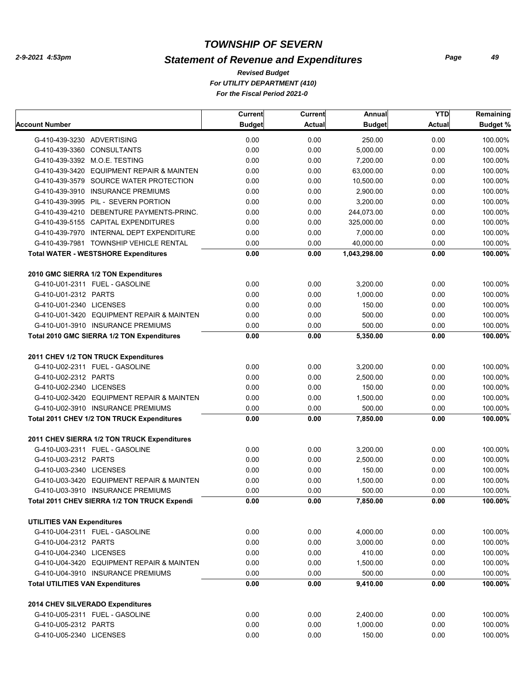## *Statement of Revenue and Expenditures*

*For UTILITY DEPARTMENT (410) For the Fiscal Period 2021-0 Revised Budget*

|                                                                    | Current       | Current       | Annual        | <b>YTD</b>    | Remaining       |
|--------------------------------------------------------------------|---------------|---------------|---------------|---------------|-----------------|
| Account Number                                                     | <b>Budget</b> | <b>Actual</b> | <b>Budget</b> | <b>Actual</b> | <b>Budget %</b> |
| G-410-439-3230 ADVERTISING                                         | 0.00          | 0.00          | 250.00        | 0.00          | 100.00%         |
| G-410-439-3360 CONSULTANTS                                         | 0.00          | 0.00          | 5,000.00      | 0.00          | 100.00%         |
| G-410-439-3392 M.O.E. TESTING                                      | 0.00          | 0.00          | 7,200.00      | 0.00          | 100.00%         |
| G-410-439-3420 EQUIPMENT REPAIR & MAINTEN                          | 0.00          | 0.00          | 63,000.00     | 0.00          | 100.00%         |
| G-410-439-3579 SOURCE WATER PROTECTION                             | 0.00          | 0.00          | 10,500.00     | 0.00          | 100.00%         |
| G-410-439-3910 INSURANCE PREMIUMS                                  | 0.00          | 0.00          | 2,900.00      | 0.00          | 100.00%         |
| G-410-439-3995 PIL - SEVERN PORTION                                | 0.00          | 0.00          | 3,200.00      | 0.00          | 100.00%         |
| G-410-439-4210 DEBENTURE PAYMENTS-PRINC.                           | 0.00          | 0.00          | 244,073.00    | 0.00          | 100.00%         |
| G-410-439-5155 CAPITAL EXPENDITURES                                | 0.00          | 0.00          | 325,000.00    | 0.00          | 100.00%         |
| G-410-439-7970 INTERNAL DEPT EXPENDITURE                           | 0.00          | 0.00          | 7,000.00      | 0.00          | 100.00%         |
| G-410-439-7981 TOWNSHIP VEHICLE RENTAL                             | 0.00          | 0.00          | 40,000.00     | 0.00          | 100.00%         |
| <b>Total WATER - WESTSHORE Expenditures</b>                        | 0.00          | 0.00          | 1,043,298.00  | 0.00          | 100.00%         |
| 2010 GMC SIERRA 1/2 TON Expenditures                               |               |               |               |               |                 |
| G-410-U01-2311 FUEL - GASOLINE                                     | 0.00          | 0.00          | 3,200.00      | 0.00          | 100.00%         |
| G-410-U01-2312 PARTS                                               | 0.00          | 0.00          | 1.000.00      | 0.00          | 100.00%         |
| G-410-U01-2340 LICENSES                                            | 0.00          | 0.00          | 150.00        | 0.00          | 100.00%         |
| G-410-U01-3420 EQUIPMENT REPAIR & MAINTEN                          | 0.00          | 0.00          | 500.00        | 0.00          | 100.00%         |
| G-410-U01-3910 INSURANCE PREMIUMS                                  | 0.00          | 0.00          | 500.00        | 0.00          | 100.00%         |
| Total 2010 GMC SIERRA 1/2 TON Expenditures                         | 0.00          | 0.00          | 5,350.00      | 0.00          | 100.00%         |
|                                                                    |               |               |               |               |                 |
| 2011 CHEV 1/2 TON TRUCK Expenditures                               |               |               |               |               |                 |
| G-410-U02-2311 FUEL - GASOLINE                                     | 0.00          | 0.00          | 3,200.00      | 0.00          | 100.00%         |
| G-410-U02-2312 PARTS                                               | 0.00          | 0.00          | 2,500.00      | 0.00          | 100.00%         |
| G-410-U02-2340 LICENSES                                            | 0.00          | 0.00          | 150.00        | 0.00          | 100.00%         |
| G-410-U02-3420 EQUIPMENT REPAIR & MAINTEN                          | 0.00          | 0.00          | 1,500.00      | 0.00          | 100.00%         |
| G-410-U02-3910 INSURANCE PREMIUMS                                  | 0.00          | 0.00          | 500.00        | 0.00          | 100.00%         |
| Total 2011 CHEV 1/2 TON TRUCK Expenditures                         | 0.00          | 0.00          | 7,850.00      | 0.00          | 100.00%         |
| 2011 CHEV SIERRA 1/2 TON TRUCK Expenditures                        |               |               |               |               |                 |
| G-410-U03-2311 FUEL - GASOLINE                                     | 0.00          | 0.00          | 3,200.00      | 0.00          | 100.00%         |
| G-410-U03-2312 PARTS                                               | 0.00          | 0.00          | 2,500.00      | 0.00          | 100.00%         |
| G-410-U03-2340 LICENSES                                            | 0.00          | 0.00          | 150.00        | 0.00          | 100.00%         |
| G-410-U03-3420 EQUIPMENT REPAIR & MAINTEN                          | 0.00          | 0.00          | 1,500.00      | 0.00          | 100.00%         |
| G-410-U03-3910 INSURANCE PREMIUMS                                  | 0.00          | 0.00          | 500.00        | 0.00          | 100.00%         |
| Total 2011 CHEV SIERRA 1/2 TON TRUCK Expendi                       | 0.00          | 0.00          | 7,850.00      | 0.00          | 100.00%         |
| <b>UTILITIES VAN Expenditures</b>                                  |               |               |               |               |                 |
| G-410-U04-2311 FUEL - GASOLINE                                     | 0.00          | 0.00          | 4,000.00      | 0.00          | 100.00%         |
| G-410-U04-2312 PARTS                                               | 0.00          | 0.00          | 3,000.00      | 0.00          | 100.00%         |
| G-410-U04-2340 LICENSES                                            | 0.00          | 0.00          | 410.00        | 0.00          | 100.00%         |
| G-410-U04-3420 EQUIPMENT REPAIR & MAINTEN                          | 0.00          | 0.00          | 1,500.00      | 0.00          | 100.00%         |
| G-410-U04-3910 INSURANCE PREMIUMS                                  | 0.00          | 0.00          | 500.00        | 0.00          | 100.00%         |
| <b>Total UTILITIES VAN Expenditures</b>                            | 0.00          | 0.00          | 9,410.00      | 0.00          | 100.00%         |
|                                                                    |               |               |               |               |                 |
| 2014 CHEV SILVERADO Expenditures<br>G-410-U05-2311 FUEL - GASOLINE | 0.00          | 0.00          | 2,400.00      | 0.00          | 100.00%         |
| G-410-U05-2312 PARTS                                               | 0.00          | 0.00          | 1,000.00      | 0.00          | 100.00%         |
| G-410-U05-2340 LICENSES                                            | 0.00          | 0.00          | 150.00        | 0.00          | 100.00%         |
|                                                                    |               |               |               |               |                 |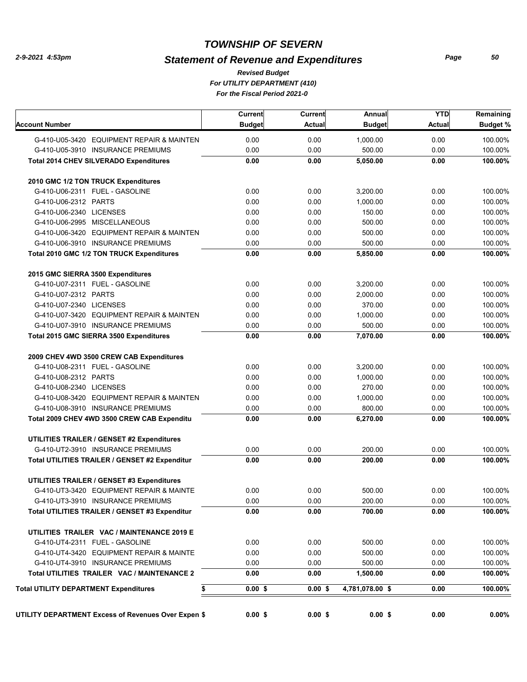#### *Statement of Revenue and Expenditures*

*For UTILITY DEPARTMENT (410) For the Fiscal Period 2021-0 Revised Budget*

|                                                     | Current       | Current       | Annual          | <b>YTD</b> | Remaining       |
|-----------------------------------------------------|---------------|---------------|-----------------|------------|-----------------|
| <b>Account Number</b>                               | <b>Budget</b> | <b>Actual</b> | <b>Budget</b>   | Actual     | <b>Budget %</b> |
| G-410-U05-3420 EQUIPMENT REPAIR & MAINTEN           | 0.00          | 0.00          | 1,000.00        | 0.00       | 100.00%         |
| G-410-U05-3910 INSURANCE PREMIUMS                   | 0.00          | 0.00          | 500.00          | 0.00       | 100.00%         |
| <b>Total 2014 CHEV SILVERADO Expenditures</b>       | 0.00          | 0.00          | 5,050.00        | 0.00       | 100.00%         |
| 2010 GMC 1/2 TON TRUCK Expenditures                 |               |               |                 |            |                 |
| G-410-U06-2311 FUEL - GASOLINE                      | 0.00          | 0.00          | 3,200.00        | 0.00       | 100.00%         |
| G-410-U06-2312 PARTS                                | 0.00          | 0.00          | 1,000.00        | 0.00       | 100.00%         |
| G-410-U06-2340 LICENSES                             | 0.00          | 0.00          | 150.00          | 0.00       | 100.00%         |
| G-410-U06-2995 MISCELLANEOUS                        | 0.00          | 0.00          | 500.00          | 0.00       | 100.00%         |
| G-410-U06-3420 EQUIPMENT REPAIR & MAINTEN           | 0.00          | 0.00          | 500.00          | 0.00       | 100.00%         |
| G-410-U06-3910 INSURANCE PREMIUMS                   | 0.00          | 0.00          | 500.00          | 0.00       | 100.00%         |
| Total 2010 GMC 1/2 TON TRUCK Expenditures           | 0.00          | 0.00          | 5,850.00        | 0.00       | 100.00%         |
| 2015 GMC SIERRA 3500 Expenditures                   |               |               |                 |            |                 |
| G-410-U07-2311 FUEL - GASOLINE                      | 0.00          | 0.00          | 3,200.00        | 0.00       | 100.00%         |
| G-410-U07-2312 PARTS                                | 0.00          | 0.00          | 2,000.00        | 0.00       | 100.00%         |
| G-410-U07-2340 LICENSES                             | 0.00          | 0.00          | 370.00          | 0.00       | 100.00%         |
| G-410-U07-3420 EQUIPMENT REPAIR & MAINTEN           | 0.00          | 0.00          | 1,000.00        | 0.00       | 100.00%         |
| G-410-U07-3910 INSURANCE PREMIUMS                   | 0.00          | 0.00          | 500.00          | 0.00       | 100.00%         |
| Total 2015 GMC SIERRA 3500 Expenditures             | 0.00          | 0.00          | 7,070.00        | 0.00       | 100.00%         |
| 2009 CHEV 4WD 3500 CREW CAB Expenditures            |               |               |                 |            |                 |
| G-410-U08-2311 FUEL - GASOLINE                      | 0.00          | 0.00          | 3,200.00        | 0.00       | 100.00%         |
| G-410-U08-2312 PARTS                                | 0.00          | 0.00          | 1,000.00        | 0.00       | 100.00%         |
| G-410-U08-2340 LICENSES                             | 0.00          | 0.00          | 270.00          | 0.00       | 100.00%         |
| G-410-U08-3420 EQUIPMENT REPAIR & MAINTEN           | 0.00          | 0.00          | 1,000.00        | 0.00       | 100.00%         |
| G-410-U08-3910 INSURANCE PREMIUMS                   | 0.00          | 0.00          | 800.00          | 0.00       | 100.00%         |
| Total 2009 CHEV 4WD 3500 CREW CAB Expenditu         | 0.00          | 0.00          | 6,270.00        | 0.00       | 100.00%         |
| <b>UTILITIES TRAILER / GENSET #2 Expenditures</b>   |               |               |                 |            |                 |
| G-410-UT2-3910 INSURANCE PREMIUMS                   | 0.00          | 0.00          | 200.00          | 0.00       | 100.00%         |
| Total UTILITIES TRAILER / GENSET #2 Expenditur      | 0.00          | 0.00          | 200.00          | 0.00       | 100.00%         |
| <b>UTILITIES TRAILER / GENSET #3 Expenditures</b>   |               |               |                 |            |                 |
| G-410-UT3-3420 EQUIPMENT REPAIR & MAINTE            | 0.00          | 0.00          | 500.00          | 0.00       | 100.00%         |
| G-410-UT3-3910 INSURANCE PREMIUMS                   | 0.00          | 0.00          | 200.00          | 0.00       | 100.00%         |
| Total UTILITIES TRAILER / GENSET #3 Expenditur      | 0.00          | 0.00          | 700.00          | 0.00       | 100.00%         |
| UTILITIES TRAILER VAC / MAINTENANCE 2019 E          |               |               |                 |            |                 |
| G-410-UT4-2311 FUEL - GASOLINE                      | 0.00          | 0.00          | 500.00          | 0.00       | 100.00%         |
| G-410-UT4-3420 EQUIPMENT REPAIR & MAINTE            | 0.00          | 0.00          | 500.00          | 0.00       | 100.00%         |
| G-410-UT4-3910 INSURANCE PREMIUMS                   | 0.00          | 0.00          | 500.00          | 0.00       | 100.00%         |
| Total UTILITIES TRAILER VAC / MAINTENANCE 2         | 0.00          | 0.00          | 1,500.00        | 0.00       | 100.00%         |
| <b>Total UTILITY DEPARTMENT Expenditures</b><br>\$  | $0.00$ \$     | 0.00S         | 4,781,078.00 \$ | 0.00       | 100.00%         |
|                                                     |               |               |                 |            |                 |
| UTILITY DEPARTMENT Excess of Revenues Over Expen \$ | $0.00$ \$     | $0.00$ \$     | $0.00$ \$       | 0.00       | $0.00\%$        |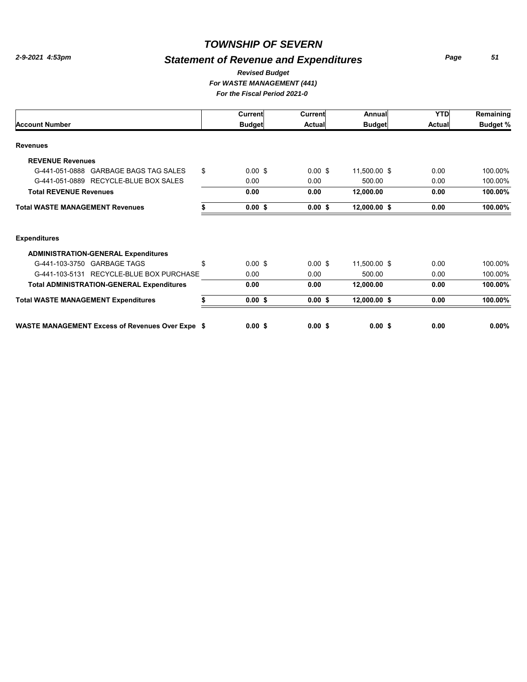## *Statement of Revenue and Expenditures*

*Page 51*

#### *For WASTE MANAGEMENT (441) Revised Budget*

| For the Fiscal Period 2021-0 |
|------------------------------|
|------------------------------|

|                                                  |                                                           | Current            | Current   | Annual       | <b>YTD</b> | Remaining |
|--------------------------------------------------|-----------------------------------------------------------|--------------------|-----------|--------------|------------|-----------|
| <b>Account Number</b>                            | <b>Budget</b><br><b>Budget</b><br>Actual<br><b>Actual</b> | <b>Budget %</b>    |           |              |            |           |
| <b>Revenues</b>                                  |                                                           |                    |           |              |            |           |
| <b>REVENUE Revenues</b>                          |                                                           |                    |           |              |            |           |
| G-441-051-0888 GARBAGE BAGS TAG SALES            | \$                                                        | $0.00$ \$          | $0.00$ \$ | 11,500.00 \$ | 0.00       | 100.00%   |
| G-441-051-0889 RECYCLE-BLUE BOX SALES            |                                                           | 0.00               | 0.00      | 500.00       | 0.00       | 100.00%   |
| <b>Total REVENUE Revenues</b>                    |                                                           | 0.00               | 0.00      | 12,000.00    | 0.00       | 100.00%   |
| <b>Total WASTE MANAGEMENT Revenues</b>           |                                                           | $0.00$ \$          | $0.00$ \$ | 12,000.00 \$ | 0.00       | 100.00%   |
| <b>Expenditures</b>                              |                                                           |                    |           |              |            |           |
| <b>ADMINISTRATION-GENERAL Expenditures</b>       |                                                           |                    |           |              |            |           |
| G-441-103-3750 GARBAGE TAGS                      | \$                                                        | $0.00 \text{ }$ \$ | $0.00$ \$ | 11,500.00 \$ | 0.00       | 100.00%   |
| RECYCLE-BLUE BOX PURCHASE<br>G-441-103-5131      |                                                           | 0.00               | 0.00      | 500.00       | 0.00       | 100.00%   |
| <b>Total ADMINISTRATION-GENERAL Expenditures</b> |                                                           | 0.00               | 0.00      | 12,000.00    | 0.00       | 100.00%   |
| <b>Total WASTE MANAGEMENT Expenditures</b>       |                                                           | $0.00$ \$          | $0.00$ \$ | 12,000.00 \$ | 0.00       | 100.00%   |
| WASTE MANAGEMENT Excess of Revenues Over Expe \$ |                                                           | $0.00$ \$          | $0.00$ \$ | $0.00$ \$    | 0.00       | $0.00\%$  |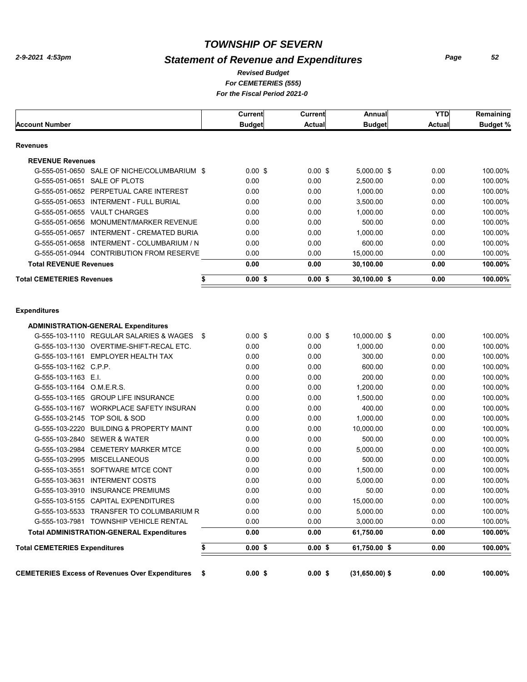## *Statement of Revenue and Expenditures*

*For CEMETERIES (555) Revised Budget*

*For the Fiscal Period 2021-0* 

|                                                              | Current       | Current       | Annual           | <b>YTD</b>    | Remaining       |
|--------------------------------------------------------------|---------------|---------------|------------------|---------------|-----------------|
| <b>Account Number</b>                                        | <b>Budget</b> | <b>Actual</b> | <b>Budget</b>    | <b>Actual</b> | <b>Budget %</b> |
| <b>Revenues</b>                                              |               |               |                  |               |                 |
| <b>REVENUE Revenues</b>                                      |               |               |                  |               |                 |
| G-555-051-0650 SALE OF NICHE/COLUMBARIUM \$                  | $0.00$ \$     | $0.00$ \$     | 5,000.00 \$      | 0.00          | 100.00%         |
| G-555-051-0651 SALE OF PLOTS                                 | 0.00          | 0.00          | 2,500.00         | 0.00          | 100.00%         |
| G-555-051-0652 PERPETUAL CARE INTEREST                       | 0.00          | 0.00          | 1,000.00         | 0.00          | 100.00%         |
| G-555-051-0653 INTERMENT - FULL BURIAL                       | 0.00          | 0.00          | 3,500.00         | 0.00          | 100.00%         |
| G-555-051-0655 VAULT CHARGES                                 | 0.00          | 0.00          | 1,000.00         | 0.00          | 100.00%         |
| G-555-051-0656 MONUMENT/MARKER REVENUE                       | 0.00          | 0.00          | 500.00           | 0.00          | 100.00%         |
| G-555-051-0657 INTERMENT - CREMATED BURIA                    | 0.00          | 0.00          | 1,000.00         | 0.00          | 100.00%         |
| G-555-051-0658 INTERMENT - COLUMBARIUM / N                   | 0.00          | 0.00          | 600.00           | 0.00          | 100.00%         |
| G-555-051-0944 CONTRIBUTION FROM RESERVE                     | 0.00          | 0.00          | 15,000.00        | 0.00          | 100.00%         |
| <b>Total REVENUE Revenues</b>                                | 0.00          | 0.00          | 30,100.00        | 0.00          | 100.00%         |
| <b>Total CEMETERIES Revenues</b><br>\$                       | 0.00S         | $0.00$ \$     | 30,100.00 \$     | 0.00          | 100.00%         |
| <b>Expenditures</b>                                          |               |               |                  |               |                 |
| <b>ADMINISTRATION-GENERAL Expenditures</b>                   |               |               |                  |               |                 |
| G-555-103-1110 REGULAR SALARIES & WAGES \$                   | $0.00$ \$     | $0.00$ \$     | 10,000.00 \$     | 0.00          | 100.00%         |
| G-555-103-1130 OVERTIME-SHIFT-RECAL ETC.                     | 0.00          | 0.00          | 1,000.00         | 0.00          | 100.00%         |
| G-555-103-1161 EMPLOYER HEALTH TAX                           | 0.00          | 0.00          | 300.00           | 0.00          | 100.00%         |
| G-555-103-1162 C.P.P.                                        | 0.00          | 0.00          | 600.00           | 0.00          | 100.00%         |
| G-555-103-1163 E.I.                                          | 0.00          | 0.00          | 200.00           | 0.00          | 100.00%         |
| G-555-103-1164 O.M.E.R.S.                                    | 0.00          | 0.00          | 1,200.00         | 0.00          | 100.00%         |
| G-555-103-1165 GROUP LIFE INSURANCE                          | 0.00          | 0.00          | 1,500.00         | 0.00          | 100.00%         |
| G-555-103-1167 WORKPLACE SAFETY INSURAN                      | 0.00          | 0.00          | 400.00           | 0.00          | 100.00%         |
| G-555-103-2145 TOP SOIL & SOD                                | 0.00          | 0.00          | 1,000.00         | 0.00          | 100.00%         |
| <b>BUILDING &amp; PROPERTY MAINT</b><br>G-555-103-2220       | 0.00          | 0.00          | 10,000.00        | 0.00          | 100.00%         |
| G-555-103-2840 SEWER & WATER                                 | 0.00          | 0.00          | 500.00           | 0.00          | 100.00%         |
| <b>CEMETERY MARKER MTCE</b><br>G-555-103-2984                | 0.00          | 0.00          | 5,000.00         | 0.00          | 100.00%         |
| <b>MISCELLANEOUS</b><br>G-555-103-2995                       | 0.00          | 0.00          | 500.00           | 0.00          | 100.00%         |
| SOFTWARE MTCE CONT<br>G-555-103-3551                         | 0.00          | 0.00          | 1,500.00         | 0.00          | 100.00%         |
| <b>INTERMENT COSTS</b><br>G-555-103-3631                     | 0.00          | 0.00          | 5,000.00         | 0.00          | 100.00%         |
| G-555-103-3910 INSURANCE PREMIUMS                            | 0.00          | 0.00          | 50.00            | 0.00          | 100.00%         |
| G-555-103-5155 CAPITAL EXPENDITURES                          | 0.00          | 0.00          | 15,000.00        | 0.00          | 100.00%         |
| G-555-103-5533 TRANSFER TO COLUMBARIUM R                     | 0.00          | 0.00          | 5,000.00         | 0.00          | 100.00%         |
| G-555-103-7981 TOWNSHIP VEHICLE RENTAL                       | 0.00          | 0.00          | 3,000.00         | 0.00          | 100.00%         |
| <b>Total ADMINISTRATION-GENERAL Expenditures</b>             | 0.00          | 0.00          | 61,750.00        | 0.00          | 100.00%         |
| <b>Total CEMETERIES Expenditures</b><br>\$                   | $0.00$ \$     | $0.00$ \$     | 61,750.00 \$     | 0.00          | 100.00%         |
| <b>CEMETERIES Excess of Revenues Over Expenditures</b><br>\$ | $0.00$ \$     | $0.00$ \$     | $(31,650.00)$ \$ | 0.00          | 100.00%         |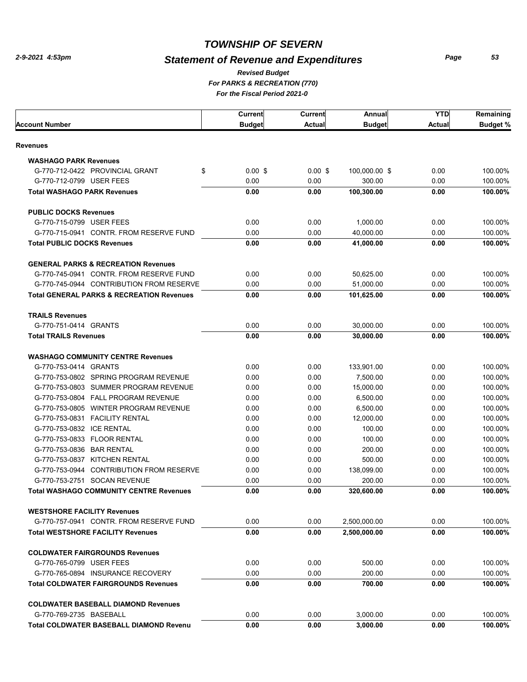## *Statement of Revenue and Expenditures*

*Page 53*

#### *For PARKS & RECREATION (770) For the Fiscal Period 2021-0 Revised Budget*

|                                                      | <b>Current</b> | <b>Current</b> | Annual        | <b>YTD</b>    | Remaining       |
|------------------------------------------------------|----------------|----------------|---------------|---------------|-----------------|
| Account Number                                       | <b>Budget</b>  | <b>Actual</b>  | <b>Budget</b> | <b>Actual</b> | <b>Budget %</b> |
| Revenues                                             |                |                |               |               |                 |
| <b>WASHAGO PARK Revenues</b>                         |                |                |               |               |                 |
| \$<br>G-770-712-0422 PROVINCIAL GRANT                | $0.00$ \$      | $0.00$ \$      | 100,000.00 \$ | 0.00          | 100.00%         |
| G-770-712-0799 USER FEES                             | 0.00           | 0.00           | 300.00        | 0.00          | 100.00%         |
| <b>Total WASHAGO PARK Revenues</b>                   | 0.00           | 0.00           | 100,300.00    | 0.00          | 100.00%         |
| <b>PUBLIC DOCKS Revenues</b>                         |                |                |               |               |                 |
| G-770-715-0799 USER FEES                             | 0.00           | 0.00           | 1,000.00      | 0.00          | 100.00%         |
| G-770-715-0941 CONTR. FROM RESERVE FUND              | 0.00           | 0.00           | 40,000.00     | 0.00          | 100.00%         |
| <b>Total PUBLIC DOCKS Revenues</b>                   | 0.00           | 0.00           | 41,000.00     | 0.00          | 100.00%         |
| <b>GENERAL PARKS &amp; RECREATION Revenues</b>       |                |                |               |               |                 |
| G-770-745-0941 CONTR. FROM RESERVE FUND              | 0.00           | 0.00           | 50,625.00     | 0.00          | 100.00%         |
| G-770-745-0944 CONTRIBUTION FROM RESERVE             | 0.00           | 0.00           | 51,000.00     | 0.00          | 100.00%         |
| <b>Total GENERAL PARKS &amp; RECREATION Revenues</b> | 0.00           | 0.00           | 101.625.00    | 0.00          | 100.00%         |
| <b>TRAILS Revenues</b>                               |                |                |               |               |                 |
| G-770-751-0414 GRANTS                                | 0.00           | 0.00           | 30,000.00     | 0.00          | 100.00%         |
| <b>Total TRAILS Revenues</b>                         | 0.00           | 0.00           | 30,000.00     | 0.00          | 100.00%         |
| <b>WASHAGO COMMUNITY CENTRE Revenues</b>             |                |                |               |               |                 |
| G-770-753-0414 GRANTS                                | 0.00           | 0.00           | 133,901.00    | 0.00          | 100.00%         |
| G-770-753-0802 SPRING PROGRAM REVENUE                | 0.00           | 0.00           | 7,500.00      | 0.00          | 100.00%         |
| G-770-753-0803 SUMMER PROGRAM REVENUE                | 0.00           | 0.00           | 15,000.00     | 0.00          | 100.00%         |
| G-770-753-0804 FALL PROGRAM REVENUE                  | 0.00           | 0.00           | 6,500.00      | 0.00          | 100.00%         |
| G-770-753-0805 WINTER PROGRAM REVENUE                | 0.00           | 0.00           | 6,500.00      | 0.00          | 100.00%         |
| G-770-753-0831 FACILITY RENTAL                       | 0.00           | 0.00           | 12,000.00     | 0.00          | 100.00%         |
| G-770-753-0832 ICE RENTAL                            | 0.00           | 0.00           | 100.00        | 0.00          | 100.00%         |
| G-770-753-0833 FLOOR RENTAL                          | 0.00           | 0.00           | 100.00        | 0.00          | 100.00%         |
| G-770-753-0836 BAR RENTAL                            | 0.00           | 0.00           | 200.00        | 0.00          | 100.00%         |
| G-770-753-0837 KITCHEN RENTAL                        | 0.00           | 0.00           | 500.00        | 0.00          | 100.00%         |
| G-770-753-0944 CONTRIBUTION FROM RESERVE             | 0.00           | 0.00           | 138,099.00    | 0.00          | 100.00%         |
| G-770-753-2751 SOCAN REVENUE                         | 0.00           | 0.00           | 200.00        | 0.00          | 100.00%         |
| <b>Total WASHAGO COMMUNITY CENTRE Revenues</b>       | 0.00           | 0.00           | 320,600.00    | 0.00          | 100.00%         |
| <b>WESTSHORE FACILITY Revenues</b>                   |                |                |               |               |                 |
| G-770-757-0941 CONTR. FROM RESERVE FUND              | 0.00           | 0.00           | 2,500,000.00  | 0.00          | 100.00%         |
| <b>Total WESTSHORE FACILITY Revenues</b>             | 0.00           | 0.00           | 2,500,000.00  | 0.00          | 100.00%         |
| <b>COLDWATER FAIRGROUNDS Revenues</b>                |                |                |               |               |                 |
| G-770-765-0799 USER FEES                             | 0.00           | 0.00           | 500.00        | 0.00          | 100.00%         |
| G-770-765-0894 INSURANCE RECOVERY                    | 0.00           | 0.00           | 200.00        | 0.00          | 100.00%         |
| <b>Total COLDWATER FAIRGROUNDS Revenues</b>          | 0.00           | 0.00           | 700.00        | 0.00          | 100.00%         |
| <b>COLDWATER BASEBALL DIAMOND Revenues</b>           |                |                |               |               |                 |
| G-770-769-2735 BASEBALL                              | 0.00           | 0.00           | 3,000.00      | 0.00          | 100.00%         |
| <b>Total COLDWATER BASEBALL DIAMOND Revenu</b>       | 0.00           | 0.00           | 3,000.00      | 0.00          | 100.00%         |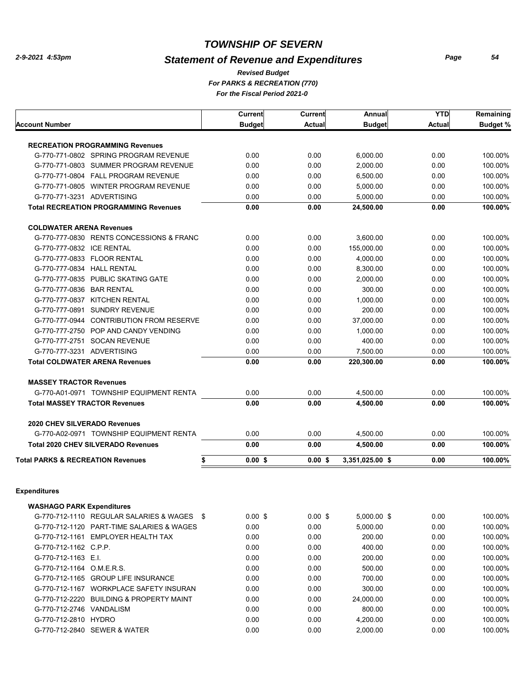## *Statement of Revenue and Expenditures*

*Page 54*

#### *For PARKS & RECREATION (770) For the Fiscal Period 2021-0 Revised Budget*

|                                                    | Current       | <b>Current</b> | Annual          | <b>YTD</b> | Remaining       |
|----------------------------------------------------|---------------|----------------|-----------------|------------|-----------------|
| <b>Account Number</b>                              | <b>Budget</b> | <b>Actual</b>  | <b>Budget</b>   | Actual     | <b>Budget %</b> |
| <b>RECREATION PROGRAMMING Revenues</b>             |               |                |                 |            |                 |
| G-770-771-0802 SPRING PROGRAM REVENUE              | 0.00          | 0.00           | 6,000.00        | 0.00       | 100.00%         |
| G-770-771-0803 SUMMER PROGRAM REVENUE              | 0.00          | 0.00           | 2,000.00        | 0.00       | 100.00%         |
| G-770-771-0804 FALL PROGRAM REVENUE                | 0.00          | 0.00           | 6,500.00        | 0.00       | 100.00%         |
| G-770-771-0805 WINTER PROGRAM REVENUE              | 0.00          | 0.00           | 5,000.00        | 0.00       | 100.00%         |
| G-770-771-3231 ADVERTISING                         | 0.00          | 0.00           | 5,000.00        | 0.00       | 100.00%         |
| <b>Total RECREATION PROGRAMMING Revenues</b>       | 0.00          | 0.00           | 24,500.00       | 0.00       | 100.00%         |
| <b>COLDWATER ARENA Revenues</b>                    |               |                |                 |            |                 |
| G-770-777-0830 RENTS CONCESSIONS & FRANC           | 0.00          | 0.00           | 3,600.00        | 0.00       | 100.00%         |
| G-770-777-0832 ICE RENTAL                          | 0.00          | 0.00           | 155,000.00      | 0.00       | 100.00%         |
| G-770-777-0833 FLOOR RENTAL                        | 0.00          | 0.00           | 4,000.00        | 0.00       | 100.00%         |
| G-770-777-0834 HALL RENTAL                         | 0.00          | 0.00           | 8,300.00        | 0.00       | 100.00%         |
| G-770-777-0835 PUBLIC SKATING GATE                 | 0.00          | 0.00           | 2,000.00        | 0.00       | 100.00%         |
| G-770-777-0836 BAR RENTAL                          | 0.00          | 0.00           | 300.00          | 0.00       | 100.00%         |
| G-770-777-0837 KITCHEN RENTAL                      | 0.00          | 0.00           | 1,000.00        | 0.00       | 100.00%         |
| G-770-777-0891 SUNDRY REVENUE                      | 0.00          | 0.00           | 200.00          | 0.00       | 100.00%         |
| G-770-777-0944 CONTRIBUTION FROM RESERVE           | 0.00          | 0.00           | 37,000.00       | 0.00       | 100.00%         |
| G-770-777-2750 POP AND CANDY VENDING               | 0.00          | 0.00           | 1,000.00        | 0.00       | 100.00%         |
| G-770-777-2751 SOCAN REVENUE                       | 0.00          | 0.00           | 400.00          | 0.00       | 100.00%         |
| G-770-777-3231 ADVERTISING                         | 0.00          | 0.00           | 7,500.00        | 0.00       | 100.00%         |
| <b>Total COLDWATER ARENA Revenues</b>              | 0.00          | 0.00           | 220,300.00      | 0.00       | 100.00%         |
| <b>MASSEY TRACTOR Revenues</b>                     |               |                |                 |            |                 |
| G-770-A01-0971 TOWNSHIP EQUIPMENT RENTA            | 0.00          | 0.00           | 4,500.00        | 0.00       | 100.00%         |
| <b>Total MASSEY TRACTOR Revenues</b>               | 0.00          | 0.00           | 4,500.00        | 0.00       | 100.00%         |
|                                                    |               |                |                 |            |                 |
| <b>2020 CHEV SILVERADO Revenues</b>                |               |                |                 |            |                 |
| G-770-A02-0971 TOWNSHIP EQUIPMENT RENTA            | 0.00          | 0.00           | 4,500.00        | 0.00       | 100.00%         |
| <b>Total 2020 CHEV SILVERADO Revenues</b>          | 0.00          | 0.00           | 4,500.00        | 0.00       | 100.00%         |
| <b>Total PARKS &amp; RECREATION Revenues</b><br>\$ | $0.00$ \$     | 0.00S          | 3,351,025.00 \$ | 0.00       | 100.00%         |
| <b>Expenditures</b>                                |               |                |                 |            |                 |
| <b>WASHAGO PARK Expenditures</b>                   |               |                |                 |            |                 |
| G-770-712-1110 REGULAR SALARIES & WAGES \$         | $0.00$ \$     | $0.00$ \$      | 5,000.00 \$     | 0.00       | 100.00%         |
| G-770-712-1120 PART-TIME SALARIES & WAGES          | 0.00          | 0.00           | 5,000.00        | 0.00       | 100.00%         |
| G-770-712-1161 EMPLOYER HEALTH TAX                 | 0.00          | 0.00           | 200.00          | 0.00       | 100.00%         |
| G-770-712-1162 C.P.P.                              | 0.00          | 0.00           | 400.00          | 0.00       | 100.00%         |
| G-770-712-1163 E.I.                                | 0.00          | 0.00           | 200.00          | 0.00       | 100.00%         |
| G-770-712-1164 O.M.E.R.S.                          | 0.00          | 0.00           | 500.00          | 0.00       | 100.00%         |
| G-770-712-1165 GROUP LIFE INSURANCE                | 0.00          | 0.00           | 700.00          | 0.00       | 100.00%         |
| G-770-712-1167 WORKPLACE SAFETY INSURAN            | 0.00          | 0.00           | 300.00          | 0.00       | 100.00%         |
| G-770-712-2220 BUILDING & PROPERTY MAINT           | 0.00          | 0.00           | 24,000.00       | 0.00       | 100.00%         |
| G-770-712-2746 VANDALISM                           | 0.00          | 0.00           | 800.00          | 0.00       | 100.00%         |
| G-770-712-2810 HYDRO                               | 0.00          | 0.00           | 4,200.00        | 0.00       | 100.00%         |
| G-770-712-2840 SEWER & WATER                       | 0.00          | 0.00           | 2,000.00        | 0.00       | 100.00%         |
|                                                    |               |                |                 |            |                 |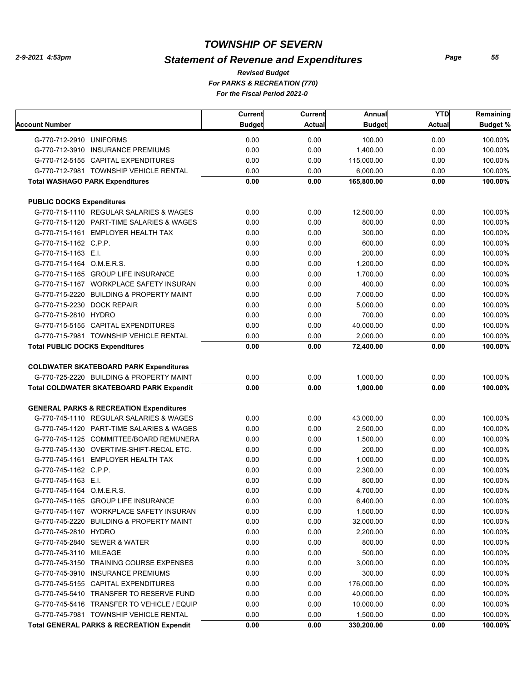## *Statement of Revenue and Expenditures*

*For PARKS & RECREATION (770) For the Fiscal Period 2021-0 Revised Budget*

|                                                      | Current       | Current | Annual        | <b>YTD</b>    | Remaining       |
|------------------------------------------------------|---------------|---------|---------------|---------------|-----------------|
| Account Number                                       | <b>Budget</b> | Actual  | <b>Budget</b> | <b>Actual</b> | <b>Budget %</b> |
| G-770-712-2910 UNIFORMS                              | 0.00          | 0.00    | 100.00        | 0.00          | 100.00%         |
| G-770-712-3910 INSURANCE PREMIUMS                    | 0.00          | 0.00    | 1,400.00      | 0.00          | 100.00%         |
| G-770-712-5155 CAPITAL EXPENDITURES                  | 0.00          | 0.00    | 115,000.00    | 0.00          | 100.00%         |
| G-770-712-7981 TOWNSHIP VEHICLE RENTAL               | 0.00          | 0.00    | 6,000.00      | 0.00          | 100.00%         |
| <b>Total WASHAGO PARK Expenditures</b>               | 0.00          | 0.00    | 165,800.00    | 0.00          | 100.00%         |
|                                                      |               |         |               |               |                 |
| <b>PUBLIC DOCKS Expenditures</b>                     |               |         |               |               |                 |
| G-770-715-1110 REGULAR SALARIES & WAGES              | 0.00          | 0.00    | 12,500.00     | 0.00          | 100.00%         |
| G-770-715-1120 PART-TIME SALARIES & WAGES            | 0.00          | 0.00    | 800.00        | 0.00          | 100.00%         |
| G-770-715-1161 EMPLOYER HEALTH TAX                   | 0.00          | 0.00    | 300.00        | 0.00          | 100.00%         |
| G-770-715-1162 C.P.P.                                | 0.00          | 0.00    | 600.00        | 0.00          | 100.00%         |
| G-770-715-1163 E.I.                                  | 0.00          | 0.00    | 200.00        | 0.00          | 100.00%         |
| G-770-715-1164 O.M.E.R.S.                            | 0.00          | 0.00    | 1,200.00      | 0.00          | 100.00%         |
| G-770-715-1165 GROUP LIFE INSURANCE                  | 0.00          | 0.00    | 1,700.00      | 0.00          | 100.00%         |
| G-770-715-1167 WORKPLACE SAFETY INSURAN              | 0.00          | 0.00    | 400.00        | 0.00          | 100.00%         |
| G-770-715-2220 BUILDING & PROPERTY MAINT             | 0.00          | 0.00    | 7,000.00      | 0.00          | 100.00%         |
| G-770-715-2230 DOCK REPAIR                           | 0.00          | 0.00    | 5,000.00      | 0.00          | 100.00%         |
| G-770-715-2810 HYDRO                                 | 0.00          | 0.00    | 700.00        | 0.00          | 100.00%         |
| G-770-715-5155 CAPITAL EXPENDITURES                  | 0.00          | 0.00    | 40,000.00     | 0.00          | 100.00%         |
| G-770-715-7981 TOWNSHIP VEHICLE RENTAL               | 0.00          | 0.00    | 2,000.00      | 0.00          | 100.00%         |
| <b>Total PUBLIC DOCKS Expenditures</b>               | 0.00          | 0.00    | 72,400.00     | 0.00          | 100.00%         |
|                                                      |               |         |               |               |                 |
| <b>COLDWATER SKATEBOARD PARK Expenditures</b>        |               |         |               |               |                 |
| G-770-725-2220 BUILDING & PROPERTY MAINT             | 0.00          | 0.00    | 1,000.00      | 0.00          | 100.00%         |
| <b>Total COLDWATER SKATEBOARD PARK Expendit</b>      | 0.00          | 0.00    | 1,000.00      | 0.00          | 100.00%         |
| <b>GENERAL PARKS &amp; RECREATION Expenditures</b>   |               |         |               |               |                 |
| G-770-745-1110 REGULAR SALARIES & WAGES              | 0.00          | 0.00    | 43,000.00     | 0.00          | 100.00%         |
| G-770-745-1120 PART-TIME SALARIES & WAGES            | 0.00          | 0.00    | 2,500.00      | 0.00          | 100.00%         |
| G-770-745-1125 COMMITTEE/BOARD REMUNERA              | 0.00          | 0.00    | 1,500.00      | 0.00          | 100.00%         |
| G-770-745-1130 OVERTIME-SHIFT-RECAL ETC.             | 0.00          | 0.00    | 200.00        | 0.00          | 100.00%         |
| G-770-745-1161 EMPLOYER HEALTH TAX                   | 0.00          | 0.00    | 1,000.00      | 0.00          | 100.00%         |
| G-770-745-1162 C.P.P.                                | 0.00          | 0.00    | 2,300.00      | 0.00          | 100.00%         |
| G-770-745-1163 E.I.                                  | 0.00          | 0.00    | 800.00        | 0.00          | 100.00%         |
| G-770-745-1164 O.M.E.R.S.                            | 0.00          | 0.00    | 4,700.00      | 0.00          | 100.00%         |
| G-770-745-1165 GROUP LIFE INSURANCE                  | 0.00          | 0.00    | 6,400.00      | 0.00          | 100.00%         |
| G-770-745-1167 WORKPLACE SAFETY INSURAN              | 0.00          | 0.00    | 1,500.00      | 0.00          | 100.00%         |
| G-770-745-2220 BUILDING & PROPERTY MAINT             | 0.00          | 0.00    | 32,000.00     | 0.00          | 100.00%         |
|                                                      |               |         |               |               |                 |
| G-770-745-2810 HYDRO                                 | 0.00          | 0.00    | 2,200.00      | 0.00          | 100.00%         |
| G-770-745-2840 SEWER & WATER                         | 0.00          | 0.00    | 800.00        | 0.00          | 100.00%         |
| G-770-745-3110 MILEAGE                               | 0.00          | 0.00    | 500.00        | 0.00          | 100.00%         |
| G-770-745-3150 TRAINING COURSE EXPENSES              | 0.00          | 0.00    | 3,000.00      | 0.00          | 100.00%         |
| G-770-745-3910 INSURANCE PREMIUMS                    | 0.00          | 0.00    | 300.00        | 0.00          | 100.00%         |
| G-770-745-5155 CAPITAL EXPENDITURES                  | 0.00          | 0.00    | 176,000.00    | 0.00          | 100.00%         |
| G-770-745-5410 TRANSFER TO RESERVE FUND              | 0.00          | 0.00    | 40,000.00     | 0.00          | 100.00%         |
| G-770-745-5416 TRANSFER TO VEHICLE / EQUIP           | 0.00          | 0.00    | 10,000.00     | 0.00          | 100.00%         |
| G-770-745-7981 TOWNSHIP VEHICLE RENTAL               | 0.00          | 0.00    | 1,500.00      | 0.00          | 100.00%         |
| <b>Total GENERAL PARKS &amp; RECREATION Expendit</b> | 0.00          | 0.00    | 330,200.00    | 0.00          | 100.00%         |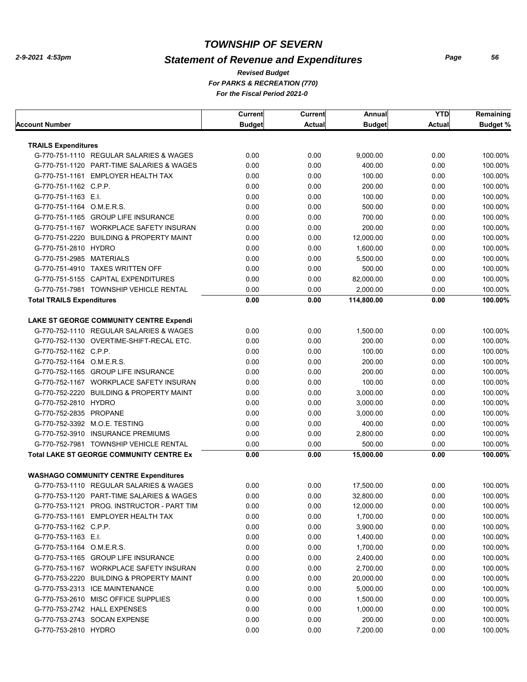## *Statement of Revenue and Expenditures*

*For PARKS & RECREATION (770) For the Fiscal Period 2021-0 Revised Budget*

|                                  |                                                 | <b>Current</b> | <b>Current</b> | Annual        | <b>YTD</b>    | Remaining       |
|----------------------------------|-------------------------------------------------|----------------|----------------|---------------|---------------|-----------------|
| Account Number                   |                                                 | <b>Budget</b>  | <b>Actual</b>  | <b>Budget</b> | <b>Actual</b> | <b>Budget %</b> |
|                                  |                                                 |                |                |               |               |                 |
| <b>TRAILS Expenditures</b>       |                                                 |                |                |               |               |                 |
|                                  | G-770-751-1110 REGULAR SALARIES & WAGES         | 0.00           | 0.00           | 9,000.00      | 0.00          | 100.00%         |
|                                  | G-770-751-1120 PART-TIME SALARIES & WAGES       | 0.00           | 0.00           | 400.00        | 0.00          | 100.00%         |
|                                  | G-770-751-1161 EMPLOYER HEALTH TAX              | 0.00           | 0.00           | 100.00        | 0.00          | 100.00%         |
| G-770-751-1162 C.P.P.            |                                                 | 0.00           | 0.00           | 200.00        | 0.00          | 100.00%         |
| G-770-751-1163 E.I.              |                                                 | 0.00           | 0.00           | 100.00        | 0.00          | 100.00%         |
| G-770-751-1164 O.M.E.R.S.        |                                                 | 0.00           | 0.00           | 500.00        | 0.00          | 100.00%         |
|                                  | G-770-751-1165 GROUP LIFE INSURANCE             | 0.00           | 0.00           | 700.00        | 0.00          | 100.00%         |
|                                  | G-770-751-1167 WORKPLACE SAFETY INSURAN         | 0.00           | 0.00           | 200.00        | 0.00          | 100.00%         |
|                                  | G-770-751-2220 BUILDING & PROPERTY MAINT        | 0.00           | 0.00           | 12,000.00     | 0.00          | 100.00%         |
| G-770-751-2810 HYDRO             |                                                 | 0.00           | 0.00           | 1,600.00      | 0.00          | 100.00%         |
| G-770-751-2985 MATERIALS         |                                                 | 0.00           | 0.00           | 5,500.00      | 0.00          | 100.00%         |
|                                  | G-770-751-4910 TAXES WRITTEN OFF                | 0.00           | 0.00           | 500.00        | 0.00          | 100.00%         |
|                                  | G-770-751-5155 CAPITAL EXPENDITURES             | 0.00           | 0.00           | 82,000.00     | 0.00          | 100.00%         |
|                                  | G-770-751-7981 TOWNSHIP VEHICLE RENTAL          | 0.00           | 0.00           | 2,000.00      | 0.00          | 100.00%         |
| <b>Total TRAILS Expenditures</b> |                                                 | 0.00           | 0.00           | 114,800.00    | 0.00          | 100.00%         |
|                                  | LAKE ST GEORGE COMMUNITY CENTRE Expendi         |                |                |               |               |                 |
|                                  | G-770-752-1110 REGULAR SALARIES & WAGES         | 0.00           | 0.00           | 1,500.00      | 0.00          | 100.00%         |
|                                  | G-770-752-1130 OVERTIME-SHIFT-RECAL ETC.        | 0.00           | 0.00           | 200.00        | 0.00          | 100.00%         |
| G-770-752-1162 C.P.P.            |                                                 | 0.00           | 0.00           | 100.00        | 0.00          | 100.00%         |
| G-770-752-1164 O.M.E.R.S.        |                                                 | 0.00           | 0.00           | 200.00        | 0.00          | 100.00%         |
|                                  | G-770-752-1165 GROUP LIFE INSURANCE             | 0.00           | 0.00           | 200.00        | 0.00          | 100.00%         |
|                                  | G-770-752-1167 WORKPLACE SAFETY INSURAN         | 0.00           | 0.00           | 100.00        | 0.00          | 100.00%         |
|                                  | G-770-752-2220 BUILDING & PROPERTY MAINT        | 0.00           | 0.00           | 3,000.00      | 0.00          | 100.00%         |
| G-770-752-2810 HYDRO             |                                                 | 0.00           | 0.00           | 3,000.00      | 0.00          | 100.00%         |
| G-770-752-2835 PROPANE           |                                                 | 0.00           | 0.00           | 3,000.00      | 0.00          | 100.00%         |
|                                  | G-770-752-3392 M.O.E. TESTING                   | 0.00           | 0.00           | 400.00        | 0.00          | 100.00%         |
|                                  |                                                 |                |                |               |               |                 |
|                                  | G-770-752-3910 INSURANCE PREMIUMS               | 0.00           | 0.00           | 2,800.00      | 0.00          | 100.00%         |
|                                  | G-770-752-7981 TOWNSHIP VEHICLE RENTAL          | 0.00           | 0.00           | 500.00        | 0.00          | 100.00%         |
|                                  | <b>Total LAKE ST GEORGE COMMUNITY CENTRE Ex</b> | 0.00           | 0.00           | 15,000.00     | 0.00          | 100.00%         |
|                                  | <b>WASHAGO COMMUNITY CENTRE Expenditures</b>    |                |                |               |               |                 |
|                                  | G-770-753-1110 REGULAR SALARIES & WAGES         | 0.00           | 0.00           | 17,500.00     | 0.00          | 100.00%         |
|                                  | G-770-753-1120 PART-TIME SALARIES & WAGES       | 0.00           | 0.00           | 32,800.00     | 0.00          | 100.00%         |
|                                  | G-770-753-1121 PROG. INSTRUCTOR - PART TIM      | 0.00           | 0.00           | 12,000.00     | 0.00          | 100.00%         |
|                                  | G-770-753-1161 EMPLOYER HEALTH TAX              | 0.00           | 0.00           | 1,700.00      | 0.00          | 100.00%         |
| G-770-753-1162 C.P.P.            |                                                 | 0.00           | 0.00           | 3,900.00      | 0.00          | 100.00%         |
| G-770-753-1163 E.I.              |                                                 | 0.00           | 0.00           | 1,400.00      | 0.00          | 100.00%         |
| G-770-753-1164 O.M.E.R.S.        |                                                 | 0.00           | 0.00           | 1,700.00      | 0.00          | 100.00%         |
|                                  | G-770-753-1165 GROUP LIFE INSURANCE             | 0.00           | 0.00           | 2,400.00      | 0.00          | 100.00%         |
|                                  | G-770-753-1167 WORKPLACE SAFETY INSURAN         | 0.00           | 0.00           | 2,700.00      | 0.00          | 100.00%         |
|                                  | G-770-753-2220 BUILDING & PROPERTY MAINT        | 0.00           | 0.00           | 20,000.00     | 0.00          | 100.00%         |
|                                  | G-770-753-2313 ICE MAINTENANCE                  | 0.00           | 0.00           | 5,000.00      | 0.00          | 100.00%         |
|                                  | G-770-753-2610 MISC OFFICE SUPPLIES             | 0.00           | 0.00           | 1,500.00      | 0.00          | 100.00%         |
|                                  | G-770-753-2742 HALL EXPENSES                    | 0.00           | 0.00           | 1,000.00      | 0.00          | 100.00%         |
|                                  | G-770-753-2743 SOCAN EXPENSE                    | 0.00           | 0.00           | 200.00        | 0.00          | 100.00%         |
| G-770-753-2810 HYDRO             |                                                 | 0.00           | 0.00           | 7,200.00      | 0.00          | 100.00%         |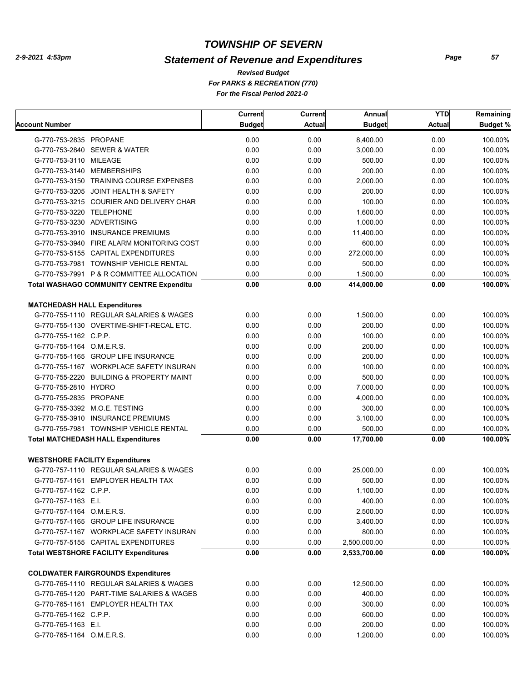## *Statement of Revenue and Expenditures*

*For PARKS & RECREATION (770) For the Fiscal Period 2021-0 Revised Budget*

|                                                 | Current       | <b>Current</b> | Annual        | <b>YTD</b>    | Remaining       |
|-------------------------------------------------|---------------|----------------|---------------|---------------|-----------------|
| <b>Account Number</b>                           | <b>Budget</b> | <b>Actual</b>  | <b>Budget</b> | <b>Actual</b> | <b>Budget %</b> |
| G-770-753-2835 PROPANE                          | 0.00          | 0.00           | 8,400.00      | 0.00          | 100.00%         |
| G-770-753-2840 SEWER & WATER                    | 0.00          | 0.00           | 3,000.00      | 0.00          | 100.00%         |
| G-770-753-3110 MILEAGE                          | 0.00          | 0.00           | 500.00        | 0.00          | 100.00%         |
| G-770-753-3140 MEMBERSHIPS                      | 0.00          | 0.00           | 200.00        | 0.00          | 100.00%         |
| G-770-753-3150 TRAINING COURSE EXPENSES         | 0.00          | 0.00           | 2,000.00      | 0.00          | 100.00%         |
| G-770-753-3205 JOINT HEALTH & SAFETY            | 0.00          | 0.00           | 200.00        | 0.00          | 100.00%         |
| G-770-753-3215 COURIER AND DELIVERY CHAR        | 0.00          | 0.00           | 100.00        | 0.00          | 100.00%         |
| G-770-753-3220 TELEPHONE                        | 0.00          | 0.00           | 1,600.00      | 0.00          | 100.00%         |
| G-770-753-3230 ADVERTISING                      | 0.00          | 0.00           | 1.000.00      | 0.00          | 100.00%         |
| G-770-753-3910 INSURANCE PREMIUMS               | 0.00          | 0.00           | 11,400.00     | 0.00          | 100.00%         |
| G-770-753-3940 FIRE ALARM MONITORING COST       | 0.00          | 0.00           | 600.00        | 0.00          | 100.00%         |
| G-770-753-5155 CAPITAL EXPENDITURES             | 0.00          | 0.00           | 272,000.00    | 0.00          | 100.00%         |
| G-770-753-7981 TOWNSHIP VEHICLE RENTAL          | 0.00          | 0.00           | 500.00        | 0.00          | 100.00%         |
| G-770-753-7991 P & R COMMITTEE ALLOCATION       | 0.00          | 0.00           | 1,500.00      | 0.00          | 100.00%         |
| <b>Total WASHAGO COMMUNITY CENTRE Expenditu</b> | 0.00          | 0.00           | 414,000.00    | 0.00          | 100.00%         |
|                                                 |               |                |               |               |                 |
| <b>MATCHEDASH HALL Expenditures</b>             |               |                |               |               |                 |
| G-770-755-1110 REGULAR SALARIES & WAGES         | 0.00          | 0.00           | 1.500.00      | 0.00          | 100.00%         |
| G-770-755-1130 OVERTIME-SHIFT-RECAL ETC.        | 0.00          | 0.00           | 200.00        | 0.00          | 100.00%         |
| G-770-755-1162 C.P.P.                           | 0.00          | 0.00           | 100.00        | 0.00          | 100.00%         |
| G-770-755-1164 O.M.E.R.S.                       | 0.00          | 0.00           | 200.00        | 0.00          | 100.00%         |
| G-770-755-1165 GROUP LIFE INSURANCE             | 0.00          | 0.00           | 200.00        | 0.00          | 100.00%         |
| G-770-755-1167 WORKPLACE SAFETY INSURAN         | 0.00          | 0.00           | 100.00        | 0.00          | 100.00%         |
| G-770-755-2220 BUILDING & PROPERTY MAINT        | 0.00          | 0.00           | 500.00        | 0.00          | 100.00%         |
| G-770-755-2810 HYDRO                            | 0.00          | 0.00           | 7,000.00      | 0.00          | 100.00%         |
| G-770-755-2835 PROPANE                          | 0.00          | 0.00           | 4,000.00      | 0.00          | 100.00%         |
| G-770-755-3392 M.O.E. TESTING                   | 0.00          | 0.00           | 300.00        | 0.00          | 100.00%         |
| G-770-755-3910 INSURANCE PREMIUMS               | 0.00          | 0.00           | 3,100.00      | 0.00          | 100.00%         |
| G-770-755-7981 TOWNSHIP VEHICLE RENTAL          | 0.00          | 0.00           | 500.00        | 0.00          | 100.00%         |
| <b>Total MATCHEDASH HALL Expenditures</b>       | 0.00          | 0.00           | 17,700.00     | 0.00          | 100.00%         |
| <b>WESTSHORE FACILITY Expenditures</b>          |               |                |               |               |                 |
| G-770-757-1110 REGULAR SALARIES & WAGES         | 0.00          | 0.00           | 25,000.00     | 0.00          | 100.00%         |
| G-770-757-1161 EMPLOYER HEALTH TAX              | 0.00          | 0.00           | 500.00        | 0.00          | 100.00%         |
| G-770-757-1162 C.P.P.                           | 0.00          | 0.00           | 1,100.00      | 0.00          | 100.00%         |
| G-770-757-1163 E.I.                             | 0.00          | 0.00           | 400.00        | 0.00          | 100.00%         |
| G-770-757-1164 O.M.E.R.S.                       | 0.00          | 0.00           | 2,500.00      | 0.00          | 100.00%         |
| G-770-757-1165 GROUP LIFE INSURANCE             | 0.00          | 0.00           | 3,400.00      | 0.00          | 100.00%         |
| G-770-757-1167 WORKPLACE SAFETY INSURAN         | 0.00          | 0.00           | 800.00        | 0.00          | 100.00%         |
| G-770-757-5155 CAPITAL EXPENDITURES             | 0.00          | 0.00           | 2,500,000.00  | 0.00          | 100.00%         |
| <b>Total WESTSHORE FACILITY Expenditures</b>    | 0.00          | 0.00           | 2,533,700.00  | 0.00          | 100.00%         |
|                                                 |               |                |               |               |                 |
| <b>COLDWATER FAIRGROUNDS Expenditures</b>       |               |                |               |               |                 |
| G-770-765-1110 REGULAR SALARIES & WAGES         | 0.00          | 0.00           | 12,500.00     | 0.00          | 100.00%         |
| G-770-765-1120 PART-TIME SALARIES & WAGES       | 0.00          | 0.00           | 400.00        | 0.00          | 100.00%         |
| G-770-765-1161 EMPLOYER HEALTH TAX              | 0.00          | 0.00           | 300.00        | 0.00          | 100.00%         |
| G-770-765-1162 C.P.P.                           | 0.00          | 0.00           | 600.00        | 0.00          | 100.00%         |
| G-770-765-1163 E.I.                             | 0.00          | 0.00           | 200.00        | 0.00          | 100.00%         |
| G-770-765-1164 O.M.E.R.S.                       | 0.00          | 0.00           | 1,200.00      | 0.00          | 100.00%         |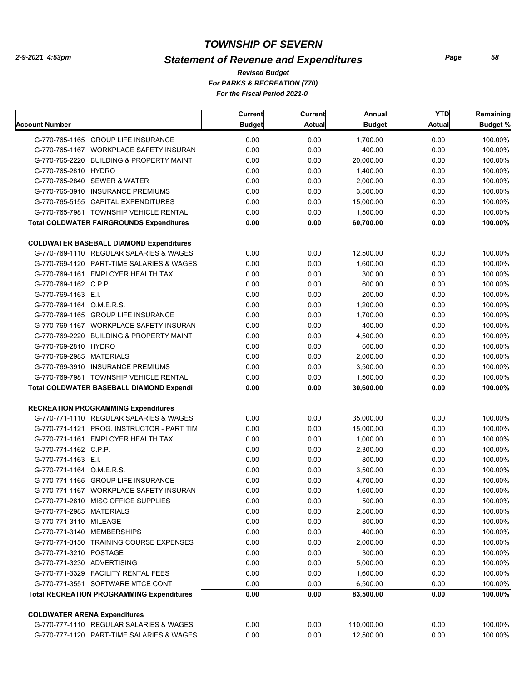## *Statement of Revenue and Expenditures*

*For PARKS & RECREATION (770) For the Fiscal Period 2021-0 Revised Budget*

|                                                                                | <b>Current</b> | Current       | Annual               | <b>YTD</b>    | Remaining          |
|--------------------------------------------------------------------------------|----------------|---------------|----------------------|---------------|--------------------|
| Account Number                                                                 | <b>Budget</b>  | <b>Actual</b> | <b>Budget</b>        | <b>Actual</b> | <b>Budget %</b>    |
| G-770-765-1165 GROUP LIFE INSURANCE                                            | 0.00           | 0.00          | 1,700.00             | 0.00          | 100.00%            |
| G-770-765-1167 WORKPLACE SAFETY INSURAN                                        | 0.00           | 0.00          | 400.00               | 0.00          | 100.00%            |
| G-770-765-2220 BUILDING & PROPERTY MAINT                                       | 0.00           | 0.00          | 20,000.00            | 0.00          | 100.00%            |
| G-770-765-2810 HYDRO                                                           | 0.00           | 0.00          | 1,400.00             | 0.00          | 100.00%            |
| G-770-765-2840 SEWER & WATER                                                   | 0.00           | 0.00          | 2,000.00             | 0.00          | 100.00%            |
| G-770-765-3910 INSURANCE PREMIUMS                                              | 0.00           | 0.00          | 3,500.00             | 0.00          | 100.00%            |
| G-770-765-5155 CAPITAL EXPENDITURES                                            | 0.00           | 0.00          | 15,000.00            | 0.00          | 100.00%            |
| G-770-765-7981 TOWNSHIP VEHICLE RENTAL                                         | 0.00           | 0.00          | 1,500.00             | 0.00          | 100.00%            |
| <b>Total COLDWATER FAIRGROUNDS Expenditures</b>                                | 0.00           | 0.00          | 60,700.00            | 0.00          | 100.00%            |
| <b>COLDWATER BASEBALL DIAMOND Expenditures</b>                                 |                |               |                      |               |                    |
| G-770-769-1110 REGULAR SALARIES & WAGES                                        | 0.00           | 0.00          | 12,500.00            | 0.00          | 100.00%            |
| G-770-769-1120 PART-TIME SALARIES & WAGES                                      | 0.00           | 0.00          | 1,600.00             | 0.00          | 100.00%            |
| G-770-769-1161 EMPLOYER HEALTH TAX                                             | 0.00           | 0.00          | 300.00               | 0.00          | 100.00%            |
| G-770-769-1162 C.P.P.                                                          | 0.00           | 0.00          | 600.00               | 0.00          | 100.00%            |
| G-770-769-1163 E.I.                                                            | 0.00           | 0.00          | 200.00               | 0.00          | 100.00%            |
| G-770-769-1164 O.M.E.R.S.                                                      | 0.00           | 0.00          | 1,200.00             | 0.00          | 100.00%            |
| G-770-769-1165 GROUP LIFE INSURANCE                                            | 0.00           | 0.00          | 1,700.00             | 0.00          | 100.00%            |
| G-770-769-1167 WORKPLACE SAFETY INSURAN                                        | 0.00           | 0.00          | 400.00               | 0.00          | 100.00%            |
| G-770-769-2220 BUILDING & PROPERTY MAINT                                       | 0.00           | 0.00          | 4,500.00             | 0.00          | 100.00%            |
| G-770-769-2810 HYDRO                                                           | 0.00           | 0.00          | 600.00               | 0.00          | 100.00%            |
| G-770-769-2985 MATERIALS                                                       | 0.00           | 0.00          | 2,000.00             | 0.00          | 100.00%            |
| G-770-769-3910 INSURANCE PREMIUMS                                              | 0.00           | 0.00          | 3,500.00             | 0.00          | 100.00%            |
| G-770-769-7981 TOWNSHIP VEHICLE RENTAL                                         | 0.00           | 0.00          | 1,500.00             | 0.00          | 100.00%            |
| <b>Total COLDWATER BASEBALL DIAMOND Expendi</b>                                | 0.00           | 0.00          | 30,600.00            | 0.00          | 100.00%            |
|                                                                                |                |               |                      |               |                    |
| <b>RECREATION PROGRAMMING Expenditures</b>                                     |                |               |                      |               |                    |
| G-770-771-1110 REGULAR SALARIES & WAGES                                        | 0.00           | 0.00          | 35,000.00            | 0.00          | 100.00%            |
| G-770-771-1121 PROG. INSTRUCTOR - PART TIM                                     | 0.00           | 0.00          | 15,000.00            | 0.00          | 100.00%            |
| G-770-771-1161 EMPLOYER HEALTH TAX                                             | 0.00           | 0.00          | 1,000.00             | 0.00          | 100.00%            |
| G-770-771-1162 C.P.P.                                                          | 0.00           | 0.00          | 2,300.00             | 0.00          | 100.00%            |
| G-770-771-1163 E.I.                                                            | 0.00           | 0.00          | 800.00               | 0.00          | 100.00%            |
| G-770-771-1164 O.M.E.R.S.                                                      | 0.00           | 0.00          | 3,500.00             | 0.00          | 100.00%            |
| G-770-771-1165 GROUP LIFE INSURANCE<br>G-770-771-1167 WORKPLACE SAFETY INSURAN | 0.00<br>0.00   | 0.00          | 4,700.00             | 0.00<br>0.00  | 100.00%<br>100.00% |
|                                                                                |                | 0.00          | 1,600.00             |               |                    |
| G-770-771-2610 MISC OFFICE SUPPLIES<br>G-770-771-2985 MATERIALS                | 0.00<br>0.00   | 0.00<br>0.00  | 500.00<br>2,500.00   | 0.00<br>0.00  | 100.00%<br>100.00% |
| G-770-771-3110 MILEAGE                                                         | 0.00           | 0.00          | 800.00               | 0.00          | 100.00%            |
| G-770-771-3140 MEMBERSHIPS                                                     | 0.00           | 0.00          | 400.00               | 0.00          | 100.00%            |
| G-770-771-3150 TRAINING COURSE EXPENSES                                        | 0.00           | 0.00          | 2,000.00             | 0.00          | 100.00%            |
| G-770-771-3210 POSTAGE                                                         |                |               |                      | 0.00          |                    |
| G-770-771-3230 ADVERTISING                                                     | 0.00           | 0.00          | 300.00               | 0.00          | 100.00%            |
| G-770-771-3329 FACILITY RENTAL FEES                                            | 0.00           | 0.00          | 5,000.00<br>1,600.00 |               | 100.00%            |
|                                                                                | 0.00           | 0.00          |                      | 0.00          | 100.00%            |
| G-770-771-3551 SOFTWARE MTCE CONT                                              | 0.00           | 0.00          | 6,500.00             | 0.00          | 100.00%            |
| <b>Total RECREATION PROGRAMMING Expenditures</b>                               | 0.00           | 0.00          | 83,500.00            | 0.00          | 100.00%            |
| <b>COLDWATER ARENA Expenditures</b>                                            |                |               |                      |               |                    |
| G-770-777-1110 REGULAR SALARIES & WAGES                                        | 0.00           | 0.00          | 110,000.00           | 0.00          | 100.00%            |
| G-770-777-1120 PART-TIME SALARIES & WAGES                                      | 0.00           | 0.00          | 12,500.00            | 0.00          | 100.00%            |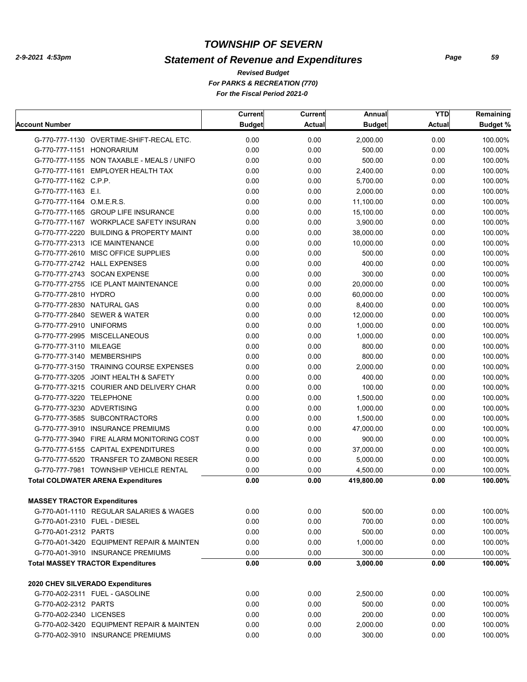## *Statement of Revenue and Expenditures*

*For PARKS & RECREATION (770) For the Fiscal Period 2021-0 Revised Budget*

|                                            | Current       | <b>Current</b> | Annual        | <b>YTD</b>    | Remaining       |
|--------------------------------------------|---------------|----------------|---------------|---------------|-----------------|
| <b>Account Number</b>                      | <b>Budget</b> | <b>Actual</b>  | <b>Budget</b> | <b>Actual</b> | <b>Budget %</b> |
| G-770-777-1130 OVERTIME-SHIFT-RECAL ETC.   | 0.00          | 0.00           | 2,000.00      | 0.00          | 100.00%         |
| G-770-777-1151 HONORARIUM                  | 0.00          | 0.00           | 500.00        | 0.00          | 100.00%         |
| G-770-777-1155 NON TAXABLE - MEALS / UNIFO | 0.00          | 0.00           | 500.00        | 0.00          | 100.00%         |
| G-770-777-1161 EMPLOYER HEALTH TAX         | 0.00          | 0.00           | 2,400.00      | 0.00          | 100.00%         |
| G-770-777-1162 C.P.P.                      | 0.00          | 0.00           | 5,700.00      | 0.00          | 100.00%         |
| G-770-777-1163 E.I.                        | 0.00          | 0.00           | 2,000.00      | 0.00          | 100.00%         |
| G-770-777-1164 O.M.E.R.S.                  | 0.00          | 0.00           | 11,100.00     | 0.00          | 100.00%         |
| G-770-777-1165 GROUP LIFE INSURANCE        | 0.00          | 0.00           | 15,100.00     | 0.00          | 100.00%         |
| G-770-777-1167 WORKPLACE SAFETY INSURAN    | 0.00          | 0.00           | 3,900.00      | 0.00          | 100.00%         |
| G-770-777-2220 BUILDING & PROPERTY MAINT   | 0.00          | 0.00           | 38,000.00     | 0.00          | 100.00%         |
| G-770-777-2313 ICE MAINTENANCE             | 0.00          | 0.00           | 10,000.00     | 0.00          | 100.00%         |
| G-770-777-2610 MISC OFFICE SUPPLIES        | 0.00          | 0.00           | 500.00        | 0.00          | 100.00%         |
| G-770-777-2742 HALL EXPENSES               | 0.00          | 0.00           | 400.00        | 0.00          | 100.00%         |
| G-770-777-2743 SOCAN EXPENSE               | 0.00          | 0.00           | 300.00        | 0.00          | 100.00%         |
| G-770-777-2755 ICE PLANT MAINTENANCE       | 0.00          | 0.00           | 20,000.00     | 0.00          | 100.00%         |
| G-770-777-2810 HYDRO                       | 0.00          | 0.00           | 60,000.00     | 0.00          | 100.00%         |
| G-770-777-2830 NATURAL GAS                 | 0.00          | 0.00           | 8,400.00      | 0.00          | 100.00%         |
| G-770-777-2840 SEWER & WATER               | 0.00          | 0.00           | 12,000.00     | 0.00          | 100.00%         |
| G-770-777-2910 UNIFORMS                    | 0.00          | 0.00           | 1,000.00      | 0.00          | 100.00%         |
| G-770-777-2995 MISCELLANEOUS               | 0.00          | 0.00           | 1,000.00      | 0.00          | 100.00%         |
| G-770-777-3110 MILEAGE                     | 0.00          | 0.00           | 800.00        | 0.00          | 100.00%         |
| G-770-777-3140 MEMBERSHIPS                 | 0.00          | 0.00           | 800.00        | 0.00          | 100.00%         |
| G-770-777-3150 TRAINING COURSE EXPENSES    | 0.00          | 0.00           | 2,000.00      | 0.00          | 100.00%         |
| G-770-777-3205 JOINT HEALTH & SAFETY       | 0.00          | 0.00           | 400.00        | 0.00          | 100.00%         |
| G-770-777-3215 COURIER AND DELIVERY CHAR   | 0.00          | 0.00           | 100.00        | 0.00          | 100.00%         |
| G-770-777-3220 TELEPHONE                   | 0.00          | 0.00           | 1,500.00      | 0.00          | 100.00%         |
| G-770-777-3230 ADVERTISING                 | 0.00          | 0.00           | 1,000.00      | 0.00          | 100.00%         |
| G-770-777-3585 SUBCONTRACTORS              | 0.00          | 0.00           | 1,500.00      | 0.00          | 100.00%         |
| G-770-777-3910 INSURANCE PREMIUMS          | 0.00          | 0.00           | 47,000.00     | 0.00          | 100.00%         |
| G-770-777-3940 FIRE ALARM MONITORING COST  | 0.00          | 0.00           | 900.00        | 0.00          | 100.00%         |
| G-770-777-5155 CAPITAL EXPENDITURES        | 0.00          | 0.00           | 37,000.00     | 0.00          | 100.00%         |
| G-770-777-5520 TRANSFER TO ZAMBONI RESER   | 0.00          | 0.00           | 5,000.00      | 0.00          | 100.00%         |
| G-770-777-7981 TOWNSHIP VEHICLE RENTAL     | 0.00          | 0.00           | 4,500.00      | 0.00          | 100.00%         |
| <b>Total COLDWATER ARENA Expenditures</b>  | 0.00          | 0.00           | 419,800.00    | 0.00          | 100.00%         |
|                                            |               |                |               |               |                 |
| <b>MASSEY TRACTOR Expenditures</b>         |               |                |               |               |                 |
| G-770-A01-1110 REGULAR SALARIES & WAGES    | 0.00          | 0.00           | 500.00        | 0.00          | 100.00%         |
| G-770-A01-2310 FUEL - DIESEL               | 0.00          | 0.00           | 700.00        | 0.00          | 100.00%         |
| G-770-A01-2312 PARTS                       | 0.00          | 0.00           | 500.00        | 0.00          | 100.00%         |
| G-770-A01-3420 EQUIPMENT REPAIR & MAINTEN  | 0.00          | 0.00           | 1,000.00      | 0.00          | 100.00%         |
| G-770-A01-3910 INSURANCE PREMIUMS          | 0.00          | 0.00           | 300.00        | 0.00          | 100.00%         |
| <b>Total MASSEY TRACTOR Expenditures</b>   | 0.00          | 0.00           | 3,000.00      | 0.00          | 100.00%         |
| 2020 CHEV SILVERADO Expenditures           |               |                |               |               |                 |
| G-770-A02-2311 FUEL - GASOLINE             | 0.00          | 0.00           | 2,500.00      | 0.00          | 100.00%         |
| G-770-A02-2312 PARTS                       | 0.00          | 0.00           | 500.00        | 0.00          | 100.00%         |
| G-770-A02-2340 LICENSES                    | 0.00          | 0.00           | 200.00        | 0.00          | 100.00%         |
| G-770-A02-3420 EQUIPMENT REPAIR & MAINTEN  | 0.00          | 0.00           | 2,000.00      | 0.00          | 100.00%         |
| G-770-A02-3910 INSURANCE PREMIUMS          | 0.00          | 0.00           | 300.00        | 0.00          | 100.00%         |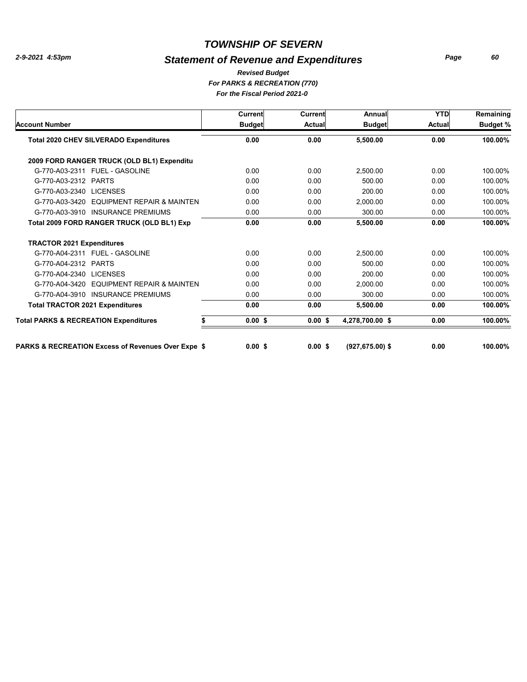#### *Statement of Revenue and Expenditures*

*For PARKS & RECREATION (770) For the Fiscal Period 2021-0 Revised Budget*

**Account Number Budget Actual Budget Actual Current Current Annual YTD Budget % Remaining Total 2020 CHEV SILVERADO Expenditures 0.00 0.00 0.00 5,500.00 100.00% 2009 FORD RANGER TRUCK (OLD BL1) Expenditu** G-770-A03-2311 FUEL - GASOLINE 0.00 2,500.00 0.00 0.00 100.00% G-770-A03-2312 PARTS 0.00 500.00 0.00 0.00 100.00% G-770-A03-2340 LICENSES 0.00 200.00 0.00 0.00 100.00% G-770-A03-3420 EQUIPMENT REPAIR & MAINTEN 0.00 2,000.00 0.00 0.00 100.00% G-770-A03-3910 INSURANCE PREMIUMS  $0.00$   $0.00$   $0.00$   $0.00$   $0.00$   $0.00$   $0.00$   $0.00$   $0.00$   $0.00$ **Total 2009 FORD RANGER TRUCK (OLD BL1) Exp 0.00 0.00 0.00 5,500.00 100.00% TRACTOR 2021 Expenditures** G-770-A04-2311 FUEL - GASOLINE 0.00 2,500.00 0.00 0.00 100.00% G-770-A04-2312 PARTS 0.00 500.00 0.00 0.00 100.00% G-770-A04-2340 LICENSES 0.00 200.00 0.00 0.00 100.00% G-770-A04-3420 EQUIPMENT REPAIR & MAINTEN  $0.00$   $0.00$   $2,000.00$   $0.00$   $0.00$   $0.00$   $0.00$   $0.00$ G-770-A04-3910 INSURANCE PREMIUMS  $0.00$   $0.00$   $0.00$   $0.00$   $0.00$   $0.00$   $0.00$   $0.00$   $0.00$   $0.00$ **Total TRACTOR 2021 Expenditures 0.00 0.00 0.00 5,500.00 100.00% Total PARKS & RECREATION Expenditures \$\$\$\$ 0.00 0.00 0.00 4,278,700.00 100.00%**

**PARKS & RECREATION Excess of Revenues Over Expe \$\$\$\$ 0.00 0.00 (927,675.00) 0.00 100.00%**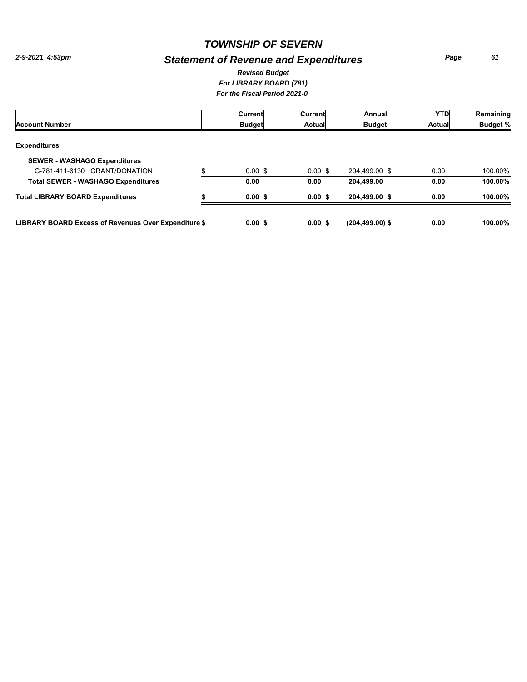## *Statement of Revenue and Expenditures*

*Page 61*

#### *For LIBRARY BOARD (781) For the Fiscal Period 2021-0 Revised Budget*

|                                                      | Current            | Current   | Annual            | <b>YTD</b> | Remaining       |
|------------------------------------------------------|--------------------|-----------|-------------------|------------|-----------------|
| <b>Account Number</b>                                | <b>Budget</b>      | Actual    | <b>Budget</b>     | Actual     | <b>Budget %</b> |
| <b>Expenditures</b>                                  |                    |           |                   |            |                 |
| <b>SEWER - WASHAGO Expenditures</b>                  |                    |           |                   |            |                 |
| G-781-411-6130 GRANT/DONATION<br>\$                  | $0.00 \text{ }$ \$ | $0.00$ \$ | 204,499.00 \$     | 0.00       | 100.00%         |
| <b>Total SEWER - WASHAGO Expenditures</b>            | 0.00               | 0.00      | 204.499.00        | 0.00       | 100.00%         |
| <b>Total LIBRARY BOARD Expenditures</b>              | 0.00S              | 0.00S     | 204,499.00 \$     | 0.00       | 100.00%         |
| LIBRARY BOARD Excess of Revenues Over Expenditure \$ | 0.00S              | 0.00S     | $(204.499.00)$ \$ | 0.00       | $100.00\%$      |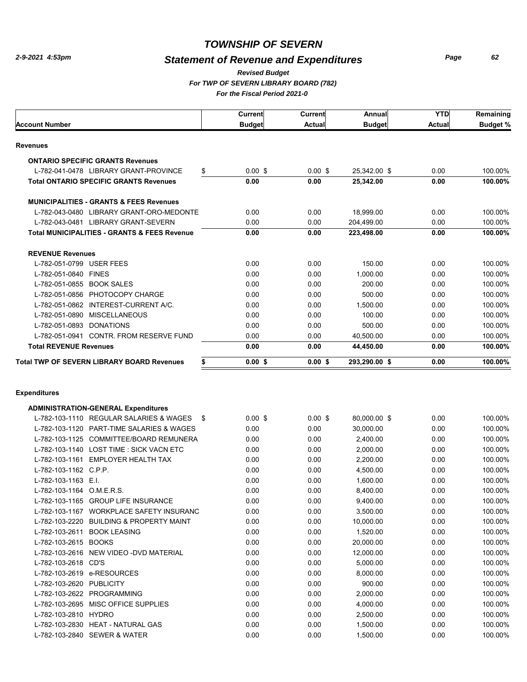## *Statement of Revenue and Expenditures*

*Page 62*

#### *For TWP OF SEVERN LIBRARY BOARD (782) For the Fiscal Period 2021-0 Revised Budget*

| <b>Account Number</b>         |                                                         | Current<br><b>Budget</b> | Current<br>Actual | Annual<br><b>Budget</b> | <b>YTD</b><br><b>Actual</b> | Remaining<br><b>Budget %</b> |
|-------------------------------|---------------------------------------------------------|--------------------------|-------------------|-------------------------|-----------------------------|------------------------------|
|                               |                                                         |                          |                   |                         |                             |                              |
| <b>Revenues</b>               |                                                         |                          |                   |                         |                             |                              |
|                               | <b>ONTARIO SPECIFIC GRANTS Revenues</b>                 |                          |                   |                         |                             |                              |
|                               | \$<br>L-782-041-0478 LIBRARY GRANT-PROVINCE             | $0.00$ \$                | 0.00S             | 25,342.00 \$            | 0.00                        | 100.00%                      |
|                               | <b>Total ONTARIO SPECIFIC GRANTS Revenues</b>           | 0.00                     | 0.00              | 25,342.00               | 0.00                        | 100.00%                      |
|                               | <b>MUNICIPALITIES - GRANTS &amp; FEES Revenues</b>      |                          |                   |                         |                             |                              |
|                               | L-782-043-0480 LIBRARY GRANT-ORO-MEDONTE                | 0.00                     | 0.00              | 18,999.00               | 0.00                        | 100.00%                      |
|                               | L-782-043-0481 LIBRARY GRANT-SEVERN                     | 0.00                     | 0.00              | 204,499.00              | 0.00                        | 100.00%                      |
|                               | <b>Total MUNICIPALITIES - GRANTS &amp; FEES Revenue</b> | 0.00                     | 0.00              | 223,498.00              | 0.00                        | 100.00%                      |
| <b>REVENUE Revenues</b>       |                                                         |                          |                   |                         |                             |                              |
| L-782-051-0799 USER FEES      |                                                         | 0.00                     | 0.00              | 150.00                  | 0.00                        | 100.00%                      |
| L-782-051-0840 FINES          |                                                         | 0.00                     | 0.00              | 1,000.00                | 0.00                        | 100.00%                      |
| L-782-051-0855 BOOK SALES     |                                                         | 0.00                     | 0.00              | 200.00                  | 0.00                        | 100.00%                      |
|                               | L-782-051-0856 PHOTOCOPY CHARGE                         | 0.00                     | 0.00              | 500.00                  | 0.00                        | 100.00%                      |
|                               | L-782-051-0862 INTEREST-CURRENT A/C.                    | 0.00                     | 0.00              | 1,500.00                | 0.00                        | 100.00%                      |
|                               | L-782-051-0890 MISCELLANEOUS                            | 0.00                     | 0.00              | 100.00                  | 0.00                        | 100.00%                      |
| L-782-051-0893 DONATIONS      |                                                         | 0.00                     | 0.00              | 500.00                  | 0.00                        | 100.00%                      |
|                               | L-782-051-0941 CONTR, FROM RESERVE FUND                 | 0.00                     | 0.00              | 40,500.00               | 0.00                        | 100.00%                      |
| <b>Total REVENUE Revenues</b> |                                                         | 0.00                     | 0.00              | 44,450.00               | 0.00                        | 100.00%                      |
|                               | <b>Total TWP OF SEVERN LIBRARY BOARD Revenues</b><br>\$ | $0.00$ \$                | $0.00$ \$         | 293,290.00 \$           | 0.00                        | 100.00%                      |
| <b>Expenditures</b>           |                                                         |                          |                   |                         |                             |                              |
|                               | <b>ADMINISTRATION-GENERAL Expenditures</b>              |                          |                   |                         |                             |                              |
|                               | L-782-103-1110 REGULAR SALARIES & WAGES<br>-\$          | $0.00$ \$                | $0.00$ \$         | 80,000.00 \$            | 0.00                        | 100.00%                      |
|                               | L-782-103-1120 PART-TIME SALARIES & WAGES               | 0.00                     | 0.00              | 30,000.00               | 0.00                        | 100.00%                      |
|                               | L-782-103-1125 COMMITTEE/BOARD REMUNERA                 | 0.00                     | 0.00              | 2,400.00                | 0.00                        | 100.00%                      |
|                               | L-782-103-1140 LOST TIME: SICK VACN ETC                 | 0.00                     | 0.00              | 2,000.00                | 0.00                        | 100.00%                      |
|                               | L-782-103-1161 EMPLOYER HEALTH TAX                      | 0.00                     | 0.00              | 2,200.00                | 0.00                        | 100.00%                      |
| L-782-103-1162 C.P.P.         |                                                         | 0.00                     | 0.00              | 4,500.00                | 0.00                        | 100.00%                      |
| L-782-103-1163 E.I.           |                                                         | 0.00                     | 0.00              | 1,600.00                | 0.00                        | 100.00%                      |
| L-782-103-1164 O.M.E.R.S.     |                                                         | 0.00                     | 0.00              | 8,400.00                | 0.00                        | 100.00%                      |
|                               | L-782-103-1165 GROUP LIFE INSURANCE                     | 0.00                     | 0.00              | 9,400.00                | 0.00                        | 100.00%                      |
|                               | L-782-103-1167 WORKPLACE SAFETY INSURANC                | n nn                     | n nn              | 3.500.00                | n nn                        | 100,00%                      |

| L-782-103-1165       | <b>GROUP LIFE INSURANCE</b>            | 0.00 | 0.00 | 9.400.00  | 0.00 | 100.00% |
|----------------------|----------------------------------------|------|------|-----------|------|---------|
| L-782-103-1167       | WORKPLACE SAFETY INSURANC              | 0.00 | 0.00 | 3.500.00  | 0.00 | 100.00% |
| L-782-103-2220       | <b>BUILDING &amp; PROPERTY MAINT</b>   | 0.00 | 0.00 | 10.000.00 | 0.00 | 100.00% |
| L-782-103-2611       | <b>BOOK LEASING</b>                    | 0.00 | 0.00 | 1.520.00  | 0.00 | 100.00% |
| L-782-103-2615       | <b>BOOKS</b>                           | 0.00 | 0.00 | 20.000.00 | 0.00 | 100.00% |
|                      | L-782-103-2616 NEW VIDEO -DVD MATERIAL | 0.00 | 0.00 | 12.000.00 | 0.00 | 100.00% |
| L-782-103-2618 CD'S  |                                        | 0.00 | 0.00 | 5.000.00  | 0.00 | 100.00% |
|                      | L-782-103-2619 e-RESOURCES             | 0.00 | 0.00 | 8.000.00  | 0.00 | 100.00% |
| L-782-103-2620       | PUBLICITY                              | 0.00 | 0.00 | 900.00    | 0.00 | 100.00% |
|                      | L-782-103-2622 PROGRAMMING             | 0.00 | 0.00 | 2.000.00  | 0.00 | 100.00% |
| L-782-103-2695       | MISC OFFICE SUPPLIES                   | 0.00 | 0.00 | 4.000.00  | 0.00 | 100.00% |
| L-782-103-2810 HYDRO |                                        | 0.00 | 0.00 | 2.500.00  | 0.00 | 100.00% |
|                      | L-782-103-2830 HEAT - NATURAL GAS      | 0.00 | 0.00 | 1.500.00  | 0.00 | 100.00% |
|                      | L-782-103-2840 SEWER & WATER           | 0.00 | 0.00 | 1.500.00  | 0.00 | 100.00% |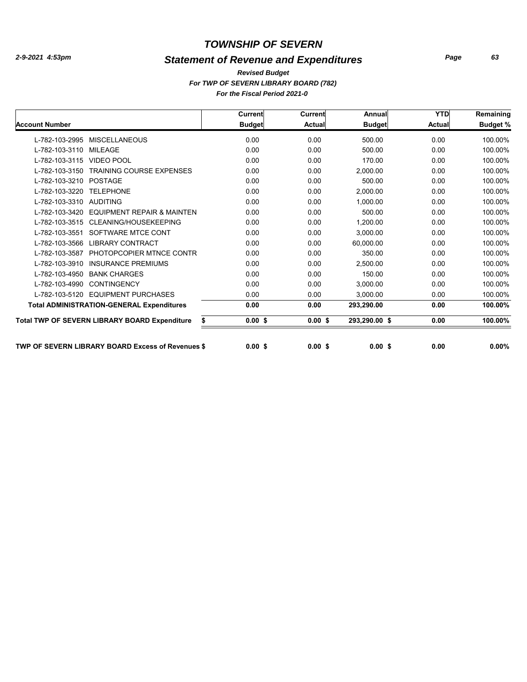## *Statement of Revenue and Expenditures*

*Page 63*

*For TWP OF SEVERN LIBRARY BOARD (782) For the Fiscal Period 2021-0 Revised Budget*

|                                                            | Current           | <b>Current</b> | Annual        | <b>YTD</b>    | Remaining       |
|------------------------------------------------------------|-------------------|----------------|---------------|---------------|-----------------|
| <b>Account Number</b>                                      | <b>Budget</b>     | <b>Actual</b>  | <b>Budget</b> | <b>Actual</b> | <b>Budget %</b> |
| L-782-103-2995<br><b>MISCELLANEOUS</b>                     | 0.00              | 0.00           | 500.00        | 0.00          | 100.00%         |
| L-782-103-3110<br><b>MILEAGE</b>                           | 0.00              | 0.00           | 500.00        | 0.00          | 100.00%         |
| L-782-103-3115<br><b>VIDEO POOL</b>                        | 0.00              | 0.00           | 170.00        | 0.00          | 100.00%         |
| <b>TRAINING COURSE EXPENSES</b><br>L-782-103-3150          | 0.00              | 0.00           | 2.000.00      | 0.00          | 100.00%         |
| <b>POSTAGE</b><br>L-782-103-3210                           | 0.00              | 0.00           | 500.00        | 0.00          | 100.00%         |
| L-782-103-3220<br><b>TELEPHONE</b>                         | 0.00              | 0.00           | 2,000.00      | 0.00          | 100.00%         |
| L-782-103-3310<br><b>AUDITING</b>                          | 0.00              | 0.00           | 1.000.00      | 0.00          | 100.00%         |
| L-782-103-3420<br><b>EQUIPMENT REPAIR &amp; MAINTEN</b>    | 0.00              | 0.00           | 500.00        | 0.00          | 100.00%         |
| L-782-103-3515<br>CLEANING/HOUSEKEEPING                    | 0.00              | 0.00           | 1.200.00      | 0.00          | 100.00%         |
| SOFTWARE MTCE CONT<br>L-782-103-3551                       | 0.00              | 0.00           | 3,000.00      | 0.00          | 100.00%         |
| <b>LIBRARY CONTRACT</b><br>L-782-103-3566                  | 0.00              | 0.00           | 60,000.00     | 0.00          | 100.00%         |
| PHOTOPCOPIER MTNCE CONTR<br>L-782-103-3587                 | 0.00              | 0.00           | 350.00        | 0.00          | 100.00%         |
| <b>INSURANCE PREMIUMS</b><br>L-782-103-3910                | 0.00              | 0.00           | 2,500.00      | 0.00          | 100.00%         |
| <b>BANK CHARGES</b><br>L-782-103-4950                      | 0.00              | 0.00           | 150.00        | 0.00          | 100.00%         |
| L-782-103-4990<br><b>CONTINGENCY</b>                       | 0.00              | 0.00           | 3,000.00      | 0.00          | 100.00%         |
| L-782-103-5120<br><b>EQUIPMENT PURCHASES</b>               | 0.00              | 0.00           | 3,000.00      | 0.00          | 100.00%         |
| <b>Total ADMINISTRATION-GENERAL Expenditures</b>           | 0.00              | 0.00           | 293,290.00    | 0.00          | 100.00%         |
| <b>Total TWP OF SEVERN LIBRARY BOARD Expenditure</b><br>\$ | 0.00 <sup>5</sup> | $0.00$ \$      | 293,290.00 \$ | 0.00          | 100.00%         |
| <b>TWP OF SEVERN LIBRARY BOARD Excess of Revenues \$</b>   | 0.00S             | 0.00S          | 0.00S         | 0.00          | $0.00\%$        |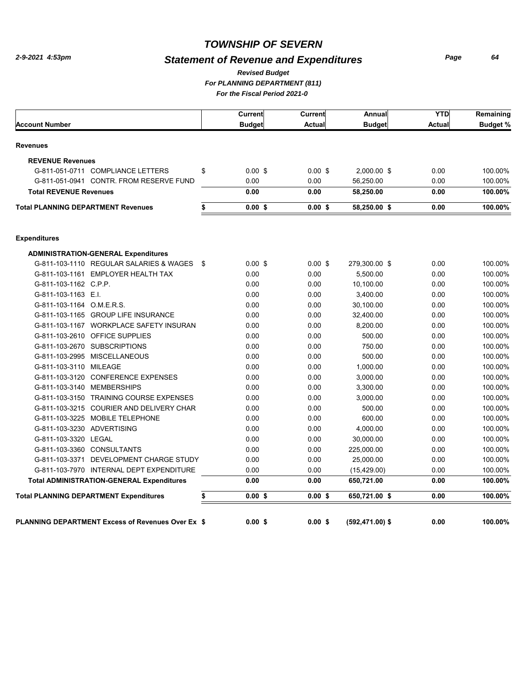## *Statement of Revenue and Expenditures*

*Page 64*

*For PLANNING DEPARTMENT (811) For the Fiscal Period 2021-0 Revised Budget*

|                                                          | Current         | Current   | Annual          | <b>YTD</b>    | Remaining       |
|----------------------------------------------------------|-----------------|-----------|-----------------|---------------|-----------------|
| <b>Account Number</b>                                    | <b>Budget</b>   | Actual    | <b>Budget</b>   | <b>Actual</b> | <b>Budget %</b> |
| <b>Revenues</b>                                          |                 |           |                 |               |                 |
| <b>REVENUE Revenues</b>                                  |                 |           |                 |               |                 |
| G-811-051-0711 COMPLIANCE LETTERS                        | \$<br>$0.00$ \$ | $0.00$ \$ | 2,000.00 \$     | 0.00          | 100.00%         |
| G-811-051-0941 CONTR. FROM RESERVE FUND                  | 0.00            | 0.00      | 56,250.00       | 0.00          | 100.00%         |
| <b>Total REVENUE Revenues</b>                            | 0.00            | 0.00      | 58,250.00       | 0.00          | 100.00%         |
| <b>Total PLANNING DEPARTMENT Revenues</b>                | \$<br>$0.00$ \$ | $0.00$ \$ | 58,250.00 \$    | 0.00          | 100.00%         |
| <b>Expenditures</b>                                      |                 |           |                 |               |                 |
| <b>ADMINISTRATION-GENERAL Expenditures</b>               |                 |           |                 |               |                 |
| G-811-103-1110 REGULAR SALARIES & WAGES                  | \$<br>$0.00$ \$ | $0.00$ \$ | 279,300.00 \$   | 0.00          | 100.00%         |
| G-811-103-1161 EMPLOYER HEALTH TAX                       | 0.00            | 0.00      | 5,500.00        | 0.00          | 100.00%         |
| G-811-103-1162 C.P.P.                                    | 0.00            | 0.00      | 10,100.00       | 0.00          | 100.00%         |
| G-811-103-1163 E.I.                                      | 0.00            | 0.00      | 3,400.00        | 0.00          | 100.00%         |
| G-811-103-1164 O.M.E.R.S.                                | 0.00            | 0.00      | 30,100.00       | 0.00          | 100.00%         |
| G-811-103-1165 GROUP LIFE INSURANCE                      | 0.00            | 0.00      | 32,400.00       | 0.00          | 100.00%         |
| G-811-103-1167 WORKPLACE SAFETY INSURAN                  | 0.00            | 0.00      | 8,200.00        | 0.00          | 100.00%         |
| G-811-103-2610 OFFICE SUPPLIES                           | 0.00            | 0.00      | 500.00          | 0.00          | 100.00%         |
| G-811-103-2670 SUBSCRIPTIONS                             | 0.00            | 0.00      | 750.00          | 0.00          | 100.00%         |
| G-811-103-2995 MISCELLANEOUS                             | 0.00            | 0.00      | 500.00          | 0.00          | 100.00%         |
| G-811-103-3110 MILEAGE                                   | 0.00            | 0.00      | 1,000.00        | 0.00          | 100.00%         |
| G-811-103-3120 CONFERENCE EXPENSES                       | 0.00            | 0.00      | 3,000.00        | 0.00          | 100.00%         |
| G-811-103-3140 MEMBERSHIPS                               | 0.00            | 0.00      | 3,300.00        | 0.00          | 100.00%         |
| G-811-103-3150 TRAINING COURSE EXPENSES                  | 0.00            | 0.00      | 3,000.00        | 0.00          | 100.00%         |
| G-811-103-3215 COURIER AND DELIVERY CHAR                 | 0.00            | 0.00      | 500.00          | 0.00          | 100.00%         |
| G-811-103-3225 MOBILE TELEPHONE                          | 0.00            | 0.00      | 600.00          | 0.00          | 100.00%         |
| G-811-103-3230 ADVERTISING                               | 0.00            | 0.00      | 4,000.00        | 0.00          | 100.00%         |
| G-811-103-3320 LEGAL                                     | 0.00            | 0.00      | 30,000.00       | 0.00          | 100.00%         |
| G-811-103-3360 CONSULTANTS                               | 0.00            | 0.00      | 225,000.00      | 0.00          | 100.00%         |
| G-811-103-3371 DEVELOPMENT CHARGE STUDY                  | 0.00            | 0.00      | 25,000.00       | 0.00          | 100.00%         |
| G-811-103-7970 INTERNAL DEPT EXPENDITURE                 | 0.00            | 0.00      | (15, 429.00)    | 0.00          | 100.00%         |
| <b>Total ADMINISTRATION-GENERAL Expenditures</b>         | 0.00            | 0.00      | 650,721.00      | 0.00          | 100.00%         |
| <b>Total PLANNING DEPARTMENT Expenditures</b>            | \$<br>$0.00$ \$ | $0.00$ \$ | 650,721.00 \$   | 0.00          | 100.00%         |
| <b>PLANNING DEPARTMENT Excess of Revenues Over Ex \$</b> | 0.00S           | $0.00$ \$ | (592,471.00) \$ | 0.00          | 100.00%         |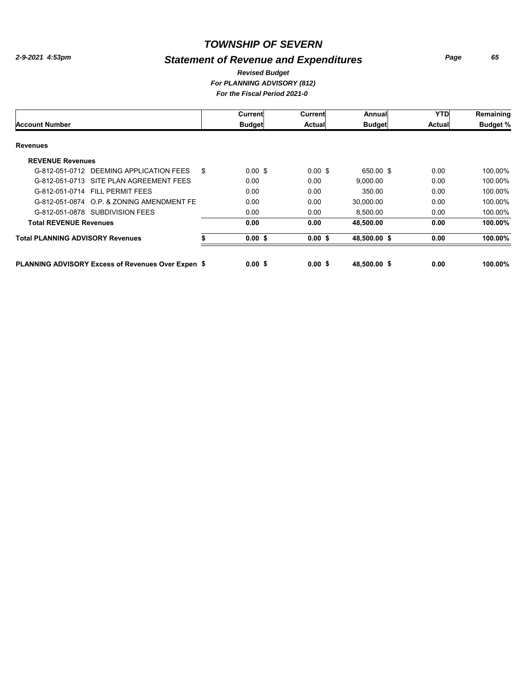## *Statement of Revenue and Expenditures*

*Page 65*

#### *For PLANNING ADVISORY (812) For the Fiscal Period 2021-0 Revised Budget*

|                                                           |    | Current            | Current       | Annual        | <b>YTD</b> | Remaining       |
|-----------------------------------------------------------|----|--------------------|---------------|---------------|------------|-----------------|
| <b>Account Number</b>                                     |    | <b>Budget</b>      | <b>Actual</b> | <b>Budget</b> | Actual     | <b>Budget %</b> |
| <b>Revenues</b>                                           |    |                    |               |               |            |                 |
| <b>REVENUE Revenues</b>                                   |    |                    |               |               |            |                 |
| DEEMING APPLICATION FEES<br>G-812-051-0712                | \$ | $0.00 \text{ }$ \$ | $0.00$ \$     | 650.00 \$     | 0.00       | 100.00%         |
| G-812-051-0713 SITE PLAN AGREEMENT FEES                   |    | 0.00               | 0.00          | 9.000.00      | 0.00       | 100.00%         |
| G-812-051-0714 FILL PERMIT FEES                           |    | 0.00               | 0.00          | 350.00        | 0.00       | 100.00%         |
| G-812-051-0874 O.P. & ZONING AMENDMENT FE                 |    | 0.00               | 0.00          | 30,000.00     | 0.00       | 100.00%         |
| G-812-051-0878 SUBDIVISION FEES                           |    | 0.00               | 0.00          | 8,500.00      | 0.00       | 100.00%         |
| <b>Total REVENUE Revenues</b>                             |    | 0.00               | 0.00          | 48.500.00     | 0.00       | 100.00%         |
| <b>Total PLANNING ADVISORY Revenues</b>                   |    | 0.00 S             | 0.00S         | 48,500.00 \$  | 0.00       | 100.00%         |
| <b>PLANNING ADVISORY Excess of Revenues Over Expen \$</b> |    | 0.00S              | 0.00S         | 48.500.00 \$  | 0.00       | 100.00%         |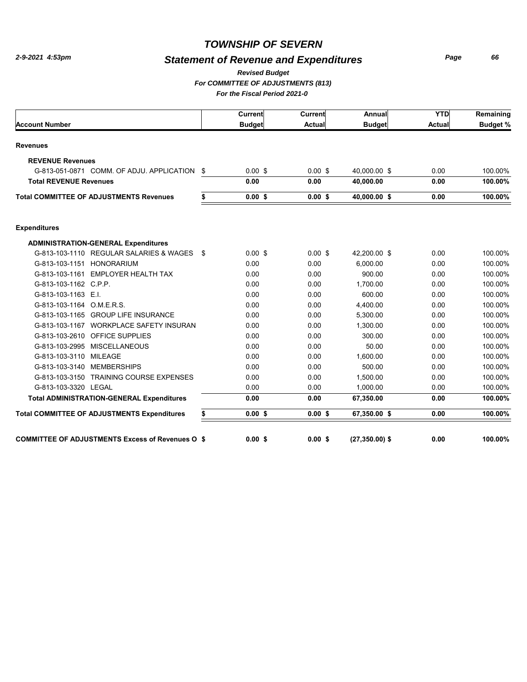## *Statement of Revenue and Expenditures*

*Page 66*

*For COMMITTEE OF ADJUSTMENTS (813) Revised Budget*

*For the Fiscal Period 2021-0* 

|  | For the Fiscal Period 2021-0 |  |  |  |
|--|------------------------------|--|--|--|
|  |                              |  |  |  |

|                                                         |      | Current       | Current       | Annual            | <b>YTD</b>    | Remaining       |
|---------------------------------------------------------|------|---------------|---------------|-------------------|---------------|-----------------|
| <b>Account Number</b>                                   |      | <b>Budget</b> | <b>Actual</b> | <b>Budget</b>     | <b>Actual</b> | <b>Budget %</b> |
| <b>Revenues</b>                                         |      |               |               |                   |               |                 |
| <b>REVENUE Revenues</b>                                 |      |               |               |                   |               |                 |
| G-813-051-0871 COMM. OF ADJU. APPLICATION \$            |      | $0.00$ \$     | $0.00$ \$     | 40,000.00 \$      | 0.00          | 100.00%         |
| <b>Total REVENUE Revenues</b>                           |      | 0.00          | 0.00          | 40,000.00         | 0.00          | 100.00%         |
| <b>Total COMMITTEE OF ADJUSTMENTS Revenues</b>          | \$   | 0.00S         | 0.00S         | 40,000.00 \$      | 0.00          | 100.00%         |
| <b>Expenditures</b>                                     |      |               |               |                   |               |                 |
| <b>ADMINISTRATION-GENERAL Expenditures</b>              |      |               |               |                   |               |                 |
| G-813-103-1110 REGULAR SALARIES & WAGES                 | - \$ | $0.00$ \$     | $0.00$ \$     | 42,200.00 \$      | 0.00          | 100.00%         |
| G-813-103-1151 HONORARIUM                               |      | 0.00          | 0.00          | 6.000.00          | 0.00          | 100.00%         |
| G-813-103-1161 EMPLOYER HEALTH TAX                      |      | 0.00          | 0.00          | 900.00            | 0.00          | 100.00%         |
| G-813-103-1162 C.P.P.                                   |      | 0.00          | 0.00          | 1,700.00          | 0.00          | 100.00%         |
| G-813-103-1163 E.I.                                     |      | 0.00          | 0.00          | 600.00            | 0.00          | 100.00%         |
| G-813-103-1164 O.M.E.R.S.                               |      | 0.00          | 0.00          | 4,400.00          | 0.00          | 100.00%         |
| G-813-103-1165 GROUP LIFE INSURANCE                     |      | 0.00          | 0.00          | 5,300.00          | 0.00          | 100.00%         |
| G-813-103-1167 WORKPLACE SAFETY INSURAN                 |      | 0.00          | 0.00          | 1,300.00          | 0.00          | 100.00%         |
| G-813-103-2610 OFFICE SUPPLIES                          |      | 0.00          | 0.00          | 300.00            | 0.00          | 100.00%         |
| G-813-103-2995 MISCELLANEOUS                            |      | 0.00          | 0.00          | 50.00             | 0.00          | 100.00%         |
| G-813-103-3110 MILEAGE                                  |      | 0.00          | 0.00          | 1,600.00          | 0.00          | 100.00%         |
| G-813-103-3140 MEMBERSHIPS                              |      | 0.00          | 0.00          | 500.00            | 0.00          | 100.00%         |
| G-813-103-3150 TRAINING COURSE EXPENSES                 |      | 0.00          | 0.00          | 1,500.00          | 0.00          | 100.00%         |
| G-813-103-3320 LEGAL                                    |      | 0.00          | 0.00          | 1.000.00          | 0.00          | 100.00%         |
| <b>Total ADMINISTRATION-GENERAL Expenditures</b>        |      | 0.00          | 0.00          | 67,350.00         | 0.00          | 100.00%         |
| <b>Total COMMITTEE OF ADJUSTMENTS Expenditures</b>      | \$   | $0.00$ \$     | $0.00$ \$     | 67,350.00 \$      | 0.00          | 100.00%         |
| <b>COMMITTEE OF ADJUSTMENTS Excess of Revenues O \$</b> |      | 0.00S         | 0.00S         | $(27, 350.00)$ \$ | 0.00          | 100.00%         |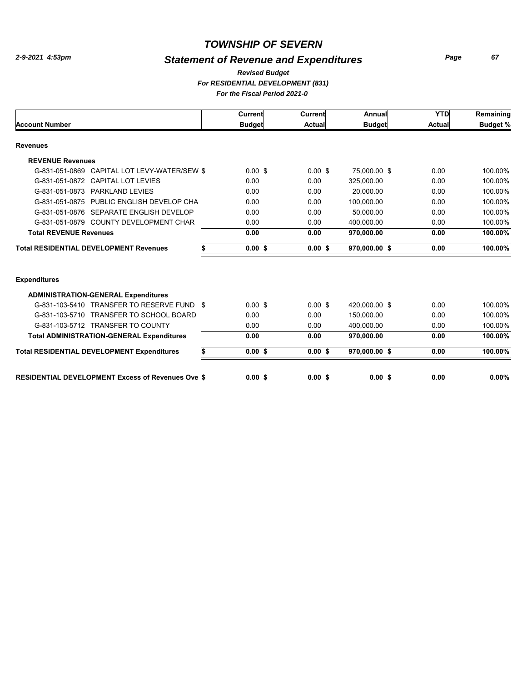## *Statement of Revenue and Expenditures*

*Page 67*

#### *For RESIDENTIAL DEVELOPMENT (831) For the Fiscal Period 2021-0 Revised Budget*

|                                                          | Current         | Current   | Annual        | <b>YTD</b> | Remaining       |
|----------------------------------------------------------|-----------------|-----------|---------------|------------|-----------------|
| <b>Account Number</b>                                    | <b>Budget</b>   | Actual    | <b>Budget</b> | Actual     | <b>Budget %</b> |
| <b>Revenues</b>                                          |                 |           |               |            |                 |
| <b>REVENUE Revenues</b>                                  |                 |           |               |            |                 |
| CAPITAL LOT LEVY-WATER/SEW \$<br>G-831-051-0869          | $0.00$ \$       | $0.00$ \$ | 75.000.00 \$  | 0.00       | 100.00%         |
| <b>CAPITAL LOT LEVIES</b><br>G-831-051-0872              | 0.00            | 0.00      | 325,000.00    | 0.00       | 100.00%         |
| PARKLAND LEVIES<br>G-831-051-0873                        | 0.00            | 0.00      | 20.000.00     | 0.00       | 100.00%         |
| G-831-051-0875 PUBLIC ENGLISH DEVELOP CHA                | 0.00            | 0.00      | 100.000.00    | 0.00       | 100.00%         |
| G-831-051-0876 SEPARATE ENGLISH DEVELOP                  | 0.00            | 0.00      | 50.000.00     | 0.00       | 100.00%         |
| G-831-051-0879 COUNTY DEVELOPMENT CHAR                   | 0.00            | 0.00      | 400.000.00    | 0.00       | 100.00%         |
| <b>Total REVENUE Revenues</b>                            | 0.00            | 0.00      | 970,000.00    | 0.00       | 100.00%         |
| <b>Total RESIDENTIAL DEVELOPMENT Revenues</b>            | \$<br>0.00S     | 0.00S     | 970.000.00 \$ | 0.00       | 100.00%         |
| <b>Expenditures</b>                                      |                 |           |               |            |                 |
| <b>ADMINISTRATION-GENERAL Expenditures</b>               |                 |           |               |            |                 |
| G-831-103-5410 TRANSFER TO RESERVE FUND \$               | $0.00$ \$       | $0.00$ \$ | 420.000.00 \$ | 0.00       | 100.00%         |
| G-831-103-5710 TRANSFER TO SCHOOL BOARD                  | 0.00            | 0.00      | 150,000.00    | 0.00       | 100.00%         |
| G-831-103-5712 TRANSFER TO COUNTY                        | 0.00            | 0.00      | 400.000.00    | 0.00       | 100.00%         |
| <b>Total ADMINISTRATION-GENERAL Expenditures</b>         | 0.00            | 0.00      | 970,000.00    | 0.00       | 100.00%         |
| <b>Total RESIDENTIAL DEVELOPMENT Expenditures</b>        | \$<br>$0.00$ \$ | $0.00$ \$ | 970,000.00 \$ | 0.00       | 100.00%         |
| <b>RESIDENTIAL DEVELOPMENT Excess of Revenues Ove \$</b> | $0.00$ \$       | $0.00$ \$ | $0.00$ \$     | 0.00       | $0.00\%$        |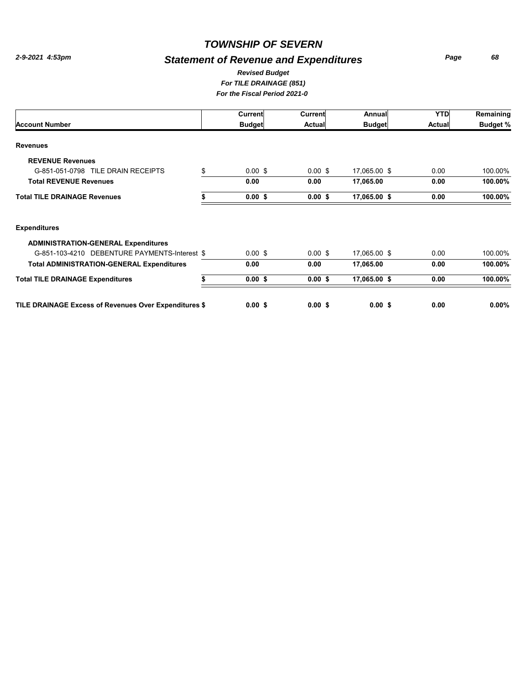#### *TOWNSHIP OF SEVERN*

#### *Statement of Revenue and Expenditures*

*Page 68*

#### *For TILE DRAINAGE (851) For the Fiscal Period 2021-0 Revised Budget*

|                                     | Current                  | Current            | Annual        | <b>YTD</b>    | Remaining       |
|-------------------------------------|--------------------------|--------------------|---------------|---------------|-----------------|
| <b>Account Number</b>               | <b>Budget</b>            | Actual             | <b>Budget</b> | <b>Actual</b> | <b>Budget %</b> |
| <b>Revenues</b>                     |                          |                    |               |               |                 |
| <b>REVENUE Revenues</b>             |                          |                    |               |               |                 |
| G-851-051-0798 TILE DRAIN RECEIPTS  | \$<br>$0.00 \text{ }$ \$ | $0.00 \text{ }$ \$ | 17,065.00 \$  | 0.00          | 100.00%         |
| <b>Total REVENUE Revenues</b>       | 0.00                     | 0.00               | 17,065.00     | 0.00          | 100.00%         |
| <b>Total TILE DRAINAGE Revenues</b> | $0.00$ \$                | 0.00S              | 17,065.00 \$  | 0.00          | 100.00%         |
|                                     |                          |                    |               |               |                 |

**TILE DRAINAGE Excess of Revenues Over Expenditures \$\$\$\$ 0.00 0.00 0.00 0.00 0.00%**

# **ADMINISTRATION-GENERAL Expenditures** G-851-103-4210 DEBENTURE PAYMENTS-Interest \$ 0.00 \$ 0.00 \$ 17,065.00 \$ 0.00 100.00% **Total ADMINISTRATION-GENERAL Expenditures 0.00 0.00 0.00 17,065.00 100.00% Total TILE DRAINAGE Expenditures \$\$\$\$ 0.00 0.00 0.00 17,065.00 100.00%**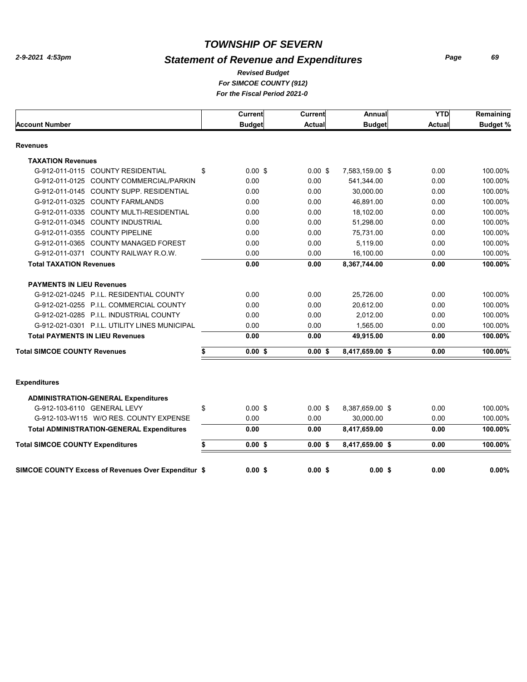## *Statement of Revenue and Expenditures*

*Page 69*

#### *For SIMCOE COUNTY (912) For the Fiscal Period 2021-0 Revised Budget*

| Current                                             | Current       | Annual          | <b>YTD</b>    | Remaining       |
|-----------------------------------------------------|---------------|-----------------|---------------|-----------------|
| <b>Budget</b>                                       | <b>Actual</b> | <b>Budget</b>   | <b>Actual</b> | <b>Budget %</b> |
|                                                     |               |                 |               |                 |
|                                                     |               |                 |               |                 |
| \$<br>$0.00$ \$                                     | $0.00$ \$     | 7,583,159.00 \$ | 0.00          | 100.00%         |
| 0.00                                                | 0.00          | 541,344.00      | 0.00          | 100.00%         |
| 0.00                                                | 0.00          | 30,000.00       | 0.00          | 100.00%         |
| 0.00                                                | 0.00          | 46,891.00       | 0.00          | 100.00%         |
| 0.00                                                | 0.00          | 18,102.00       | 0.00          | 100.00%         |
| 0.00                                                | 0.00          | 51,298.00       | 0.00          | 100.00%         |
| 0.00                                                | 0.00          | 75,731.00       | 0.00          | 100.00%         |
| 0.00                                                | 0.00          | 5.119.00        | 0.00          | 100.00%         |
| 0.00                                                | 0.00          | 16,100.00       | 0.00          | 100.00%         |
| 0.00                                                | 0.00          | 8,367,744.00    | 0.00          | 100.00%         |
|                                                     |               |                 |               |                 |
| 0.00                                                | 0.00          | 25,726.00       | 0.00          | 100.00%         |
| 0.00                                                | 0.00          | 20,612.00       | 0.00          | 100.00%         |
| 0.00                                                | 0.00          | 2,012.00        | 0.00          | 100.00%         |
| 0.00                                                | 0.00          | 1,565.00        | 0.00          | 100.00%         |
| 0.00                                                | 0.00          | 49,915.00       | 0.00          | 100.00%         |
| \$<br>$0.00$ \$                                     | $0.00$ \$     | 8,417,659.00 \$ | 0.00          | 100.00%         |
|                                                     |               |                 |               |                 |
|                                                     |               |                 |               |                 |
|                                                     |               |                 |               |                 |
| \$<br>$0.00$ \$                                     | $0.00$ \$     | 8,387,659.00 \$ | 0.00          | 100.00%         |
| 0.00                                                | 0.00          | 30,000.00       | 0.00          | 100.00%         |
| 0.00                                                | 0.00          | 8,417,659.00    | 0.00          | 100.00%         |
| \$<br>$0.00$ \$                                     | 0.00S         | 8,417,659.00 \$ | 0.00          | 100.00%         |
|                                                     |               |                 |               | 0.00%           |
| SIMCOE COUNTY Excess of Revenues Over Expenditur \$ | 0.00S         | 0.00S           | 0.00S         | 0.00            |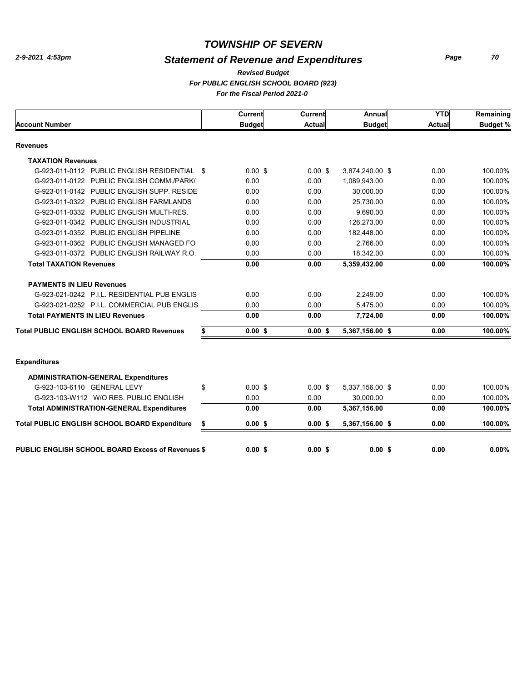## *Statement of Revenue and Expenditures*

*Page 70*

#### *For PUBLIC ENGLISH SCHOOL BOARD (923) For the Fiscal Period 2021-0 Revised Budget*

|                                                          | Current         | <b>Current</b> | Annual          | <b>YTD</b>    | Remaining       |
|----------------------------------------------------------|-----------------|----------------|-----------------|---------------|-----------------|
| <b>Account Number</b>                                    | <b>Budget</b>   | <b>Actual</b>  | <b>Budget</b>   | <b>Actual</b> | <b>Budget %</b> |
| <b>Revenues</b>                                          |                 |                |                 |               |                 |
| <b>TAXATION Revenues</b>                                 |                 |                |                 |               |                 |
| G-923-011-0112 PUBLIC ENGLISH RESIDENTIAL \$             | $0.00$ \$       | $0.00$ \$      | 3,874,240.00 \$ | 0.00          | 100.00%         |
| G-923-011-0122 PUBLIC ENGLISH COMM./PARK/                | 0.00            | 0.00           | 1,089,943.00    | 0.00          | 100.00%         |
| G-923-011-0142 PUBLIC ENGLISH SUPP. RESIDE               | 0.00            | 0.00           | 30,000.00       | 0.00          | 100.00%         |
| G-923-011-0322 PUBLIC ENGLISH FARMLANDS                  | 0.00            | 0.00           | 25.730.00       | 0.00          | 100.00%         |
| G-923-011-0332 PUBLIC ENGLISH MULTI-RES.                 | 0.00            | 0.00           | 9,690.00        | 0.00          | 100.00%         |
| G-923-011-0342 PUBLIC ENGLISH INDUSTRIAL                 | 0.00            | 0.00           | 126,273.00      | 0.00          | 100.00%         |
| G-923-011-0352 PUBLIC ENGLISH PIPELINE                   | 0.00            | 0.00           | 182,448.00      | 0.00          | 100.00%         |
| G-923-011-0362 PUBLIC ENGLISH MANAGED FO                 | 0.00            | 0.00           | 2,766.00        | 0.00          | 100.00%         |
| G-923-011-0372 PUBLIC ENGLISH RAILWAY R.O.               | 0.00            | 0.00           | 18,342.00       | 0.00          | 100.00%         |
| <b>Total TAXATION Revenues</b>                           | 0.00            | 0.00           | 5,359,432.00    | 0.00          | 100.00%         |
| <b>PAYMENTS IN LIEU Revenues</b>                         |                 |                |                 |               |                 |
| G-923-021-0242 P.I.L. RESIDENTIAL PUB ENGLIS             | 0.00            | 0.00           | 2.249.00        | 0.00          | 100.00%         |
| G-923-021-0252 P.I.L. COMMERCIAL PUB ENGLIS              | 0.00            | 0.00           | 5,475.00        | 0.00          | 100.00%         |
| <b>Total PAYMENTS IN LIEU Revenues</b>                   | 0.00            | 0.00           | 7,724.00        | 0.00          | 100.00%         |
| <b>Total PUBLIC ENGLISH SCHOOL BOARD Revenues</b>        | \$<br>0.00S     | 0.00S          | 5,367,156.00 \$ | 0.00          | 100.00%         |
| <b>Expenditures</b>                                      |                 |                |                 |               |                 |
| <b>ADMINISTRATION-GENERAL Expenditures</b>               |                 |                |                 |               |                 |
| G-923-103-6110 GENERAL LEVY                              | \$<br>$0.00$ \$ | $0.00$ \$      | 5,337,156.00 \$ | 0.00          | 100.00%         |
| G-923-103-W112 W/O RES. PUBLIC ENGLISH                   | 0.00            | 0.00           | 30.000.00       | 0.00          | 100.00%         |
| <b>Total ADMINISTRATION-GENERAL Expenditures</b>         | 0.00            | 0.00           | 5,367,156.00    | 0.00          | 100.00%         |
| Total PUBLIC ENGLISH SCHOOL BOARD Expenditure            | \$<br>$0.00$ \$ | 0.00S          | 5,367,156.00 \$ | 0.00          | 100.00%         |
| <b>PUBLIC ENGLISH SCHOOL BOARD Excess of Revenues \$</b> | 0.00S           | 0.00S          | 0.00S           | 0.00          | 0.00%           |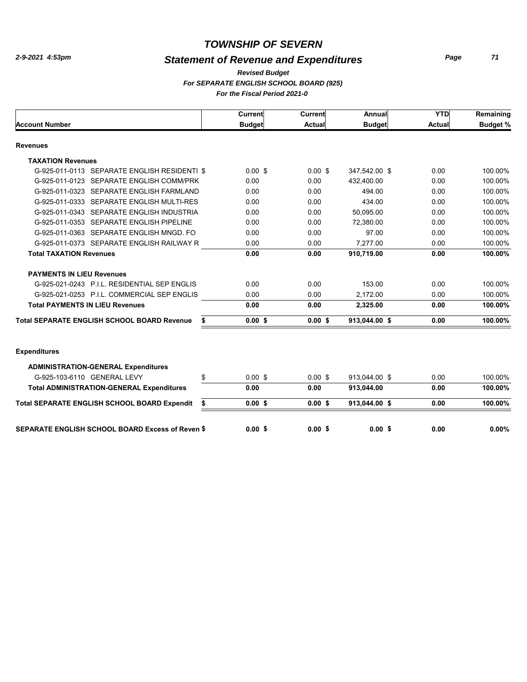## *Statement of Revenue and Expenditures*

*Page 71*

#### *For SEPARATE ENGLISH SCHOOL BOARD (925) For the Fiscal Period 2021-0 Revised Budget*

|                                                           | Current       | <b>Current</b> | Annual        | <b>YTD</b>    | Remaining       |
|-----------------------------------------------------------|---------------|----------------|---------------|---------------|-----------------|
| <b>Account Number</b>                                     | <b>Budget</b> | <b>Actual</b>  | <b>Budget</b> | <b>Actual</b> | <b>Budget %</b> |
| <b>Revenues</b>                                           |               |                |               |               |                 |
| <b>TAXATION Revenues</b>                                  |               |                |               |               |                 |
| G-925-011-0113 SEPARATE ENGLISH RESIDENTI \$              | $0.00$ \$     | $0.00$ \$      | 347,542.00 \$ | 0.00          | 100.00%         |
| G-925-011-0123 SEPARATE ENGLISH COMM/PRK                  | 0.00          | 0.00           | 432,400.00    | 0.00          | 100.00%         |
| G-925-011-0323 SEPARATE ENGLISH FARMLAND                  | 0.00          | 0.00           | 494.00        | 0.00          | 100.00%         |
| G-925-011-0333 SEPARATE ENGLISH MULTI-RES                 | 0.00          | 0.00           | 434.00        | 0.00          | 100.00%         |
| G-925-011-0343 SEPARATE ENGLISH INDUSTRIA                 | 0.00          | 0.00           | 50.095.00     | 0.00          | 100.00%         |
| G-925-011-0353 SEPARATE ENGLISH PIPELINE                  | 0.00          | 0.00           | 72,380.00     | 0.00          | 100.00%         |
| G-925-011-0363 SEPARATE ENGLISH MNGD. FO                  | 0.00          | 0.00           | 97.00         | 0.00          | 100.00%         |
| G-925-011-0373 SEPARATE ENGLISH RAILWAY R                 | 0.00          | 0.00           | 7.277.00      | 0.00          | 100.00%         |
| <b>Total TAXATION Revenues</b>                            | 0.00          | 0.00           | 910,719.00    | 0.00          | 100.00%         |
| <b>PAYMENTS IN LIEU Revenues</b>                          |               |                |               |               |                 |
| G-925-021-0243 P.I.L. RESIDENTIAL SEP ENGLIS              | 0.00          | 0.00           | 153.00        | 0.00          | 100.00%         |
| G-925-021-0253 P.I.L. COMMERCIAL SEP ENGLIS               | 0.00          | 0.00           | 2.172.00      | 0.00          | 100.00%         |
| <b>Total PAYMENTS IN LIEU Revenues</b>                    | 0.00          | 0.00           | 2,325.00      | 0.00          | 100.00%         |
| <b>Total SEPARATE ENGLISH SCHOOL BOARD Revenue</b><br>\$  | $0.00$ \$     | $0.00$ \$      | 913,044.00 \$ | 0.00          | 100.00%         |
| <b>Expenditures</b>                                       |               |                |               |               |                 |
| <b>ADMINISTRATION-GENERAL Expenditures</b>                |               |                |               |               |                 |
| \$<br>G-925-103-6110 GENERAL LEVY                         | $0.00$ \$     | $0.00$ \$      | 913,044.00 \$ | 0.00          | 100.00%         |
| <b>Total ADMINISTRATION-GENERAL Expenditures</b>          | 0.00          | 0.00           | 913,044.00    | 0.00          | 100.00%         |
| <b>Total SEPARATE ENGLISH SCHOOL BOARD Expendit</b><br>\$ | 0.00S         | $0.00$ \$      | 913,044.00 \$ | 0.00          | 100.00%         |
| <b>SEPARATE ENGLISH SCHOOL BOARD Excess of Reven \$</b>   | 0.00S         | $0.00$ \$      | 0.00S         | 0.00          | 0.00%           |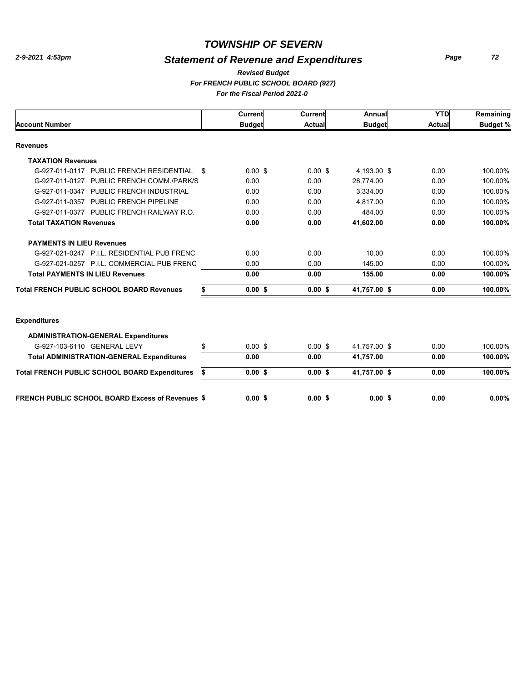## *Statement of Revenue and Expenditures*

*Page 72*

#### *For FRENCH PUBLIC SCHOOL BOARD (927) For the Fiscal Period 2021-0 Revised Budget*

|                                                         |    | Current       | Current       | Annual            | <b>YTD</b>    | Remaining       |
|---------------------------------------------------------|----|---------------|---------------|-------------------|---------------|-----------------|
| <b>Account Number</b>                                   |    | <b>Budget</b> | <b>Actual</b> | <b>Budget</b>     | <b>Actual</b> | <b>Budget %</b> |
| <b>Revenues</b>                                         |    |               |               |                   |               |                 |
| <b>TAXATION Revenues</b>                                |    |               |               |                   |               |                 |
| G-927-011-0117 PUBLIC FRENCH RESIDENTIAL                | -S | $0.00$ \$     | $0.00$ \$     | 4,193.00 \$       | 0.00          | 100.00%         |
| G-927-011-0127 PUBLIC FRENCH COMM./PARK/S               |    | 0.00          | 0.00          | 28.774.00         | 0.00          | 100.00%         |
| G-927-011-0347 PUBLIC FRENCH INDUSTRIAL                 |    | 0.00          | 0.00          | 3,334.00          | 0.00          | 100.00%         |
| G-927-011-0357 PUBLIC FRENCH PIPELINE                   |    | 0.00          | 0.00          | 4.817.00          | 0.00          | 100.00%         |
| G-927-011-0377 PUBLIC FRENCH RAILWAY R.O.               |    | 0.00          | 0.00          | 484.00            | 0.00          | 100.00%         |
| <b>Total TAXATION Revenues</b>                          |    | 0.00          | 0.00          | 41,602.00         | 0.00          | 100.00%         |
| <b>PAYMENTS IN LIEU Revenues</b>                        |    |               |               |                   |               |                 |
| G-927-021-0247 P.I.L. RESIDENTIAL PUB FRENC             |    | 0.00          | 0.00          | 10.00             | 0.00          | 100.00%         |
| G-927-021-0257 P.I.L. COMMERCIAL PUB FRENC              |    | 0.00          | 0.00          | 145.00            | 0.00          | 100.00%         |
| <b>Total PAYMENTS IN LIEU Revenues</b>                  |    | 0.00          | 0.00          | 155.00            | 0.00          | 100.00%         |
| <b>Total FRENCH PUBLIC SCHOOL BOARD Revenues</b>        | \$ | 0.00S         | 0.00S         | 41.757.00 \$      | 0.00          | 100.00%         |
|                                                         |    |               |               |                   |               |                 |
| <b>Expenditures</b>                                     |    |               |               |                   |               |                 |
| <b>ADMINISTRATION-GENERAL Expenditures</b>              |    |               |               |                   |               |                 |
| G-927-103-6110 GENERAL LEVY                             | \$ | $0.00$ \$     | $0.00$ \$     | 41.757.00 \$      | 0.00          | 100.00%         |
| <b>Total ADMINISTRATION-GENERAL Expenditures</b>        |    | 0.00          | 0.00          | 41,757.00         | 0.00          | 100.00%         |
| <b>Total FRENCH PUBLIC SCHOOL BOARD Expenditures</b>    | \$ | $0.00$ \$     | $0.00$ \$     | 41,757.00 \$      | 0.00          | 100.00%         |
| <b>FRENCH PUBLIC SCHOOL BOARD Excess of Revenues \$</b> |    | 0.00S         | 0.00S         | 0.00 <sup>5</sup> | 0.00          | 0.00%           |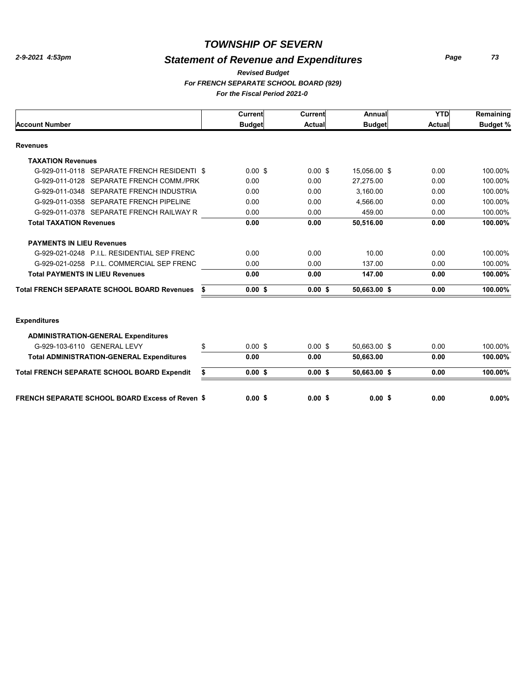### *TOWNSHIP OF SEVERN*

## *Statement of Revenue and Expenditures*

*Page 73*

#### *For FRENCH SEPARATE SCHOOL BOARD (929) For the Fiscal Period 2021-0 Revised Budget*

|                                                        |    | Current       | Current       | Annual        | <b>YTD</b> | Remaining       |
|--------------------------------------------------------|----|---------------|---------------|---------------|------------|-----------------|
| <b>Account Number</b>                                  |    | <b>Budget</b> | <b>Actual</b> | <b>Budget</b> | Actual     | <b>Budget %</b> |
| <b>Revenues</b>                                        |    |               |               |               |            |                 |
| <b>TAXATION Revenues</b>                               |    |               |               |               |            |                 |
| G-929-011-0118 SEPARATE FRENCH RESIDENTI \$            |    | $0.00$ \$     | $0.00$ \$     | 15,056.00 \$  | 0.00       | 100.00%         |
| G-929-011-0128 SEPARATE FRENCH COMM./PRK               |    | 0.00          | 0.00          | 27,275.00     | 0.00       | 100.00%         |
| G-929-011-0348 SEPARATE FRENCH INDUSTRIA               |    | 0.00          | 0.00          | 3,160.00      | 0.00       | 100.00%         |
| G-929-011-0358 SEPARATE FRENCH PIPELINE                |    | 0.00          | 0.00          | 4,566.00      | 0.00       | 100.00%         |
| G-929-011-0378 SEPARATE FRENCH RAILWAY R               |    | 0.00          | 0.00          | 459.00        | 0.00       | 100.00%         |
| <b>Total TAXATION Revenues</b>                         |    | 0.00          | 0.00          | 50,516.00     | 0.00       | 100.00%         |
| <b>PAYMENTS IN LIEU Revenues</b>                       |    |               |               |               |            |                 |
| G-929-021-0248 P.I.L. RESIDENTIAL SEP FRENC            |    | 0.00          | 0.00          | 10.00         | 0.00       | 100.00%         |
| G-929-021-0258 P.I.L. COMMERCIAL SEP FRENC             |    | 0.00          | 0.00          | 137.00        | 0.00       | 100.00%         |
| <b>Total PAYMENTS IN LIEU Revenues</b>                 |    | 0.00          | 0.00          | 147.00        | 0.00       | 100.00%         |
| <b>Total FRENCH SEPARATE SCHOOL BOARD Revenues</b>     | S  | 0.00S         | 0.00S         | 50,663.00 \$  | 0.00       | 100.00%         |
|                                                        |    |               |               |               |            |                 |
| <b>Expenditures</b>                                    |    |               |               |               |            |                 |
| <b>ADMINISTRATION-GENERAL Expenditures</b>             |    |               |               |               |            |                 |
| G-929-103-6110 GENERAL LEVY                            | \$ | $0.00$ \$     | $0.00$ \$     | 50.663.00 \$  | 0.00       | 100.00%         |
| <b>Total ADMINISTRATION-GENERAL Expenditures</b>       |    | 0.00          | 0.00          | 50,663.00     | 0.00       | 100.00%         |
| <b>Total FRENCH SEPARATE SCHOOL BOARD Expendit</b>     | \$ | 0.00S         | $0.00$ \$     | 50,663.00 \$  | 0.00       | 100.00%         |
| <b>FRENCH SEPARATE SCHOOL BOARD Excess of Reven \$</b> |    | 0.00S         | 0.00S         | 0.00S         | 0.00       | 0.00%           |